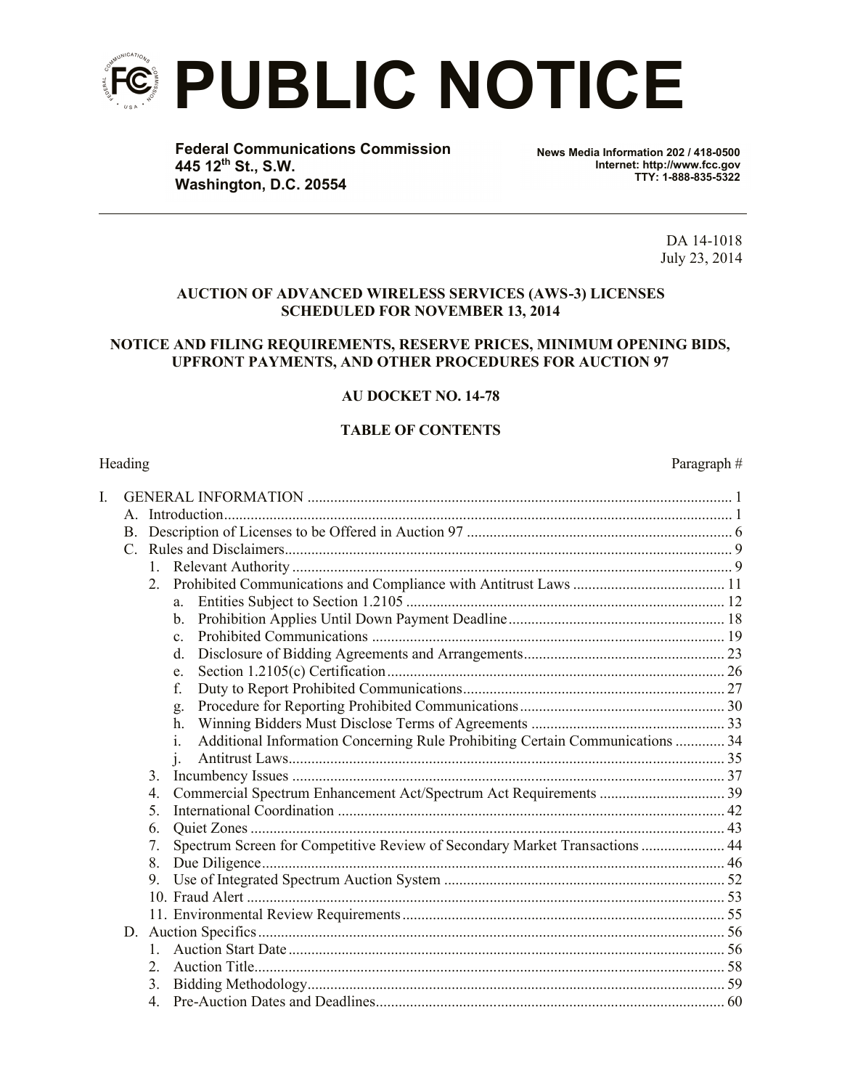

**Federal Communications Commission 445 12th St., S.W. Washington, D.C. 20554**

**News Media Information 202 / 418-0500 Internet: http://www.fcc.gov TTY: 1-888-835-5322**

> DA 14-1018 July 23, 2014

#### **AUCTION OF ADVANCED WIRELESS SERVICES (AWS-3) LICENSES SCHEDULED FOR NOVEMBER 13, 2014**

#### **NOTICE AND FILING REQUIREMENTS, RESERVE PRICES, MINIMUM OPENING BIDS, UPFRONT PAYMENTS, AND OTHER PROCEDURES FOR AUCTION 97**

# **AU DOCKET NO. 14-78**

#### **TABLE OF CONTENTS**

Heading Paragraph  $\#$ 

| I. |               |                                                                                                 |  |  |  |  |  |  |  |
|----|---------------|-------------------------------------------------------------------------------------------------|--|--|--|--|--|--|--|
|    |               |                                                                                                 |  |  |  |  |  |  |  |
|    |               |                                                                                                 |  |  |  |  |  |  |  |
|    | $\mathcal{C}$ |                                                                                                 |  |  |  |  |  |  |  |
|    |               |                                                                                                 |  |  |  |  |  |  |  |
|    |               | 2.                                                                                              |  |  |  |  |  |  |  |
|    |               | a.                                                                                              |  |  |  |  |  |  |  |
|    |               | $\mathbf{b}$ .                                                                                  |  |  |  |  |  |  |  |
|    |               | $\mathbf{c}$ .                                                                                  |  |  |  |  |  |  |  |
|    |               | $d_{\cdot}$                                                                                     |  |  |  |  |  |  |  |
|    |               | e.                                                                                              |  |  |  |  |  |  |  |
|    |               | f.                                                                                              |  |  |  |  |  |  |  |
|    |               | g.                                                                                              |  |  |  |  |  |  |  |
|    |               | h.                                                                                              |  |  |  |  |  |  |  |
|    |               | Additional Information Concerning Rule Prohibiting Certain Communications  34<br>$\mathbf{1}$ . |  |  |  |  |  |  |  |
|    |               | $\mathbf{i}$ .                                                                                  |  |  |  |  |  |  |  |
|    |               | 3.                                                                                              |  |  |  |  |  |  |  |
|    |               | $\overline{4}$ .                                                                                |  |  |  |  |  |  |  |
|    |               | 5.                                                                                              |  |  |  |  |  |  |  |
|    |               | 6.                                                                                              |  |  |  |  |  |  |  |
|    |               | Spectrum Screen for Competitive Review of Secondary Market Transactions  44<br>7.               |  |  |  |  |  |  |  |
|    |               | 8.                                                                                              |  |  |  |  |  |  |  |
|    |               | 9.                                                                                              |  |  |  |  |  |  |  |
|    |               |                                                                                                 |  |  |  |  |  |  |  |
|    |               |                                                                                                 |  |  |  |  |  |  |  |
|    |               |                                                                                                 |  |  |  |  |  |  |  |
|    |               |                                                                                                 |  |  |  |  |  |  |  |
|    |               | 2.                                                                                              |  |  |  |  |  |  |  |
|    |               | 3.                                                                                              |  |  |  |  |  |  |  |
|    |               |                                                                                                 |  |  |  |  |  |  |  |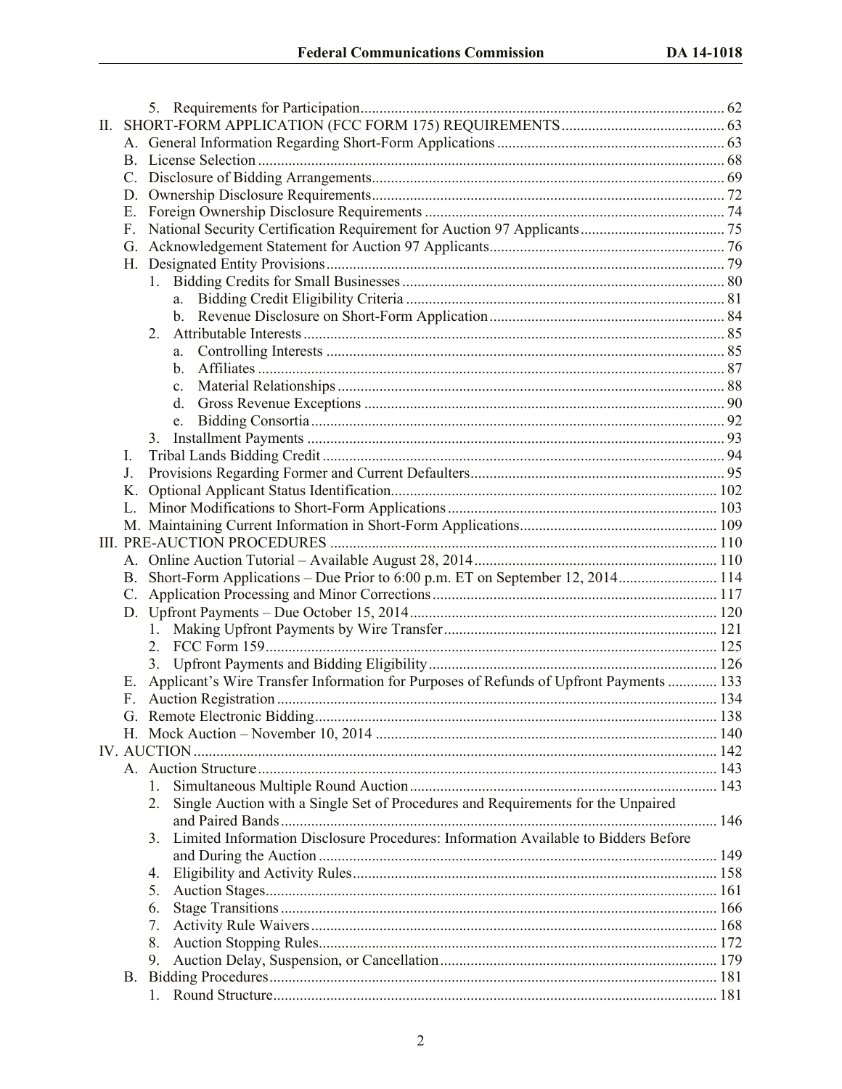| П. |                 |                                                                                          |  |  |  |  |  |  |  |  |
|----|-----------------|------------------------------------------------------------------------------------------|--|--|--|--|--|--|--|--|
|    |                 |                                                                                          |  |  |  |  |  |  |  |  |
|    |                 |                                                                                          |  |  |  |  |  |  |  |  |
|    | $\mathcal{C}$ . |                                                                                          |  |  |  |  |  |  |  |  |
|    |                 |                                                                                          |  |  |  |  |  |  |  |  |
|    | Е.              |                                                                                          |  |  |  |  |  |  |  |  |
|    | F.              |                                                                                          |  |  |  |  |  |  |  |  |
|    | G.              |                                                                                          |  |  |  |  |  |  |  |  |
|    |                 |                                                                                          |  |  |  |  |  |  |  |  |
|    |                 |                                                                                          |  |  |  |  |  |  |  |  |
|    |                 | a.                                                                                       |  |  |  |  |  |  |  |  |
|    |                 |                                                                                          |  |  |  |  |  |  |  |  |
|    |                 | 2.                                                                                       |  |  |  |  |  |  |  |  |
|    |                 |                                                                                          |  |  |  |  |  |  |  |  |
|    |                 | $\mathbf{b}$                                                                             |  |  |  |  |  |  |  |  |
|    |                 | $\mathbf{c}$ .                                                                           |  |  |  |  |  |  |  |  |
|    |                 | d.                                                                                       |  |  |  |  |  |  |  |  |
|    |                 | e.                                                                                       |  |  |  |  |  |  |  |  |
|    |                 | 3.                                                                                       |  |  |  |  |  |  |  |  |
|    | I.              |                                                                                          |  |  |  |  |  |  |  |  |
|    | J.              |                                                                                          |  |  |  |  |  |  |  |  |
|    | Κ.              |                                                                                          |  |  |  |  |  |  |  |  |
|    |                 |                                                                                          |  |  |  |  |  |  |  |  |
|    |                 |                                                                                          |  |  |  |  |  |  |  |  |
|    |                 |                                                                                          |  |  |  |  |  |  |  |  |
|    |                 |                                                                                          |  |  |  |  |  |  |  |  |
|    | <b>B.</b>       | Short-Form Applications – Due Prior to 6:00 p.m. ET on September 12, 2014 114            |  |  |  |  |  |  |  |  |
|    | $\mathcal{C}$ . |                                                                                          |  |  |  |  |  |  |  |  |
|    |                 |                                                                                          |  |  |  |  |  |  |  |  |
|    |                 |                                                                                          |  |  |  |  |  |  |  |  |
|    |                 |                                                                                          |  |  |  |  |  |  |  |  |
|    |                 |                                                                                          |  |  |  |  |  |  |  |  |
|    | Е.              | Applicant's Wire Transfer Information for Purposes of Refunds of Upfront Payments  133   |  |  |  |  |  |  |  |  |
|    | F.              |                                                                                          |  |  |  |  |  |  |  |  |
|    |                 |                                                                                          |  |  |  |  |  |  |  |  |
|    |                 |                                                                                          |  |  |  |  |  |  |  |  |
|    |                 |                                                                                          |  |  |  |  |  |  |  |  |
|    |                 |                                                                                          |  |  |  |  |  |  |  |  |
|    |                 | 1.                                                                                       |  |  |  |  |  |  |  |  |
|    |                 | Single Auction with a Single Set of Procedures and Requirements for the Unpaired<br>2.   |  |  |  |  |  |  |  |  |
|    |                 |                                                                                          |  |  |  |  |  |  |  |  |
|    |                 | Limited Information Disclosure Procedures: Information Available to Bidders Before<br>3. |  |  |  |  |  |  |  |  |
|    |                 |                                                                                          |  |  |  |  |  |  |  |  |
|    |                 | 4.                                                                                       |  |  |  |  |  |  |  |  |
|    |                 | 5.                                                                                       |  |  |  |  |  |  |  |  |
|    |                 | 6.                                                                                       |  |  |  |  |  |  |  |  |
|    |                 | 7.                                                                                       |  |  |  |  |  |  |  |  |
|    |                 | 8.                                                                                       |  |  |  |  |  |  |  |  |
|    |                 | 9.                                                                                       |  |  |  |  |  |  |  |  |
|    |                 |                                                                                          |  |  |  |  |  |  |  |  |
|    |                 |                                                                                          |  |  |  |  |  |  |  |  |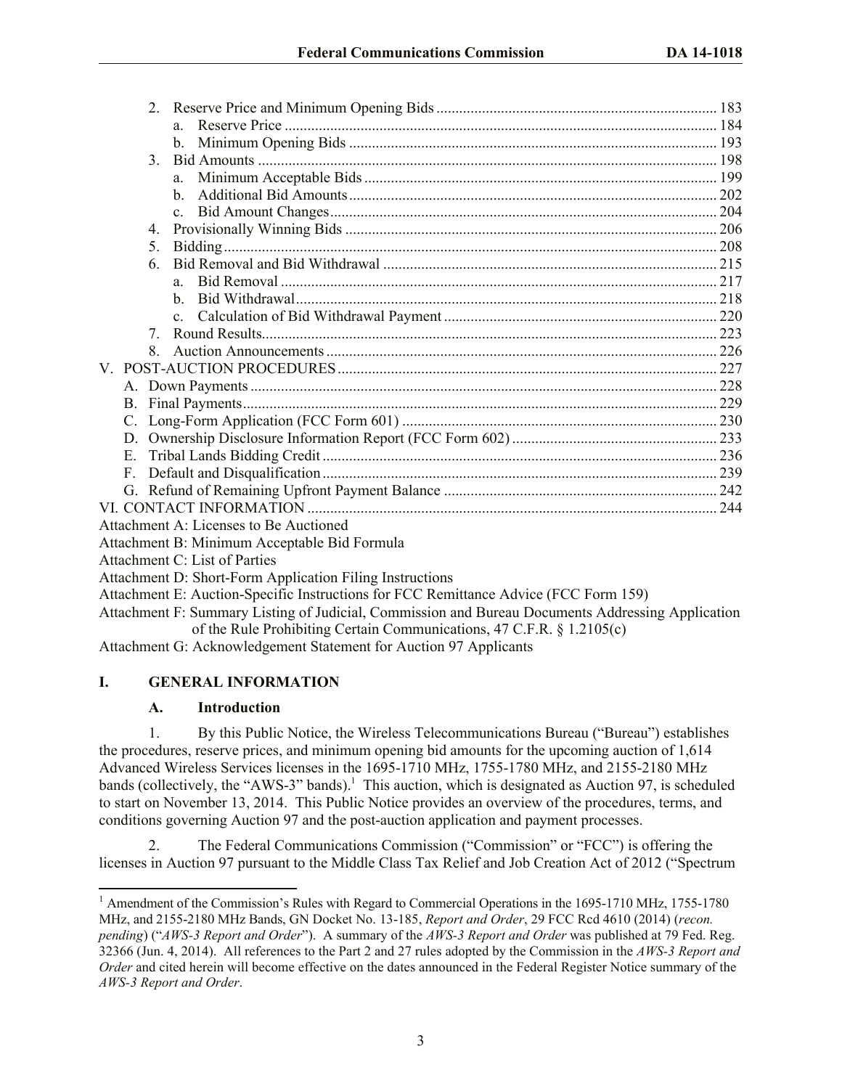|             | $\overline{2}$ . |                                              |  |  |  |  |
|-------------|------------------|----------------------------------------------|--|--|--|--|
|             |                  |                                              |  |  |  |  |
|             |                  |                                              |  |  |  |  |
|             | 3                |                                              |  |  |  |  |
|             |                  |                                              |  |  |  |  |
|             |                  | h.                                           |  |  |  |  |
|             |                  | $\mathbf{c}$ .                               |  |  |  |  |
|             | 4.               |                                              |  |  |  |  |
|             | 5.               |                                              |  |  |  |  |
|             | 6.               |                                              |  |  |  |  |
|             |                  | $\mathbf{a}$                                 |  |  |  |  |
|             |                  | h.                                           |  |  |  |  |
|             |                  |                                              |  |  |  |  |
|             | 7                |                                              |  |  |  |  |
|             | 8                |                                              |  |  |  |  |
|             |                  |                                              |  |  |  |  |
|             |                  |                                              |  |  |  |  |
|             |                  |                                              |  |  |  |  |
|             |                  |                                              |  |  |  |  |
|             |                  |                                              |  |  |  |  |
| E.          |                  |                                              |  |  |  |  |
| $F_{\cdot}$ |                  |                                              |  |  |  |  |
|             |                  |                                              |  |  |  |  |
|             |                  |                                              |  |  |  |  |
|             |                  | Attachment A: Licenses to Be Auctioned       |  |  |  |  |
|             |                  | Attachment B: Minimum Acceptable Bid Formula |  |  |  |  |
|             |                  | <b>Attachment C: List of Parties</b>         |  |  |  |  |

- Attachment D: Short-Form Application Filing Instructions
- Attachment E: Auction-Specific Instructions for FCC Remittance Advice (FCC Form 159)
- Attachment F: Summary Listing of Judicial, Commission and Bureau Documents Addressing Application of the Rule Prohibiting Certain Communications, 47 C.F.R. § 1.2105(c)
- Attachment G: Acknowledgement Statement for Auction 97 Applicants

# **I. GENERAL INFORMATION**

# **A. Introduction**

l

1. By this Public Notice, the Wireless Telecommunications Bureau ("Bureau") establishes the procedures, reserve prices, and minimum opening bid amounts for the upcoming auction of 1,614 Advanced Wireless Services licenses in the 1695-1710 MHz, 1755-1780 MHz, and 2155-2180 MHz bands (collectively, the "AWS-3" bands). 1 This auction, which is designated as Auction 97, is scheduled to start on November 13, 2014. This Public Notice provides an overview of the procedures, terms, and conditions governing Auction 97 and the post-auction application and payment processes.

2. The Federal Communications Commission ("Commission" or "FCC") is offering the licenses in Auction 97 pursuant to the Middle Class Tax Relief and Job Creation Act of 2012 ("Spectrum

<sup>&</sup>lt;sup>1</sup> Amendment of the Commission's Rules with Regard to Commercial Operations in the 1695-1710 MHz, 1755-1780 MHz, and 2155-2180 MHz Bands, GN Docket No. 13-185, *Report and Order*, 29 FCC Rcd 4610 (2014) (*recon. pending*) ("*AWS-3 Report and Order*"). A summary of the *AWS-3 Report and Order* was published at 79 Fed. Reg. 32366 (Jun. 4, 2014). All references to the Part 2 and 27 rules adopted by the Commission in the *AWS-3 Report and Order* and cited herein will become effective on the dates announced in the Federal Register Notice summary of the *AWS-3 Report and Order*.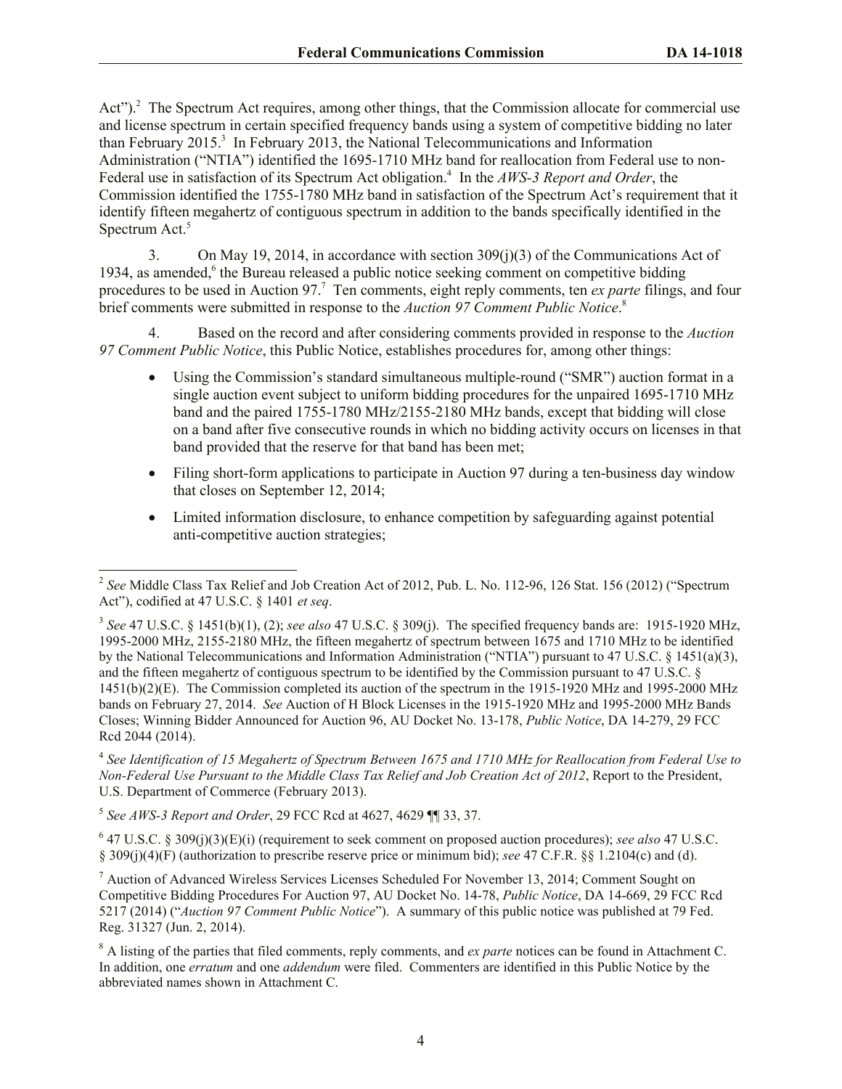Act").<sup>2</sup> The Spectrum Act requires, among other things, that the Commission allocate for commercial use and license spectrum in certain specified frequency bands using a system of competitive bidding no later than February 2015.<sup>3</sup> In February 2013, the National Telecommunications and Information Administration ("NTIA") identified the 1695-1710 MHz band for reallocation from Federal use to non-Federal use in satisfaction of its Spectrum Act obligation.<sup>4</sup> In the AWS-3 Report and Order, the Commission identified the 1755-1780 MHz band in satisfaction of the Spectrum Act's requirement that it identify fifteen megahertz of contiguous spectrum in addition to the bands specifically identified in the Spectrum Act.<sup>5</sup>

3. On May 19, 2014, in accordance with section 309(j)(3) of the Communications Act of 1934, as amended,<sup>6</sup> the Bureau released a public notice seeking comment on competitive bidding procedures to be used in Auction 97. 7 Ten comments, eight reply comments, ten *ex parte* filings, and four brief comments were submitted in response to the *Auction 97 Comment Public Notice*. 8

4. Based on the record and after considering comments provided in response to the *Auction 97 Comment Public Notice*, this Public Notice, establishes procedures for, among other things:

- Using the Commission's standard simultaneous multiple-round ("SMR") auction format in a single auction event subject to uniform bidding procedures for the unpaired 1695-1710 MHz band and the paired 1755-1780 MHz/2155-2180 MHz bands, except that bidding will close on a band after five consecutive rounds in which no bidding activity occurs on licenses in that band provided that the reserve for that band has been met;
- Filing short-form applications to participate in Auction 97 during a ten-business day window that closes on September 12, 2014;
- Limited information disclosure, to enhance competition by safeguarding against potential anti-competitive auction strategies;

4 *See Identification of 15 Megahertz of Spectrum Between 1675 and 1710 MHz for Reallocation from Federal Use to Non-Federal Use Pursuant to the Middle Class Tax Relief and Job Creation Act of 2012*, Report to the President, U.S. Department of Commerce (February 2013).

5 *See AWS-3 Report and Order*, 29 FCC Rcd at 4627, 4629 ¶¶ 33, 37.

l

6 47 U.S.C. § 309(j)(3)(E)(i) (requirement to seek comment on proposed auction procedures); *see also* 47 U.S.C. § 309(j)(4)(F) (authorization to prescribe reserve price or minimum bid); *see* 47 C.F.R. §§ 1.2104(c) and (d).

<sup>7</sup> Auction of Advanced Wireless Services Licenses Scheduled For November 13, 2014; Comment Sought on Competitive Bidding Procedures For Auction 97, AU Docket No. 14-78, *Public Notice*, DA 14-669, 29 FCC Rcd 5217 (2014) ("*Auction 97 Comment Public Notice*"). A summary of this public notice was published at 79 Fed. Reg. 31327 (Jun. 2, 2014).

<sup>2</sup> *See* Middle Class Tax Relief and Job Creation Act of 2012, Pub. L. No. 112-96, 126 Stat. 156 (2012) ("Spectrum Act"), codified at 47 U.S.C. § 1401 *et seq*.

 $3$  See 47 U.S.C. § 1451(b)(1), (2); *see also* 47 U.S.C. § 309(j). The specified frequency bands are: 1915-1920 MHz, 1995-2000 MHz, 2155-2180 MHz, the fifteen megahertz of spectrum between 1675 and 1710 MHz to be identified by the National Telecommunications and Information Administration ("NTIA") pursuant to 47 U.S.C. § 1451(a)(3), and the fifteen megahertz of contiguous spectrum to be identified by the Commission pursuant to 47 U.S.C. § 1451(b)(2)(E). The Commission completed its auction of the spectrum in the 1915-1920 MHz and 1995-2000 MHz bands on February 27, 2014. *See* Auction of H Block Licenses in the 1915-1920 MHz and 1995-2000 MHz Bands Closes; Winning Bidder Announced for Auction 96, AU Docket No. 13-178, *Public Notice*, DA 14-279, 29 FCC Rcd 2044 (2014).

<sup>8</sup> A listing of the parties that filed comments, reply comments, and *ex parte* notices can be found in Attachment C. In addition, one *erratum* and one *addendum* were filed. Commenters are identified in this Public Notice by the abbreviated names shown in Attachment C.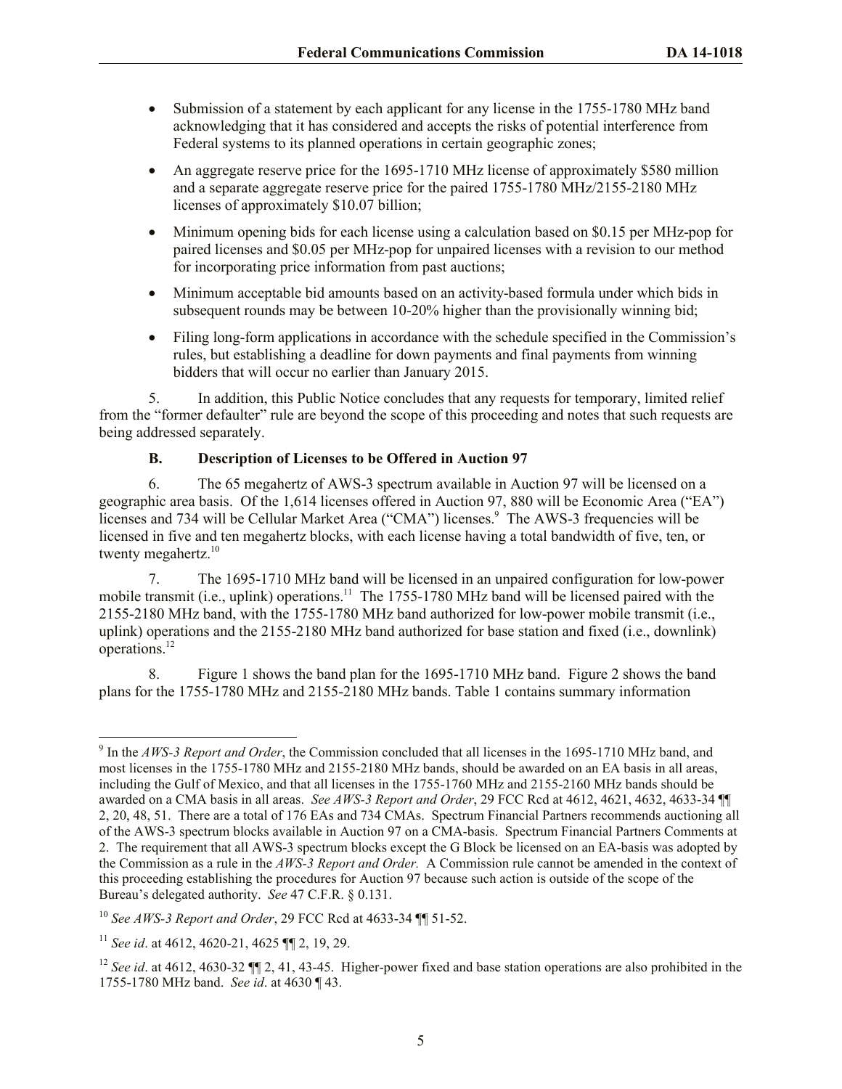- Submission of a statement by each applicant for any license in the 1755-1780 MHz band acknowledging that it has considered and accepts the risks of potential interference from Federal systems to its planned operations in certain geographic zones;
- An aggregate reserve price for the 1695-1710 MHz license of approximately \$580 million and a separate aggregate reserve price for the paired 1755-1780 MHz/2155-2180 MHz licenses of approximately \$10.07 billion;
- Minimum opening bids for each license using a calculation based on \$0.15 per MHz-pop for paired licenses and \$0.05 per MHz-pop for unpaired licenses with a revision to our method for incorporating price information from past auctions;
- Minimum acceptable bid amounts based on an activity-based formula under which bids in subsequent rounds may be between 10-20% higher than the provisionally winning bid;
- Filing long-form applications in accordance with the schedule specified in the Commission's rules, but establishing a deadline for down payments and final payments from winning bidders that will occur no earlier than January 2015.

5. In addition, this Public Notice concludes that any requests for temporary, limited relief from the "former defaulter" rule are beyond the scope of this proceeding and notes that such requests are being addressed separately.

# **B. Description of Licenses to be Offered in Auction 97**

6. The 65 megahertz of AWS-3 spectrum available in Auction 97 will be licensed on a geographic area basis. Of the 1,614 licenses offered in Auction 97, 880 will be Economic Area ("EA") licenses and 734 will be Cellular Market Area ("CMA") licenses.<sup>9</sup> The AWS-3 frequencies will be licensed in five and ten megahertz blocks, with each license having a total bandwidth of five, ten, or twenty megahertz.<sup>10</sup>

7. The 1695-1710 MHz band will be licensed in an unpaired configuration for low-power mobile transmit (i.e., uplink) operations.<sup>11</sup> The 1755-1780 MHz band will be licensed paired with the 2155-2180 MHz band, with the 1755-1780 MHz band authorized for low-power mobile transmit (i.e., uplink) operations and the 2155-2180 MHz band authorized for base station and fixed (i.e., downlink) operations.<sup>12</sup>

8. Figure 1 shows the band plan for the 1695-1710 MHz band. Figure 2 shows the band plans for the 1755-1780 MHz and 2155-2180 MHz bands. Table 1 contains summary information

<sup>9</sup> In the *AWS-3 Report and Order*, the Commission concluded that all licenses in the 1695-1710 MHz band, and most licenses in the 1755-1780 MHz and 2155-2180 MHz bands, should be awarded on an EA basis in all areas, including the Gulf of Mexico, and that all licenses in the 1755-1760 MHz and 2155-2160 MHz bands should be awarded on a CMA basis in all areas. *See AWS-3 Report and Order*, 29 FCC Rcd at 4612, 4621, 4632, 4633-34 ¶¶ 2, 20, 48, 51. There are a total of 176 EAs and 734 CMAs. Spectrum Financial Partners recommends auctioning all of the AWS-3 spectrum blocks available in Auction 97 on a CMA-basis. Spectrum Financial Partners Comments at 2. The requirement that all AWS-3 spectrum blocks except the G Block be licensed on an EA-basis was adopted by the Commission as a rule in the *AWS-3 Report and Order.* A Commission rule cannot be amended in the context of this proceeding establishing the procedures for Auction 97 because such action is outside of the scope of the Bureau's delegated authority. *See* 47 C.F.R. § 0.131.

<sup>10</sup> *See AWS-3 Report and Order*, 29 FCC Rcd at 4633-34 ¶¶ 51-52.

<sup>11</sup> *See id*. at 4612, 4620-21, 4625 ¶¶ 2, 19, 29.

<sup>&</sup>lt;sup>12</sup> *See id.* at 4612, 4630-32 ¶ 2, 41, 43-45. Higher-power fixed and base station operations are also prohibited in the 1755-1780 MHz band. *See id*. at 4630 ¶ 43.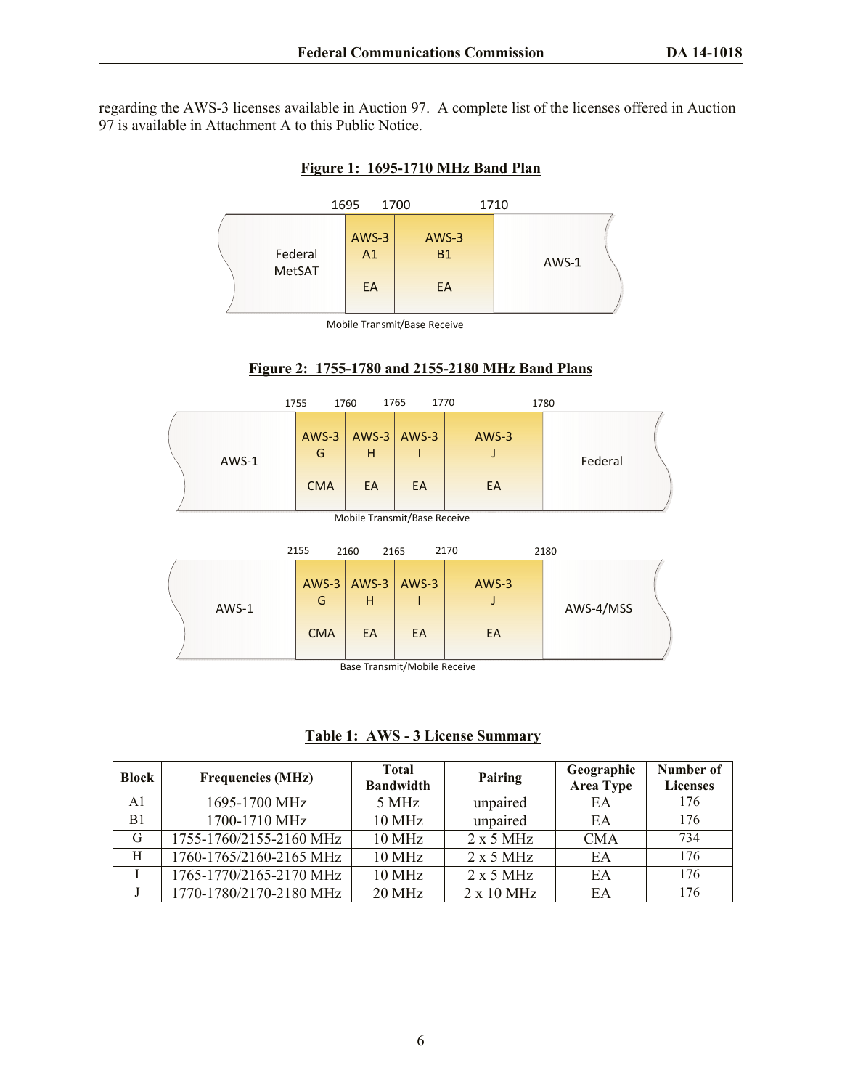regarding the AWS-3 licenses available in Auction 97. A complete list of the licenses offered in Auction 97 is available in Attachment A to this Public Notice.

|                   | 1695 |                     | 1700                       | 1710 |       |
|-------------------|------|---------------------|----------------------------|------|-------|
| Federal<br>MetSAT |      | $AWS-3$<br>A1<br>EA | $AWS-3$<br><b>B1</b><br>EA |      | AWS-1 |

#### **Figure 1: 1695-1710 MHz Band Plan**

Mobile Transmit/Base Receive



|                              |       |  | 1755         | 1760         | 1765<br>1770                              |         | 1780      |  |
|------------------------------|-------|--|--------------|--------------|-------------------------------------------|---------|-----------|--|
|                              | AWS-1 |  | $AWS-3$<br>G | AWS-3<br>н   | AWS-3                                     | AWS-3   | Federal   |  |
|                              |       |  | <b>CMA</b>   | EA           | EA                                        | EA      |           |  |
| Mobile Transmit/Base Receive |       |  |              |              |                                           |         |           |  |
|                              |       |  | 2155         | 2160<br>2165 |                                           | 2170    | 2180      |  |
|                              |       |  | $AWS-3$      | AWS-3        | AWS-3                                     | $AWS-3$ |           |  |
|                              | AWS-1 |  | G            | H            |                                           |         | AWS-4/MSS |  |
|                              |       |  | <b>CMA</b>   | EA           | EA                                        | EA      |           |  |
|                              |       |  |              |              | $\sim$ $\sim$ $\sim$ $\sim$ $\sim$ $\sim$ |         |           |  |

Base Transmit/Mobile Receive

**Table 1: AWS - 3 License Summary**

| <b>Block</b> | <b>Frequencies (MHz)</b> | <b>Total</b><br><b>Bandwidth</b> | Pairing           | Geographic<br><b>Area Type</b> | Number of<br><b>Licenses</b> |
|--------------|--------------------------|----------------------------------|-------------------|--------------------------------|------------------------------|
| A1           | 1695-1700 MHz            | 5 MHz                            | unpaired          | EA                             | 176                          |
| B1           | 1700-1710 MHz            | 10 MHz                           | unpaired          | EA                             | 176                          |
| G            | 1755-1760/2155-2160 MHz  | <b>10 MHz</b>                    | $2 \times 5$ MHz  | <b>CMA</b>                     | 734                          |
| H            | 1760-1765/2160-2165 MHz  | <b>10 MHz</b>                    | $2 \times 5$ MHz  | EA                             | 176                          |
|              | 1765-1770/2165-2170 MHz  | <b>10 MHz</b>                    | 2x5 MHz           | EA                             | 176                          |
|              | 1770-1780/2170-2180 MHz  | $20$ MHz                         | $2 \times 10$ MHz | EA                             | 176                          |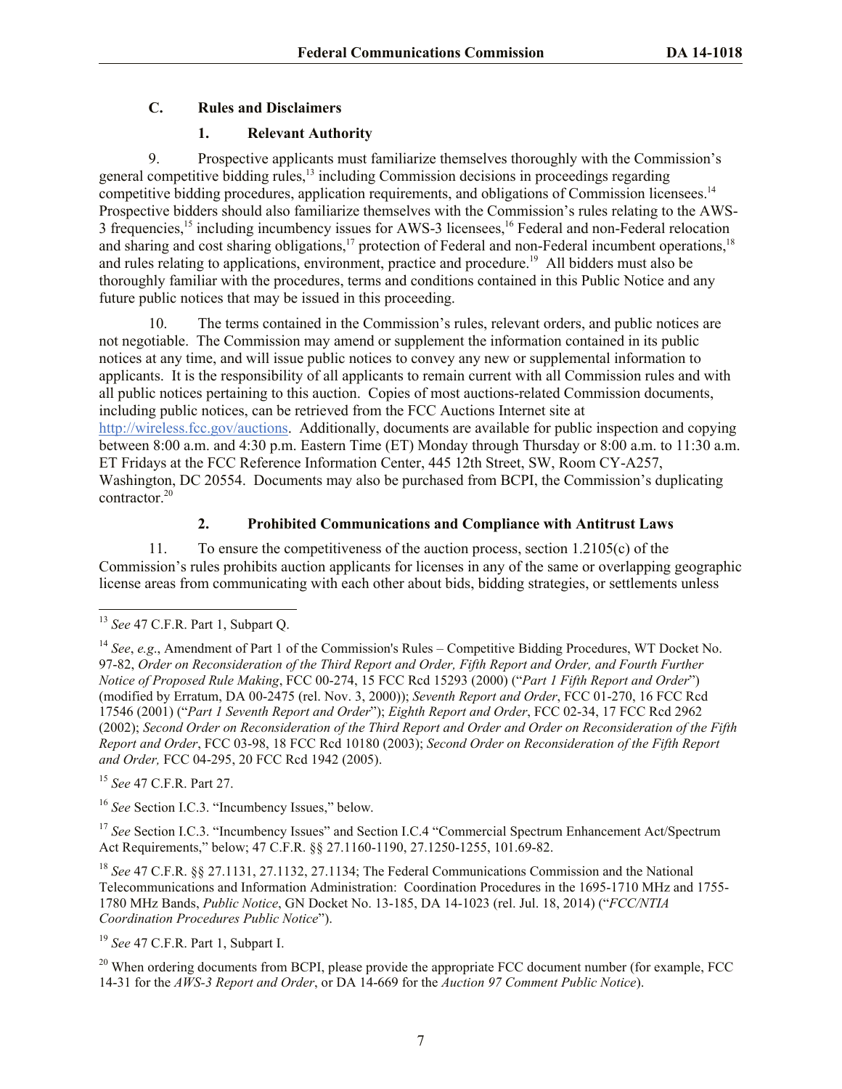## **C. Rules and Disclaimers**

## **1. Relevant Authority**

9. Prospective applicants must familiarize themselves thoroughly with the Commission's general competitive bidding rules,<sup>13</sup> including Commission decisions in proceedings regarding competitive bidding procedures, application requirements, and obligations of Commission licensees.<sup>14</sup> Prospective bidders should also familiarize themselves with the Commission's rules relating to the AWS-3 frequencies,<sup>15</sup> including incumbency issues for AWS-3 licensees,<sup>16</sup> Federal and non-Federal relocation and sharing and cost sharing obligations,<sup>17</sup> protection of Federal and non-Federal incumbent operations,<sup>18</sup> and rules relating to applications, environment, practice and procedure.<sup>19</sup> All bidders must also be thoroughly familiar with the procedures, terms and conditions contained in this Public Notice and any future public notices that may be issued in this proceeding.

10. The terms contained in the Commission's rules, relevant orders, and public notices are not negotiable. The Commission may amend or supplement the information contained in its public notices at any time, and will issue public notices to convey any new or supplemental information to applicants. It is the responsibility of all applicants to remain current with all Commission rules and with all public notices pertaining to this auction. Copies of most auctions-related Commission documents, including public notices, can be retrieved from the FCC Auctions Internet site at http://wireless.fcc.gov/auctions. Additionally, documents are available for public inspection and copying between 8:00 a.m. and 4:30 p.m. Eastern Time (ET) Monday through Thursday or 8:00 a.m. to 11:30 a.m. ET Fridays at the FCC Reference Information Center, 445 12th Street, SW, Room CY-A257, Washington, DC 20554. Documents may also be purchased from BCPI, the Commission's duplicating contractor.<sup>20</sup>

## **2. Prohibited Communications and Compliance with Antitrust Laws**

11. To ensure the competitiveness of the auction process, section 1.2105(c) of the Commission's rules prohibits auction applicants for licenses in any of the same or overlapping geographic license areas from communicating with each other about bids, bidding strategies, or settlements unless

l

<sup>15</sup> *See* 47 C.F.R. Part 27.

<sup>16</sup> See Section I.C.3. "Incumbency Issues," below.

<sup>17</sup> See Section I.C.3. "Incumbency Issues" and Section I.C.4 "Commercial Spectrum Enhancement Act/Spectrum Act Requirements," below; 47 C.F.R. §§ 27.1160-1190, 27.1250-1255, 101.69-82.

<sup>18</sup> *See* 47 C.F.R. §§ 27.1131, 27.1132, 27.1134; The Federal Communications Commission and the National Telecommunications and Information Administration: Coordination Procedures in the 1695-1710 MHz and 1755- 1780 MHz Bands, *Public Notice*, GN Docket No. 13-185, DA 14-1023 (rel. Jul. 18, 2014) ("*FCC/NTIA Coordination Procedures Public Notice*").

<sup>13</sup> *See* 47 C.F.R. Part 1, Subpart Q.

<sup>14</sup> *See*, *e.g*., Amendment of Part 1 of the Commission's Rules – Competitive Bidding Procedures, WT Docket No. 97-82, *Order on Reconsideration of the Third Report and Order, Fifth Report and Order, and Fourth Further Notice of Proposed Rule Making*, FCC 00-274, 15 FCC Rcd 15293 (2000) ("*Part 1 Fifth Report and Order*") (modified by Erratum, DA 00-2475 (rel. Nov. 3, 2000)); *Seventh Report and Order*, FCC 01-270, 16 FCC Rcd 17546 (2001) ("*Part 1 Seventh Report and Order*"); *Eighth Report and Order*, FCC 02-34, 17 FCC Rcd 2962 (2002); *Second Order on Reconsideration of the Third Report and Order and Order on Reconsideration of the Fifth Report and Order*, FCC 03-98, 18 FCC Rcd 10180 (2003); *Second Order on Reconsideration of the Fifth Report and Order,* FCC 04-295, 20 FCC Rcd 1942 (2005).

<sup>19</sup> *See* 47 C.F.R. Part 1, Subpart I.

<sup>&</sup>lt;sup>20</sup> When ordering documents from BCPI, please provide the appropriate FCC document number (for example, FCC) 14-31 for the *AWS-3 Report and Order*, or DA 14-669 for the *Auction 97 Comment Public Notice*).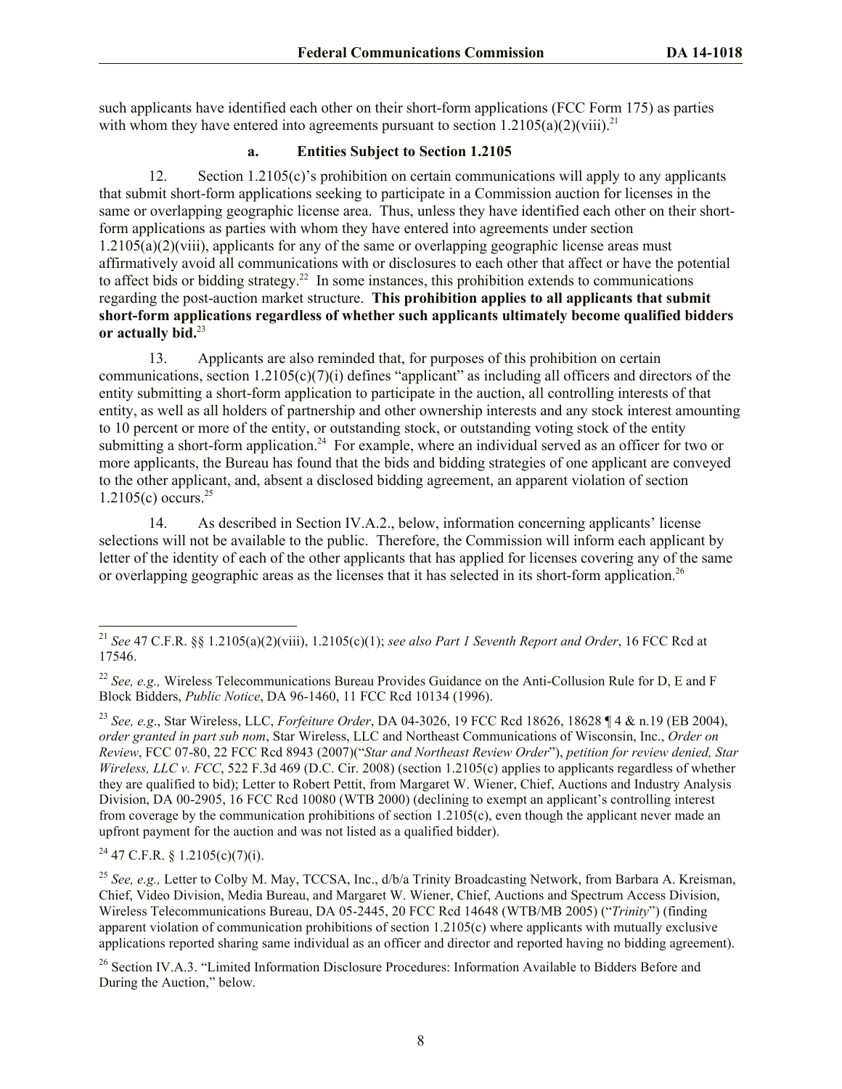such applicants have identified each other on their short-form applications (FCC Form 175) as parties with whom they have entered into agreements pursuant to section  $1.2105(a)(2)(viii).$ <sup>21</sup>

## **a. Entities Subject to Section 1.2105**

12. Section 1.2105(c)'s prohibition on certain communications will apply to any applicants that submit short-form applications seeking to participate in a Commission auction for licenses in the same or overlapping geographic license area. Thus, unless they have identified each other on their shortform applications as parties with whom they have entered into agreements under section  $1.2105(a)(2)(viii)$ , applicants for any of the same or overlapping geographic license areas must affirmatively avoid all communications with or disclosures to each other that affect or have the potential to affect bids or bidding strategy.<sup>22</sup> In some instances, this prohibition extends to communications regarding the post-auction market structure. **This prohibition applies to all applicants that submit short-form applications regardless of whether such applicants ultimately become qualified bidders or actually bid.**<sup>23</sup>

13. Applicants are also reminded that, for purposes of this prohibition on certain communications, section  $1.2105(c)(7)(i)$  defines "applicant" as including all officers and directors of the entity submitting a short-form application to participate in the auction, all controlling interests of that entity, as well as all holders of partnership and other ownership interests and any stock interest amounting to 10 percent or more of the entity, or outstanding stock, or outstanding voting stock of the entity submitting a short-form application.<sup>24</sup> For example, where an individual served as an officer for two or more applicants, the Bureau has found that the bids and bidding strategies of one applicant are conveyed to the other applicant, and, absent a disclosed bidding agreement, an apparent violation of section  $1.2105(c)$  occurs.<sup>25</sup>

14. As described in Section IV.A.2., below, information concerning applicants' license selections will not be available to the public. Therefore, the Commission will inform each applicant by letter of the identity of each of the other applicants that has applied for licenses covering any of the same or overlapping geographic areas as the licenses that it has selected in its short-form application.<sup>26</sup>

 $24$  47 C.F.R. § 1.2105(c)(7)(i).

l

<sup>25</sup> See, e.g., Letter to Colby M. May, TCCSA, Inc., d/b/a Trinity Broadcasting Network, from Barbara A. Kreisman, Chief, Video Division, Media Bureau, and Margaret W. Wiener, Chief, Auctions and Spectrum Access Division, Wireless Telecommunications Bureau, DA 05-2445, 20 FCC Rcd 14648 (WTB/MB 2005) ("*Trinity*") (finding apparent violation of communication prohibitions of section 1.2105(c) where applicants with mutually exclusive applications reported sharing same individual as an officer and director and reported having no bidding agreement).

<sup>26</sup> Section IV.A.3. "Limited Information Disclosure Procedures: Information Available to Bidders Before and During the Auction," below.

<sup>21</sup> *See* 47 C.F.R. §§ 1.2105(a)(2)(viii), 1.2105(c)(1); *see also Part 1 Seventh Report and Order*, 16 FCC Rcd at 17546.

<sup>&</sup>lt;sup>22</sup> *See, e.g.,* Wireless Telecommunications Bureau Provides Guidance on the Anti-Collusion Rule for D, E and F Block Bidders, *Public Notice*, DA 96-1460, 11 FCC Rcd 10134 (1996).

<sup>23</sup> *See, e.g*., Star Wireless, LLC, *Forfeiture Order*, DA 04-3026, 19 FCC Rcd 18626, 18628 ¶ 4 & n.19 (EB 2004), *order granted in part sub nom*, Star Wireless, LLC and Northeast Communications of Wisconsin, Inc., *Order on Review*, FCC 07-80, 22 FCC Rcd 8943 (2007)("*Star and Northeast Review Order*"), *petition for review denied, Star Wireless, LLC v. FCC*, 522 F.3d 469 (D.C. Cir. 2008) (section 1.2105(c) applies to applicants regardless of whether they are qualified to bid); Letter to Robert Pettit, from Margaret W. Wiener, Chief, Auctions and Industry Analysis Division, DA 00-2905, 16 FCC Rcd 10080 (WTB 2000) (declining to exempt an applicant's controlling interest from coverage by the communication prohibitions of section 1.2105(c), even though the applicant never made an upfront payment for the auction and was not listed as a qualified bidder).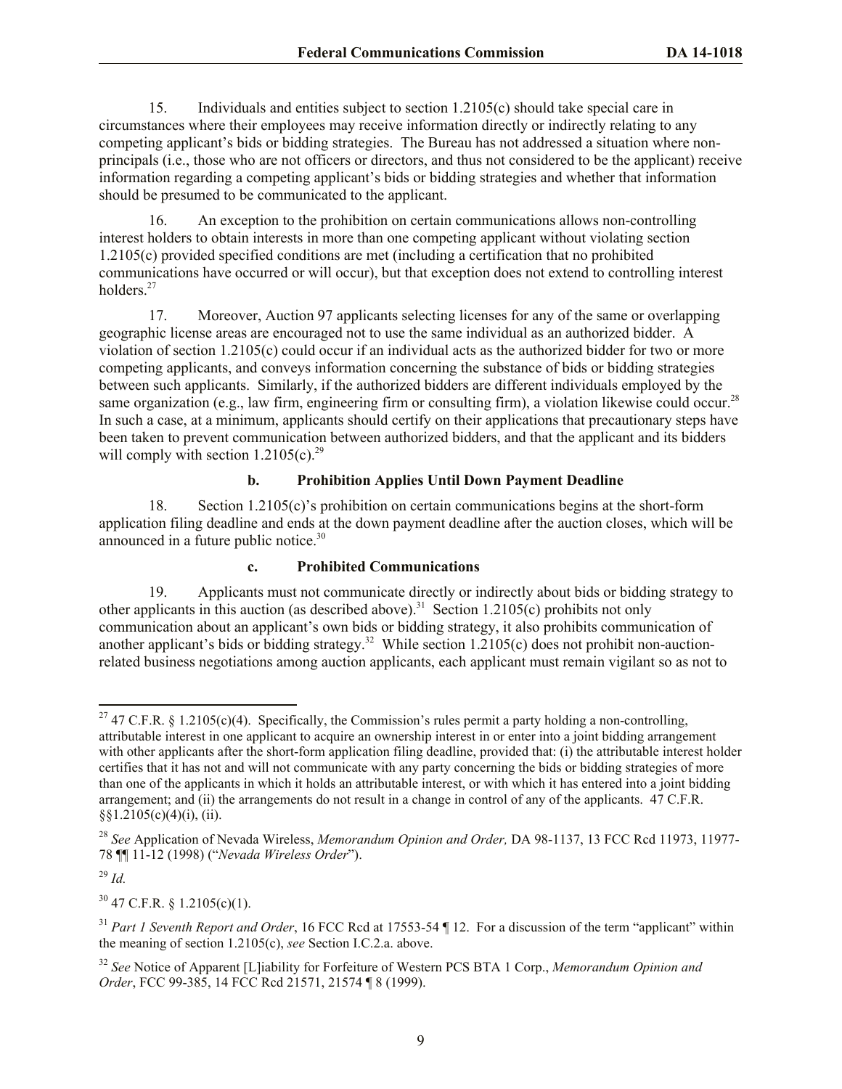15. Individuals and entities subject to section 1.2105(c) should take special care in circumstances where their employees may receive information directly or indirectly relating to any competing applicant's bids or bidding strategies. The Bureau has not addressed a situation where nonprincipals (i.e., those who are not officers or directors, and thus not considered to be the applicant) receive information regarding a competing applicant's bids or bidding strategies and whether that information should be presumed to be communicated to the applicant.

16. An exception to the prohibition on certain communications allows non-controlling interest holders to obtain interests in more than one competing applicant without violating section 1.2105(c) provided specified conditions are met (including a certification that no prohibited communications have occurred or will occur), but that exception does not extend to controlling interest holders.<sup>27</sup>

17. Moreover, Auction 97 applicants selecting licenses for any of the same or overlapping geographic license areas are encouraged not to use the same individual as an authorized bidder. A violation of section 1.2105(c) could occur if an individual acts as the authorized bidder for two or more competing applicants, and conveys information concerning the substance of bids or bidding strategies between such applicants. Similarly, if the authorized bidders are different individuals employed by the same organization (e.g., law firm, engineering firm or consulting firm), a violation likewise could occur.<sup>28</sup> In such a case, at a minimum, applicants should certify on their applications that precautionary steps have been taken to prevent communication between authorized bidders, and that the applicant and its bidders will comply with section  $1.2105(c)$ .<sup>29</sup>

## **b. Prohibition Applies Until Down Payment Deadline**

18. Section 1.2105(c)'s prohibition on certain communications begins at the short-form application filing deadline and ends at the down payment deadline after the auction closes, which will be announced in a future public notice.<sup>30</sup>

#### **c. Prohibited Communications**

19. Applicants must not communicate directly or indirectly about bids or bidding strategy to other applicants in this auction (as described above).<sup>31</sup> Section 1.2105(c) prohibits not only communication about an applicant's own bids or bidding strategy, it also prohibits communication of another applicant's bids or bidding strategy.<sup>32</sup> While section  $1.2105(c)$  does not prohibit non-auctionrelated business negotiations among auction applicants, each applicant must remain vigilant so as not to

<sup>29</sup> *Id.*

l

 $30$  47 C.F.R. § 1.2105(c)(1).

<sup>&</sup>lt;sup>27</sup> 47 C.F.R. § 1.2105(c)(4). Specifically, the Commission's rules permit a party holding a non-controlling, attributable interest in one applicant to acquire an ownership interest in or enter into a joint bidding arrangement with other applicants after the short-form application filing deadline, provided that: (i) the attributable interest holder certifies that it has not and will not communicate with any party concerning the bids or bidding strategies of more than one of the applicants in which it holds an attributable interest, or with which it has entered into a joint bidding arrangement; and (ii) the arrangements do not result in a change in control of any of the applicants. 47 C.F.R.  $\S$ §1.2105(c)(4)(i), (ii).

<sup>28</sup> *See* Application of Nevada Wireless, *Memorandum Opinion and Order,* DA 98-1137, 13 FCC Rcd 11973, 11977- 78 ¶¶ 11-12 (1998) ("*Nevada Wireless Order*").

<sup>31</sup> *Part 1 Seventh Report and Order*, 16 FCC Rcd at 17553-54 ¶ 12. For a discussion of the term "applicant" within the meaning of section 1.2105(c), *see* Section I.C.2.a. above.

<sup>32</sup> *See* Notice of Apparent [L]iability for Forfeiture of Western PCS BTA 1 Corp., *Memorandum Opinion and Order*, FCC 99-385, 14 FCC Rcd 21571, 21574 ¶ 8 (1999).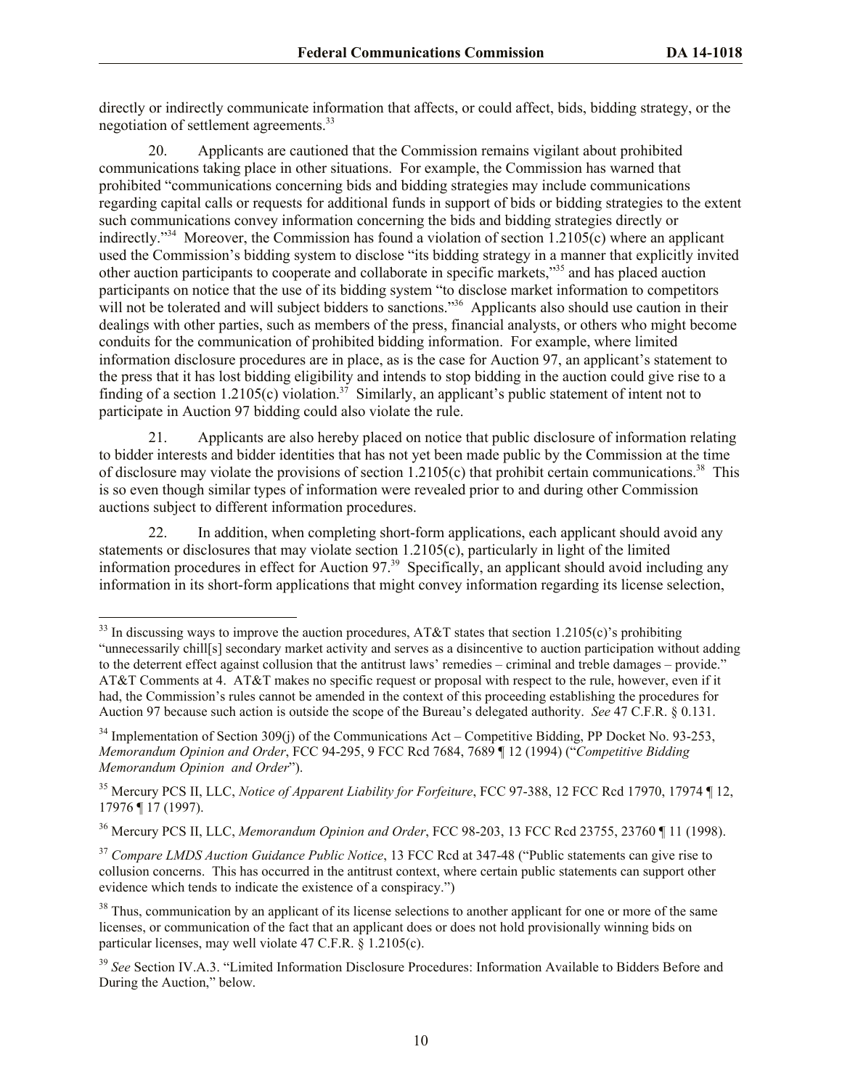directly or indirectly communicate information that affects, or could affect, bids, bidding strategy, or the negotiation of settlement agreements.<sup>33</sup>

20. Applicants are cautioned that the Commission remains vigilant about prohibited communications taking place in other situations. For example, the Commission has warned that prohibited "communications concerning bids and bidding strategies may include communications regarding capital calls or requests for additional funds in support of bids or bidding strategies to the extent such communications convey information concerning the bids and bidding strategies directly or indirectly.<sup>334</sup> Moreover, the Commission has found a violation of section 1.2105(c) where an applicant used the Commission's bidding system to disclose "its bidding strategy in a manner that explicitly invited other auction participants to cooperate and collaborate in specific markets,"<sup>35</sup> and has placed auction participants on notice that the use of its bidding system "to disclose market information to competitors will not be tolerated and will subject bidders to sanctions."<sup>36</sup> Applicants also should use caution in their dealings with other parties, such as members of the press, financial analysts, or others who might become conduits for the communication of prohibited bidding information. For example, where limited information disclosure procedures are in place, as is the case for Auction 97, an applicant's statement to the press that it has lost bidding eligibility and intends to stop bidding in the auction could give rise to a finding of a section  $1.2105(c)$  violation.<sup>37</sup> Similarly, an applicant's public statement of intent not to participate in Auction 97 bidding could also violate the rule.

21. Applicants are also hereby placed on notice that public disclosure of information relating to bidder interests and bidder identities that has not yet been made public by the Commission at the time of disclosure may violate the provisions of section  $1.2105(c)$  that prohibit certain communications.<sup>38</sup> This is so even though similar types of information were revealed prior to and during other Commission auctions subject to different information procedures.

22. In addition, when completing short-form applications, each applicant should avoid any statements or disclosures that may violate section 1.2105(c), particularly in light of the limited information procedures in effect for Auction 97. 39 Specifically, an applicant should avoid including any information in its short-form applications that might convey information regarding its license selection,

<sup>&</sup>lt;sup>33</sup> In discussing ways to improve the auction procedures, AT&T states that section 1.2105(c)'s prohibiting

<sup>&</sup>quot;unnecessarily chill[s] secondary market activity and serves as a disincentive to auction participation without adding to the deterrent effect against collusion that the antitrust laws' remedies – criminal and treble damages – provide." AT&T Comments at 4. AT&T makes no specific request or proposal with respect to the rule, however, even if it had, the Commission's rules cannot be amended in the context of this proceeding establishing the procedures for Auction 97 because such action is outside the scope of the Bureau's delegated authority. *See* 47 C.F.R. § 0.131.

 $34$  Implementation of Section 309(j) of the Communications Act – Competitive Bidding, PP Docket No. 93-253, *Memorandum Opinion and Order*, FCC 94-295, 9 FCC Rcd 7684, 7689 ¶ 12 (1994) ("*Competitive Bidding Memorandum Opinion and Order*").

<sup>35</sup> Mercury PCS II, LLC, *Notice of Apparent Liability for Forfeiture*, FCC 97-388, 12 FCC Rcd 17970, 17974 ¶ 12, 17976 ¶ 17 (1997).

<sup>36</sup> Mercury PCS II, LLC, *Memorandum Opinion and Order*, FCC 98-203, 13 FCC Rcd 23755, 23760 ¶ 11 (1998).

<sup>37</sup> *Compare LMDS Auction Guidance Public Notice*, 13 FCC Rcd at 347-48 ("Public statements can give rise to collusion concerns. This has occurred in the antitrust context, where certain public statements can support other evidence which tends to indicate the existence of a conspiracy.")

<sup>&</sup>lt;sup>38</sup> Thus, communication by an applicant of its license selections to another applicant for one or more of the same licenses, or communication of the fact that an applicant does or does not hold provisionally winning bids on particular licenses, may well violate 47 C.F.R. § 1.2105(c).

<sup>39</sup> *See* Section IV.A.3. "Limited Information Disclosure Procedures: Information Available to Bidders Before and During the Auction," below.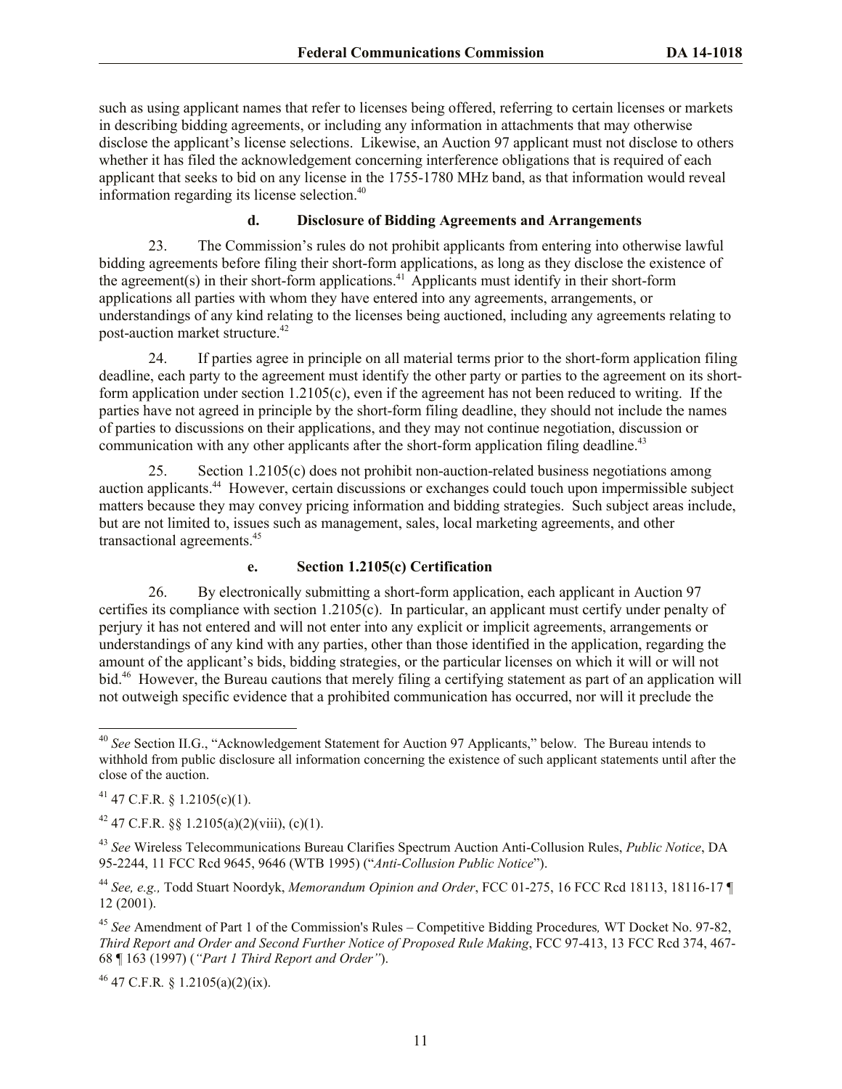such as using applicant names that refer to licenses being offered, referring to certain licenses or markets in describing bidding agreements, or including any information in attachments that may otherwise disclose the applicant's license selections. Likewise, an Auction 97 applicant must not disclose to others whether it has filed the acknowledgement concerning interference obligations that is required of each applicant that seeks to bid on any license in the 1755-1780 MHz band, as that information would reveal information regarding its license selection.<sup>40</sup>

#### **d. Disclosure of Bidding Agreements and Arrangements**

23. The Commission's rules do not prohibit applicants from entering into otherwise lawful bidding agreements before filing their short-form applications, as long as they disclose the existence of the agreement(s) in their short-form applications.<sup>41</sup> Applicants must identify in their short-form applications all parties with whom they have entered into any agreements, arrangements, or understandings of any kind relating to the licenses being auctioned, including any agreements relating to post-auction market structure.<sup>42</sup>

24. If parties agree in principle on all material terms prior to the short-form application filing deadline, each party to the agreement must identify the other party or parties to the agreement on its shortform application under section 1.2105(c), even if the agreement has not been reduced to writing. If the parties have not agreed in principle by the short-form filing deadline, they should not include the names of parties to discussions on their applications, and they may not continue negotiation, discussion or communication with any other applicants after the short-form application filing deadline.<sup>43</sup>

25. Section 1.2105(c) does not prohibit non-auction-related business negotiations among auction applicants. <sup>44</sup> However, certain discussions or exchanges could touch upon impermissible subject matters because they may convey pricing information and bidding strategies. Such subject areas include, but are not limited to, issues such as management, sales, local marketing agreements, and other transactional agreements.<sup>45</sup>

#### **e. Section 1.2105(c) Certification**

26. By electronically submitting a short-form application, each applicant in Auction 97 certifies its compliance with section 1.2105(c). In particular, an applicant must certify under penalty of perjury it has not entered and will not enter into any explicit or implicit agreements, arrangements or understandings of any kind with any parties, other than those identified in the application, regarding the amount of the applicant's bids, bidding strategies, or the particular licenses on which it will or will not bid.<sup>46</sup> However, the Bureau cautions that merely filing a certifying statement as part of an application will not outweigh specific evidence that a prohibited communication has occurred, nor will it preclude the

<sup>46</sup> 47 C.F.R*.* § 1.2105(a)(2)(ix).

l <sup>40</sup> *See* Section II.G., "Acknowledgement Statement for Auction 97 Applicants," below. The Bureau intends to withhold from public disclosure all information concerning the existence of such applicant statements until after the close of the auction.

 $41$  47 C.F.R. § 1.2105(c)(1).

<sup>&</sup>lt;sup>42</sup> 47 C.F.R. §§ 1.2105(a)(2)(viii), (c)(1).

<sup>43</sup> *See* Wireless Telecommunications Bureau Clarifies Spectrum Auction Anti-Collusion Rules, *Public Notice*, DA 95-2244, 11 FCC Rcd 9645, 9646 (WTB 1995) ("*Anti-Collusion Public Notice*").

<sup>44</sup> *See, e.g.,* Todd Stuart Noordyk, *Memorandum Opinion and Order*, FCC 01-275, 16 FCC Rcd 18113, 18116-17 ¶ 12 (2001).

<sup>45</sup> *See* Amendment of Part 1 of the Commission's Rules – Competitive Bidding Procedures*,* WT Docket No. 97-82, *Third Report and Order and Second Further Notice of Proposed Rule Making*, FCC 97-413, 13 FCC Rcd 374, 467- 68 ¶ 163 (1997) (*"Part 1 Third Report and Order"*).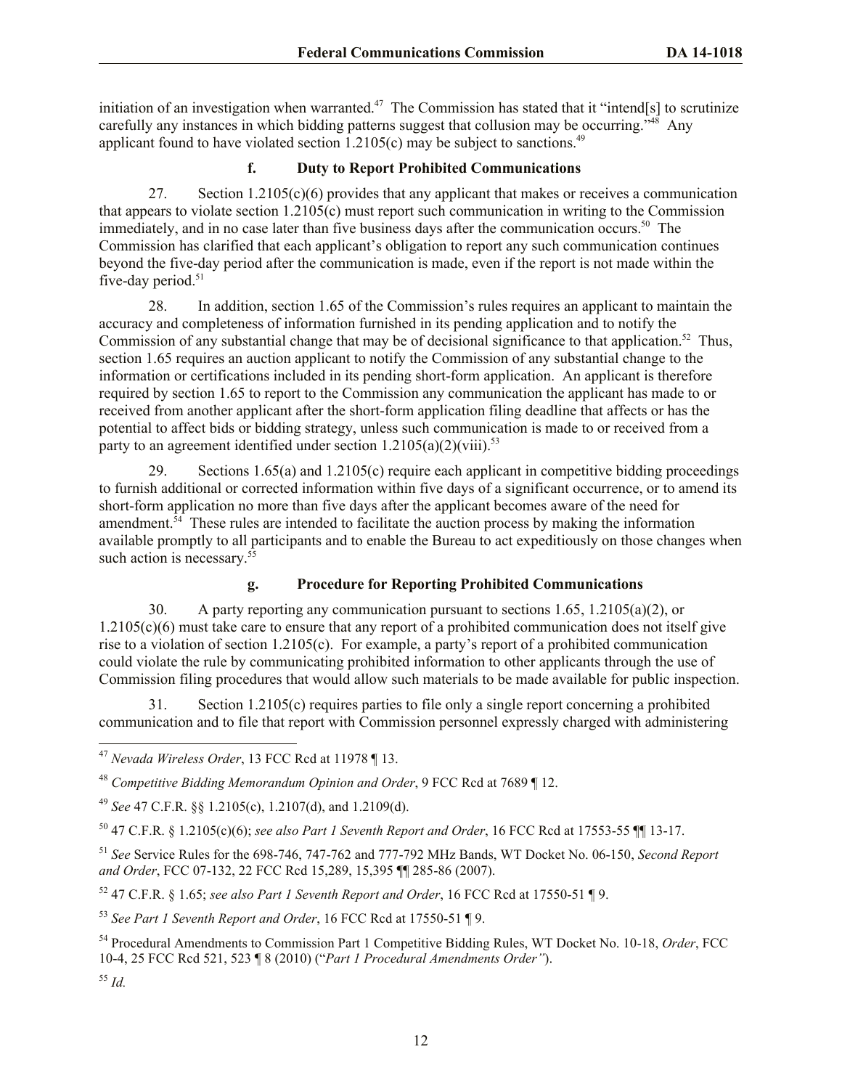initiation of an investigation when warranted.<sup>47</sup> The Commission has stated that it "intend[s] to scrutinize carefully any instances in which bidding patterns suggest that collusion may be occurring."<sup>48</sup> Any applicant found to have violated section  $1.2105(c)$  may be subject to sanctions.<sup>49</sup>

# **f. Duty to Report Prohibited Communications**

27. Section  $1.2105(c)(6)$  provides that any applicant that makes or receives a communication that appears to violate section  $1.2105(c)$  must report such communication in writing to the Commission immediately, and in no case later than five business days after the communication occurs.<sup>50</sup> The Commission has clarified that each applicant's obligation to report any such communication continues beyond the five-day period after the communication is made, even if the report is not made within the five-day period.<sup>51</sup>

28. In addition, section 1.65 of the Commission's rules requires an applicant to maintain the accuracy and completeness of information furnished in its pending application and to notify the Commission of any substantial change that may be of decisional significance to that application.<sup>52</sup> Thus, section 1.65 requires an auction applicant to notify the Commission of any substantial change to the information or certifications included in its pending short-form application. An applicant is therefore required by section 1.65 to report to the Commission any communication the applicant has made to or received from another applicant after the short-form application filing deadline that affects or has the potential to affect bids or bidding strategy, unless such communication is made to or received from a party to an agreement identified under section  $1.2105(a)(2)(viii)$ <sup>53</sup>

29. Sections 1.65(a) and 1.2105(c) require each applicant in competitive bidding proceedings to furnish additional or corrected information within five days of a significant occurrence, or to amend its short-form application no more than five days after the applicant becomes aware of the need for amendment.<sup>54</sup> These rules are intended to facilitate the auction process by making the information available promptly to all participants and to enable the Bureau to act expeditiously on those changes when such action is necessary. $5\overline{5}$ 

# **g. Procedure for Reporting Prohibited Communications**

30. A party reporting any communication pursuant to sections 1.65, 1.2105(a)(2), or 1.2105(c)(6) must take care to ensure that any report of a prohibited communication does not itself give rise to a violation of section 1.2105(c). For example, a party's report of a prohibited communication could violate the rule by communicating prohibited information to other applicants through the use of Commission filing procedures that would allow such materials to be made available for public inspection.

31. Section 1.2105(c) requires parties to file only a single report concerning a prohibited communication and to file that report with Commission personnel expressly charged with administering

<sup>49</sup> *See* 47 C.F.R. §§ 1.2105(c), 1.2107(d), and 1.2109(d).

<sup>50</sup> 47 C.F.R. § 1.2105(c)(6); *see also Part 1 Seventh Report and Order*, 16 FCC Rcd at 17553-55 ¶¶ 13-17.

<sup>51</sup> *See* Service Rules for the 698-746, 747-762 and 777-792 MHz Bands, WT Docket No. 06-150, *Second Report and Order*, FCC 07-132, 22 FCC Rcd 15,289, 15,395 ¶¶ 285-86 (2007).

<sup>52</sup> 47 C.F.R. § 1.65; *see also Part 1 Seventh Report and Order*, 16 FCC Rcd at 17550-51 ¶ 9.

<sup>53</sup> *See Part 1 Seventh Report and Order*, 16 FCC Rcd at 17550-51 ¶ 9.

<sup>54</sup> Procedural Amendments to Commission Part 1 Competitive Bidding Rules, WT Docket No. 10-18, *Order*, FCC 10-4, 25 FCC Rcd 521, 523 ¶ 8 (2010) ("*Part 1 Procedural Amendments Order"*).

<sup>55</sup> *Id.*

l <sup>47</sup> *Nevada Wireless Order*, 13 FCC Rcd at 11978 ¶ 13.

<sup>48</sup> *Competitive Bidding Memorandum Opinion and Order*, 9 FCC Rcd at 7689 ¶ 12.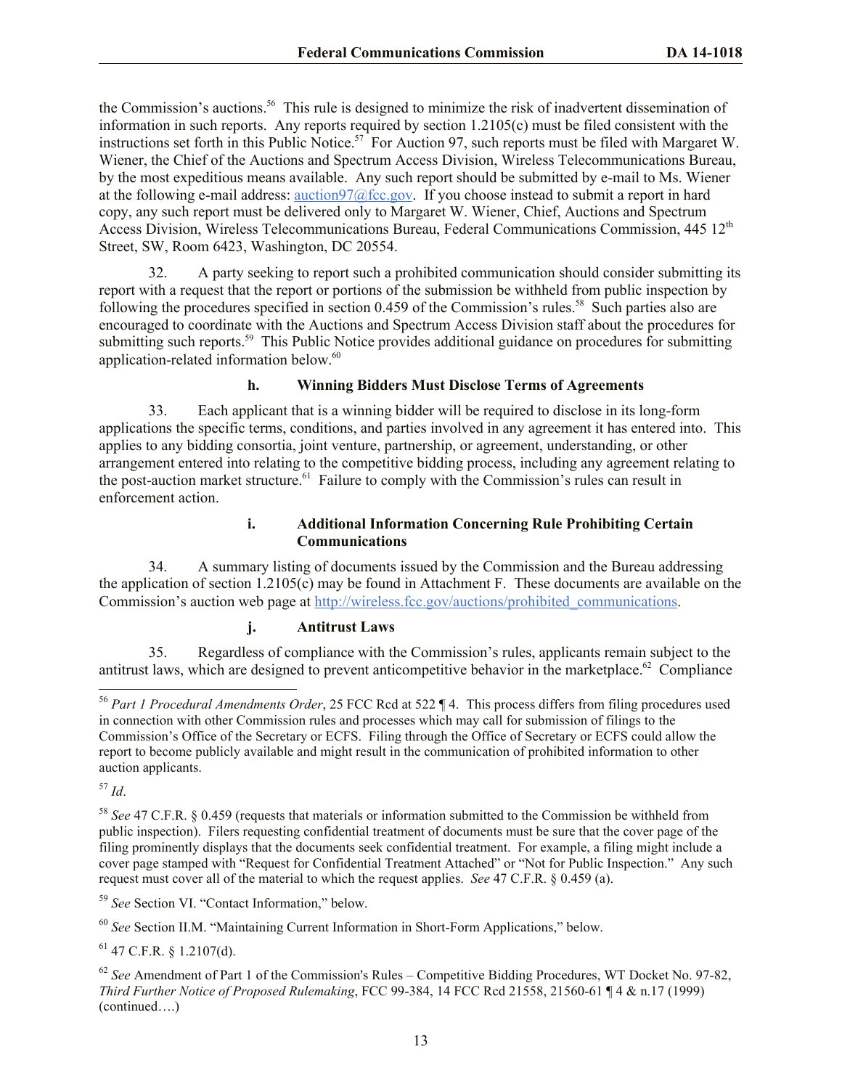the Commission's auctions.<sup>56</sup> This rule is designed to minimize the risk of inadvertent dissemination of information in such reports. Any reports required by section 1.2105(c) must be filed consistent with the instructions set forth in this Public Notice.<sup>57</sup> For Auction 97, such reports must be filed with Margaret W. Wiener, the Chief of the Auctions and Spectrum Access Division, Wireless Telecommunications Bureau, by the most expeditious means available. Any such report should be submitted by e-mail to Ms. Wiener at the following e-mail address: auction97@fcc.gov. If you choose instead to submit a report in hard copy, any such report must be delivered only to Margaret W. Wiener, Chief, Auctions and Spectrum Access Division, Wireless Telecommunications Bureau, Federal Communications Commission. 445 12<sup>th</sup> Street, SW, Room 6423, Washington, DC 20554.

32. A party seeking to report such a prohibited communication should consider submitting its report with a request that the report or portions of the submission be withheld from public inspection by following the procedures specified in section 0.459 of the Commission's rules.<sup>58</sup> Such parties also are encouraged to coordinate with the Auctions and Spectrum Access Division staff about the procedures for submitting such reports.<sup>59</sup> This Public Notice provides additional guidance on procedures for submitting application-related information below.<sup>60</sup>

#### **h. Winning Bidders Must Disclose Terms of Agreements**

33. Each applicant that is a winning bidder will be required to disclose in its long-form applications the specific terms, conditions, and parties involved in any agreement it has entered into. This applies to any bidding consortia, joint venture, partnership, or agreement, understanding, or other arrangement entered into relating to the competitive bidding process, including any agreement relating to the post-auction market structure.<sup>61</sup> Failure to comply with the Commission's rules can result in enforcement action.

#### **i. Additional Information Concerning Rule Prohibiting Certain Communications**

34. A summary listing of documents issued by the Commission and the Bureau addressing the application of section 1.2105(c) may be found in Attachment F. These documents are available on the Commission's auction web page at http://wireless.fcc.gov/auctions/prohibited\_communications.

#### **j. Antitrust Laws**

35. Regardless of compliance with the Commission's rules, applicants remain subject to the antitrust laws, which are designed to prevent anticompetitive behavior in the marketplace.<sup>62</sup> Compliance

<sup>57</sup> *Id*.

l

<sup>59</sup> *See* Section VI. "Contact Information," below.

 $61$  47 C.F.R. § 1.2107(d).

<sup>56</sup> *Part 1 Procedural Amendments Order*, 25 FCC Rcd at 522 ¶ 4. This process differs from filing procedures used in connection with other Commission rules and processes which may call for submission of filings to the Commission's Office of the Secretary or ECFS. Filing through the Office of Secretary or ECFS could allow the report to become publicly available and might result in the communication of prohibited information to other auction applicants.

<sup>58</sup> *See* 47 C.F.R. § 0.459 (requests that materials or information submitted to the Commission be withheld from public inspection). Filers requesting confidential treatment of documents must be sure that the cover page of the filing prominently displays that the documents seek confidential treatment. For example, a filing might include a cover page stamped with "Request for Confidential Treatment Attached" or "Not for Public Inspection." Any such request must cover all of the material to which the request applies. *See* 47 C.F.R. § 0.459 (a).

<sup>60</sup> *See* Section II.M. "Maintaining Current Information in Short-Form Applications," below.

<sup>&</sup>lt;sup>62</sup> See Amendment of Part 1 of the Commission's Rules – Competitive Bidding Procedures, WT Docket No. 97-82, *Third Further Notice of Proposed Rulemaking*, FCC 99-384, 14 FCC Rcd 21558, 21560-61 ¶ 4 & n.17 (1999) (continued….)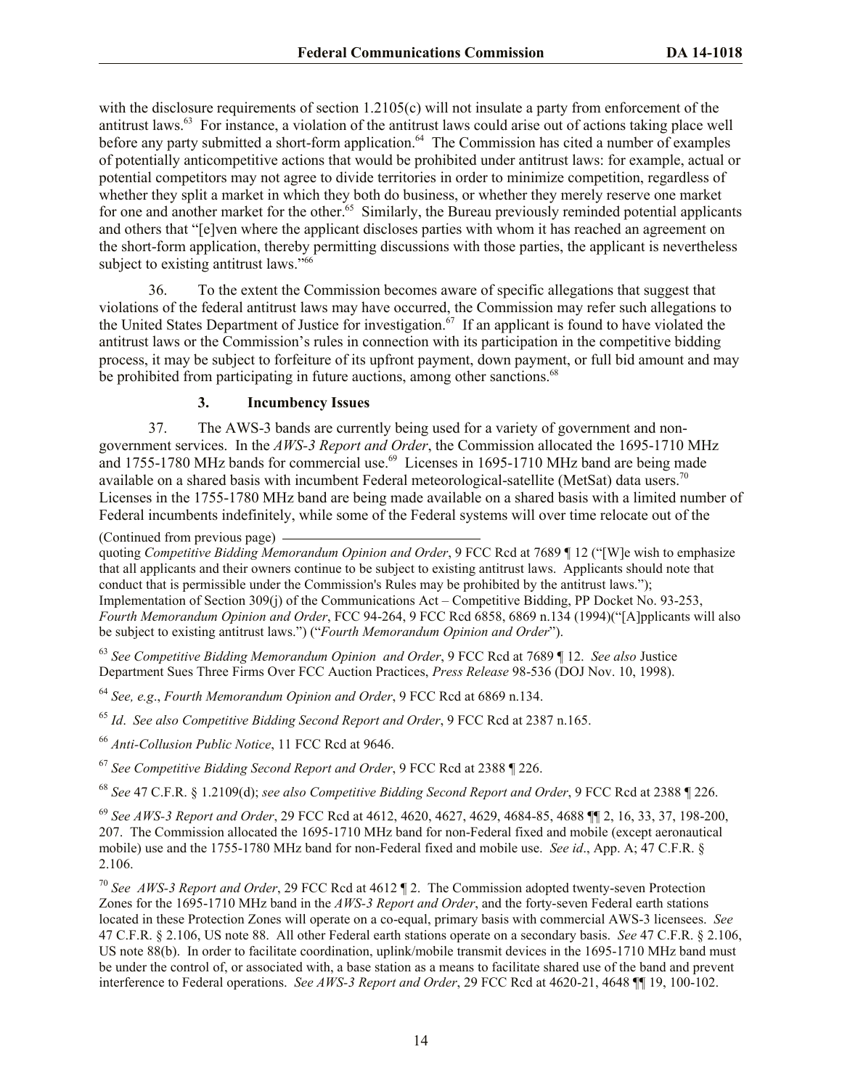with the disclosure requirements of section 1.2105(c) will not insulate a party from enforcement of the antitrust laws.<sup>63</sup> For instance, a violation of the antitrust laws could arise out of actions taking place well before any party submitted a short-form application.<sup>64</sup> The Commission has cited a number of examples of potentially anticompetitive actions that would be prohibited under antitrust laws: for example, actual or potential competitors may not agree to divide territories in order to minimize competition, regardless of whether they split a market in which they both do business, or whether they merely reserve one market for one and another market for the other.<sup>65</sup> Similarly, the Bureau previously reminded potential applicants and others that "[e]ven where the applicant discloses parties with whom it has reached an agreement on the short-form application, thereby permitting discussions with those parties, the applicant is nevertheless subject to existing antitrust laws."<sup>66</sup>

36. To the extent the Commission becomes aware of specific allegations that suggest that violations of the federal antitrust laws may have occurred, the Commission may refer such allegations to the United States Department of Justice for investigation.<sup>67</sup> If an applicant is found to have violated the antitrust laws or the Commission's rules in connection with its participation in the competitive bidding process, it may be subject to forfeiture of its upfront payment, down payment, or full bid amount and may be prohibited from participating in future auctions, among other sanctions.<sup>68</sup>

#### **3. Incumbency Issues**

37. The AWS-3 bands are currently being used for a variety of government and nongovernment services. In the *AWS-3 Report and Order*, the Commission allocated the 1695-1710 MHz and 1755-1780 MHz bands for commercial use.<sup>69</sup> Licenses in 1695-1710 MHz band are being made available on a shared basis with incumbent Federal meteorological-satellite (MetSat) data users.<sup>70</sup> Licenses in the 1755-1780 MHz band are being made available on a shared basis with a limited number of Federal incumbents indefinitely, while some of the Federal systems will over time relocate out of the

(Continued from previous page)

quoting *Competitive Bidding Memorandum Opinion and Order*, 9 FCC Rcd at 7689 ¶ 12 ("[W]e wish to emphasize that all applicants and their owners continue to be subject to existing antitrust laws. Applicants should note that conduct that is permissible under the Commission's Rules may be prohibited by the antitrust laws."); Implementation of Section 309(j) of the Communications Act – Competitive Bidding, PP Docket No. 93-253, *Fourth Memorandum Opinion and Order*, FCC 94-264, 9 FCC Rcd 6858, 6869 n.134 (1994)("[A]pplicants will also be subject to existing antitrust laws.") ("*Fourth Memorandum Opinion and Order*").

<sup>63</sup> *See Competitive Bidding Memorandum Opinion and Order*, 9 FCC Rcd at 7689 ¶ 12. *See also* Justice Department Sues Three Firms Over FCC Auction Practices, *Press Release* 98-536 (DOJ Nov. 10, 1998).

<sup>64</sup> *See, e.g*., *Fourth Memorandum Opinion and Order*, 9 FCC Rcd at 6869 n.134.

<sup>65</sup> *Id*. *See also Competitive Bidding Second Report and Order*, 9 FCC Rcd at 2387 n.165.

<sup>66</sup> *Anti-Collusion Public Notice*, 11 FCC Rcd at 9646.

<sup>67</sup> *See Competitive Bidding Second Report and Order*, 9 FCC Rcd at 2388 ¶ 226.

<sup>68</sup> *See* 47 C.F.R. § 1.2109(d); *see also Competitive Bidding Second Report and Order*, 9 FCC Rcd at 2388 ¶ 226.

<sup>69</sup> *See AWS-3 Report and Order*, 29 FCC Rcd at 4612, 4620, 4627, 4629, 4684-85, 4688 ¶¶ 2, 16, 33, 37, 198-200, 207. The Commission allocated the 1695-1710 MHz band for non-Federal fixed and mobile (except aeronautical mobile) use and the 1755-1780 MHz band for non-Federal fixed and mobile use. *See id*., App. A; 47 C.F.R. § 2.106.

<sup>70</sup> *See AWS-3 Report and Order*, 29 FCC Rcd at 4612 ¶ 2. The Commission adopted twenty-seven Protection Zones for the 1695-1710 MHz band in the *AWS-3 Report and Order*, and the forty-seven Federal earth stations located in these Protection Zones will operate on a co-equal, primary basis with commercial AWS-3 licensees. *See*  47 C.F.R. § 2.106, US note 88. All other Federal earth stations operate on a secondary basis. *See* 47 C.F.R. § 2.106, US note 88(b). In order to facilitate coordination, uplink/mobile transmit devices in the 1695-1710 MHz band must be under the control of, or associated with, a base station as a means to facilitate shared use of the band and prevent interference to Federal operations. *See AWS-3 Report and Order*, 29 FCC Rcd at 4620-21, 4648 ¶¶ 19, 100-102.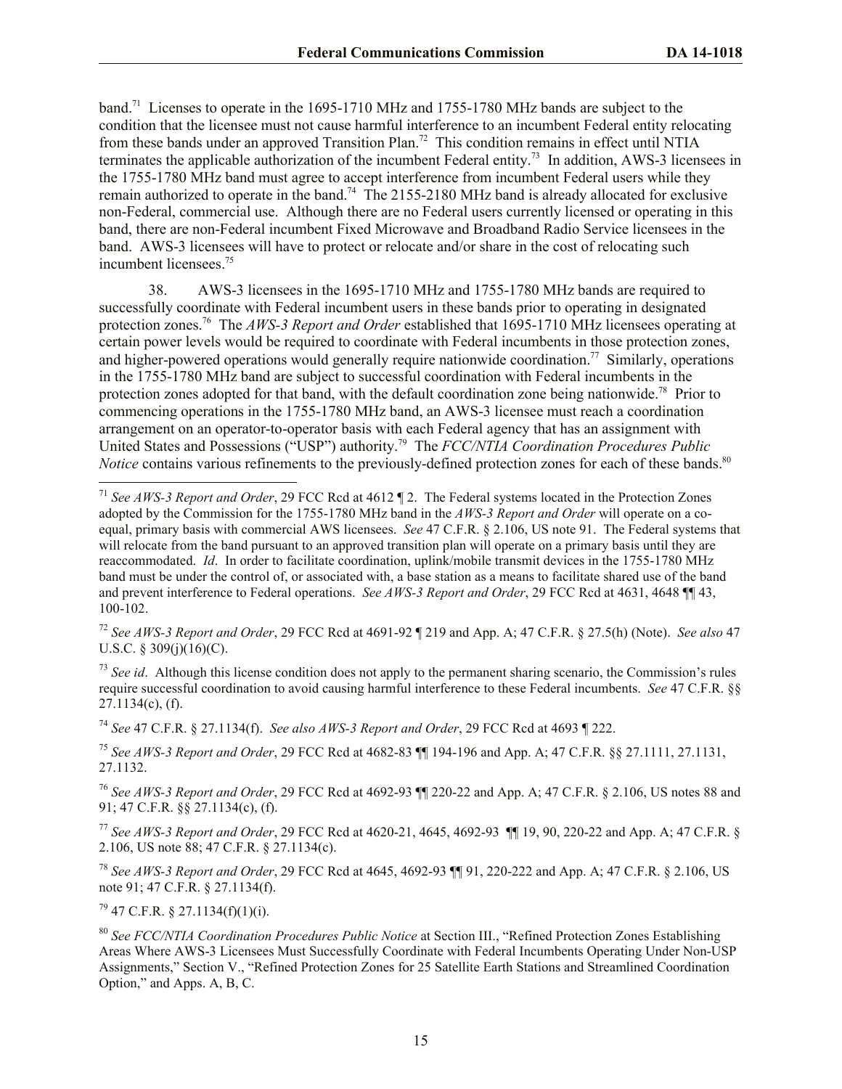band.<sup>71</sup> Licenses to operate in the 1695-1710 MHz and 1755-1780 MHz bands are subject to the condition that the licensee must not cause harmful interference to an incumbent Federal entity relocating from these bands under an approved Transition Plan.<sup>72</sup> This condition remains in effect until NTIA terminates the applicable authorization of the incumbent Federal entity.<sup>73</sup> In addition, AWS-3 licensees in the 1755-1780 MHz band must agree to accept interference from incumbent Federal users while they remain authorized to operate in the band.<sup>74</sup> The 2155-2180 MHz band is already allocated for exclusive non-Federal, commercial use. Although there are no Federal users currently licensed or operating in this band, there are non-Federal incumbent Fixed Microwave and Broadband Radio Service licensees in the band. AWS-3 licensees will have to protect or relocate and/or share in the cost of relocating such incumbent licensees. 75

38. AWS-3 licensees in the 1695-1710 MHz and 1755-1780 MHz bands are required to successfully coordinate with Federal incumbent users in these bands prior to operating in designated protection zones.<sup>76</sup> The *AWS-3 Report and Order* established that 1695-1710 MHz licensees operating at certain power levels would be required to coordinate with Federal incumbents in those protection zones, and higher-powered operations would generally require nationwide coordination.<sup>77</sup> Similarly, operations in the 1755-1780 MHz band are subject to successful coordination with Federal incumbents in the protection zones adopted for that band, with the default coordination zone being nationwide.<sup>78</sup> Prior to commencing operations in the 1755-1780 MHz band, an AWS-3 licensee must reach a coordination arrangement on an operator-to-operator basis with each Federal agency that has an assignment with United States and Possessions ("USP") authority.<sup>79</sup> The *FCC/NTIA Coordination Procedures Public Notice* contains various refinements to the previously-defined protection zones for each of these bands.<sup>80</sup>

<sup>72</sup> *See AWS-3 Report and Order*, 29 FCC Rcd at 4691-92 ¶ 219 and App. A; 47 C.F.R. § 27.5(h) (Note). *See also* 47 U.S.C. § 309(j)(16)(C).

<sup>73</sup> See id. Although this license condition does not apply to the permanent sharing scenario, the Commission's rules require successful coordination to avoid causing harmful interference to these Federal incumbents. *See* 47 C.F.R. §§ 27.1134(c), (f).

<sup>74</sup> *See* 47 C.F.R. § 27.1134(f). *See also AWS-3 Report and Order*, 29 FCC Rcd at 4693 ¶ 222.

<sup>75</sup> *See AWS-3 Report and Order*, 29 FCC Rcd at 4682-83 ¶¶ 194-196 and App. A; 47 C.F.R. §§ 27.1111, 27.1131, 27.1132.

<sup>76</sup> *See AWS-3 Report and Order*, 29 FCC Rcd at 4692-93 ¶¶ 220-22 and App. A; 47 C.F.R. § 2.106, US notes 88 and 91; 47 C.F.R. §§ 27.1134(c), (f).

<sup>77</sup> *See AWS-3 Report and Order*, 29 FCC Rcd at 4620-21, 4645, 4692-93 ¶¶ 19, 90, 220-22 and App. A; 47 C.F.R. § 2.106, US note 88; 47 C.F.R. § 27.1134(c).

<sup>78</sup> *See AWS-3 Report and Order*, 29 FCC Rcd at 4645, 4692-93 ¶¶ 91, 220-222 and App. A; 47 C.F.R. § 2.106, US note 91; 47 C.F.R. § 27.1134(f).

 $79$  47 C.F.R. § 27.1134(f)(1)(i).

<sup>71</sup> *See AWS-3 Report and Order*, 29 FCC Rcd at 4612 ¶ 2.The Federal systems located in the Protection Zones adopted by the Commission for the 1755-1780 MHz band in the *AWS-3 Report and Order* will operate on a coequal, primary basis with commercial AWS licensees. *See* 47 C.F.R. § 2.106, US note 91. The Federal systems that will relocate from the band pursuant to an approved transition plan will operate on a primary basis until they are reaccommodated. *Id*.In order to facilitate coordination, uplink/mobile transmit devices in the 1755-1780 MHz band must be under the control of, or associated with, a base station as a means to facilitate shared use of the band and prevent interference to Federal operations. *See AWS-3 Report and Order*, 29 FCC Rcd at 4631, 4648 ¶¶ 43, 100-102.

<sup>80</sup> *See FCC/NTIA Coordination Procedures Public Notice* at Section III., "Refined Protection Zones Establishing Areas Where AWS-3 Licensees Must Successfully Coordinate with Federal Incumbents Operating Under Non-USP Assignments," Section V., "Refined Protection Zones for 25 Satellite Earth Stations and Streamlined Coordination Option," and Apps. A, B, C.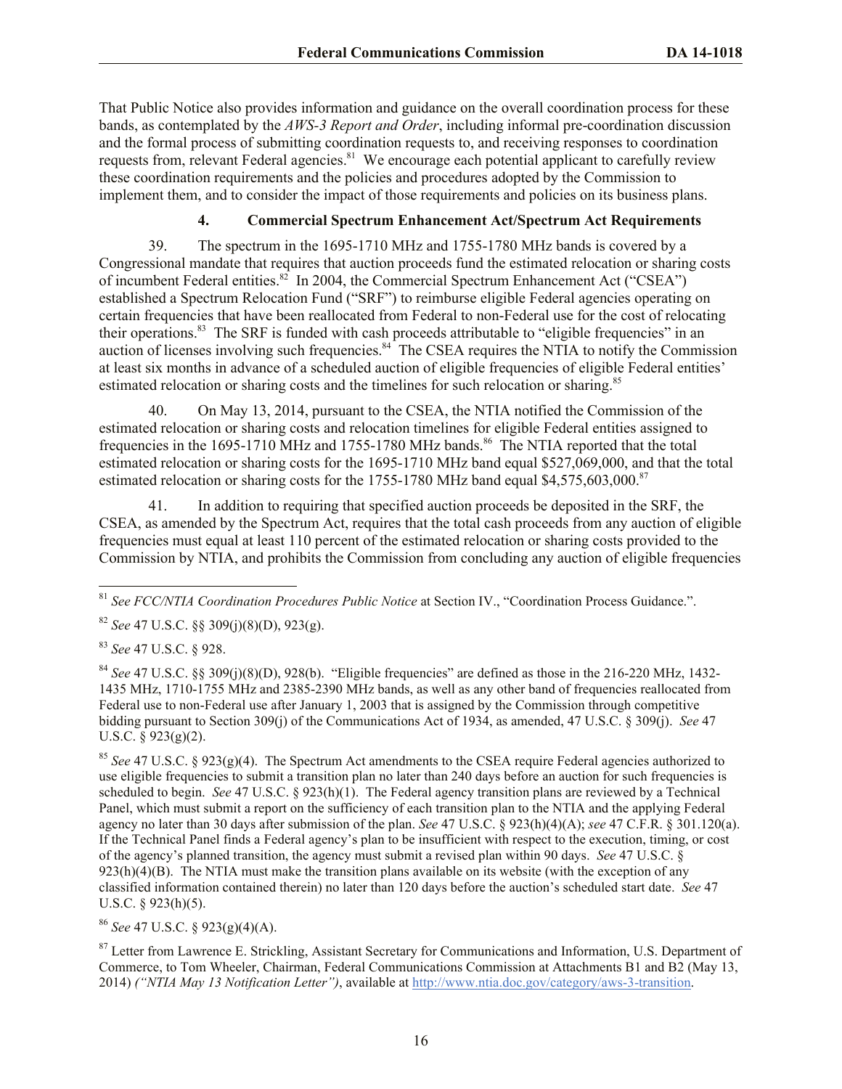That Public Notice also provides information and guidance on the overall coordination process for these bands, as contemplated by the *AWS-3 Report and Order*, including informal pre-coordination discussion and the formal process of submitting coordination requests to, and receiving responses to coordination requests from, relevant Federal agencies.<sup>81</sup> We encourage each potential applicant to carefully review these coordination requirements and the policies and procedures adopted by the Commission to implement them, and to consider the impact of those requirements and policies on its business plans.

## **4. Commercial Spectrum Enhancement Act/Spectrum Act Requirements**

39. The spectrum in the 1695-1710 MHz and 1755-1780 MHz bands is covered by a Congressional mandate that requires that auction proceeds fund the estimated relocation or sharing costs of incumbent Federal entities.<sup>82</sup> In 2004, the Commercial Spectrum Enhancement Act ("CSEA") established a Spectrum Relocation Fund ("SRF") to reimburse eligible Federal agencies operating on certain frequencies that have been reallocated from Federal to non-Federal use for the cost of relocating their operations.<sup>83</sup> The SRF is funded with cash proceeds attributable to "eligible frequencies" in an auction of licenses involving such frequencies.<sup>84</sup> The CSEA requires the NTIA to notify the Commission at least six months in advance of a scheduled auction of eligible frequencies of eligible Federal entities' estimated relocation or sharing costs and the timelines for such relocation or sharing.<sup>85</sup>

40. On May 13, 2014, pursuant to the CSEA, the NTIA notified the Commission of the estimated relocation or sharing costs and relocation timelines for eligible Federal entities assigned to frequencies in the 1695-1710 MHz and 1755-1780 MHz bands.<sup>86</sup> The NTIA reported that the total estimated relocation or sharing costs for the 1695-1710 MHz band equal \$527,069,000, and that the total estimated relocation or sharing costs for the 1755-1780 MHz band equal \$4,575,603,000.<sup>87</sup>

41. In addition to requiring that specified auction proceeds be deposited in the SRF, the CSEA, as amended by the Spectrum Act, requires that the total cash proceeds from any auction of eligible frequencies must equal at least 110 percent of the estimated relocation or sharing costs provided to the Commission by NTIA, and prohibits the Commission from concluding any auction of eligible frequencies

 $\overline{\phantom{a}}$ <sup>81</sup> *See FCC/NTIA Coordination Procedures Public Notice* at Section IV., "Coordination Process Guidance.".

<sup>82</sup> *See* 47 U.S.C. §§ 309(j)(8)(D), 923(g).

<sup>83</sup> *See* 47 U.S.C. § 928.

 $84$  *See* 47 U.S.C. §§ 309(j)(8)(D), 928(b). "Eligible frequencies" are defined as those in the 216-220 MHz, 1432-1435 MHz, 1710-1755 MHz and 2385-2390 MHz bands, as well as any other band of frequencies reallocated from Federal use to non-Federal use after January 1, 2003 that is assigned by the Commission through competitive bidding pursuant to Section 309(j) of the Communications Act of 1934, as amended, 47 U.S.C. § 309(j). *See* 47 U.S.C. § 923(g)(2).

<sup>85</sup> *See* 47 U.S.C. § 923(g)(4). The Spectrum Act amendments to the CSEA require Federal agencies authorized to use eligible frequencies to submit a transition plan no later than 240 days before an auction for such frequencies is scheduled to begin. *See* 47 U.S.C. § 923(h)(1). The Federal agency transition plans are reviewed by a Technical Panel, which must submit a report on the sufficiency of each transition plan to the NTIA and the applying Federal agency no later than 30 days after submission of the plan. *See* 47 U.S.C. § 923(h)(4)(A); *see* 47 C.F.R. § 301.120(a). If the Technical Panel finds a Federal agency's plan to be insufficient with respect to the execution, timing, or cost of the agency's planned transition, the agency must submit a revised plan within 90 days. *See* 47 U.S.C. §  $923(h)(4)(B)$ . The NTIA must make the transition plans available on its website (with the exception of any classified information contained therein) no later than 120 days before the auction's scheduled start date. *See* 47 U.S.C. § 923(h)(5).

<sup>86</sup> *See* 47 U.S.C. § 923(g)(4)(A).

<sup>87</sup> Letter from Lawrence E. Strickling, Assistant Secretary for Communications and Information, U.S. Department of Commerce, to Tom Wheeler, Chairman, Federal Communications Commission at Attachments B1 and B2 (May 13, 2014) *("NTIA May 13 Notification Letter")*, available at http://www.ntia.doc.gov/category/aws-3-transition.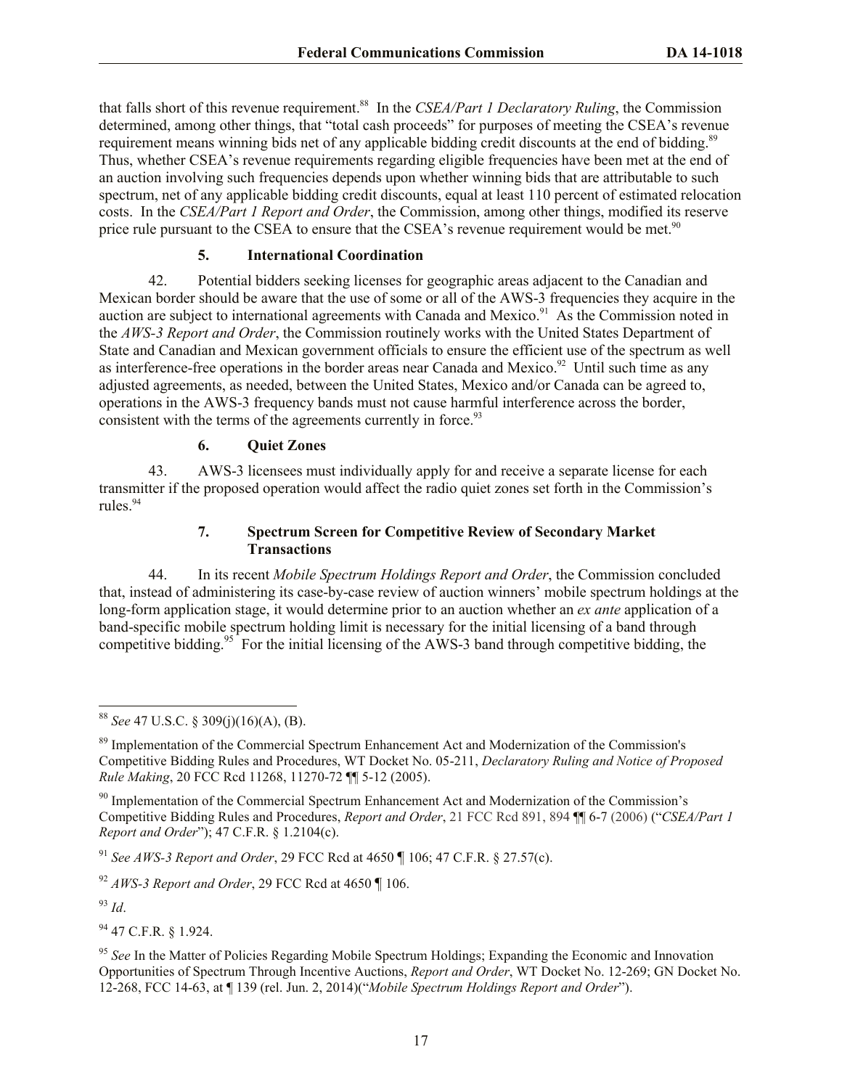that falls short of this revenue requirement.<sup>88</sup> In the *CSEA/Part 1 Declaratory Ruling*, the Commission determined, among other things, that "total cash proceeds" for purposes of meeting the CSEA's revenue requirement means winning bids net of any applicable bidding credit discounts at the end of bidding.<sup>89</sup> Thus, whether CSEA's revenue requirements regarding eligible frequencies have been met at the end of an auction involving such frequencies depends upon whether winning bids that are attributable to such spectrum, net of any applicable bidding credit discounts, equal at least 110 percent of estimated relocation costs. In the *CSEA/Part 1 Report and Order*, the Commission, among other things, modified its reserve price rule pursuant to the CSEA to ensure that the CSEA's revenue requirement would be met.<sup>90</sup>

#### **5. International Coordination**

42. Potential bidders seeking licenses for geographic areas adjacent to the Canadian and Mexican border should be aware that the use of some or all of the AWS-3 frequencies they acquire in the auction are subject to international agreements with Canada and Mexico.<sup>91</sup> As the Commission noted in the *AWS-3 Report and Order*, the Commission routinely works with the United States Department of State and Canadian and Mexican government officials to ensure the efficient use of the spectrum as well as interference-free operations in the border areas near Canada and Mexico.<sup>92</sup> Until such time as any adjusted agreements, as needed, between the United States, Mexico and/or Canada can be agreed to, operations in the AWS-3 frequency bands must not cause harmful interference across the border, consistent with the terms of the agreements currently in force.<sup>93</sup>

## **6. Quiet Zones**

43. AWS-3 licensees must individually apply for and receive a separate license for each transmitter if the proposed operation would affect the radio quiet zones set forth in the Commission's rules.<sup>94</sup>

#### **7. Spectrum Screen for Competitive Review of Secondary Market Transactions**

44. In its recent *Mobile Spectrum Holdings Report and Order*, the Commission concluded that, instead of administering its case-by-case review of auction winners' mobile spectrum holdings at the long-form application stage, it would determine prior to an auction whether an *ex ante* application of a band-specific mobile spectrum holding limit is necessary for the initial licensing of a band through competitive bidding.<sup>95</sup> For the initial licensing of the AWS-3 band through competitive bidding, the

 $^{93}$  *Id.* 

<sup>94</sup> 47 C.F.R. § 1.924.

 $\overline{a}$ <sup>88</sup> *See* 47 U.S.C. § 309(j)(16)(A), (B).

<sup>&</sup>lt;sup>89</sup> Implementation of the Commercial Spectrum Enhancement Act and Modernization of the Commission's Competitive Bidding Rules and Procedures, WT Docket No. 05-211, *Declaratory Ruling and Notice of Proposed Rule Making*, 20 FCC Rcd 11268, 11270-72 ¶¶ 5-12 (2005).

<sup>&</sup>lt;sup>90</sup> Implementation of the Commercial Spectrum Enhancement Act and Modernization of the Commission's Competitive Bidding Rules and Procedures, *Report and Order*, 21 FCC Rcd 891, 894 ¶¶ 6-7 (2006) ("*CSEA/Part 1 Report and Order*"); 47 C.F.R. § 1.2104(c).

<sup>91</sup> *See AWS-3 Report and Order*, 29 FCC Rcd at 4650 ¶ 106; 47 C.F.R. § 27.57(c).

<sup>92</sup> *AWS-3 Report and Order*, 29 FCC Rcd at 4650 ¶ 106.

<sup>&</sup>lt;sup>95</sup> See In the Matter of Policies Regarding Mobile Spectrum Holdings; Expanding the Economic and Innovation Opportunities of Spectrum Through Incentive Auctions, *Report and Order*, WT Docket No. 12-269; GN Docket No. 12-268, FCC 14-63, at ¶ 139 (rel. Jun. 2, 2014)("*Mobile Spectrum Holdings Report and Order*").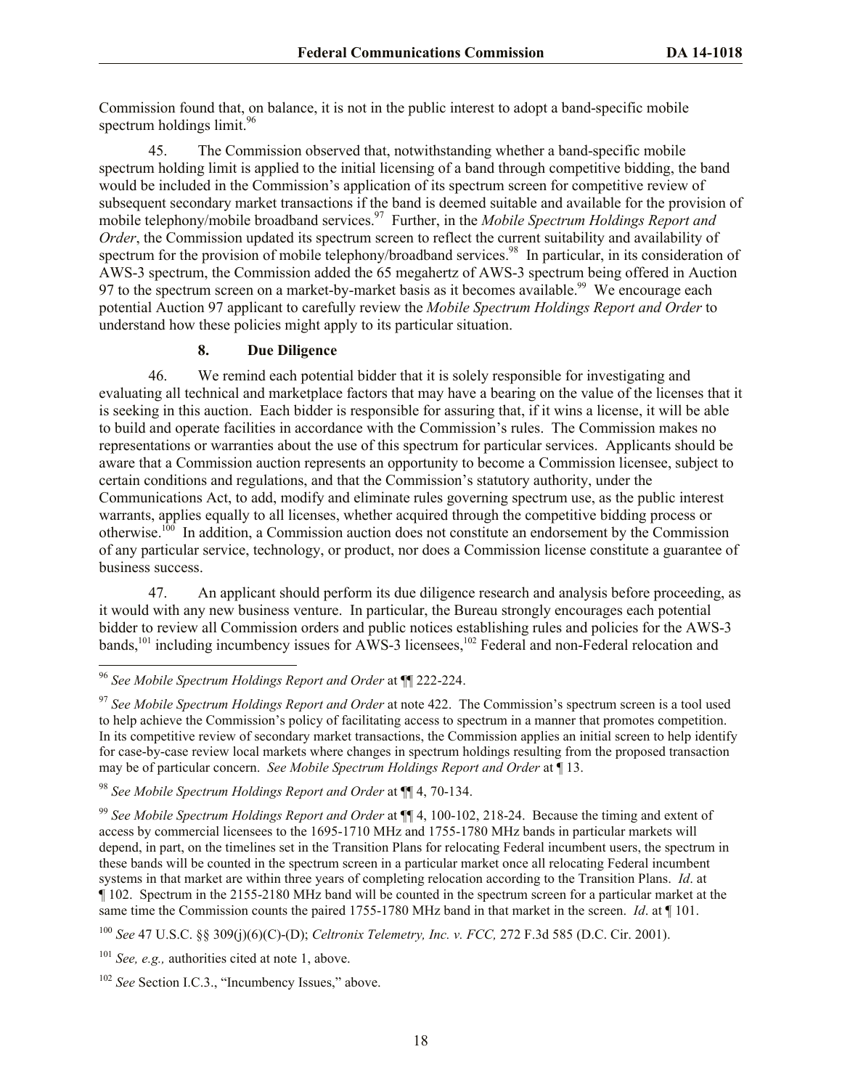Commission found that, on balance, it is not in the public interest to adopt a band-specific mobile spectrum holdings  $limit.<sup>96</sup>$ 

45. The Commission observed that, notwithstanding whether a band-specific mobile spectrum holding limit is applied to the initial licensing of a band through competitive bidding, the band would be included in the Commission's application of its spectrum screen for competitive review of subsequent secondary market transactions if the band is deemed suitable and available for the provision of mobile telephony/mobile broadband services.<sup>97</sup> Further, in the *Mobile Spectrum Holdings Report and Order*, the Commission updated its spectrum screen to reflect the current suitability and availability of spectrum for the provision of mobile telephony/broadband services.<sup>98</sup> In particular, in its consideration of AWS-3 spectrum, the Commission added the 65 megahertz of AWS-3 spectrum being offered in Auction 97 to the spectrum screen on a market-by-market basis as it becomes available.<sup>99</sup> We encourage each potential Auction 97 applicant to carefully review the *Mobile Spectrum Holdings Report and Order* to understand how these policies might apply to its particular situation.

#### **8. Due Diligence**

46. We remind each potential bidder that it is solely responsible for investigating and evaluating all technical and marketplace factors that may have a bearing on the value of the licenses that it is seeking in this auction. Each bidder is responsible for assuring that, if it wins a license, it will be able to build and operate facilities in accordance with the Commission's rules. The Commission makes no representations or warranties about the use of this spectrum for particular services. Applicants should be aware that a Commission auction represents an opportunity to become a Commission licensee, subject to certain conditions and regulations, and that the Commission's statutory authority, under the Communications Act, to add, modify and eliminate rules governing spectrum use, as the public interest warrants, applies equally to all licenses, whether acquired through the competitive bidding process or otherwise.<sup>100</sup> In addition, a Commission auction does not constitute an endorsement by the Commission of any particular service, technology, or product, nor does a Commission license constitute a guarantee of business success.

47. An applicant should perform its due diligence research and analysis before proceeding, as it would with any new business venture. In particular, the Bureau strongly encourages each potential bidder to review all Commission orders and public notices establishing rules and policies for the AWS-3 bands,<sup>101</sup> including incumbency issues for AWS-3 licensees,<sup>102</sup> Federal and non-Federal relocation and

l <sup>96</sup> *See Mobile Spectrum Holdings Report and Order* at ¶¶ 222-224.

<sup>97</sup> *See Mobile Spectrum Holdings Report and Order* at note 422. The Commission's spectrum screen is a tool used to help achieve the Commission's policy of facilitating access to spectrum in a manner that promotes competition. In its competitive review of secondary market transactions, the Commission applies an initial screen to help identify for case-by-case review local markets where changes in spectrum holdings resulting from the proposed transaction may be of particular concern. *See Mobile Spectrum Holdings Report and Order* at ¶ 13.

<sup>98</sup> *See Mobile Spectrum Holdings Report and Order* at ¶¶ 4, 70-134.

<sup>99</sup> *See Mobile Spectrum Holdings Report and Order* at ¶¶ 4, 100-102, 218-24. Because the timing and extent of access by commercial licensees to the 1695-1710 MHz and 1755-1780 MHz bands in particular markets will depend, in part, on the timelines set in the Transition Plans for relocating Federal incumbent users, the spectrum in these bands will be counted in the spectrum screen in a particular market once all relocating Federal incumbent systems in that market are within three years of completing relocation according to the Transition Plans. *Id*. at ¶ 102. Spectrum in the 2155-2180 MHz band will be counted in the spectrum screen for a particular market at the same time the Commission counts the paired 1755-1780 MHz band in that market in the screen. *Id*. at ¶ 101.

<sup>100</sup> *See* 47 U.S.C. §§ 309(j)(6)(C)-(D); *Celtronix Telemetry, Inc. v. FCC,* 272 F.3d 585 (D.C. Cir. 2001).

<sup>101</sup> *See, e.g.,* authorities cited at note 1, above.

<sup>&</sup>lt;sup>102</sup> *See* Section I.C.3., "Incumbency Issues," above.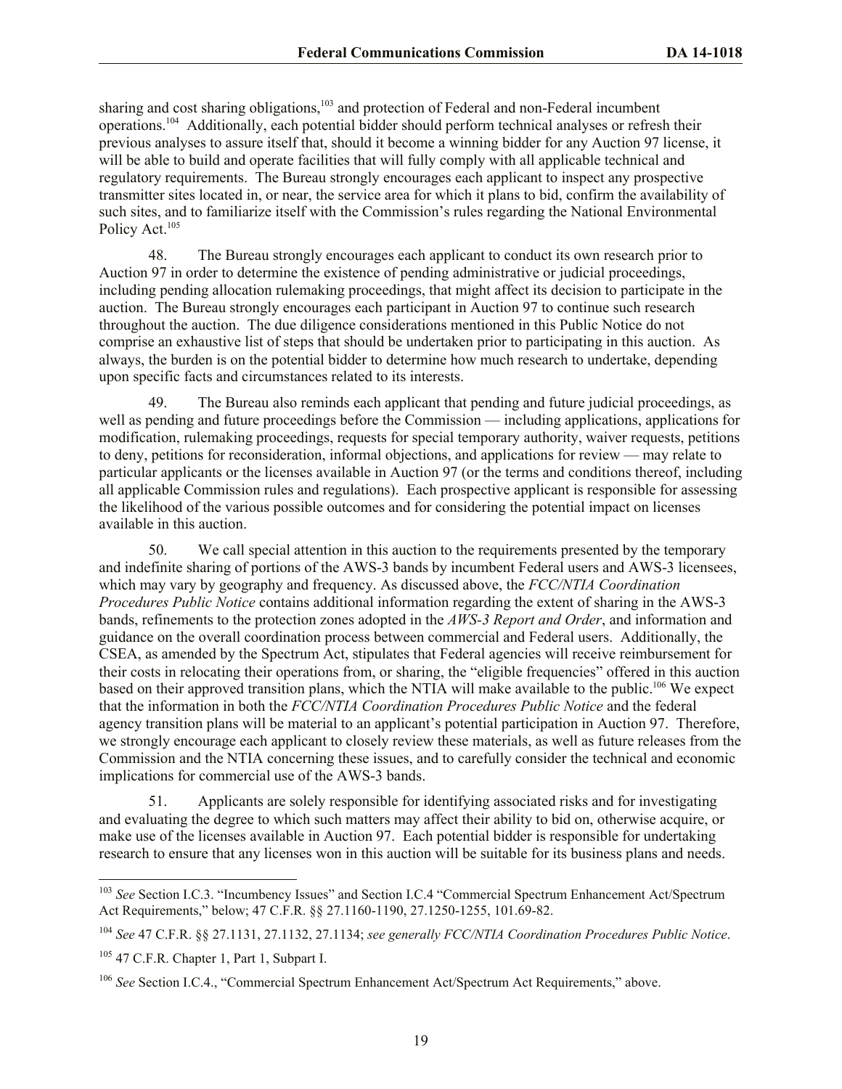sharing and cost sharing obligations,<sup>103</sup> and protection of Federal and non-Federal incumbent operations.<sup>104</sup> Additionally, each potential bidder should perform technical analyses or refresh their previous analyses to assure itself that, should it become a winning bidder for any Auction 97 license, it will be able to build and operate facilities that will fully comply with all applicable technical and regulatory requirements. The Bureau strongly encourages each applicant to inspect any prospective transmitter sites located in, or near, the service area for which it plans to bid, confirm the availability of such sites, and to familiarize itself with the Commission's rules regarding the National Environmental Policy Act.<sup>105</sup>

48. The Bureau strongly encourages each applicant to conduct its own research prior to Auction 97 in order to determine the existence of pending administrative or judicial proceedings, including pending allocation rulemaking proceedings, that might affect its decision to participate in the auction. The Bureau strongly encourages each participant in Auction 97 to continue such research throughout the auction. The due diligence considerations mentioned in this Public Notice do not comprise an exhaustive list of steps that should be undertaken prior to participating in this auction. As always, the burden is on the potential bidder to determine how much research to undertake, depending upon specific facts and circumstances related to its interests.

49. The Bureau also reminds each applicant that pending and future judicial proceedings, as well as pending and future proceedings before the Commission — including applications, applications for modification, rulemaking proceedings, requests for special temporary authority, waiver requests, petitions to deny, petitions for reconsideration, informal objections, and applications for review — may relate to particular applicants or the licenses available in Auction 97 (or the terms and conditions thereof, including all applicable Commission rules and regulations). Each prospective applicant is responsible for assessing the likelihood of the various possible outcomes and for considering the potential impact on licenses available in this auction.

50. We call special attention in this auction to the requirements presented by the temporary and indefinite sharing of portions of the AWS-3 bands by incumbent Federal users and AWS-3 licensees, which may vary by geography and frequency. As discussed above, the *FCC/NTIA Coordination Procedures Public Notice* contains additional information regarding the extent of sharing in the AWS-3 bands, refinements to the protection zones adopted in the *AWS-3 Report and Order*, and information and guidance on the overall coordination process between commercial and Federal users. Additionally, the CSEA, as amended by the Spectrum Act, stipulates that Federal agencies will receive reimbursement for their costs in relocating their operations from, or sharing, the "eligible frequencies" offered in this auction based on their approved transition plans, which the NTIA will make available to the public.<sup>106</sup> We expect that the information in both the *FCC/NTIA Coordination Procedures Public Notice* and the federal agency transition plans will be material to an applicant's potential participation in Auction 97. Therefore, we strongly encourage each applicant to closely review these materials, as well as future releases from the Commission and the NTIA concerning these issues, and to carefully consider the technical and economic implications for commercial use of the AWS-3 bands.

51. Applicants are solely responsible for identifying associated risks and for investigating and evaluating the degree to which such matters may affect their ability to bid on, otherwise acquire, or make use of the licenses available in Auction 97.Each potential bidder is responsible for undertaking research to ensure that any licenses won in this auction will be suitable for its business plans and needs.

<sup>103</sup> *See* Section I.C.3. "Incumbency Issues" and Section I.C.4 "Commercial Spectrum Enhancement Act/Spectrum Act Requirements," below; 47 C.F.R. §§ 27.1160-1190, 27.1250-1255, 101.69-82.

<sup>104</sup> *See* 47 C.F.R. §§ 27.1131, 27.1132, 27.1134; *see generally FCC/NTIA Coordination Procedures Public Notice*.

<sup>&</sup>lt;sup>105</sup> 47 C.F.R. Chapter 1, Part 1, Subpart I.

<sup>106</sup> *See* Section I.C.4., "Commercial Spectrum Enhancement Act/Spectrum Act Requirements," above.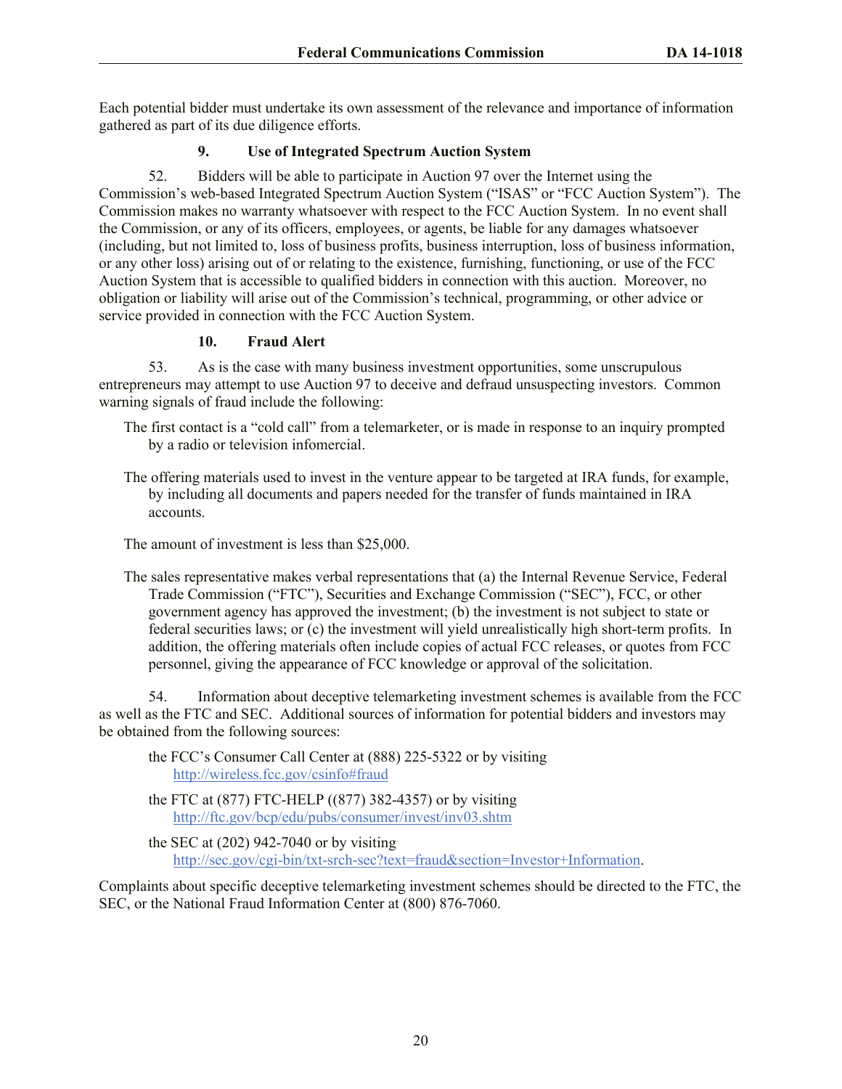Each potential bidder must undertake its own assessment of the relevance and importance of information gathered as part of its due diligence efforts.

# **9. Use of Integrated Spectrum Auction System**

52. Bidders will be able to participate in Auction 97 over the Internet using the Commission's web-based Integrated Spectrum Auction System ("ISAS" or "FCC Auction System"). The Commission makes no warranty whatsoever with respect to the FCC Auction System. In no event shall the Commission, or any of its officers, employees, or agents, be liable for any damages whatsoever (including, but not limited to, loss of business profits, business interruption, loss of business information, or any other loss) arising out of or relating to the existence, furnishing, functioning, or use of the FCC Auction System that is accessible to qualified bidders in connection with this auction. Moreover, no obligation or liability will arise out of the Commission's technical, programming, or other advice or service provided in connection with the FCC Auction System.

#### **10. Fraud Alert**

53. As is the case with many business investment opportunities, some unscrupulous entrepreneurs may attempt to use Auction 97 to deceive and defraud unsuspecting investors. Common warning signals of fraud include the following:

- The first contact is a "cold call" from a telemarketer, or is made in response to an inquiry prompted by a radio or television infomercial.
- The offering materials used to invest in the venture appear to be targeted at IRA funds, for example, by including all documents and papers needed for the transfer of funds maintained in IRA accounts.

The amount of investment is less than \$25,000.

The sales representative makes verbal representations that (a) the Internal Revenue Service, Federal Trade Commission ("FTC"), Securities and Exchange Commission ("SEC"), FCC, or other government agency has approved the investment; (b) the investment is not subject to state or federal securities laws; or (c) the investment will yield unrealistically high short-term profits. In addition, the offering materials often include copies of actual FCC releases, or quotes from FCC personnel, giving the appearance of FCC knowledge or approval of the solicitation.

54. Information about deceptive telemarketing investment schemes is available from the FCC as well as the FTC and SEC. Additional sources of information for potential bidders and investors may be obtained from the following sources:

- the FCC's Consumer Call Center at (888) 225-5322 or by visiting http://wireless.fcc.gov/csinfo#fraud
- the FTC at (877) FTC-HELP ((877) 382-4357) or by visiting http://ftc.gov/bcp/edu/pubs/consumer/invest/inv03.shtm
- the SEC at (202) 942-7040 or by visiting http://sec.gov/cgi-bin/txt-srch-sec?text=fraud&section=Investor+Information.

Complaints about specific deceptive telemarketing investment schemes should be directed to the FTC, the SEC, or the National Fraud Information Center at (800) 876-7060.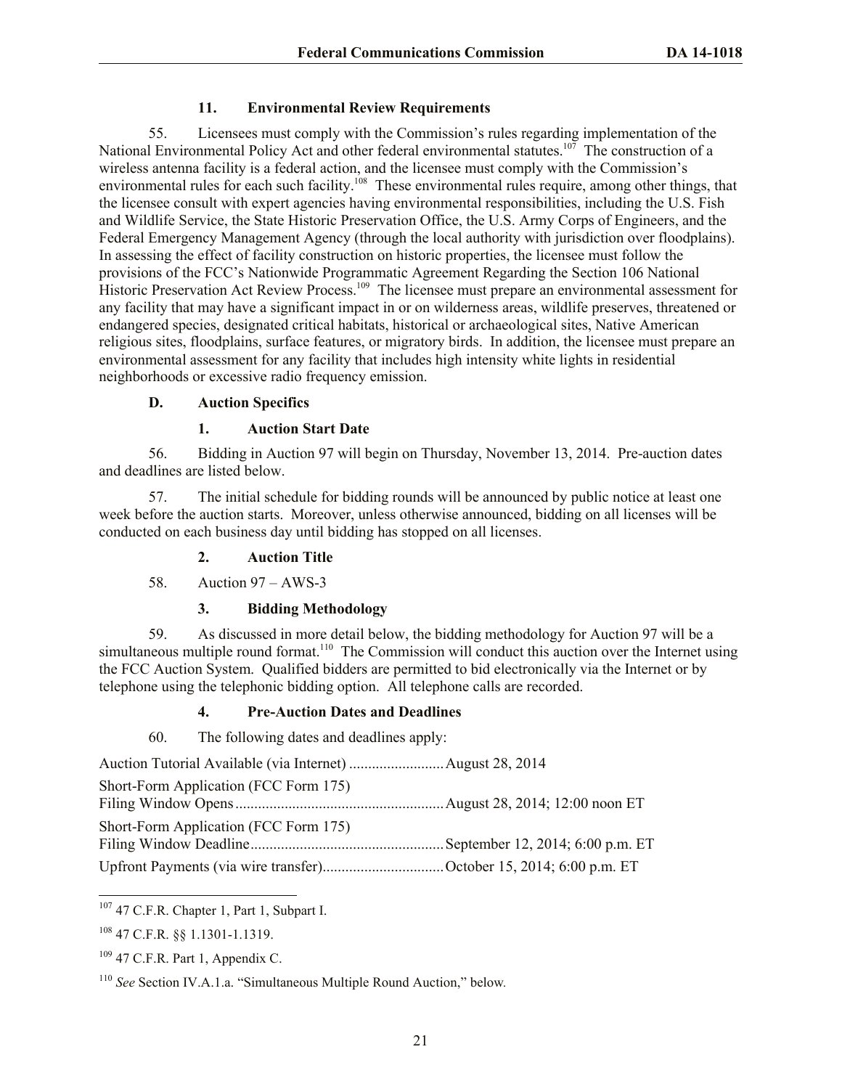## **11. Environmental Review Requirements**

55. Licensees must comply with the Commission's rules regarding implementation of the National Environmental Policy Act and other federal environmental statutes.<sup>107</sup> The construction of a wireless antenna facility is a federal action, and the licensee must comply with the Commission's environmental rules for each such facility.<sup>108</sup> These environmental rules require, among other things, that the licensee consult with expert agencies having environmental responsibilities, including the U.S. Fish and Wildlife Service, the State Historic Preservation Office, the U.S. Army Corps of Engineers, and the Federal Emergency Management Agency (through the local authority with jurisdiction over floodplains). In assessing the effect of facility construction on historic properties, the licensee must follow the provisions of the FCC's Nationwide Programmatic Agreement Regarding the Section 106 National Historic Preservation Act Review Process.<sup>109</sup> The licensee must prepare an environmental assessment for any facility that may have a significant impact in or on wilderness areas, wildlife preserves, threatened or endangered species, designated critical habitats, historical or archaeological sites, Native American religious sites, floodplains, surface features, or migratory birds. In addition, the licensee must prepare an environmental assessment for any facility that includes high intensity white lights in residential neighborhoods or excessive radio frequency emission.

#### **D. Auction Specifics**

# **1. Auction Start Date**

56. Bidding in Auction 97 will begin on Thursday, November 13, 2014. Pre-auction dates and deadlines are listed below.

57. The initial schedule for bidding rounds will be announced by public notice at least one week before the auction starts. Moreover, unless otherwise announced, bidding on all licenses will be conducted on each business day until bidding has stopped on all licenses.

# **2. Auction Title**

58. Auction 97 – AWS-3

#### **3. Bidding Methodology**

59. As discussed in more detail below, the bidding methodology for Auction 97 will be a simultaneous multiple round format.<sup>110</sup> The Commission will conduct this auction over the Internet using the FCC Auction System. Qualified bidders are permitted to bid electronically via the Internet or by telephone using the telephonic bidding option. All telephone calls are recorded.

# **4. Pre-Auction Dates and Deadlines**

60. The following dates and deadlines apply:

| Short-Form Application (FCC Form 175)                              |  |
|--------------------------------------------------------------------|--|
| Short-Form Application (FCC Form 175)                              |  |
| Upfront Payments (via wire transfer)October 15, 2014; 6:00 p.m. ET |  |

 $\overline{a}$  $107$  47 C.F.R. Chapter 1, Part 1, Subpart I.

<sup>108</sup> 47 C.F.R. §§ 1.1301-1.1319.

 $109$  47 C.F.R. Part 1, Appendix C.

<sup>110</sup> *See* Section IV.A.1.a. "Simultaneous Multiple Round Auction," below*.*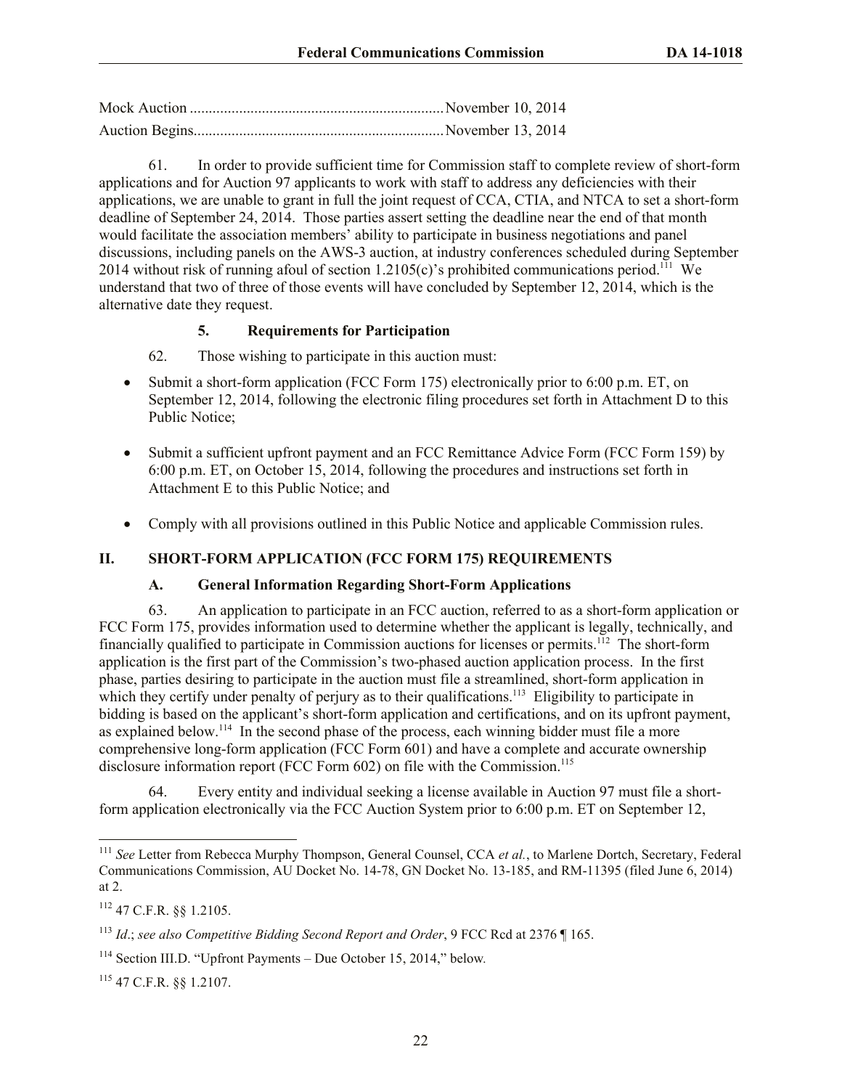Mock Auction ...................................................................November 10, 2014 Auction Begins..................................................................November 13, 2014

61. In order to provide sufficient time for Commission staff to complete review of short-form applications and for Auction 97 applicants to work with staff to address any deficiencies with their applications, we are unable to grant in full the joint request of CCA, CTIA, and NTCA to set a short-form deadline of September 24, 2014. Those parties assert setting the deadline near the end of that month would facilitate the association members' ability to participate in business negotiations and panel discussions, including panels on the AWS-3 auction, at industry conferences scheduled during September 2014 without risk of running afoul of section 1.2105(c)'s prohibited communications period.<sup>111</sup> We understand that two of three of those events will have concluded by September 12, 2014, which is the alternative date they request.

## **5. Requirements for Participation**

62. Those wishing to participate in this auction must:

- Submit a short-form application (FCC Form 175) electronically prior to 6:00 p.m. ET, on September 12, 2014, following the electronic filing procedures set forth in Attachment D to this Public Notice;
- Submit a sufficient upfront payment and an FCC Remittance Advice Form (FCC Form 159) by 6:00 p.m. ET, on October 15, 2014, following the procedures and instructions set forth in Attachment E to this Public Notice; and
- Comply with all provisions outlined in this Public Notice and applicable Commission rules.

# **II. SHORT-FORM APPLICATION (FCC FORM 175) REQUIREMENTS**

#### **A. General Information Regarding Short-Form Applications**

63. An application to participate in an FCC auction, referred to as a short-form application or FCC Form 175, provides information used to determine whether the applicant is legally, technically, and financially qualified to participate in Commission auctions for licenses or permits.<sup>112</sup> The short-form application is the first part of the Commission's two-phased auction application process. In the first phase, parties desiring to participate in the auction must file a streamlined, short-form application in which they certify under penalty of perjury as to their qualifications.<sup>113</sup> Eligibility to participate in bidding is based on the applicant's short-form application and certifications, and on its upfront payment, as explained below.<sup>114</sup> In the second phase of the process, each winning bidder must file a more comprehensive long-form application (FCC Form 601) and have a complete and accurate ownership disclosure information report (FCC Form 602) on file with the Commission.<sup>115</sup>

64. Every entity and individual seeking a license available in Auction 97 must file a shortform application electronically via the FCC Auction System prior to 6:00 p.m. ET on September 12,

 $\overline{\phantom{a}}$ 

<sup>111</sup> *See* Letter from Rebecca Murphy Thompson, General Counsel, CCA *et al.*, to Marlene Dortch, Secretary, Federal Communications Commission, AU Docket No. 14-78, GN Docket No. 13-185, and RM-11395 (filed June 6, 2014) at 2.

<sup>112</sup> 47 C.F.R. §§ 1.2105.

<sup>113</sup> *Id*.; *see also Competitive Bidding Second Report and Order*, 9 FCC Rcd at 2376 ¶ 165.

<sup>114</sup> Section III.D. "Upfront Payments – Due October 15, 2014," below*.* 

<sup>115</sup> 47 C.F.R. §§ 1.2107.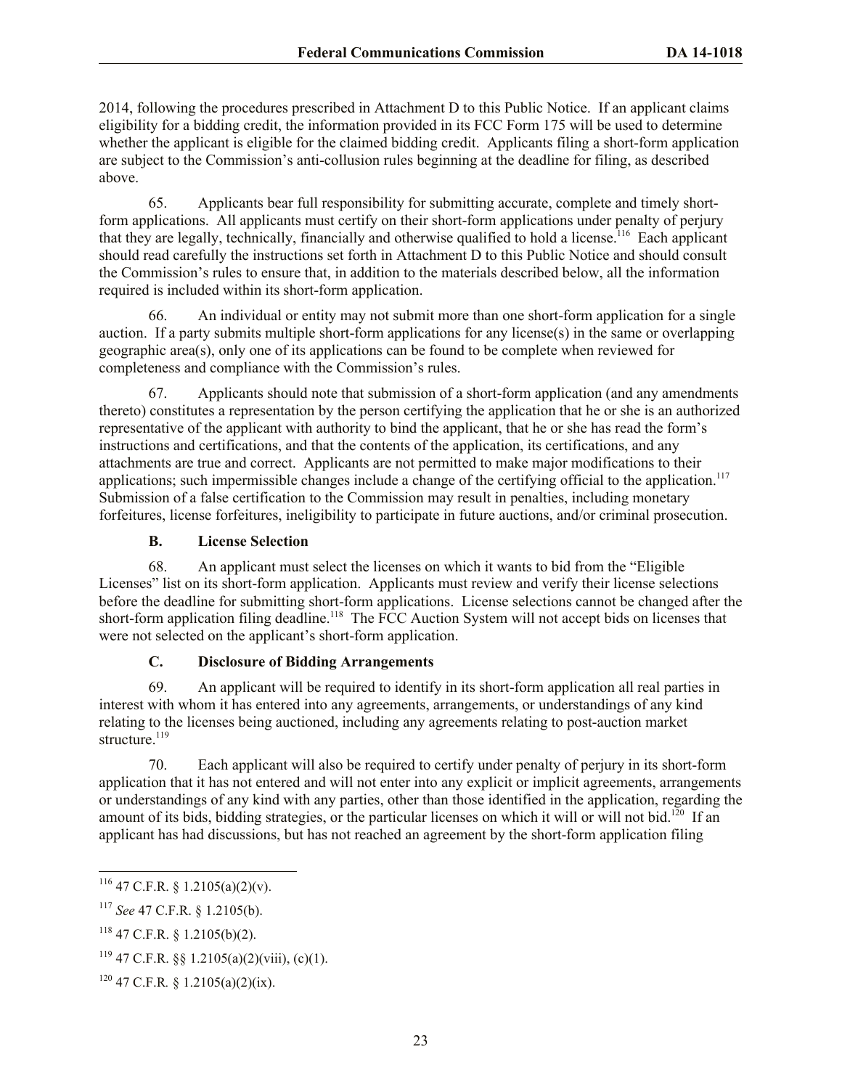2014, following the procedures prescribed in Attachment D to this Public Notice. If an applicant claims eligibility for a bidding credit, the information provided in its FCC Form 175 will be used to determine whether the applicant is eligible for the claimed bidding credit. Applicants filing a short-form application are subject to the Commission's anti-collusion rules beginning at the deadline for filing, as described above.

65. Applicants bear full responsibility for submitting accurate, complete and timely shortform applications. All applicants must certify on their short-form applications under penalty of perjury that they are legally, technically, financially and otherwise qualified to hold a license.<sup>116</sup> Each applicant should read carefully the instructions set forth in Attachment D to this Public Notice and should consult the Commission's rules to ensure that, in addition to the materials described below, all the information required is included within its short-form application.

66. An individual or entity may not submit more than one short-form application for a single auction. If a party submits multiple short-form applications for any license(s) in the same or overlapping geographic area(s), only one of its applications can be found to be complete when reviewed for completeness and compliance with the Commission's rules.

67. Applicants should note that submission of a short-form application (and any amendments thereto) constitutes a representation by the person certifying the application that he or she is an authorized representative of the applicant with authority to bind the applicant, that he or she has read the form's instructions and certifications, and that the contents of the application, its certifications, and any attachments are true and correct. Applicants are not permitted to make major modifications to their applications; such impermissible changes include a change of the certifying official to the application.<sup>117</sup> Submission of a false certification to the Commission may result in penalties, including monetary forfeitures, license forfeitures, ineligibility to participate in future auctions, and/or criminal prosecution.

#### **B. License Selection**

68. An applicant must select the licenses on which it wants to bid from the "Eligible Licenses" list on its short-form application. Applicants must review and verify their license selections before the deadline for submitting short-form applications. License selections cannot be changed after the short-form application filing deadline.<sup>118</sup> The FCC Auction System will not accept bids on licenses that were not selected on the applicant's short-form application.

# **C. Disclosure of Bidding Arrangements**

69. An applicant will be required to identify in its short-form application all real parties in interest with whom it has entered into any agreements, arrangements, or understandings of any kind relating to the licenses being auctioned, including any agreements relating to post-auction market structure.<sup>119</sup>

70. Each applicant will also be required to certify under penalty of perjury in its short-form application that it has not entered and will not enter into any explicit or implicit agreements, arrangements or understandings of any kind with any parties, other than those identified in the application, regarding the amount of its bids, bidding strategies, or the particular licenses on which it will or will not bid.<sup>120</sup> If an applicant has had discussions, but has not reached an agreement by the short-form application filing

 $116$  47 C.F.R. § 1.2105(a)(2)(v).

<sup>117</sup> *See* 47 C.F.R. § 1.2105(b).

<sup>118</sup> 47 C.F.R. § 1.2105(b)(2).

 $119$  47 C.F.R. §§ 1.2105(a)(2)(viii), (c)(1).

 $120$  47 C.F.R. § 1.2105(a)(2)(ix).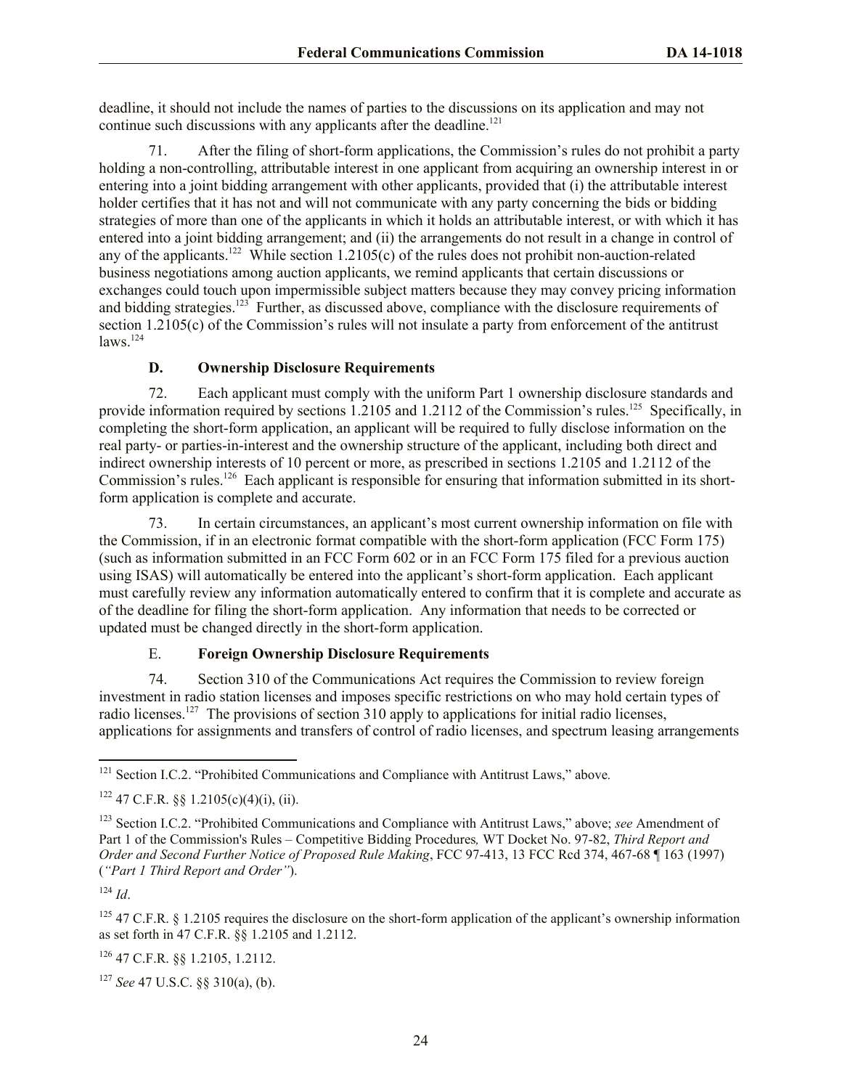deadline, it should not include the names of parties to the discussions on its application and may not continue such discussions with any applicants after the deadline.<sup>121</sup>

71. After the filing of short-form applications, the Commission's rules do not prohibit a party holding a non-controlling, attributable interest in one applicant from acquiring an ownership interest in or entering into a joint bidding arrangement with other applicants, provided that (i) the attributable interest holder certifies that it has not and will not communicate with any party concerning the bids or bidding strategies of more than one of the applicants in which it holds an attributable interest, or with which it has entered into a joint bidding arrangement; and (ii) the arrangements do not result in a change in control of any of the applicants.<sup>122</sup> While section 1.2105(c) of the rules does not prohibit non-auction-related business negotiations among auction applicants, we remind applicants that certain discussions or exchanges could touch upon impermissible subject matters because they may convey pricing information and bidding strategies.<sup>123</sup> Further, as discussed above, compliance with the disclosure requirements of section 1.2105(c) of the Commission's rules will not insulate a party from enforcement of the antitrust  $laws.$ <sup>124</sup>

# **D. Ownership Disclosure Requirements**

72. Each applicant must comply with the uniform Part 1 ownership disclosure standards and provide information required by sections 1.2105 and 1.2112 of the Commission's rules.<sup>125</sup> Specifically, in completing the short-form application, an applicant will be required to fully disclose information on the real party- or parties-in-interest and the ownership structure of the applicant, including both direct and indirect ownership interests of 10 percent or more, as prescribed in sections 1.2105 and 1.2112 of the Commission's rules.<sup>126</sup> Each applicant is responsible for ensuring that information submitted in its shortform application is complete and accurate.

73. In certain circumstances, an applicant's most current ownership information on file with the Commission, if in an electronic format compatible with the short-form application (FCC Form 175) (such as information submitted in an FCC Form 602 or in an FCC Form 175 filed for a previous auction using ISAS) will automatically be entered into the applicant's short-form application. Each applicant must carefully review any information automatically entered to confirm that it is complete and accurate as of the deadline for filing the short-form application. Any information that needs to be corrected or updated must be changed directly in the short-form application.

# E. **Foreign Ownership Disclosure Requirements**

74. Section 310 of the Communications Act requires the Commission to review foreign investment in radio station licenses and imposes specific restrictions on who may hold certain types of radio licenses.<sup>127</sup> The provisions of section 310 apply to applications for initial radio licenses, applications for assignments and transfers of control of radio licenses, and spectrum leasing arrangements

<sup>126</sup> 47 C.F.R. §§ 1.2105, 1.2112.

<sup>127</sup> *See* 47 U.S.C. §§ 310(a), (b).

l <sup>121</sup> Section I.C.2. "Prohibited Communications and Compliance with Antitrust Laws," above*.*

 $122$  47 C.F.R.  $88$  1.2105(c)(4)(i), (ii).

<sup>123</sup> Section I.C.2. "Prohibited Communications and Compliance with Antitrust Laws," above; *see* Amendment of Part 1 of the Commission's Rules – Competitive Bidding Procedures*,* WT Docket No. 97-82, *Third Report and Order and Second Further Notice of Proposed Rule Making*, FCC 97-413, 13 FCC Rcd 374, 467-68 ¶ 163 (1997) (*"Part 1 Third Report and Order"*).

<sup>124</sup> *Id*.

 $125$  47 C.F.R. § 1.2105 requires the disclosure on the short-form application of the applicant's ownership information as set forth in 47 C.F.R. §§ 1.2105 and 1.2112.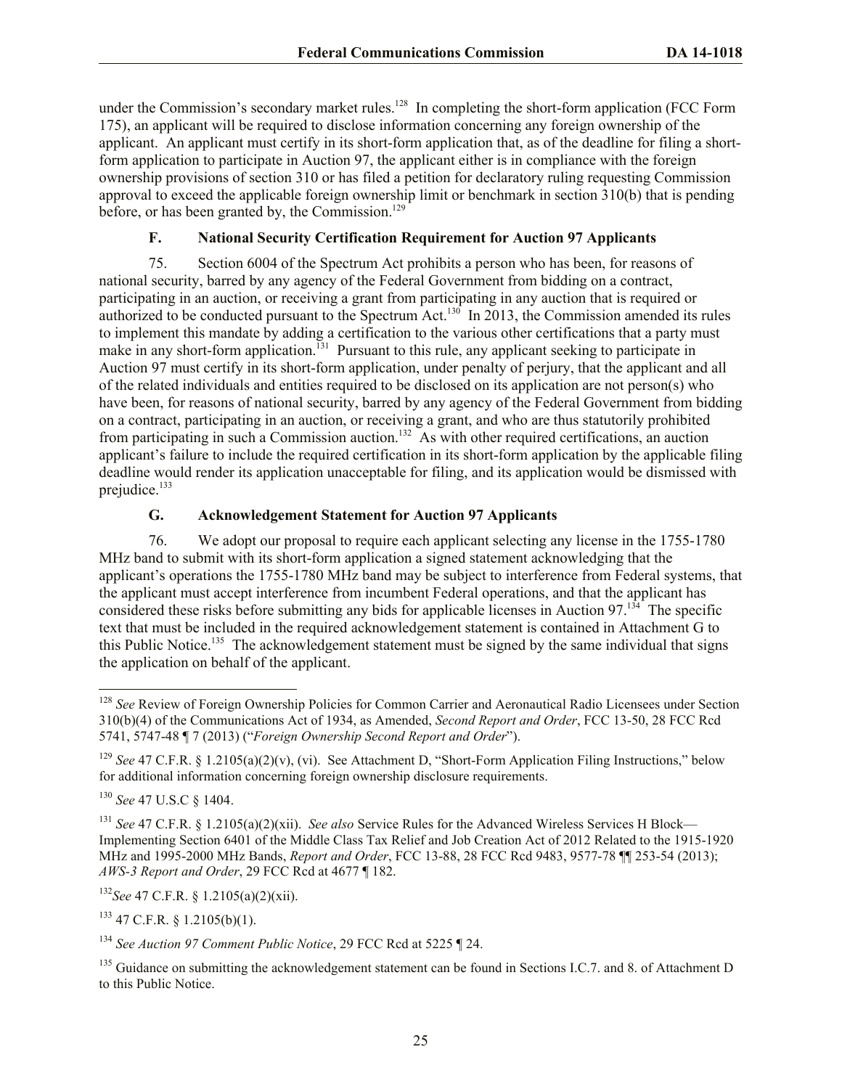under the Commission's secondary market rules. $128$  In completing the short-form application (FCC Form 175), an applicant will be required to disclose information concerning any foreign ownership of the applicant. An applicant must certify in its short-form application that, as of the deadline for filing a shortform application to participate in Auction 97, the applicant either is in compliance with the foreign ownership provisions of section 310 or has filed a petition for declaratory ruling requesting Commission approval to exceed the applicable foreign ownership limit or benchmark in section 310(b) that is pending before, or has been granted by, the Commission.<sup>129</sup>

## **F. National Security Certification Requirement for Auction 97 Applicants**

75. Section 6004 of the Spectrum Act prohibits a person who has been, for reasons of national security, barred by any agency of the Federal Government from bidding on a contract, participating in an auction, or receiving a grant from participating in any auction that is required or authorized to be conducted pursuant to the Spectrum Act.<sup>130</sup> In 2013, the Commission amended its rules to implement this mandate by adding a certification to the various other certifications that a party must make in any short-form application.<sup>131</sup> Pursuant to this rule, any applicant seeking to participate in Auction 97 must certify in its short-form application, under penalty of perjury, that the applicant and all of the related individuals and entities required to be disclosed on its application are not person(s) who have been, for reasons of national security, barred by any agency of the Federal Government from bidding on a contract, participating in an auction, or receiving a grant, and who are thus statutorily prohibited from participating in such a Commission auction.<sup>132</sup> As with other required certifications, an auction applicant's failure to include the required certification in its short-form application by the applicable filing deadline would render its application unacceptable for filing, and its application would be dismissed with prejudice.<sup>133</sup>

## **G. Acknowledgement Statement for Auction 97 Applicants**

76. We adopt our proposal to require each applicant selecting any license in the 1755-1780 MHz band to submit with its short-form application a signed statement acknowledging that the applicant's operations the 1755-1780 MHz band may be subject to interference from Federal systems, that the applicant must accept interference from incumbent Federal operations, and that the applicant has considered these risks before submitting any bids for applicable licenses in Auction 97.<sup>134</sup> The specific text that must be included in the required acknowledgement statement is contained in Attachment G to this Public Notice.<sup>135</sup> The acknowledgement statement must be signed by the same individual that signs the application on behalf of the applicant.

 $\overline{a}$ 

<sup>132</sup>*See* 47 C.F.R. § 1.2105(a)(2)(xii).

 $133$  47 C.F.R. § 1.2105(b)(1).

<sup>128</sup> *See* Review of Foreign Ownership Policies for Common Carrier and Aeronautical Radio Licensees under Section 310(b)(4) of the Communications Act of 1934, as Amended, *Second Report and Order*, FCC 13-50, 28 FCC Rcd 5741, 5747-48 ¶ 7 (2013) ("*Foreign Ownership Second Report and Order*").

<sup>&</sup>lt;sup>129</sup> *See* 47 C.F.R. § 1.2105(a)(2)(v), (vi). See Attachment D, "Short-Form Application Filing Instructions," below for additional information concerning foreign ownership disclosure requirements.

<sup>130</sup> *See* 47 U.S.C § 1404.

<sup>131</sup> *See* 47 C.F.R. § 1.2105(a)(2)(xii). *See also* Service Rules for the Advanced Wireless Services H Block— Implementing Section 6401 of the Middle Class Tax Relief and Job Creation Act of 2012 Related to the 1915-1920 MHz and 1995-2000 MHz Bands, *Report and Order*, FCC 13-88, 28 FCC Rcd 9483, 9577-78 ¶¶ 253-54 (2013); *AWS-3 Report and Order*, 29 FCC Rcd at 4677 ¶ 182.

<sup>134</sup> *See Auction 97 Comment Public Notice*, 29 FCC Rcd at 5225 ¶ 24.

<sup>&</sup>lt;sup>135</sup> Guidance on submitting the acknowledgement statement can be found in Sections I.C.7. and 8. of Attachment D to this Public Notice.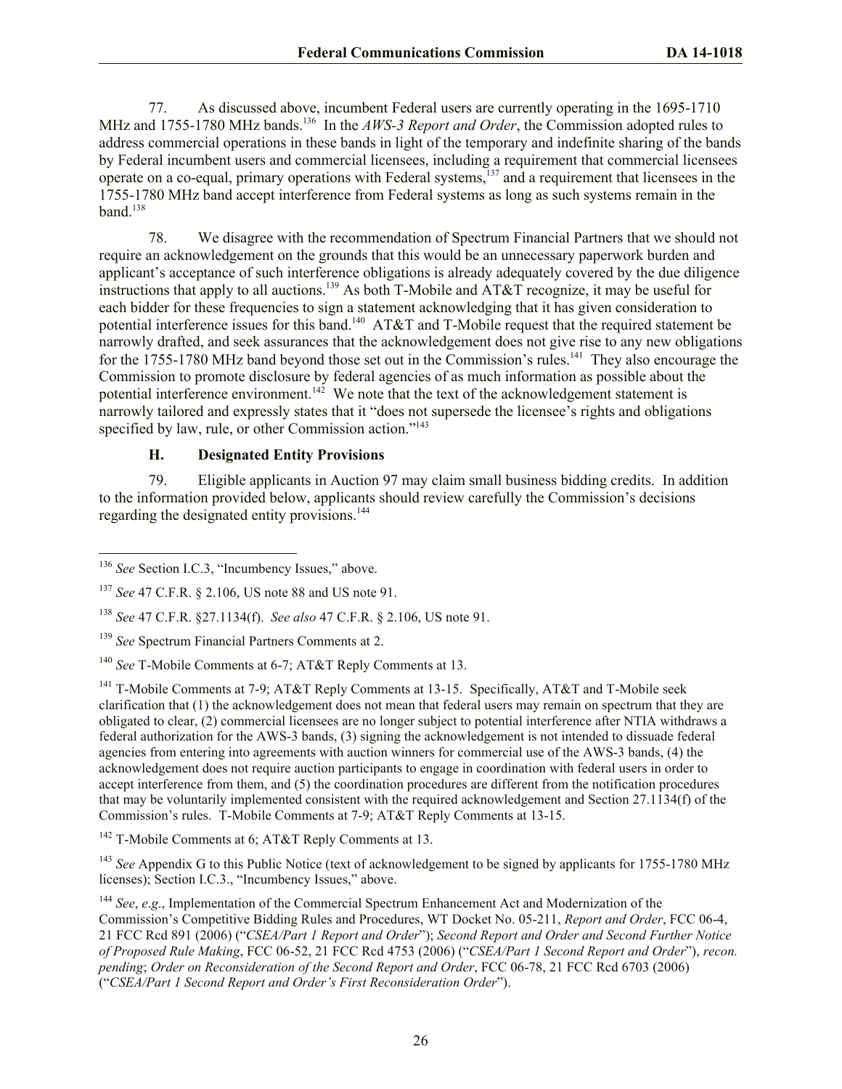77. As discussed above, incumbent Federal users are currently operating in the 1695-1710 MHz and 1755-1780 MHz bands.<sup>136</sup> In the *AWS-3 Report and Order*, the Commission adopted rules to address commercial operations in these bands in light of the temporary and indefinite sharing of the bands by Federal incumbent users and commercial licensees, including a requirement that commercial licensees operate on a co-equal, primary operations with Federal systems, $137$  and a requirement that licensees in the 1755-1780 MHz band accept interference from Federal systems as long as such systems remain in the band. $138$ 

78. We disagree with the recommendation of Spectrum Financial Partners that we should not require an acknowledgement on the grounds that this would be an unnecessary paperwork burden and applicant's acceptance of such interference obligations is already adequately covered by the due diligence instructions that apply to all auctions.<sup>139</sup> As both T-Mobile and AT&T recognize, it may be useful for each bidder for these frequencies to sign a statement acknowledging that it has given consideration to potential interference issues for this band.<sup>140</sup>  $AT&T$  and T-Mobile request that the required statement be narrowly drafted, and seek assurances that the acknowledgement does not give rise to any new obligations for the 1755-1780 MHz band beyond those set out in the Commission's rules.<sup>141</sup> They also encourage the Commission to promote disclosure by federal agencies of as much information as possible about the potential interference environment.<sup>142</sup> We note that the text of the acknowledgement statement is narrowly tailored and expressly states that it "does not supersede the licensee's rights and obligations specified by law, rule, or other Commission action."<sup>143</sup>

#### **H. Designated Entity Provisions**

79. Eligible applicants in Auction 97 may claim small business bidding credits. In addition to the information provided below, applicants should review carefully the Commission's decisions regarding the designated entity provisions.<sup>144</sup>

l

<sup>142</sup> T-Mobile Comments at 6; AT&T Reply Comments at 13.

<sup>143</sup> *See* Appendix G to this Public Notice (text of acknowledgement to be signed by applicants for 1755-1780 MHz licenses); Section I.C.3., "Incumbency Issues," above.

<sup>136</sup> *See* Section I.C.3, "Incumbency Issues," above.

<sup>137</sup> *See* 47 C.F.R. § 2.106, US note 88 and US note 91.

<sup>138</sup> *See* 47 C.F.R. §27.1134(f). *See also* 47 C.F.R. § 2.106, US note 91.

<sup>139</sup> *See* Spectrum Financial Partners Comments at 2.

<sup>140</sup> *See* T-Mobile Comments at 6-7; AT&T Reply Comments at 13.

<sup>&</sup>lt;sup>141</sup> T-Mobile Comments at 7-9; AT&T Reply Comments at 13-15. Specifically, AT&T and T-Mobile seek clarification that (1) the acknowledgement does not mean that federal users may remain on spectrum that they are obligated to clear, (2) commercial licensees are no longer subject to potential interference after NTIA withdraws a federal authorization for the AWS-3 bands, (3) signing the acknowledgement is not intended to dissuade federal agencies from entering into agreements with auction winners for commercial use of the AWS-3 bands, (4) the acknowledgement does not require auction participants to engage in coordination with federal users in order to accept interference from them, and (5) the coordination procedures are different from the notification procedures that may be voluntarily implemented consistent with the required acknowledgement and Section 27.1134(f) of the Commission's rules. T-Mobile Comments at 7-9; AT&T Reply Comments at 13-15.

<sup>144</sup> *See*, *e*.*g*., Implementation of the Commercial Spectrum Enhancement Act and Modernization of the Commission's Competitive Bidding Rules and Procedures, WT Docket No. 05-211, *Report and Order*, FCC 06-4, 21 FCC Rcd 891 (2006) ("*CSEA/Part 1 Report and Order*"); *Second Report and Order and Second Further Notice of Proposed Rule Making*, FCC 06-52, 21 FCC Rcd 4753 (2006) ("*CSEA/Part 1 Second Report and Order*"), *recon. pending*; *Order on Reconsideration of the Second Report and Order*, FCC 06-78, 21 FCC Rcd 6703 (2006) ("*CSEA/Part 1 Second Report and Order's First Reconsideration Order*").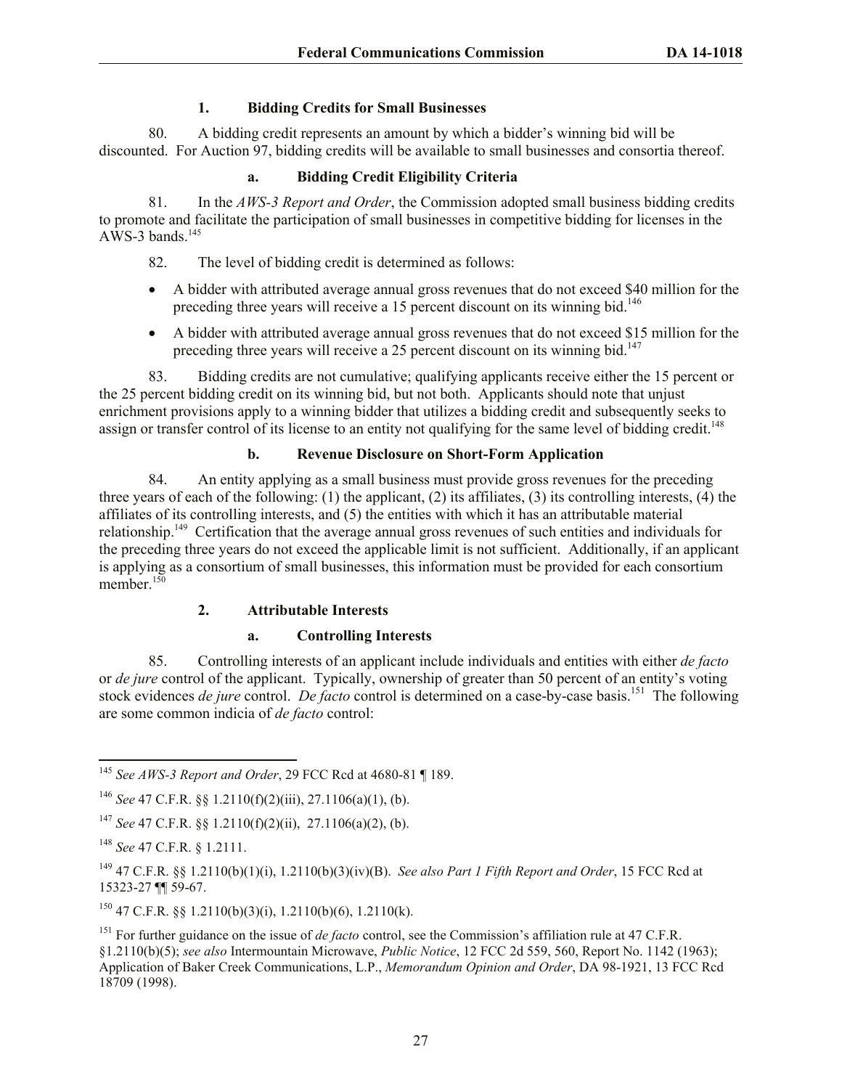## **1. Bidding Credits for Small Businesses**

80. A bidding credit represents an amount by which a bidder's winning bid will be discounted. For Auction 97, bidding credits will be available to small businesses and consortia thereof.

## **a. Bidding Credit Eligibility Criteria**

81. In the *AWS-3 Report and Order*, the Commission adopted small business bidding credits to promote and facilitate the participation of small businesses in competitive bidding for licenses in the AWS-3 bands. $145$ 

82. The level of bidding credit is determined as follows:

- A bidder with attributed average annual gross revenues that do not exceed \$40 million for the preceding three years will receive a 15 percent discount on its winning bid.<sup>146</sup>
- A bidder with attributed average annual gross revenues that do not exceed \$15 million for the preceding three years will receive a 25 percent discount on its winning bid.<sup>147</sup>

83. Bidding credits are not cumulative; qualifying applicants receive either the 15 percent or the 25 percent bidding credit on its winning bid, but not both. Applicants should note that unjust enrichment provisions apply to a winning bidder that utilizes a bidding credit and subsequently seeks to assign or transfer control of its license to an entity not qualifying for the same level of bidding credit.<sup>148</sup>

# **b. Revenue Disclosure on Short-Form Application**

84. An entity applying as a small business must provide gross revenues for the preceding three years of each of the following: (1) the applicant, (2) its affiliates, (3) its controlling interests, (4) the affiliates of its controlling interests, and (5) the entities with which it has an attributable material relationship.<sup>149</sup> Certification that the average annual gross revenues of such entities and individuals for the preceding three years do not exceed the applicable limit is not sufficient. Additionally, if an applicant is applying as a consortium of small businesses, this information must be provided for each consortium member.<sup>150</sup>

# **2. Attributable Interests**

#### **a. Controlling Interests**

85. Controlling interests of an applicant include individuals and entities with either *de facto* or *de jure* control of the applicant. Typically, ownership of greater than 50 percent of an entity's voting stock evidences *de jure* control. *De facto* control is determined on a case-by-case basis.<sup>151</sup> The following are some common indicia of *de facto* control:

 $150$  47 C.F.R. §§ 1.2110(b)(3)(i), 1.2110(b)(6), 1.2110(k).

l <sup>145</sup> *See AWS-3 Report and Order*, 29 FCC Rcd at 4680-81 ¶ 189.

<sup>146</sup> *See* 47 C.F.R. §§ 1.2110(f)(2)(iii), 27.1106(a)(1), (b).

<sup>147</sup> *See* 47 C.F.R. §§ 1.2110(f)(2)(ii), 27.1106(a)(2), (b).

<sup>148</sup> *See* 47 C.F.R. § 1.2111.

<sup>149</sup> 47 C.F.R. §§ 1.2110(b)(1)(i), 1.2110(b)(3)(iv)(B). *See also Part 1 Fifth Report and Order*, 15 FCC Rcd at 15323-27 ¶¶ 59-67.

<sup>&</sup>lt;sup>151</sup> For further guidance on the issue of *de facto* control, see the Commission's affiliation rule at 47 C.F.R. §1.2110(b)(5); *see also* Intermountain Microwave, *Public Notice*, 12 FCC 2d 559, 560, Report No. 1142 (1963); Application of Baker Creek Communications, L.P., *Memorandum Opinion and Order*, DA 98-1921, 13 FCC Rcd 18709 (1998).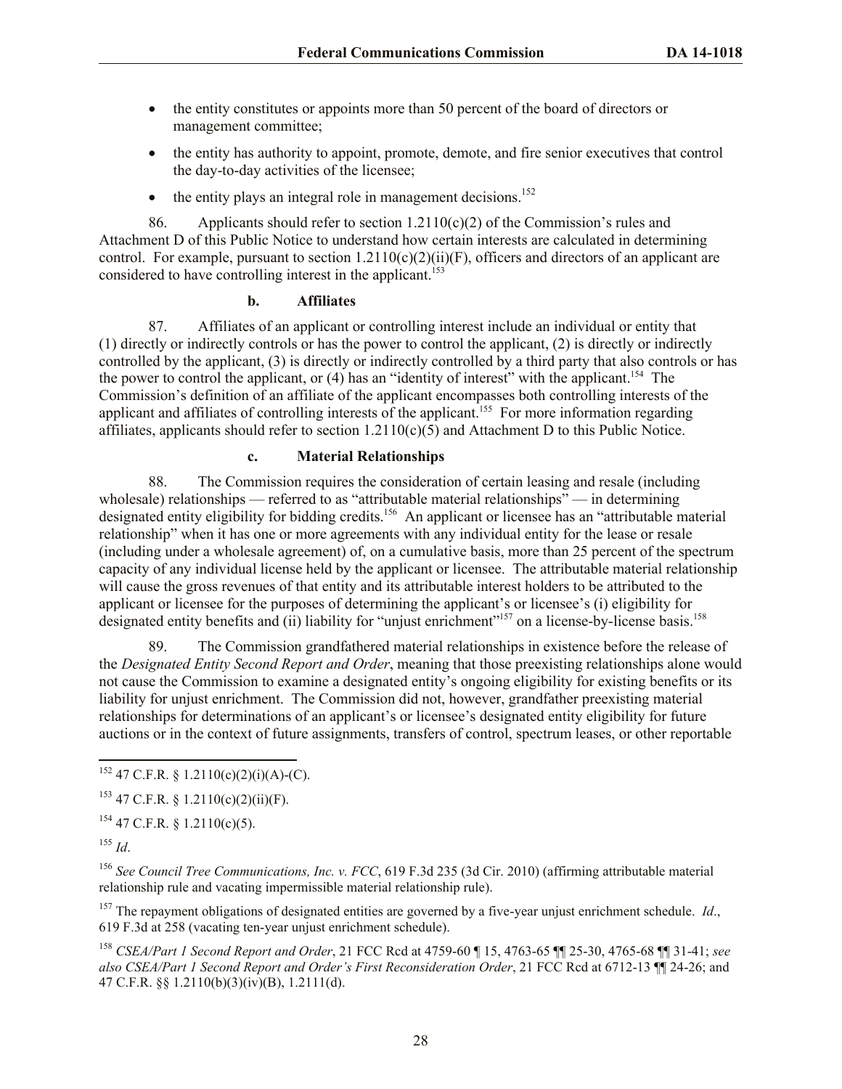- the entity constitutes or appoints more than 50 percent of the board of directors or management committee;
- the entity has authority to appoint, promote, demote, and fire senior executives that control the day-to-day activities of the licensee;
- $\bullet$  the entity plays an integral role in management decisions.<sup>152</sup>

86. Applicants should refer to section  $1.2110(c)(2)$  of the Commission's rules and Attachment D of this Public Notice to understand how certain interests are calculated in determining control. For example, pursuant to section  $1.2110(c)(2)(ii)(F)$ , officers and directors of an applicant are considered to have controlling interest in the applicant.<sup>153</sup>

## **b. Affiliates**

87. Affiliates of an applicant or controlling interest include an individual or entity that (1) directly or indirectly controls or has the power to control the applicant, (2) is directly or indirectly controlled by the applicant, (3) is directly or indirectly controlled by a third party that also controls or has the power to control the applicant, or  $(4)$  has an "identity of interest" with the applicant.<sup>154</sup> The Commission's definition of an affiliate of the applicant encompasses both controlling interests of the applicant and affiliates of controlling interests of the applicant.<sup>155</sup> For more information regarding affiliates, applicants should refer to section  $1.2110(c)(5)$  and Attachment D to this Public Notice.

# **c. Material Relationships**

88. The Commission requires the consideration of certain leasing and resale (including wholesale) relationships — referred to as "attributable material relationships" — in determining designated entity eligibility for bidding credits.<sup>156</sup> An applicant or licensee has an "attributable material relationship" when it has one or more agreements with any individual entity for the lease or resale (including under a wholesale agreement) of, on a cumulative basis, more than 25 percent of the spectrum capacity of any individual license held by the applicant or licensee. The attributable material relationship will cause the gross revenues of that entity and its attributable interest holders to be attributed to the applicant or licensee for the purposes of determining the applicant's or licensee's (i) eligibility for designated entity benefits and (ii) liability for "unjust enrichment"<sup>157</sup> on a license-by-license basis.<sup>158</sup>

89. The Commission grandfathered material relationships in existence before the release of the *Designated Entity Second Report and Order*, meaning that those preexisting relationships alone would not cause the Commission to examine a designated entity's ongoing eligibility for existing benefits or its liability for unjust enrichment. The Commission did not, however, grandfather preexisting material relationships for determinations of an applicant's or licensee's designated entity eligibility for future auctions or in the context of future assignments, transfers of control, spectrum leases, or other reportable

l

<sup>156</sup> *See Council Tree Communications, Inc. v. FCC*, 619 F.3d 235 (3d Cir. 2010) (affirming attributable material relationship rule and vacating impermissible material relationship rule).

<sup>157</sup> The repayment obligations of designated entities are governed by a five-year unjust enrichment schedule. *Id*., 619 F.3d at 258 (vacating ten-year unjust enrichment schedule).

<sup>158</sup> *CSEA/Part 1 Second Report and Order*, 21 FCC Rcd at 4759-60 ¶ 15, 4763-65 ¶¶ 25-30, 4765-68 ¶¶ 31-41; *see also CSEA/Part 1 Second Report and Order's First Reconsideration Order*, 21 FCC Rcd at 6712-13 ¶¶ 24-26; and 47 C.F.R. §§ 1.2110(b)(3)(iv)(B), 1.2111(d).

 $152$  47 C.F.R. § 1.2110(c)(2)(i)(A)-(C).

 $153$  47 C.F.R. § 1.2110(c)(2)(ii)(F).

<sup>154</sup> 47 C.F.R. § 1.2110(c)(5).

<sup>155</sup> *Id*.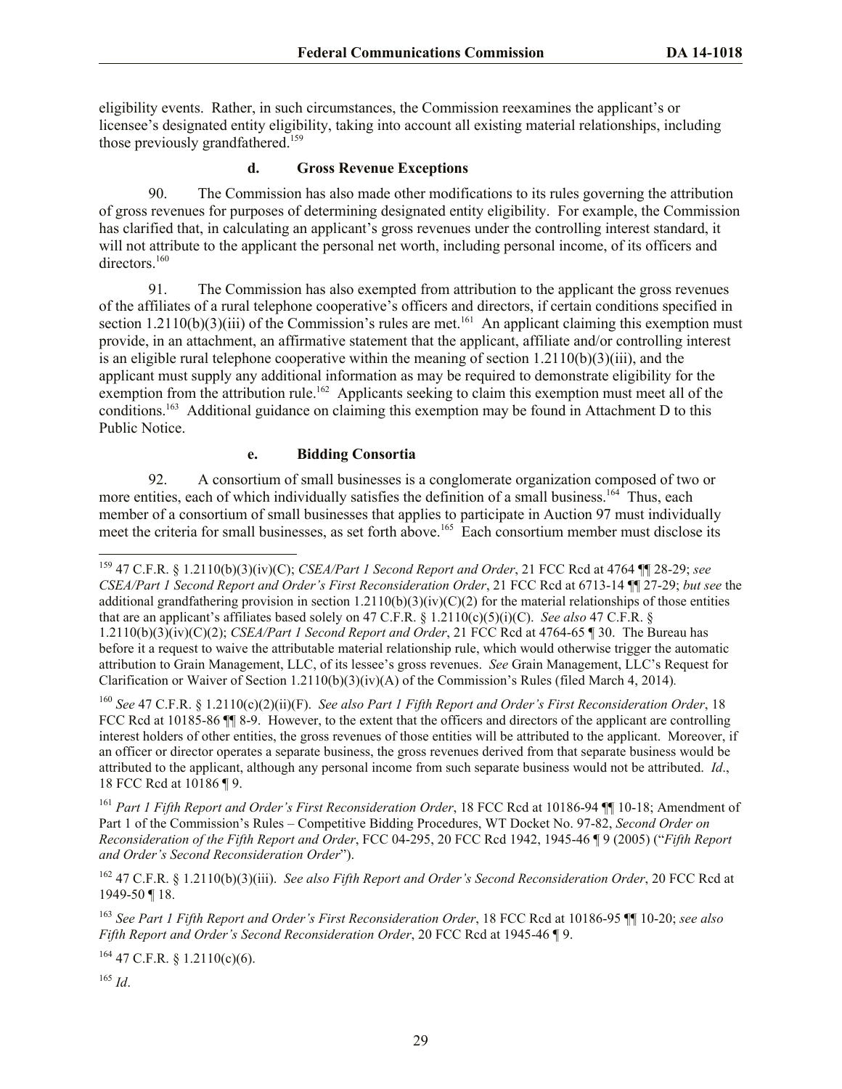eligibility events. Rather, in such circumstances, the Commission reexamines the applicant's or licensee's designated entity eligibility, taking into account all existing material relationships, including those previously grandfathered.<sup>159</sup>

## **d. Gross Revenue Exceptions**

90. The Commission has also made other modifications to its rules governing the attribution of gross revenues for purposes of determining designated entity eligibility. For example, the Commission has clarified that, in calculating an applicant's gross revenues under the controlling interest standard, it will not attribute to the applicant the personal net worth, including personal income, of its officers and directors.<sup>160</sup>

91. The Commission has also exempted from attribution to the applicant the gross revenues of the affiliates of a rural telephone cooperative's officers and directors, if certain conditions specified in section  $1.2110(b)(3)(iii)$  of the Commission's rules are met.<sup>161</sup> An applicant claiming this exemption must provide, in an attachment, an affirmative statement that the applicant, affiliate and/or controlling interest is an eligible rural telephone cooperative within the meaning of section 1.2110(b)(3)(iii), and the applicant must supply any additional information as may be required to demonstrate eligibility for the exemption from the attribution rule.<sup>162</sup> Applicants seeking to claim this exemption must meet all of the conditions.<sup>163</sup> Additional guidance on claiming this exemption may be found in Attachment D to this Public Notice.

## **e. Bidding Consortia**

92. A consortium of small businesses is a conglomerate organization composed of two or more entities, each of which individually satisfies the definition of a small business.<sup>164</sup> Thus, each member of a consortium of small businesses that applies to participate in Auction 97 must individually meet the criteria for small businesses, as set forth above.<sup>165</sup> Each consortium member must disclose its

<sup>160</sup> *See* 47 C.F.R. § 1.2110(c)(2)(ii)(F). *See also Part 1 Fifth Report and Order's First Reconsideration Order*, 18 FCC Rcd at 10185-86 ¶¶ 8-9. However, to the extent that the officers and directors of the applicant are controlling interest holders of other entities, the gross revenues of those entities will be attributed to the applicant. Moreover, if an officer or director operates a separate business, the gross revenues derived from that separate business would be attributed to the applicant, although any personal income from such separate business would not be attributed. *Id*., 18 FCC Rcd at 10186 ¶ 9.

<sup>161</sup> *Part 1 Fifth Report and Order's First Reconsideration Order*, 18 FCC Rcd at 10186-94 ¶¶ 10-18; Amendment of Part 1 of the Commission's Rules – Competitive Bidding Procedures, WT Docket No. 97-82, *Second Order on Reconsideration of the Fifth Report and Order*, FCC 04-295, 20 FCC Rcd 1942, 1945-46 ¶ 9 (2005) ("*Fifth Report and Order's Second Reconsideration Order*").

<sup>162</sup> 47 C.F.R. § 1.2110(b)(3)(iii). *See also Fifth Report and Order's Second Reconsideration Order*, 20 FCC Rcd at 1949-50 ¶ 18.

<sup>163</sup> *See Part 1 Fifth Report and Order's First Reconsideration Order*, 18 FCC Rcd at 10186-95 ¶¶ 10-20; *see also Fifth Report and Order's Second Reconsideration Order*, 20 FCC Rcd at 1945-46 ¶ 9.

 $164$  47 C.F.R. § 1.2110(c)(6).

 $165$  *Id*.

<sup>159</sup> 47 C.F.R. § 1.2110(b)(3)(iv)(C); *CSEA/Part 1 Second Report and Order*, 21 FCC Rcd at 4764 ¶¶ 28-29; *see CSEA/Part 1 Second Report and Order's First Reconsideration Order*, 21 FCC Rcd at 6713-14 ¶¶ 27-29; *but see* the additional grandfathering provision in section  $1.2110(b)(3)(iv)(C)(2)$  for the material relationships of those entities that are an applicant's affiliates based solely on 47 C.F.R. § 1.2110(c)(5)(i)(C). *See also* 47 C.F.R. § 1.2110(b)(3)(iv)(C)(2); *CSEA/Part 1 Second Report and Order*, 21 FCC Rcd at 4764-65 ¶ 30. The Bureau has before it a request to waive the attributable material relationship rule, which would otherwise trigger the automatic attribution to Grain Management, LLC, of its lessee's gross revenues. *See* Grain Management, LLC's Request for Clarification or Waiver of Section 1.2110(b)(3)(iv)(A) of the Commission's Rules (filed March 4, 2014)*.*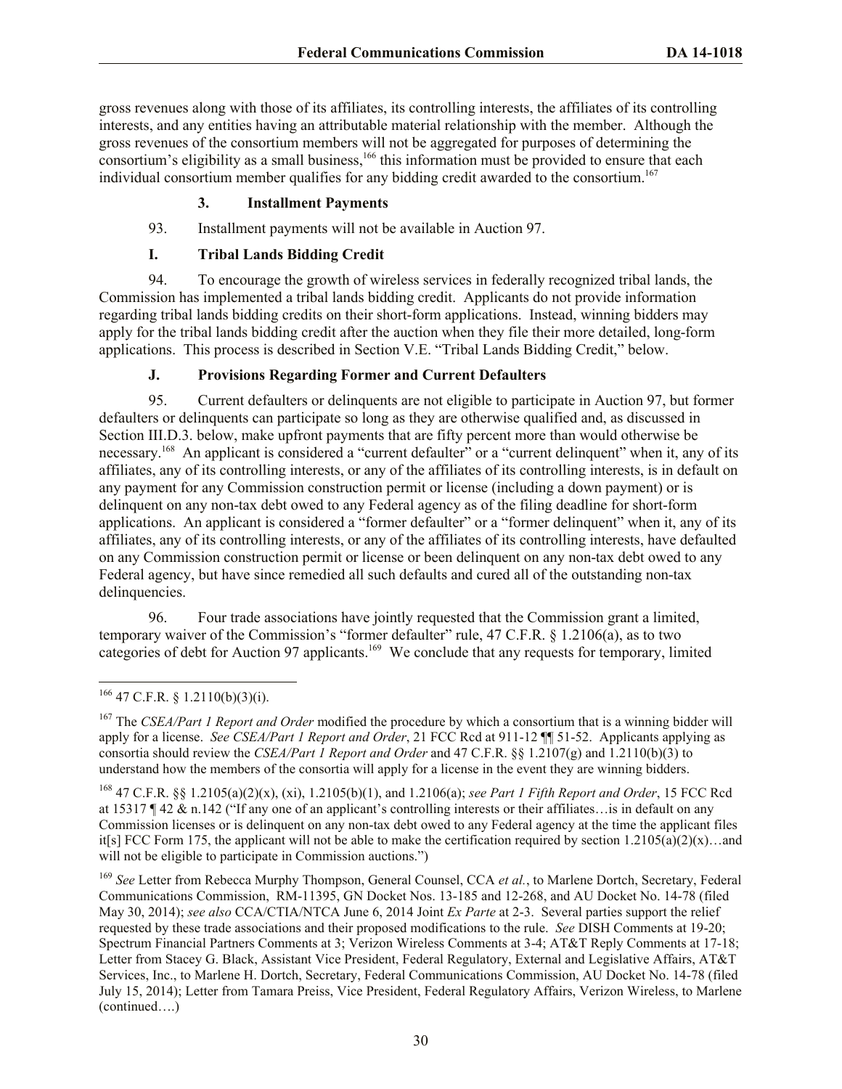gross revenues along with those of its affiliates, its controlling interests, the affiliates of its controlling interests, and any entities having an attributable material relationship with the member. Although the gross revenues of the consortium members will not be aggregated for purposes of determining the consortium's eligibility as a small business,<sup>166</sup> this information must be provided to ensure that each individual consortium member qualifies for any bidding credit awarded to the consortium.<sup>167</sup>

#### **3. Installment Payments**

93. Installment payments will not be available in Auction 97.

## **I. Tribal Lands Bidding Credit**

94. To encourage the growth of wireless services in federally recognized tribal lands, the Commission has implemented a tribal lands bidding credit. Applicants do not provide information regarding tribal lands bidding credits on their short-form applications. Instead, winning bidders may apply for the tribal lands bidding credit after the auction when they file their more detailed, long-form applications. This process is described in Section V.E. "Tribal Lands Bidding Credit," below.

## **J. Provisions Regarding Former and Current Defaulters**

95. Current defaulters or delinquents are not eligible to participate in Auction 97, but former defaulters or delinquents can participate so long as they are otherwise qualified and, as discussed in Section III.D.3. below, make upfront payments that are fifty percent more than would otherwise be necessary.<sup>168</sup> An applicant is considered a "current defaulter" or a "current delinquent" when it, any of its affiliates, any of its controlling interests, or any of the affiliates of its controlling interests, is in default on any payment for any Commission construction permit or license (including a down payment) or is delinquent on any non-tax debt owed to any Federal agency as of the filing deadline for short-form applications. An applicant is considered a "former defaulter" or a "former delinquent" when it, any of its affiliates, any of its controlling interests, or any of the affiliates of its controlling interests, have defaulted on any Commission construction permit or license or been delinquent on any non-tax debt owed to any Federal agency, but have since remedied all such defaults and cured all of the outstanding non-tax delinquencies.

96. Four trade associations have jointly requested that the Commission grant a limited, temporary waiver of the Commission's "former defaulter" rule, 47 C.F.R. § 1.2106(a), as to two categories of debt for Auction 97 applicants.<sup>169</sup> We conclude that any requests for temporary, limited

l  $166$  47 C.F.R. § 1.2110(b)(3)(i).

<sup>167</sup> The *CSEA/Part 1 Report and Order* modified the procedure by which a consortium that is a winning bidder will apply for a license. *See CSEA/Part 1 Report and Order*, 21 FCC Rcd at 911-12 ¶¶ 51-52. Applicants applying as consortia should review the *CSEA/Part 1 Report and Order* and 47 C.F.R. §§ 1.2107(g) and 1.2110(b)(3) to understand how the members of the consortia will apply for a license in the event they are winning bidders.

<sup>168</sup> 47 C.F.R. §§ 1.2105(a)(2)(x), (xi), 1.2105(b)(1), and 1.2106(a); *see Part 1 Fifth Report and Order*, 15 FCC Rcd at 15317 ¶ 42 & n.142 ("If any one of an applicant's controlling interests or their affiliates…is in default on any Commission licenses or is delinquent on any non-tax debt owed to any Federal agency at the time the applicant files it[s] FCC Form 175, the applicant will not be able to make the certification required by section  $1.2105(a)(2)(x)$ …and will not be eligible to participate in Commission auctions.")

<sup>169</sup> *See* Letter from Rebecca Murphy Thompson, General Counsel, CCA *et al.*, to Marlene Dortch, Secretary, Federal Communications Commission, RM-11395, GN Docket Nos. 13-185 and 12-268, and AU Docket No. 14-78 (filed May 30, 2014); *see also* CCA/CTIA/NTCA June 6, 2014 Joint *Ex Parte* at 2-3. Several parties support the relief requested by these trade associations and their proposed modifications to the rule. *See* DISH Comments at 19-20; Spectrum Financial Partners Comments at 3; Verizon Wireless Comments at 3-4; AT&T Reply Comments at 17-18; Letter from Stacey G. Black, Assistant Vice President, Federal Regulatory, External and Legislative Affairs, AT&T Services, Inc., to Marlene H. Dortch, Secretary, Federal Communications Commission, AU Docket No. 14-78 (filed July 15, 2014); Letter from Tamara Preiss, Vice President, Federal Regulatory Affairs, Verizon Wireless, to Marlene (continued….)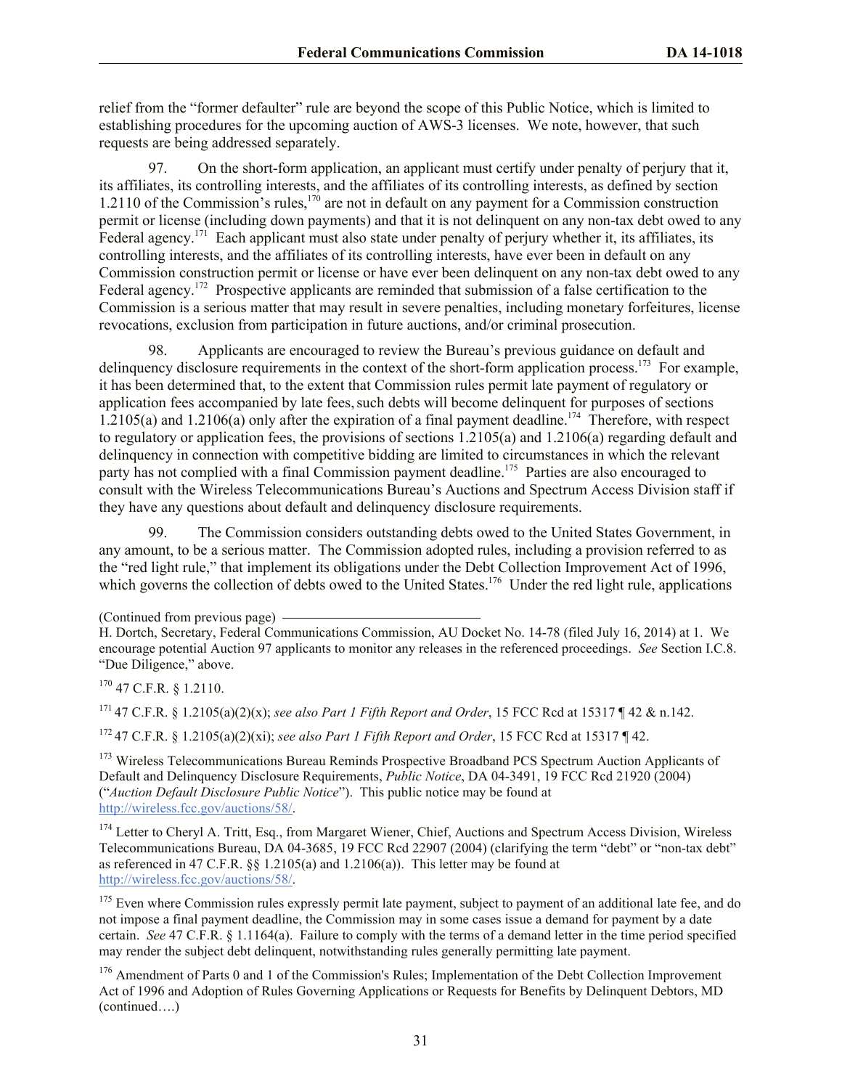relief from the "former defaulter" rule are beyond the scope of this Public Notice, which is limited to establishing procedures for the upcoming auction of AWS-3 licenses. We note, however, that such requests are being addressed separately.

97. On the short-form application, an applicant must certify under penalty of perjury that it, its affiliates, its controlling interests, and the affiliates of its controlling interests, as defined by section 1.2110 of the Commission's rules,<sup>170</sup> are not in default on any payment for a Commission construction permit or license (including down payments) and that it is not delinquent on any non-tax debt owed to any Federal agency.<sup>171</sup> Each applicant must also state under penalty of perjury whether it, its affiliates, its controlling interests, and the affiliates of its controlling interests, have ever been in default on any Commission construction permit or license or have ever been delinquent on any non-tax debt owed to any Federal agency.<sup>172</sup> Prospective applicants are reminded that submission of a false certification to the Commission is a serious matter that may result in severe penalties, including monetary forfeitures, license revocations, exclusion from participation in future auctions, and/or criminal prosecution.

98. Applicants are encouraged to review the Bureau's previous guidance on default and delinquency disclosure requirements in the context of the short-form application process.<sup>173</sup> For example, it has been determined that, to the extent that Commission rules permit late payment of regulatory or application fees accompanied by late fees, such debts will become delinquent for purposes of sections 1.2105(a) and 1.2106(a) only after the expiration of a final payment deadline.<sup>174</sup> Therefore, with respect to regulatory or application fees, the provisions of sections  $1.2105(a)$  and  $1.2106(a)$  regarding default and delinquency in connection with competitive bidding are limited to circumstances in which the relevant party has not complied with a final Commission payment deadline.<sup>175</sup> Parties are also encouraged to consult with the Wireless Telecommunications Bureau's Auctions and Spectrum Access Division staff if they have any questions about default and delinquency disclosure requirements.

99. The Commission considers outstanding debts owed to the United States Government, in any amount, to be a serious matter. The Commission adopted rules, including a provision referred to as the "red light rule," that implement its obligations under the Debt Collection Improvement Act of 1996, which governs the collection of debts owed to the United States.<sup>176</sup> Under the red light rule, applications

 $170$  47 C.F.R. § 1.2110.

<sup>171</sup> 47 C.F.R. § 1.2105(a)(2)(x); *see also Part 1 Fifth Report and Order*, 15 FCC Rcd at 15317 ¶ 42 & n.142.

<sup>172</sup> 47 C.F.R. § 1.2105(a)(2)(xi); *see also Part 1 Fifth Report and Order*, 15 FCC Rcd at 15317 ¶ 42.

<sup>173</sup> Wireless Telecommunications Bureau Reminds Prospective Broadband PCS Spectrum Auction Applicants of Default and Delinquency Disclosure Requirements, *Public Notice*, DA 04-3491, 19 FCC Rcd 21920 (2004) ("*Auction Default Disclosure Public Notice*"). This public notice may be found at http://wireless.fcc.gov/auctions/58/.

<sup>174</sup> Letter to Cheryl A. Tritt, Esq., from Margaret Wiener, Chief, Auctions and Spectrum Access Division, Wireless Telecommunications Bureau, DA 04-3685, 19 FCC Rcd 22907 (2004) (clarifying the term "debt" or "non-tax debt" as referenced in 47 C.F.R. §§ 1.2105(a) and 1.2106(a)). This letter may be found at http://wireless.fcc.gov/auctions/58/.

 $175$  Even where Commission rules expressly permit late payment, subject to payment of an additional late fee, and do not impose a final payment deadline, the Commission may in some cases issue a demand for payment by a date certain. *See* 47 C.F.R. § 1.1164(a). Failure to comply with the terms of a demand letter in the time period specified may render the subject debt delinquent, notwithstanding rules generally permitting late payment.

<sup>176</sup> Amendment of Parts 0 and 1 of the Commission's Rules; Implementation of the Debt Collection Improvement Act of 1996 and Adoption of Rules Governing Applications or Requests for Benefits by Delinquent Debtors, MD (continued….)

<sup>(</sup>Continued from previous page)

H. Dortch, Secretary, Federal Communications Commission, AU Docket No. 14-78 (filed July 16, 2014) at 1. We encourage potential Auction 97 applicants to monitor any releases in the referenced proceedings. *See* Section I.C.8. "Due Diligence," above.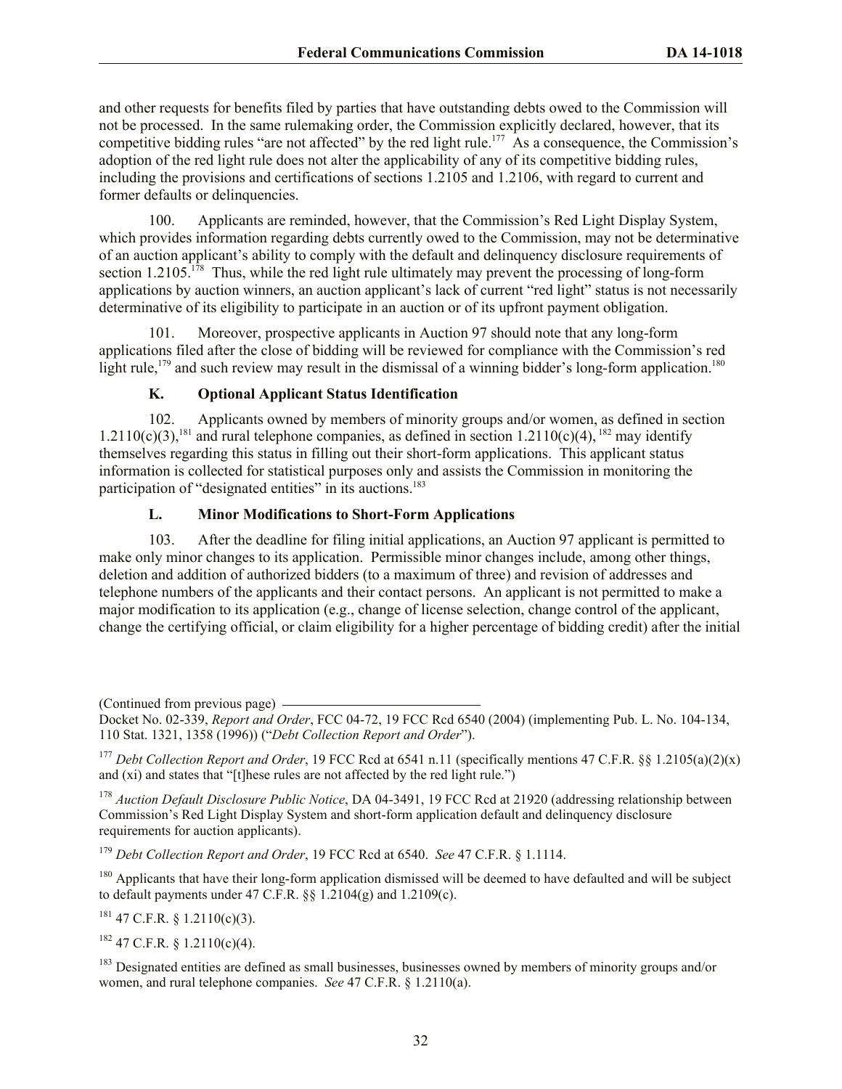and other requests for benefits filed by parties that have outstanding debts owed to the Commission will not be processed. In the same rulemaking order, the Commission explicitly declared, however, that its competitive bidding rules "are not affected" by the red light rule.<sup>177</sup> As a consequence, the Commission's adoption of the red light rule does not alter the applicability of any of its competitive bidding rules, including the provisions and certifications of sections 1.2105 and 1.2106, with regard to current and former defaults or delinquencies.

100. Applicants are reminded, however, that the Commission's Red Light Display System, which provides information regarding debts currently owed to the Commission, may not be determinative of an auction applicant's ability to comply with the default and delinquency disclosure requirements of section 1.2105.<sup>178</sup> Thus, while the red light rule ultimately may prevent the processing of long-form applications by auction winners, an auction applicant's lack of current "red light" status is not necessarily determinative of its eligibility to participate in an auction or of its upfront payment obligation.

101. Moreover, prospective applicants in Auction 97 should note that any long-form applications filed after the close of bidding will be reviewed for compliance with the Commission's red light rule,<sup>179</sup> and such review may result in the dismissal of a winning bidder's long-form application.<sup>180</sup>

# **K. Optional Applicant Status Identification**

102. Applicants owned by members of minority groups and/or women, as defined in section 1.2110(c)(3),<sup>181</sup> and rural telephone companies, as defined in section 1.2110(c)(4), <sup>182</sup> may identify themselves regarding this status in filling out their short-form applications. This applicant status information is collected for statistical purposes only and assists the Commission in monitoring the participation of "designated entities" in its auctions.<sup>183</sup>

# **L. Minor Modifications to Short-Form Applications**

103. After the deadline for filing initial applications, an Auction 97 applicant is permitted to make only minor changes to its application. Permissible minor changes include, among other things, deletion and addition of authorized bidders (to a maximum of three) and revision of addresses and telephone numbers of the applicants and their contact persons. An applicant is not permitted to make a major modification to its application (e.g., change of license selection, change control of the applicant, change the certifying official, or claim eligibility for a higher percentage of bidding credit) after the initial

<sup>177</sup> *Debt Collection Report and Order*, 19 FCC Rcd at 6541 n.11 (specifically mentions 47 C.F.R. §§ 1.2105(a)(2)(x) and (xi) and states that "[t]hese rules are not affected by the red light rule.")

<sup>178</sup> *Auction Default Disclosure Public Notice*, DA 04-3491, 19 FCC Rcd at 21920 (addressing relationship between Commission's Red Light Display System and short-form application default and delinquency disclosure requirements for auction applicants).

<sup>179</sup> *Debt Collection Report and Order*, 19 FCC Rcd at 6540. *See* 47 C.F.R. § 1.1114.

<sup>180</sup> Applicants that have their long-form application dismissed will be deemed to have defaulted and will be subject to default payments under 47 C.F.R.  $\S$ § 1.2104(g) and 1.2109(c).

 $181$  47 C.F.R. § 1.2110(c)(3).

 $182$  47 C.F.R. § 1.2110(c)(4).

<sup>183</sup> Designated entities are defined as small businesses, businesses owned by members of minority groups and/or women, and rural telephone companies. *See* 47 C.F.R. § 1.2110(a).

<sup>(</sup>Continued from previous page)

Docket No. 02-339, *Report and Order*, FCC 04-72, 19 FCC Rcd 6540 (2004) (implementing Pub. L. No. 104-134, 110 Stat. 1321, 1358 (1996)) ("*Debt Collection Report and Order*").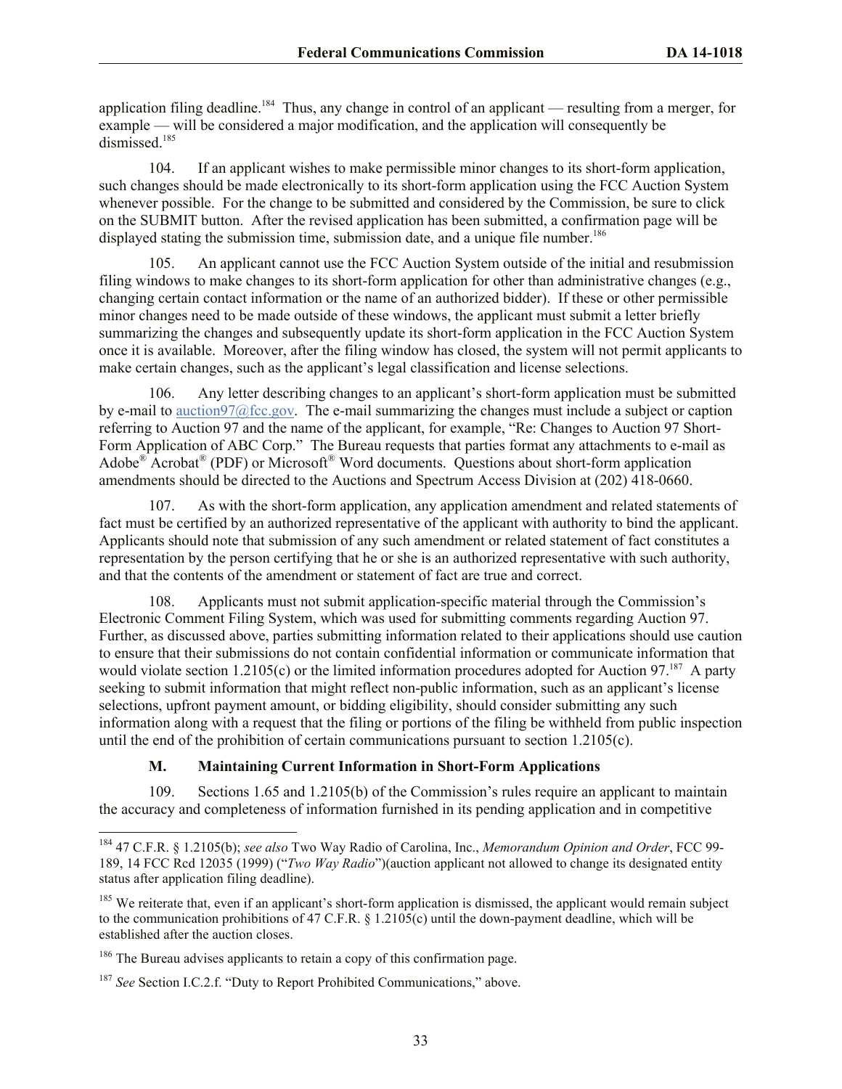application filing deadline.<sup>184</sup> Thus, any change in control of an applicant — resulting from a merger, for example — will be considered a major modification, and the application will consequently be dismissed.<sup>185</sup>

104. If an applicant wishes to make permissible minor changes to its short-form application, such changes should be made electronically to its short-form application using the FCC Auction System whenever possible. For the change to be submitted and considered by the Commission, be sure to click on the SUBMIT button. After the revised application has been submitted, a confirmation page will be displayed stating the submission time, submission date, and a unique file number.<sup>186</sup>

105. An applicant cannot use the FCC Auction System outside of the initial and resubmission filing windows to make changes to its short-form application for other than administrative changes (e.g., changing certain contact information or the name of an authorized bidder). If these or other permissible minor changes need to be made outside of these windows, the applicant must submit a letter briefly summarizing the changes and subsequently update its short-form application in the FCC Auction System once it is available. Moreover, after the filing window has closed, the system will not permit applicants to make certain changes, such as the applicant's legal classification and license selections.

106. Any letter describing changes to an applicant's short-form application must be submitted by e-mail to auction97@fcc.gov. The e-mail summarizing the changes must include a subject or caption referring to Auction 97 and the name of the applicant, for example, "Re: Changes to Auction 97 Short-Form Application of ABC Corp." The Bureau requests that parties format any attachments to e-mail as Adobe<sup>®</sup> Acrobat<sup>®</sup> (PDF) or Microsoft<sup>®</sup> Word documents. Questions about short-form application amendments should be directed to the Auctions and Spectrum Access Division at (202) 418-0660.

107. As with the short-form application, any application amendment and related statements of fact must be certified by an authorized representative of the applicant with authority to bind the applicant. Applicants should note that submission of any such amendment or related statement of fact constitutes a representation by the person certifying that he or she is an authorized representative with such authority, and that the contents of the amendment or statement of fact are true and correct.

108. Applicants must not submit application-specific material through the Commission's Electronic Comment Filing System, which was used for submitting comments regarding Auction 97. Further, as discussed above, parties submitting information related to their applications should use caution to ensure that their submissions do not contain confidential information or communicate information that would violate section 1.2105(c) or the limited information procedures adopted for Auction 97.<sup>187</sup> A party seeking to submit information that might reflect non-public information, such as an applicant's license selections, upfront payment amount, or bidding eligibility, should consider submitting any such information along with a request that the filing or portions of the filing be withheld from public inspection until the end of the prohibition of certain communications pursuant to section 1.2105(c).

#### **M. Maintaining Current Information in Short-Form Applications**

109. Sections 1.65 and 1.2105(b) of the Commission's rules require an applicant to maintain the accuracy and completeness of information furnished in its pending application and in competitive

<sup>184</sup> 47 C.F.R. § 1.2105(b); *see also* Two Way Radio of Carolina, Inc., *Memorandum Opinion and Order*, FCC 99- 189, 14 FCC Rcd 12035 (1999) ("*Two Way Radio*")(auction applicant not allowed to change its designated entity status after application filing deadline).

 $185$  We reiterate that, even if an applicant's short-form application is dismissed, the applicant would remain subject to the communication prohibitions of 47 C.F.R. § 1.2105(c) until the down-payment deadline, which will be established after the auction closes.

<sup>&</sup>lt;sup>186</sup> The Bureau advises applicants to retain a copy of this confirmation page.

<sup>187</sup> *See* Section I.C.2.f. "Duty to Report Prohibited Communications," above.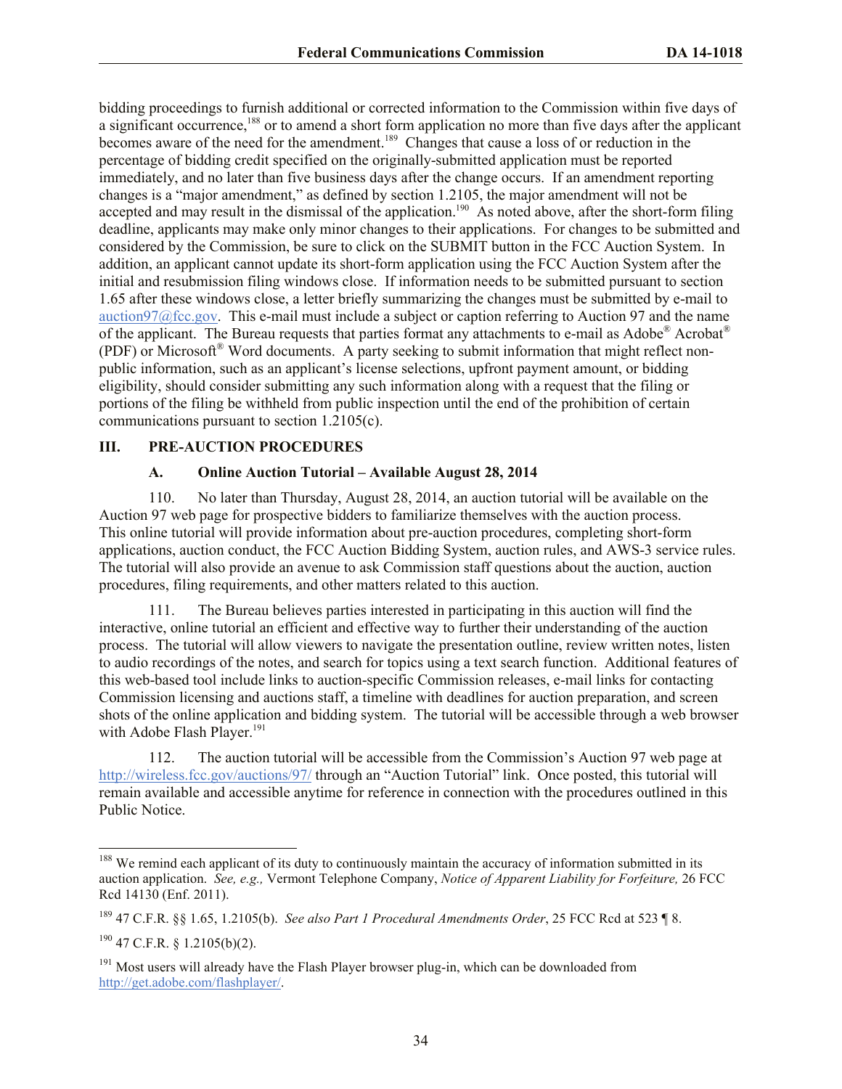bidding proceedings to furnish additional or corrected information to the Commission within five days of a significant occurrence,<sup>188</sup> or to amend a short form application no more than five days after the applicant becomes aware of the need for the amendment.<sup>189</sup> Changes that cause a loss of or reduction in the percentage of bidding credit specified on the originally-submitted application must be reported immediately, and no later than five business days after the change occurs. If an amendment reporting changes is a "major amendment," as defined by section 1.2105, the major amendment will not be accepted and may result in the dismissal of the application.<sup>190</sup> As noted above, after the short-form filing deadline, applicants may make only minor changes to their applications. For changes to be submitted and considered by the Commission, be sure to click on the SUBMIT button in the FCC Auction System. In addition, an applicant cannot update its short-form application using the FCC Auction System after the initial and resubmission filing windows close. If information needs to be submitted pursuant to section 1.65 after these windows close, a letter briefly summarizing the changes must be submitted by e-mail to auction97@fcc.gov. This e-mail must include a subject or caption referring to Auction 97 and the name of the applicant. The Bureau requests that parties format any attachments to e-mail as Adobe® Acrobat®  $(PDF)$  or Microsoft<sup>®</sup> Word documents. A party seeking to submit information that might reflect nonpublic information, such as an applicant's license selections, upfront payment amount, or bidding eligibility, should consider submitting any such information along with a request that the filing or portions of the filing be withheld from public inspection until the end of the prohibition of certain communications pursuant to section 1.2105(c).

#### **III. PRE-AUCTION PROCEDURES**

#### **A. Online Auction Tutorial – Available August 28, 2014**

110. No later than Thursday, August 28, 2014, an auction tutorial will be available on the Auction 97 web page for prospective bidders to familiarize themselves with the auction process. This online tutorial will provide information about pre-auction procedures, completing short-form applications, auction conduct, the FCC Auction Bidding System, auction rules, and AWS-3 service rules. The tutorial will also provide an avenue to ask Commission staff questions about the auction, auction procedures, filing requirements, and other matters related to this auction.

111. The Bureau believes parties interested in participating in this auction will find the interactive, online tutorial an efficient and effective way to further their understanding of the auction process. The tutorial will allow viewers to navigate the presentation outline, review written notes, listen to audio recordings of the notes, and search for topics using a text search function. Additional features of this web-based tool include links to auction-specific Commission releases, e-mail links for contacting Commission licensing and auctions staff, a timeline with deadlines for auction preparation, and screen shots of the online application and bidding system. The tutorial will be accessible through a web browser with Adobe Flash Player.<sup>191</sup>

112. The auction tutorial will be accessible from the Commission's Auction 97 web page at http://wireless.fcc.gov/auctions/97/ through an "Auction Tutorial" link. Once posted, this tutorial will remain available and accessible anytime for reference in connection with the procedures outlined in this Public Notice.

 $\overline{\phantom{a}}$ 

 $188$  We remind each applicant of its duty to continuously maintain the accuracy of information submitted in its auction application. *See, e.g.,* Vermont Telephone Company, *Notice of Apparent Liability for Forfeiture,* 26 FCC Rcd 14130 (Enf. 2011).

<sup>189</sup> 47 C.F.R. §§ 1.65, 1.2105(b). *See also Part 1 Procedural Amendments Order*, 25 FCC Rcd at 523 ¶ 8.

 $190$  47 C.F.R. § 1.2105(b)(2).

 $191$  Most users will already have the Flash Player browser plug-in, which can be downloaded from http://get.adobe.com/flashplayer/.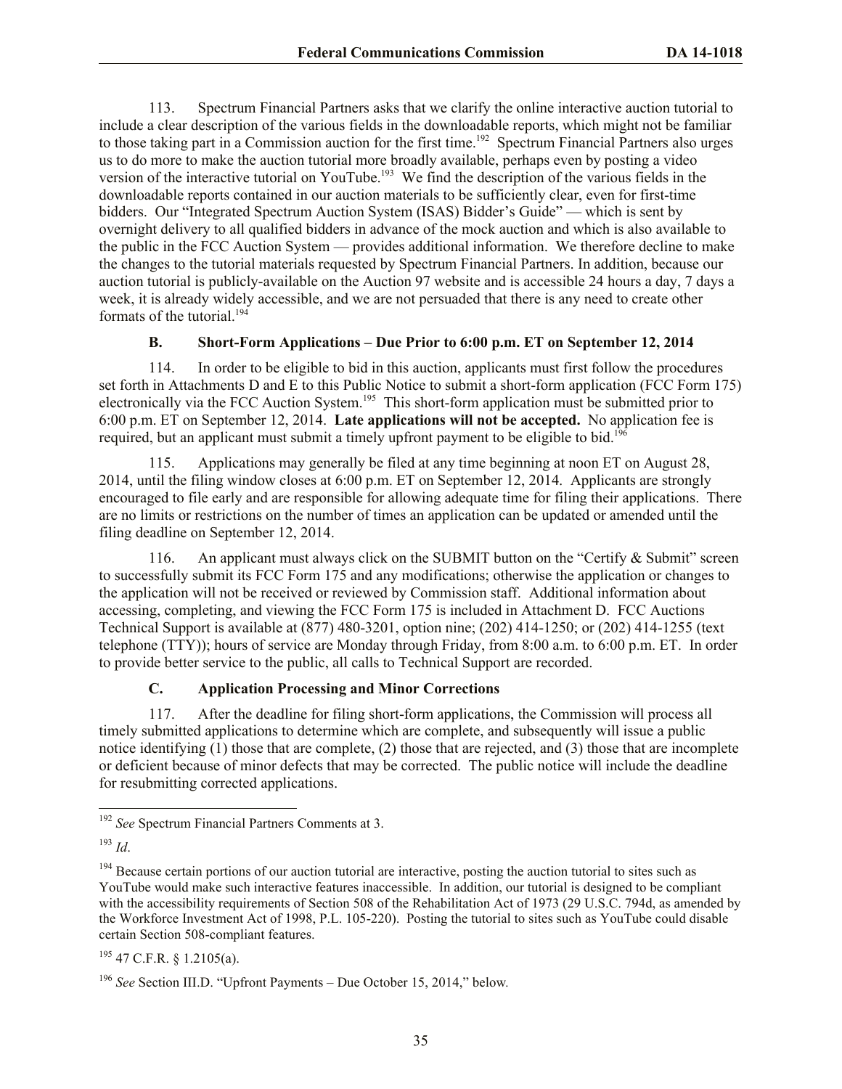113. Spectrum Financial Partners asks that we clarify the online interactive auction tutorial to include a clear description of the various fields in the downloadable reports, which might not be familiar to those taking part in a Commission auction for the first time.<sup>192</sup> Spectrum Financial Partners also urges us to do more to make the auction tutorial more broadly available, perhaps even by posting a video version of the interactive tutorial on YouTube.<sup>193</sup> We find the description of the various fields in the downloadable reports contained in our auction materials to be sufficiently clear, even for first-time bidders. Our "Integrated Spectrum Auction System (ISAS) Bidder's Guide" — which is sent by overnight delivery to all qualified bidders in advance of the mock auction and which is also available to the public in the FCC Auction System — provides additional information. We therefore decline to make the changes to the tutorial materials requested by Spectrum Financial Partners. In addition, because our auction tutorial is publicly-available on the Auction 97 website and is accessible 24 hours a day, 7 days a week, it is already widely accessible, and we are not persuaded that there is any need to create other formats of the tutorial.<sup>194</sup>

#### **B. Short-Form Applications – Due Prior to 6:00 p.m. ET on September 12, 2014**

114. In order to be eligible to bid in this auction, applicants must first follow the procedures set forth in Attachments D and E to this Public Notice to submit a short-form application (FCC Form 175) electronically via the FCC Auction System.<sup>195</sup> This short-form application must be submitted prior to 6:00 p.m. ET on September 12, 2014. **Late applications will not be accepted.** No application fee is required, but an applicant must submit a timely upfront payment to be eligible to bid.<sup>196</sup>

115. Applications may generally be filed at any time beginning at noon ET on August 28, 2014, until the filing window closes at 6:00 p.m. ET on September 12, 2014. Applicants are strongly encouraged to file early and are responsible for allowing adequate time for filing their applications. There are no limits or restrictions on the number of times an application can be updated or amended until the filing deadline on September 12, 2014.

116. An applicant must always click on the SUBMIT button on the "Certify & Submit" screen to successfully submit its FCC Form 175 and any modifications; otherwise the application or changes to the application will not be received or reviewed by Commission staff. Additional information about accessing, completing, and viewing the FCC Form 175 is included in Attachment D. FCC Auctions Technical Support is available at (877) 480-3201, option nine; (202) 414-1250; or (202) 414-1255 (text telephone (TTY)); hours of service are Monday through Friday, from 8:00 a.m. to 6:00 p.m. ET. In order to provide better service to the public, all calls to Technical Support are recorded.

#### **C. Application Processing and Minor Corrections**

117. After the deadline for filing short-form applications, the Commission will process all timely submitted applications to determine which are complete, and subsequently will issue a public notice identifying (1) those that are complete, (2) those that are rejected, and (3) those that are incomplete or deficient because of minor defects that may be corrected. The public notice will include the deadline for resubmitting corrected applications.

l

<sup>195</sup> 47 C.F.R. § 1.2105(a).

<sup>192</sup> *See* Spectrum Financial Partners Comments at 3.

<sup>193</sup> *Id*.

 $194$  Because certain portions of our auction tutorial are interactive, posting the auction tutorial to sites such as YouTube would make such interactive features inaccessible. In addition, our tutorial is designed to be compliant with the accessibility requirements of Section 508 of the Rehabilitation Act of 1973 (29 U.S.C. 794d, as amended by the Workforce Investment Act of 1998, P.L. 105-220). Posting the tutorial to sites such as YouTube could disable certain Section 508-compliant features.

<sup>196</sup> *See* Section III.D. "Upfront Payments – Due October 15, 2014," below*.*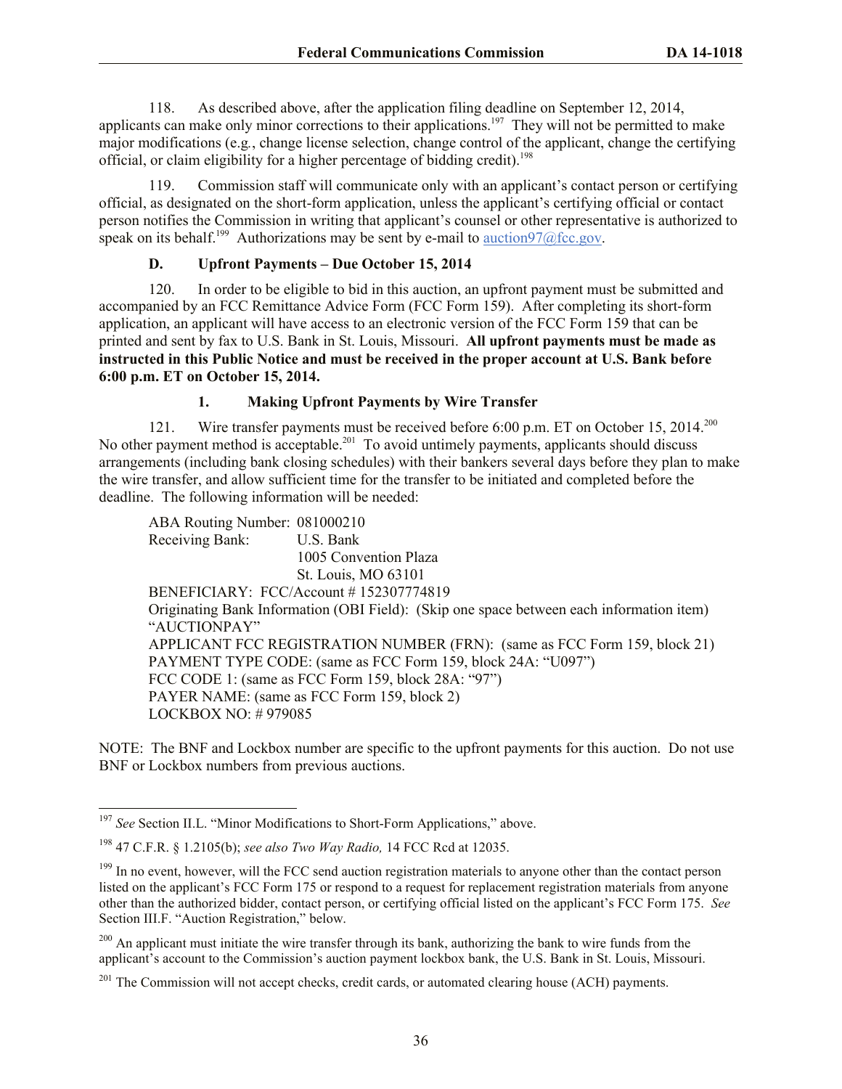118. As described above, after the application filing deadline on September 12, 2014, applicants can make only minor corrections to their applications.<sup>197</sup> They will not be permitted to make major modifications (e.g*.*, change license selection, change control of the applicant, change the certifying official, or claim eligibility for a higher percentage of bidding credit). 198

119. Commission staff will communicate only with an applicant's contact person or certifying official, as designated on the short-form application, unless the applicant's certifying official or contact person notifies the Commission in writing that applicant's counsel or other representative is authorized to speak on its behalf.<sup>199</sup> Authorizations may be sent by e-mail to  $\frac{\text{auction97}}{\text{afcc.gov}}$ .

# **D. Upfront Payments – Due October 15, 2014**

120. In order to be eligible to bid in this auction, an upfront payment must be submitted and accompanied by an FCC Remittance Advice Form (FCC Form 159). After completing its short-form application, an applicant will have access to an electronic version of the FCC Form 159 that can be printed and sent by fax to U.S. Bank in St. Louis, Missouri. **All upfront payments must be made as instructed in this Public Notice and must be received in the proper account at U.S. Bank before 6:00 p.m. ET on October 15, 2014.**

## **1. Making Upfront Payments by Wire Transfer**

121. Wire transfer payments must be received before 6:00 p.m. ET on October 15, 2014.<sup>200</sup> No other payment method is acceptable.<sup>201</sup> To avoid untimely payments, applicants should discuss arrangements (including bank closing schedules) with their bankers several days before they plan to make the wire transfer, and allow sufficient time for the transfer to be initiated and completed before the deadline. The following information will be needed:

ABA Routing Number: 081000210 Receiving Bank: U.S. Bank 1005 Convention Plaza St. Louis, MO 63101 BENEFICIARY: FCC/Account # 152307774819 Originating Bank Information (OBI Field): (Skip one space between each information item) "AUCTIONPAY" APPLICANT FCC REGISTRATION NUMBER (FRN): (same as FCC Form 159, block 21) PAYMENT TYPE CODE: (same as FCC Form 159, block 24A: "U097") FCC CODE 1: (same as FCC Form 159, block 28A: "97") PAYER NAME: (same as FCC Form 159, block 2) LOCKBOX NO: # 979085

NOTE: The BNF and Lockbox number are specific to the upfront payments for this auction. Do not use BNF or Lockbox numbers from previous auctions.

<sup>&</sup>lt;sup>197</sup> See Section II.L. "Minor Modifications to Short-Form Applications," above.

<sup>198</sup> 47 C.F.R. § 1.2105(b); *see also Two Way Radio,* 14 FCC Rcd at 12035.

<sup>&</sup>lt;sup>199</sup> In no event, however, will the FCC send auction registration materials to anyone other than the contact person listed on the applicant's FCC Form 175 or respond to a request for replacement registration materials from anyone other than the authorized bidder, contact person, or certifying official listed on the applicant's FCC Form 175. *See*  Section III.F. "Auction Registration," below.

<sup>&</sup>lt;sup>200</sup> An applicant must initiate the wire transfer through its bank, authorizing the bank to wire funds from the applicant's account to the Commission's auction payment lockbox bank, the U.S. Bank in St. Louis, Missouri.

<sup>&</sup>lt;sup>201</sup> The Commission will not accept checks, credit cards, or automated clearing house (ACH) payments.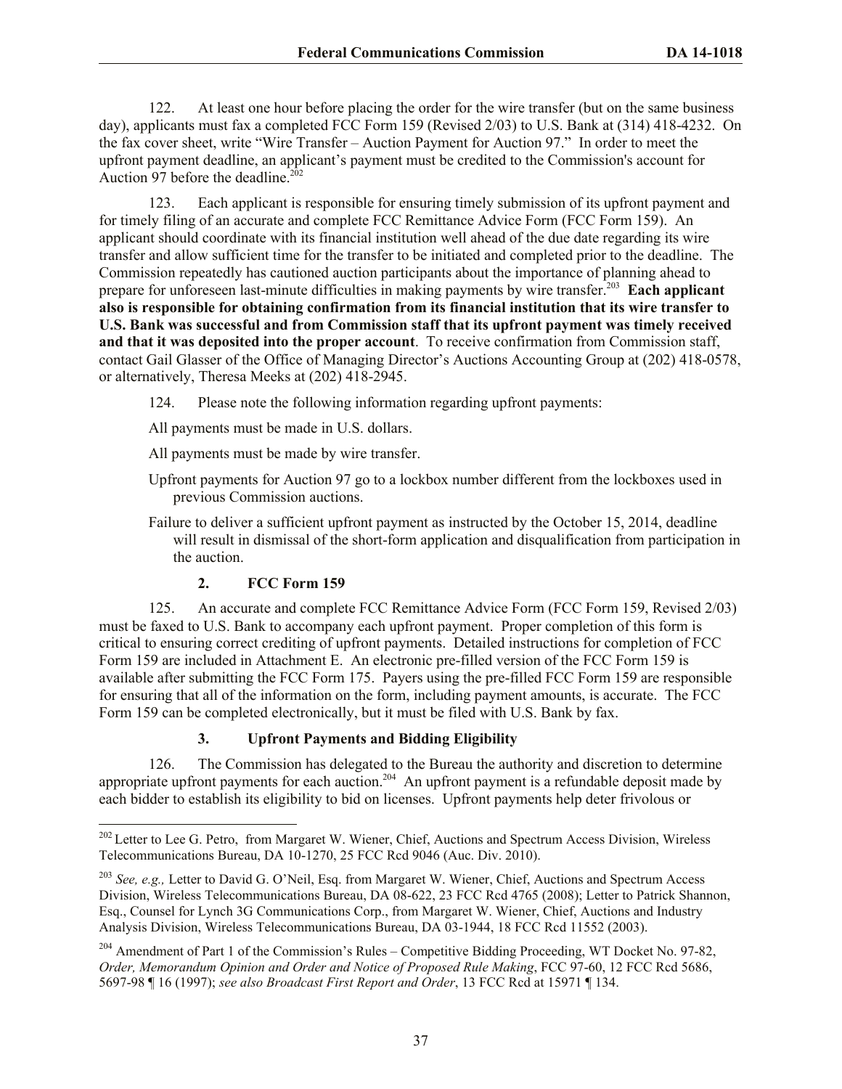122. At least one hour before placing the order for the wire transfer (but on the same business day), applicants must fax a completed FCC Form 159 (Revised 2/03) to U.S. Bank at (314) 418-4232. On the fax cover sheet, write "Wire Transfer – Auction Payment for Auction 97." In order to meet the upfront payment deadline, an applicant's payment must be credited to the Commission's account for Auction 97 before the deadline. $202$ 

123. Each applicant is responsible for ensuring timely submission of its upfront payment and for timely filing of an accurate and complete FCC Remittance Advice Form (FCC Form 159). An applicant should coordinate with its financial institution well ahead of the due date regarding its wire transfer and allow sufficient time for the transfer to be initiated and completed prior to the deadline. The Commission repeatedly has cautioned auction participants about the importance of planning ahead to prepare for unforeseen last-minute difficulties in making payments by wire transfer.<sup>203</sup> Each applicant **also is responsible for obtaining confirmation from its financial institution that its wire transfer to U.S. Bank was successful and from Commission staff that its upfront payment was timely received and that it was deposited into the proper account**. To receive confirmation from Commission staff, contact Gail Glasser of the Office of Managing Director's Auctions Accounting Group at (202) 418-0578, or alternatively, Theresa Meeks at (202) 418-2945.

- 124. Please note the following information regarding upfront payments:
- All payments must be made in U.S. dollars.
- All payments must be made by wire transfer.
- Upfront payments for Auction 97 go to a lockbox number different from the lockboxes used in previous Commission auctions.

Failure to deliver a sufficient upfront payment as instructed by the October 15, 2014, deadline will result in dismissal of the short-form application and disqualification from participation in the auction.

# **2. FCC Form 159**

l

125. An accurate and complete FCC Remittance Advice Form (FCC Form 159, Revised 2/03) must be faxed to U.S. Bank to accompany each upfront payment. Proper completion of this form is critical to ensuring correct crediting of upfront payments. Detailed instructions for completion of FCC Form 159 are included in Attachment E. An electronic pre-filled version of the FCC Form 159 is available after submitting the FCC Form 175. Payers using the pre-filled FCC Form 159 are responsible for ensuring that all of the information on the form, including payment amounts, is accurate. The FCC Form 159 can be completed electronically, but it must be filed with U.S. Bank by fax.

# **3. Upfront Payments and Bidding Eligibility**

126. The Commission has delegated to the Bureau the authority and discretion to determine appropriate upfront payments for each auction.<sup>204</sup> An upfront payment is a refundable deposit made by each bidder to establish its eligibility to bid on licenses. Upfront payments help deter frivolous or

<sup>&</sup>lt;sup>202</sup> Letter to Lee G. Petro, from Margaret W. Wiener, Chief, Auctions and Spectrum Access Division, Wireless Telecommunications Bureau, DA 10-1270, 25 FCC Rcd 9046 (Auc. Div. 2010).

<sup>203</sup> *See, e.g.,* Letter to David G. O'Neil, Esq. from Margaret W. Wiener, Chief, Auctions and Spectrum Access Division, Wireless Telecommunications Bureau, DA 08-622, 23 FCC Rcd 4765 (2008); Letter to Patrick Shannon, Esq., Counsel for Lynch 3G Communications Corp., from Margaret W. Wiener, Chief, Auctions and Industry Analysis Division, Wireless Telecommunications Bureau, DA 03-1944, 18 FCC Rcd 11552 (2003).

<sup>&</sup>lt;sup>204</sup> Amendment of Part 1 of the Commission's Rules – Competitive Bidding Proceeding, WT Docket No. 97-82, *Order, Memorandum Opinion and Order and Notice of Proposed Rule Making*, FCC 97-60, 12 FCC Rcd 5686, 5697-98 ¶ 16 (1997); *see also Broadcast First Report and Order*, 13 FCC Rcd at 15971 ¶ 134.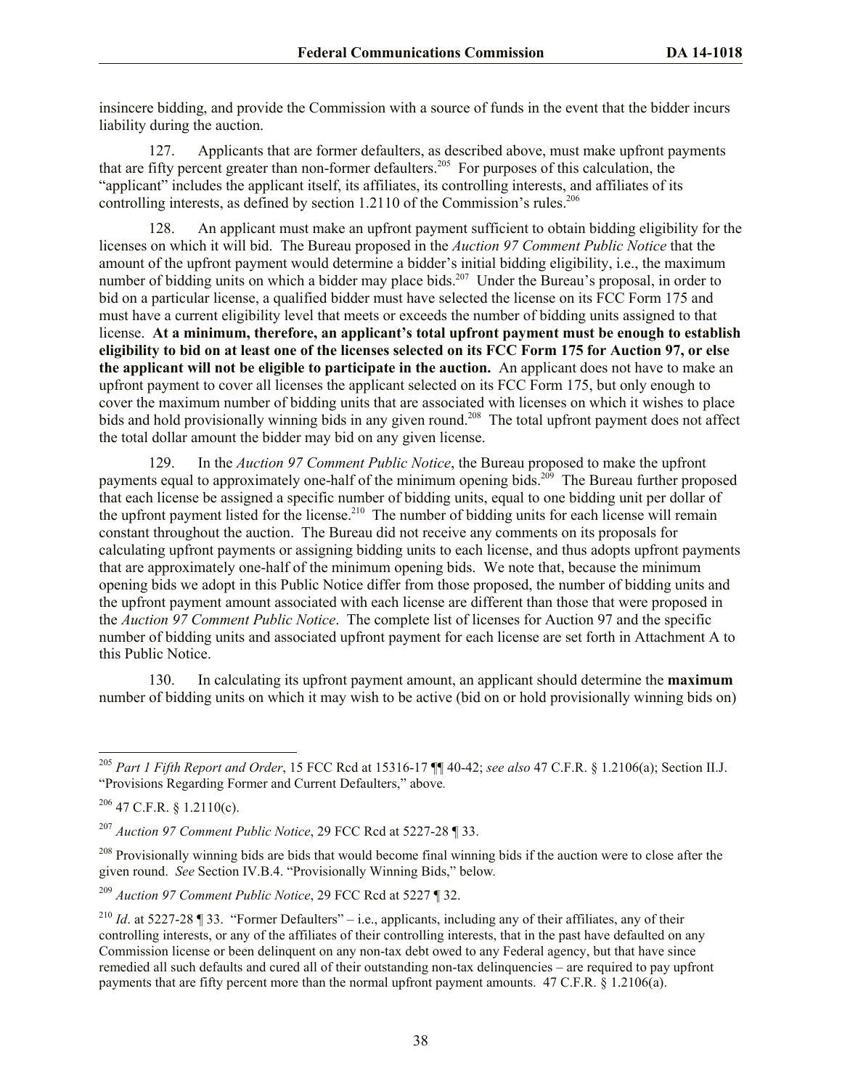insincere bidding, and provide the Commission with a source of funds in the event that the bidder incurs liability during the auction.

127. Applicants that are former defaulters, as described above, must make upfront payments that are fifty percent greater than non-former defaulters.<sup>205</sup> For purposes of this calculation, the "applicant" includes the applicant itself, its affiliates, its controlling interests, and affiliates of its controlling interests, as defined by section 1.2110 of the Commission's rules.<sup>206</sup>

An applicant must make an upfront payment sufficient to obtain bidding eligibility for the licenses on which it will bid. The Bureau proposed in the *Auction 97 Comment Public Notice* that the amount of the upfront payment would determine a bidder's initial bidding eligibility, i.e., the maximum number of bidding units on which a bidder may place bids.<sup>207</sup> Under the Bureau's proposal, in order to bid on a particular license, a qualified bidder must have selected the license on its FCC Form 175 and must have a current eligibility level that meets or exceeds the number of bidding units assigned to that license. **At a minimum, therefore, an applicant's total upfront payment must be enough to establish eligibility to bid on at least one of the licenses selected on its FCC Form 175 for Auction 97, or else the applicant will not be eligible to participate in the auction.** An applicant does not have to make an upfront payment to cover all licenses the applicant selected on its FCC Form 175, but only enough to cover the maximum number of bidding units that are associated with licenses on which it wishes to place bids and hold provisionally winning bids in any given round.<sup>208</sup> The total upfront payment does not affect the total dollar amount the bidder may bid on any given license.

129. In the *Auction 97 Comment Public Notice*, the Bureau proposed to make the upfront payments equal to approximately one-half of the minimum opening bids.<sup>209</sup> The Bureau further proposed that each license be assigned a specific number of bidding units, equal to one bidding unit per dollar of the upfront payment listed for the license.<sup>210</sup> The number of bidding units for each license will remain constant throughout the auction. The Bureau did not receive any comments on its proposals for calculating upfront payments or assigning bidding units to each license, and thus adopts upfront payments that are approximately one-half of the minimum opening bids. We note that, because the minimum opening bids we adopt in this Public Notice differ from those proposed, the number of bidding units and the upfront payment amount associated with each license are different than those that were proposed in the *Auction 97 Comment Public Notice*. The complete list of licenses for Auction 97 and the specific number of bidding units and associated upfront payment for each license are set forth in Attachment A to this Public Notice.

130. In calculating its upfront payment amount, an applicant should determine the **maximum** number of bidding units on which it may wish to be active (bid on or hold provisionally winning bids on)

<sup>205</sup> *Part 1 Fifth Report and Order*, 15 FCC Rcd at 15316-17 ¶¶ 40-42; *see also* 47 C.F.R. § 1.2106(a); Section II.J. "Provisions Regarding Former and Current Defaulters," above*.* 

 $206$  47 C.F.R. § 1.2110(c).

<sup>207</sup> *Auction 97 Comment Public Notice*, 29 FCC Rcd at 5227-28 ¶ 33.

<sup>&</sup>lt;sup>208</sup> Provisionally winning bids are bids that would become final winning bids if the auction were to close after the given round. *See* Section IV.B.4. "Provisionally Winning Bids," below*.* 

<sup>209</sup> *Auction 97 Comment Public Notice*, 29 FCC Rcd at 5227 ¶ 32.

<sup>&</sup>lt;sup>210</sup> *Id.* at 5227-28 ¶ 33. "Former Defaulters" – i.e., applicants, including any of their affiliates, any of their controlling interests, or any of the affiliates of their controlling interests, that in the past have defaulted on any Commission license or been delinquent on any non-tax debt owed to any Federal agency, but that have since remedied all such defaults and cured all of their outstanding non-tax delinquencies – are required to pay upfront payments that are fifty percent more than the normal upfront payment amounts. 47 C.F.R. § 1.2106(a).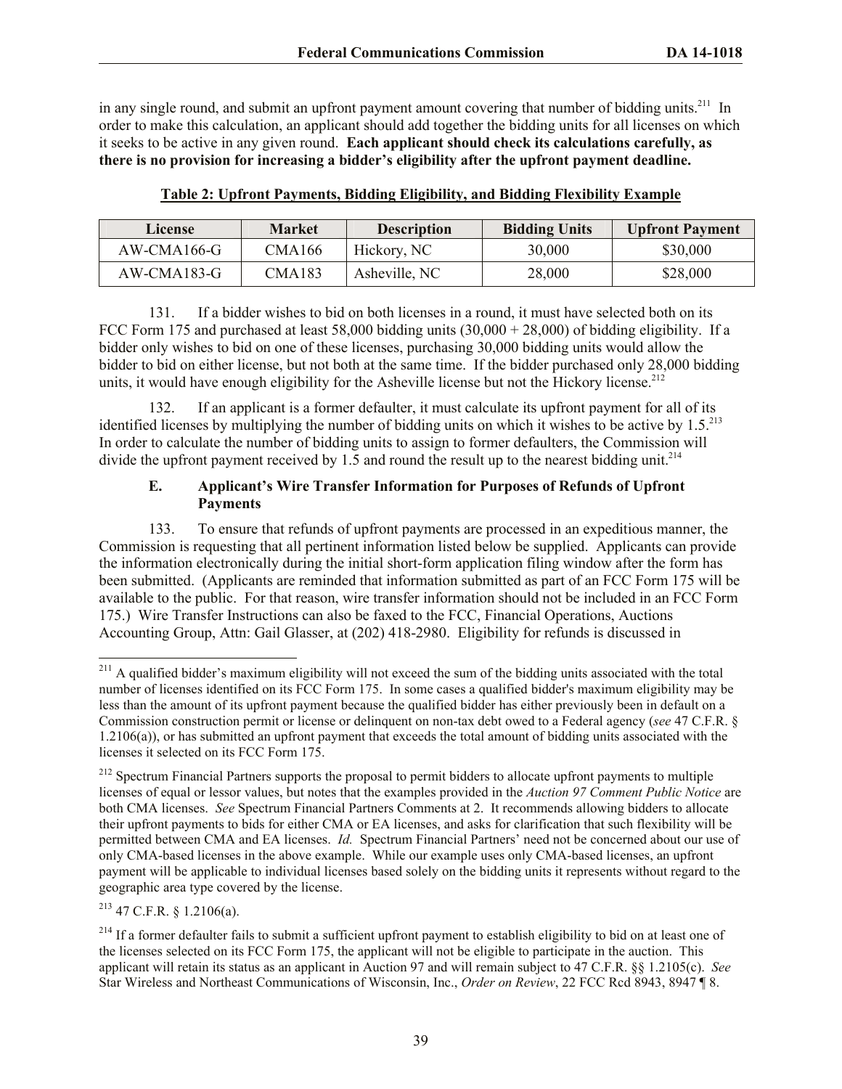in any single round, and submit an upfront payment amount covering that number of bidding units.<sup>211</sup> In order to make this calculation, an applicant should add together the bidding units for all licenses on which it seeks to be active in any given round. **Each applicant should check its calculations carefully, as there is no provision for increasing a bidder's eligibility after the upfront payment deadline.**

| License       | <b>Market</b> | <b>Description</b> | <b>Bidding Units</b> | <b>Upfront Payment</b> |
|---------------|---------------|--------------------|----------------------|------------------------|
| AW-CMA166-G   | <b>CMA166</b> | Hickory, NC        | 30,000               | \$30,000               |
| $AW-CMA183-G$ | CMA183        | Asheville, NC      | 28,000               | \$28,000               |

**Table 2: Upfront Payments, Bidding Eligibility, and Bidding Flexibility Example**

131. If a bidder wishes to bid on both licenses in a round, it must have selected both on its FCC Form 175 and purchased at least 58,000 bidding units  $(30,000 + 28,000)$  of bidding eligibility. If a bidder only wishes to bid on one of these licenses, purchasing 30,000 bidding units would allow the bidder to bid on either license, but not both at the same time. If the bidder purchased only 28,000 bidding units, it would have enough eligibility for the Asheville license but not the Hickory license.<sup>212</sup>

132. If an applicant is a former defaulter, it must calculate its upfront payment for all of its identified licenses by multiplying the number of bidding units on which it wishes to be active by  $1.5.^{213}$ In order to calculate the number of bidding units to assign to former defaulters, the Commission will divide the upfront payment received by 1.5 and round the result up to the nearest bidding unit.<sup>214</sup>

# **E. Applicant's Wire Transfer Information for Purposes of Refunds of Upfront Payments**

133. To ensure that refunds of upfront payments are processed in an expeditious manner, the Commission is requesting that all pertinent information listed below be supplied. Applicants can provide the information electronically during the initial short-form application filing window after the form has been submitted. (Applicants are reminded that information submitted as part of an FCC Form 175 will be available to the public. For that reason, wire transfer information should not be included in an FCC Form 175.) Wire Transfer Instructions can also be faxed to the FCC, Financial Operations, Auctions Accounting Group, Attn: Gail Glasser, at (202) 418-2980. Eligibility for refunds is discussed in

 $213$  47 C.F.R. § 1.2106(a).

 $^{211}$  A qualified bidder's maximum eligibility will not exceed the sum of the bidding units associated with the total number of licenses identified on its FCC Form 175. In some cases a qualified bidder's maximum eligibility may be less than the amount of its upfront payment because the qualified bidder has either previously been in default on a Commission construction permit or license or delinquent on non-tax debt owed to a Federal agency (*see* 47 C.F.R. § 1.2106(a)), or has submitted an upfront payment that exceeds the total amount of bidding units associated with the licenses it selected on its FCC Form 175.

<sup>&</sup>lt;sup>212</sup> Spectrum Financial Partners supports the proposal to permit bidders to allocate upfront payments to multiple licenses of equal or lessor values, but notes that the examples provided in the *Auction 97 Comment Public Notice* are both CMA licenses. *See* Spectrum Financial Partners Comments at 2. It recommends allowing bidders to allocate their upfront payments to bids for either CMA or EA licenses, and asks for clarification that such flexibility will be permitted between CMA and EA licenses. *Id.* Spectrum Financial Partners' need not be concerned about our use of only CMA-based licenses in the above example. While our example uses only CMA-based licenses, an upfront payment will be applicable to individual licenses based solely on the bidding units it represents without regard to the geographic area type covered by the license.

 $2^{14}$  If a former defaulter fails to submit a sufficient upfront payment to establish eligibility to bid on at least one of the licenses selected on its FCC Form 175, the applicant will not be eligible to participate in the auction. This applicant will retain its status as an applicant in Auction 97 and will remain subject to 47 C.F.R. §§ 1.2105(c). *See*  Star Wireless and Northeast Communications of Wisconsin, Inc., *Order on Review*, 22 FCC Rcd 8943, 8947 ¶ 8.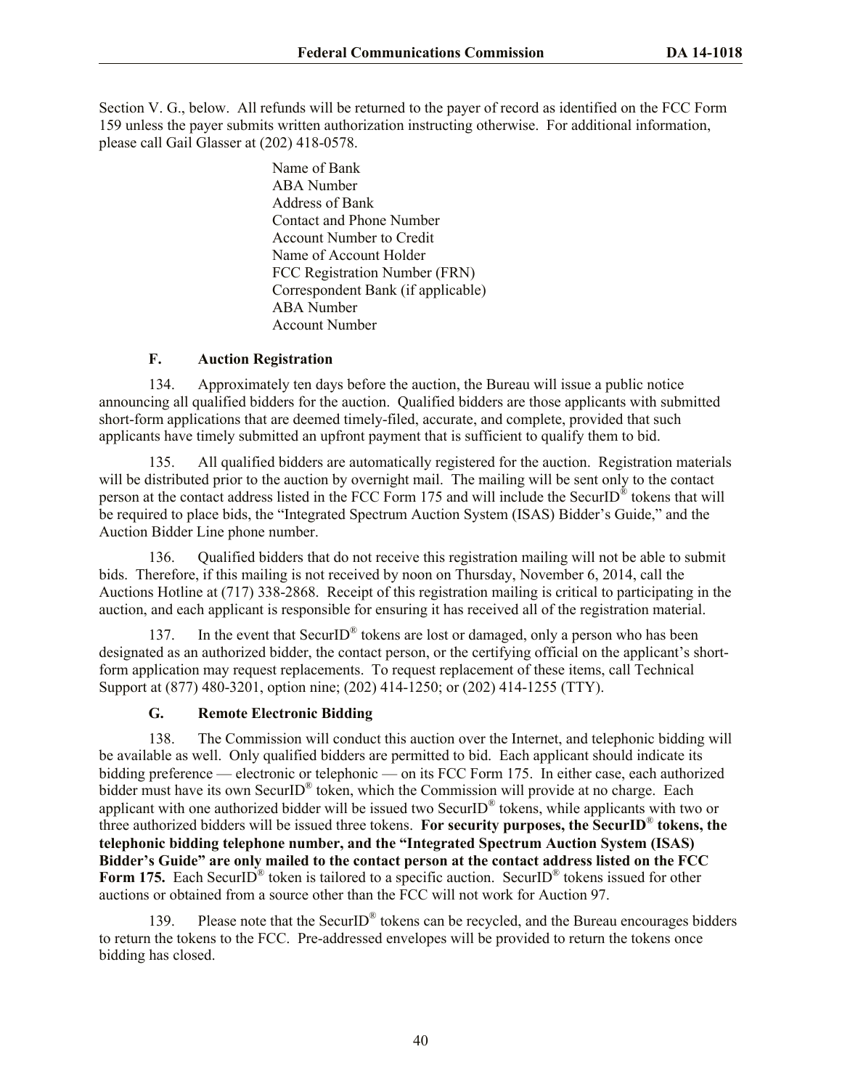Section V. G., below. All refunds will be returned to the payer of record as identified on the FCC Form 159 unless the payer submits written authorization instructing otherwise. For additional information, please call Gail Glasser at (202) 418-0578.

> Name of Bank ABA Number Address of Bank Contact and Phone Number Account Number to Credit Name of Account Holder FCC Registration Number (FRN) Correspondent Bank (if applicable) ABA Number Account Number

# **F. Auction Registration**

134. Approximately ten days before the auction, the Bureau will issue a public notice announcing all qualified bidders for the auction. Qualified bidders are those applicants with submitted short-form applications that are deemed timely-filed, accurate, and complete, provided that such applicants have timely submitted an upfront payment that is sufficient to qualify them to bid.

135. All qualified bidders are automatically registered for the auction. Registration materials will be distributed prior to the auction by overnight mail. The mailing will be sent only to the contact person at the contact address listed in the FCC Form 175 and will include the SecurID<sup>®</sup> tokens that will be required to place bids, the "Integrated Spectrum Auction System (ISAS) Bidder's Guide," and the Auction Bidder Line phone number.

136. Qualified bidders that do not receive this registration mailing will not be able to submit bids. Therefore, if this mailing is not received by noon on Thursday, November 6, 2014, call the Auctions Hotline at (717) 338-2868. Receipt of this registration mailing is critical to participating in the auction, and each applicant is responsible for ensuring it has received all of the registration material.

137. In the event that SecurID<sup>®</sup> tokens are lost or damaged, only a person who has been designated as an authorized bidder, the contact person, or the certifying official on the applicant's shortform application may request replacements. To request replacement of these items, call Technical Support at (877) 480-3201, option nine; (202) 414-1250; or (202) 414-1255 (TTY).

# **G. Remote Electronic Bidding**

138. The Commission will conduct this auction over the Internet, and telephonic bidding will be available as well. Only qualified bidders are permitted to bid. Each applicant should indicate its bidding preference — electronic or telephonic — on its FCC Form 175. In either case, each authorized bidder must have its own SecurID<sup>®</sup> token, which the Commission will provide at no charge. Each applicant with one authorized bidder will be issued two SecurID® tokens, while applicants with two or three authorized bidders will be issued three tokens. **For security purposes, the SecurID**® **tokens, the telephonic bidding telephone number, and the "Integrated Spectrum Auction System (ISAS) Bidder's Guide" are only mailed to the contact person at the contact address listed on the FCC**  Form 175. Each SecurID<sup>®</sup> token is tailored to a specific auction. SecurID<sup>®</sup> tokens issued for other auctions or obtained from a source other than the FCC will not work for Auction 97.

139. Please note that the SecurID<sup>®</sup> tokens can be recycled, and the Bureau encourages bidders to return the tokens to the FCC. Pre-addressed envelopes will be provided to return the tokens once bidding has closed.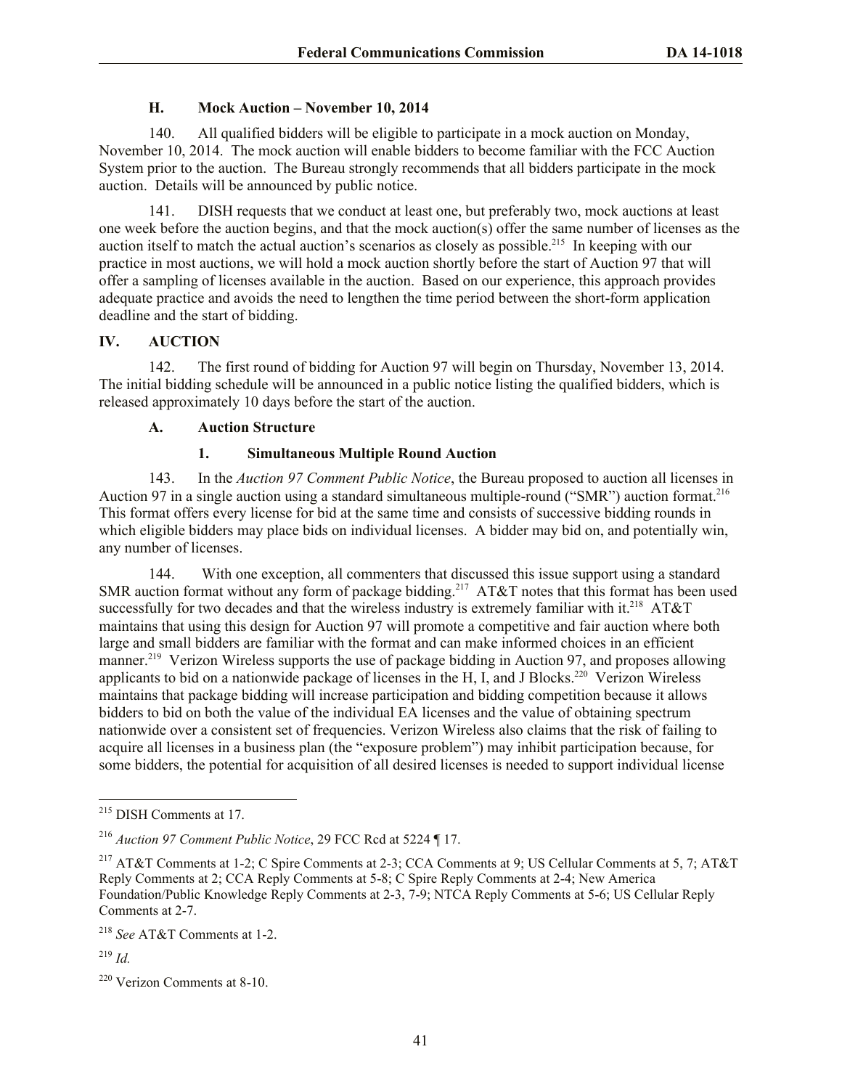# **H. Mock Auction – November 10, 2014**

140. All qualified bidders will be eligible to participate in a mock auction on Monday, November 10, 2014. The mock auction will enable bidders to become familiar with the FCC Auction System prior to the auction. The Bureau strongly recommends that all bidders participate in the mock auction. Details will be announced by public notice.

141. DISH requests that we conduct at least one, but preferably two, mock auctions at least one week before the auction begins, and that the mock auction(s) offer the same number of licenses as the auction itself to match the actual auction's scenarios as closely as possible.<sup>215</sup> In keeping with our practice in most auctions, we will hold a mock auction shortly before the start of Auction 97 that will offer a sampling of licenses available in the auction. Based on our experience, this approach provides adequate practice and avoids the need to lengthen the time period between the short-form application deadline and the start of bidding.

# **IV. AUCTION**

142. The first round of bidding for Auction 97 will begin on Thursday, November 13, 2014. The initial bidding schedule will be announced in a public notice listing the qualified bidders, which is released approximately 10 days before the start of the auction.

# **A. Auction Structure**

# **1. Simultaneous Multiple Round Auction**

143. In the *Auction 97 Comment Public Notice*, the Bureau proposed to auction all licenses in Auction 97 in a single auction using a standard simultaneous multiple-round ("SMR") auction format.<sup>216</sup> This format offers every license for bid at the same time and consists of successive bidding rounds in which eligible bidders may place bids on individual licenses. A bidder may bid on, and potentially win, any number of licenses.

144. With one exception, all commenters that discussed this issue support using a standard SMR auction format without any form of package bidding.<sup>217</sup>  $AT&T$  notes that this format has been used successfully for two decades and that the wireless industry is extremely familiar with it.<sup>218</sup> AT&T maintains that using this design for Auction 97 will promote a competitive and fair auction where both large and small bidders are familiar with the format and can make informed choices in an efficient manner.<sup>219</sup> Verizon Wireless supports the use of package bidding in Auction 97, and proposes allowing applicants to bid on a nationwide package of licenses in the H, I, and J Blocks.<sup>220</sup> Verizon Wireless maintains that package bidding will increase participation and bidding competition because it allows bidders to bid on both the value of the individual EA licenses and the value of obtaining spectrum nationwide over a consistent set of frequencies. Verizon Wireless also claims that the risk of failing to acquire all licenses in a business plan (the "exposure problem") may inhibit participation because, for some bidders, the potential for acquisition of all desired licenses is needed to support individual license

<sup>219</sup> *Id.*

<sup>&</sup>lt;sup>215</sup> DISH Comments at 17.

<sup>216</sup> *Auction 97 Comment Public Notice*, 29 FCC Rcd at 5224 ¶ 17.

<sup>217</sup> AT&T Comments at 1-2; C Spire Comments at 2-3; CCA Comments at 9; US Cellular Comments at 5, 7; AT&T Reply Comments at 2; CCA Reply Comments at 5-8; C Spire Reply Comments at 2-4; New America Foundation/Public Knowledge Reply Comments at 2-3, 7-9; NTCA Reply Comments at 5-6; US Cellular Reply Comments at 2-7.

<sup>218</sup> *See* AT&T Comments at 1-2.

<sup>220</sup> Verizon Comments at 8-10.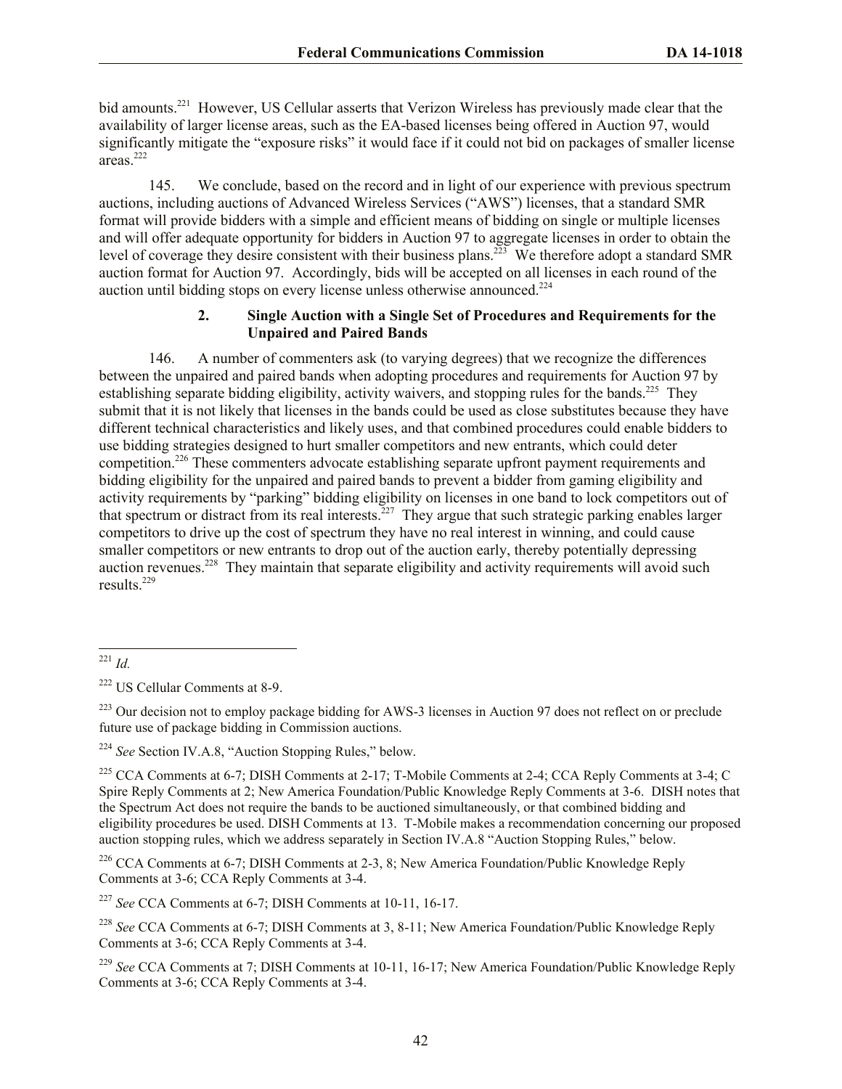bid amounts.<sup>221</sup> However, US Cellular asserts that Verizon Wireless has previously made clear that the availability of larger license areas, such as the EA-based licenses being offered in Auction 97, would significantly mitigate the "exposure risks" it would face if it could not bid on packages of smaller license areas. $^{222}$ 

145. We conclude, based on the record and in light of our experience with previous spectrum auctions, including auctions of Advanced Wireless Services ("AWS") licenses, that a standard SMR format will provide bidders with a simple and efficient means of bidding on single or multiple licenses and will offer adequate opportunity for bidders in Auction 97 to aggregate licenses in order to obtain the level of coverage they desire consistent with their business plans.<sup>223</sup> We therefore adopt a standard SMR auction format for Auction 97. Accordingly, bids will be accepted on all licenses in each round of the auction until bidding stops on every license unless otherwise announced. 224

## **2. Single Auction with a Single Set of Procedures and Requirements for the Unpaired and Paired Bands**

146. A number of commenters ask (to varying degrees) that we recognize the differences between the unpaired and paired bands when adopting procedures and requirements for Auction 97 by establishing separate bidding eligibility, activity waivers, and stopping rules for the bands.<sup>225</sup> They submit that it is not likely that licenses in the bands could be used as close substitutes because they have different technical characteristics and likely uses, and that combined procedures could enable bidders to use bidding strategies designed to hurt smaller competitors and new entrants, which could deter competition.<sup>226</sup> These commenters advocate establishing separate upfront payment requirements and bidding eligibility for the unpaired and paired bands to prevent a bidder from gaming eligibility and activity requirements by "parking" bidding eligibility on licenses in one band to lock competitors out of that spectrum or distract from its real interests.<sup>227</sup> They argue that such strategic parking enables larger competitors to drive up the cost of spectrum they have no real interest in winning, and could cause smaller competitors or new entrants to drop out of the auction early, thereby potentially depressing auction revenues.<sup>228</sup> They maintain that separate eligibility and activity requirements will avoid such results<sup>229</sup>

<sup>223</sup> Our decision not to employ package bidding for AWS-3 licenses in Auction 97 does not reflect on or preclude future use of package bidding in Commission auctions.

<sup>224</sup> *See* Section IV.A.8, "Auction Stopping Rules," below.

<sup>225</sup> CCA Comments at 6-7; DISH Comments at 2-17; T-Mobile Comments at 2-4; CCA Reply Comments at 3-4; C Spire Reply Comments at 2; New America Foundation/Public Knowledge Reply Comments at 3-6. DISH notes that the Spectrum Act does not require the bands to be auctioned simultaneously, or that combined bidding and eligibility procedures be used. DISH Comments at 13. T-Mobile makes a recommendation concerning our proposed auction stopping rules, which we address separately in Section IV.A.8 "Auction Stopping Rules," below.

<sup>226</sup> CCA Comments at 6-7; DISH Comments at 2-3, 8; New America Foundation/Public Knowledge Reply Comments at 3-6; CCA Reply Comments at 3-4.

<sup>227</sup> *See* CCA Comments at 6-7; DISH Comments at 10-11, 16-17.

<sup>228</sup> *See* CCA Comments at 6-7; DISH Comments at 3, 8-11; New America Foundation/Public Knowledge Reply Comments at 3-6; CCA Reply Comments at 3-4.

<sup>229</sup> *See* CCA Comments at 7; DISH Comments at 10-11, 16-17; New America Foundation/Public Knowledge Reply Comments at 3-6; CCA Reply Comments at 3-4.

l <sup>221</sup> *Id.*

<sup>222</sup> US Cellular Comments at 8-9.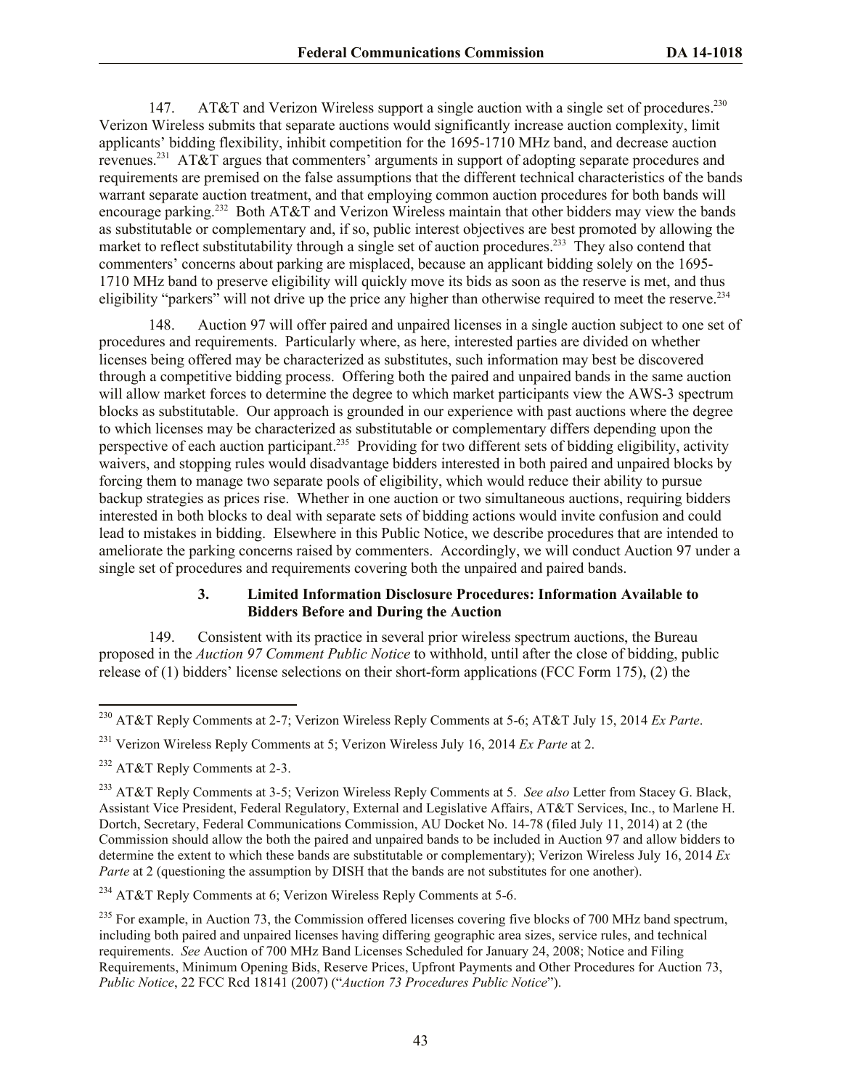147. AT&T and Verizon Wireless support a single auction with a single set of procedures.<sup>230</sup> Verizon Wireless submits that separate auctions would significantly increase auction complexity, limit applicants' bidding flexibility, inhibit competition for the 1695-1710 MHz band, and decrease auction revenues.<sup>231</sup> AT&T argues that commenters' arguments in support of adopting separate procedures and requirements are premised on the false assumptions that the different technical characteristics of the bands warrant separate auction treatment, and that employing common auction procedures for both bands will encourage parking.<sup>232</sup> Both AT&T and Verizon Wireless maintain that other bidders may view the bands as substitutable or complementary and, if so, public interest objectives are best promoted by allowing the market to reflect substitutability through a single set of auction procedures.<sup>233</sup> They also contend that commenters' concerns about parking are misplaced, because an applicant bidding solely on the 1695- 1710 MHz band to preserve eligibility will quickly move its bids as soon as the reserve is met, and thus eligibility "parkers" will not drive up the price any higher than otherwise required to meet the reserve.<sup>234</sup>

148. Auction 97 will offer paired and unpaired licenses in a single auction subject to one set of procedures and requirements. Particularly where, as here, interested parties are divided on whether licenses being offered may be characterized as substitutes, such information may best be discovered through a competitive bidding process. Offering both the paired and unpaired bands in the same auction will allow market forces to determine the degree to which market participants view the AWS-3 spectrum blocks as substitutable. Our approach is grounded in our experience with past auctions where the degree to which licenses may be characterized as substitutable or complementary differs depending upon the perspective of each auction participant.<sup>235</sup> Providing for two different sets of bidding eligibility, activity waivers, and stopping rules would disadvantage bidders interested in both paired and unpaired blocks by forcing them to manage two separate pools of eligibility, which would reduce their ability to pursue backup strategies as prices rise. Whether in one auction or two simultaneous auctions, requiring bidders interested in both blocks to deal with separate sets of bidding actions would invite confusion and could lead to mistakes in bidding. Elsewhere in this Public Notice, we describe procedures that are intended to ameliorate the parking concerns raised by commenters. Accordingly, we will conduct Auction 97 under a single set of procedures and requirements covering both the unpaired and paired bands.

# **3. Limited Information Disclosure Procedures: Information Available to Bidders Before and During the Auction**

149. Consistent with its practice in several prior wireless spectrum auctions, the Bureau proposed in the *Auction 97 Comment Public Notice* to withhold, until after the close of bidding, public release of (1) bidders' license selections on their short-form applications (FCC Form 175), (2) the

<sup>230</sup> AT&T Reply Comments at 2-7; Verizon Wireless Reply Comments at 5-6; AT&T July 15, 2014 *Ex Parte*.

<sup>231</sup> Verizon Wireless Reply Comments at 5; Verizon Wireless July 16, 2014 *Ex Parte* at 2.

<sup>232</sup> AT&T Reply Comments at 2-3.

<sup>233</sup> AT&T Reply Comments at 3-5; Verizon Wireless Reply Comments at 5. *See also* Letter from Stacey G. Black, Assistant Vice President, Federal Regulatory, External and Legislative Affairs, AT&T Services, Inc., to Marlene H. Dortch, Secretary, Federal Communications Commission, AU Docket No. 14-78 (filed July 11, 2014) at 2 (the Commission should allow the both the paired and unpaired bands to be included in Auction 97 and allow bidders to determine the extent to which these bands are substitutable or complementary); Verizon Wireless July 16, 2014 *Ex Parte* at 2 (questioning the assumption by DISH that the bands are not substitutes for one another).

<sup>&</sup>lt;sup>234</sup> AT&T Reply Comments at 6; Verizon Wireless Reply Comments at 5-6.

 $^{235}$  For example, in Auction 73, the Commission offered licenses covering five blocks of 700 MHz band spectrum. including both paired and unpaired licenses having differing geographic area sizes, service rules, and technical requirements. *See* Auction of 700 MHz Band Licenses Scheduled for January 24, 2008; Notice and Filing Requirements, Minimum Opening Bids, Reserve Prices, Upfront Payments and Other Procedures for Auction 73, *Public Notice*, 22 FCC Rcd 18141 (2007) ("*Auction 73 Procedures Public Notice*").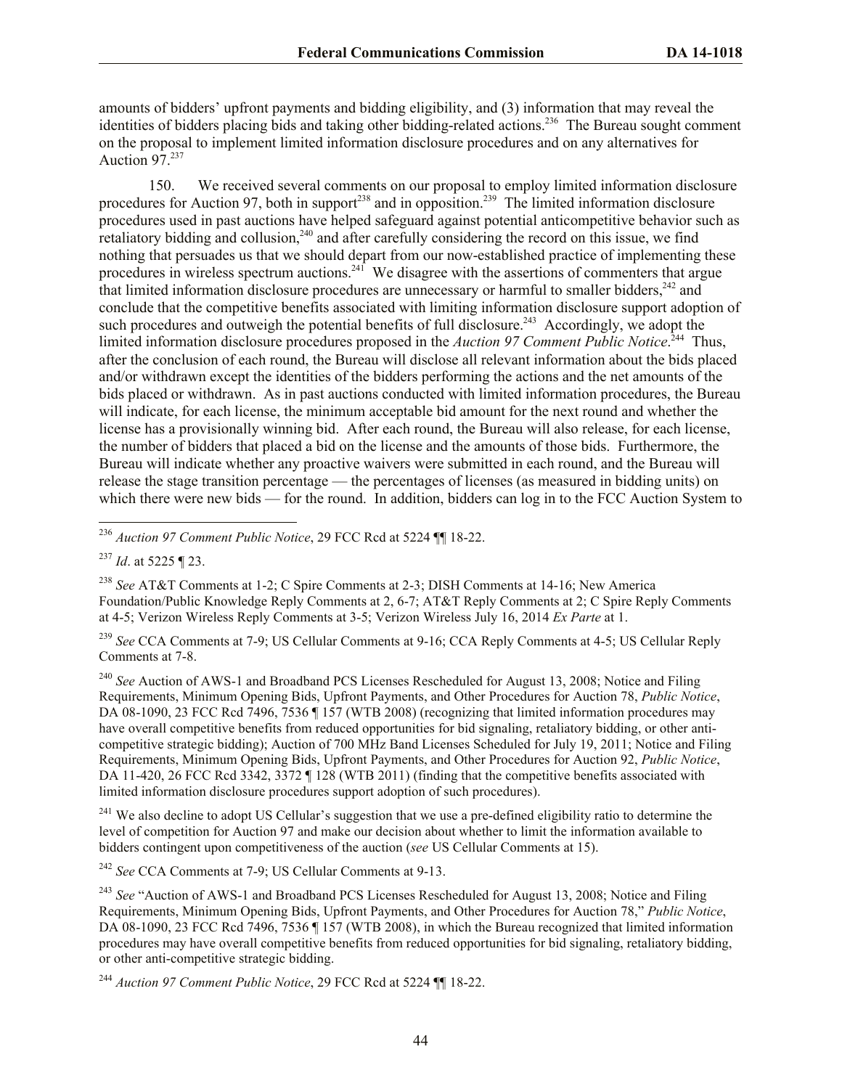amounts of bidders' upfront payments and bidding eligibility, and (3) information that may reveal the identities of bidders placing bids and taking other bidding-related actions.<sup>236</sup> The Bureau sought comment on the proposal to implement limited information disclosure procedures and on any alternatives for Auction 97.<sup>237</sup>

150. We received several comments on our proposal to employ limited information disclosure procedures for Auction 97, both in support<sup>238</sup> and in opposition.<sup>239</sup> The limited information disclosure procedures used in past auctions have helped safeguard against potential anticompetitive behavior such as retaliatory bidding and collusion,<sup>240</sup> and after carefully considering the record on this issue, we find nothing that persuades us that we should depart from our now-established practice of implementing these procedures in wireless spectrum auctions.<sup>241</sup> We disagree with the assertions of commenters that argue that limited information disclosure procedures are unnecessary or harmful to smaller bidders, $242$  and conclude that the competitive benefits associated with limiting information disclosure support adoption of such procedures and outweigh the potential benefits of full disclosure.<sup>243</sup> Accordingly, we adopt the limited information disclosure procedures proposed in the *Auction 97 Comment Public Notice*. <sup>244</sup> Thus, after the conclusion of each round, the Bureau will disclose all relevant information about the bids placed and/or withdrawn except the identities of the bidders performing the actions and the net amounts of the bids placed or withdrawn. As in past auctions conducted with limited information procedures, the Bureau will indicate, for each license, the minimum acceptable bid amount for the next round and whether the license has a provisionally winning bid. After each round, the Bureau will also release, for each license, the number of bidders that placed a bid on the license and the amounts of those bids. Furthermore, the Bureau will indicate whether any proactive waivers were submitted in each round, and the Bureau will release the stage transition percentage — the percentages of licenses (as measured in bidding units) on which there were new bids — for the round. In addition, bidders can log in to the FCC Auction System to

<sup>236</sup> *Auction 97 Comment Public Notice*, 29 FCC Rcd at 5224 ¶¶ 18-22.

<sup>237</sup> *Id*. at 5225 ¶ 23.

l

<sup>238</sup> *See* AT&T Comments at 1-2; C Spire Comments at 2-3; DISH Comments at 14-16; New America Foundation/Public Knowledge Reply Comments at 2, 6-7; AT&T Reply Comments at 2; C Spire Reply Comments at 4-5; Verizon Wireless Reply Comments at 3-5; Verizon Wireless July 16, 2014 *Ex Parte* at 1.

<sup>239</sup> *See* CCA Comments at 7-9; US Cellular Comments at 9-16; CCA Reply Comments at 4-5; US Cellular Reply Comments at 7-8.

<sup>240</sup> See Auction of AWS-1 and Broadband PCS Licenses Rescheduled for August 13, 2008; Notice and Filing Requirements, Minimum Opening Bids, Upfront Payments, and Other Procedures for Auction 78, *Public Notice*, DA 08-1090, 23 FCC Rcd 7496, 7536 ¶ 157 (WTB 2008) (recognizing that limited information procedures may have overall competitive benefits from reduced opportunities for bid signaling, retaliatory bidding, or other anticompetitive strategic bidding); Auction of 700 MHz Band Licenses Scheduled for July 19, 2011; Notice and Filing Requirements, Minimum Opening Bids, Upfront Payments, and Other Procedures for Auction 92, *Public Notice*, DA 11-420, 26 FCC Rcd 3342, 3372 ¶ 128 (WTB 2011) (finding that the competitive benefits associated with limited information disclosure procedures support adoption of such procedures).

<sup>241</sup> We also decline to adopt US Cellular's suggestion that we use a pre-defined eligibility ratio to determine the level of competition for Auction 97 and make our decision about whether to limit the information available to bidders contingent upon competitiveness of the auction (*see* US Cellular Comments at 15).

<sup>242</sup> *See* CCA Comments at 7-9; US Cellular Comments at 9-13.

<sup>243</sup> See "Auction of AWS-1 and Broadband PCS Licenses Rescheduled for August 13, 2008; Notice and Filing Requirements, Minimum Opening Bids, Upfront Payments, and Other Procedures for Auction 78," *Public Notice*, DA 08-1090, 23 FCC Rcd 7496, 7536 [ 157 (WTB 2008), in which the Bureau recognized that limited information procedures may have overall competitive benefits from reduced opportunities for bid signaling, retaliatory bidding, or other anti-competitive strategic bidding.

<sup>244</sup> *Auction 97 Comment Public Notice*, 29 FCC Rcd at 5224 ¶¶ 18-22.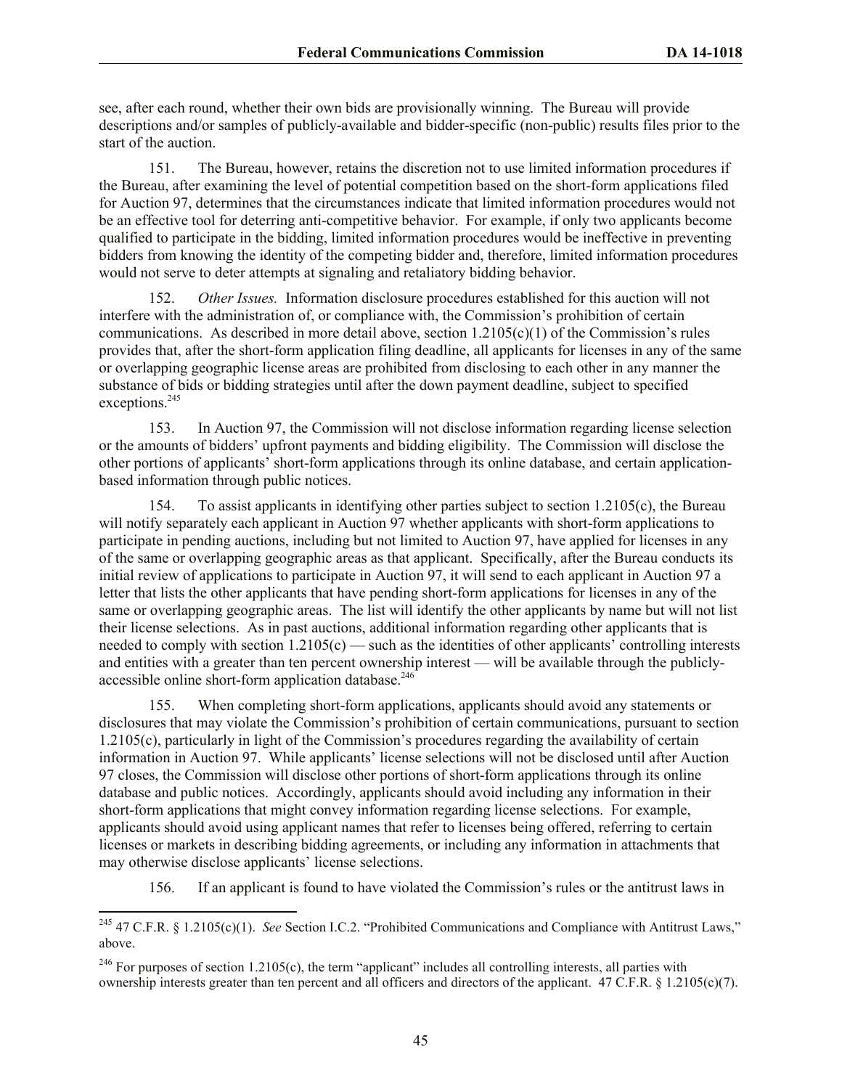see, after each round, whether their own bids are provisionally winning. The Bureau will provide descriptions and/or samples of publicly-available and bidder-specific (non-public) results files prior to the start of the auction.

151. The Bureau, however, retains the discretion not to use limited information procedures if the Bureau, after examining the level of potential competition based on the short-form applications filed for Auction 97, determines that the circumstances indicate that limited information procedures would not be an effective tool for deterring anti-competitive behavior. For example, if only two applicants become qualified to participate in the bidding, limited information procedures would be ineffective in preventing bidders from knowing the identity of the competing bidder and, therefore, limited information procedures would not serve to deter attempts at signaling and retaliatory bidding behavior.

152. *Other Issues.* Information disclosure procedures established for this auction will not interfere with the administration of, or compliance with, the Commission's prohibition of certain communications. As described in more detail above, section 1.2105(c)(1) of the Commission's rules provides that, after the short-form application filing deadline, all applicants for licenses in any of the same or overlapping geographic license areas are prohibited from disclosing to each other in any manner the substance of bids or bidding strategies until after the down payment deadline, subject to specified exceptions.<sup>245</sup>

153. In Auction 97, the Commission will not disclose information regarding license selection or the amounts of bidders' upfront payments and bidding eligibility. The Commission will disclose the other portions of applicants' short-form applications through its online database, and certain applicationbased information through public notices.

154. To assist applicants in identifying other parties subject to section 1.2105(c), the Bureau will notify separately each applicant in Auction 97 whether applicants with short-form applications to participate in pending auctions, including but not limited to Auction 97, have applied for licenses in any of the same or overlapping geographic areas as that applicant. Specifically, after the Bureau conducts its initial review of applications to participate in Auction 97, it will send to each applicant in Auction 97 a letter that lists the other applicants that have pending short-form applications for licenses in any of the same or overlapping geographic areas. The list will identify the other applicants by name but will not list their license selections. As in past auctions, additional information regarding other applicants that is needed to comply with section  $1.2105(c)$  — such as the identities of other applicants' controlling interests and entities with a greater than ten percent ownership interest — will be available through the publiclyaccessible online short-form application database.<sup>246</sup>

155. When completing short-form applications, applicants should avoid any statements or disclosures that may violate the Commission's prohibition of certain communications, pursuant to section 1.2105(c), particularly in light of the Commission's procedures regarding the availability of certain information in Auction 97. While applicants' license selections will not be disclosed until after Auction 97 closes, the Commission will disclose other portions of short-form applications through its online database and public notices. Accordingly, applicants should avoid including any information in their short-form applications that might convey information regarding license selections. For example, applicants should avoid using applicant names that refer to licenses being offered, referring to certain licenses or markets in describing bidding agreements, or including any information in attachments that may otherwise disclose applicants' license selections.

156. If an applicant is found to have violated the Commission's rules or the antitrust laws in

 $\overline{a}$ <sup>245</sup> 47 C.F.R. § 1.2105(c)(1). *See* Section I.C.2. "Prohibited Communications and Compliance with Antitrust Laws," above.

<sup>&</sup>lt;sup>246</sup> For purposes of section 1.2105(c), the term "applicant" includes all controlling interests, all parties with ownership interests greater than ten percent and all officers and directors of the applicant. 47 C.F.R. § 1.2105(c)(7).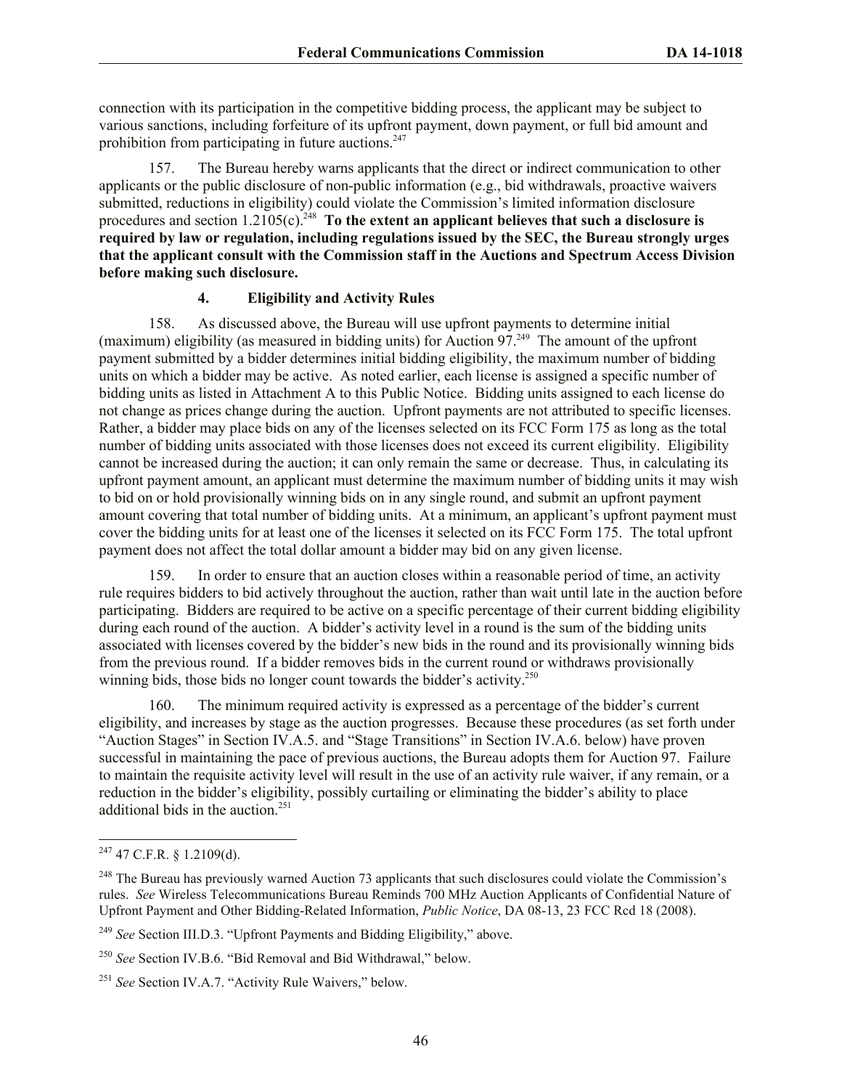connection with its participation in the competitive bidding process, the applicant may be subject to various sanctions, including forfeiture of its upfront payment, down payment, or full bid amount and prohibition from participating in future auctions.<sup>247</sup>

157. The Bureau hereby warns applicants that the direct or indirect communication to other applicants or the public disclosure of non-public information (e.g., bid withdrawals, proactive waivers submitted, reductions in eligibility) could violate the Commission's limited information disclosure procedures and section  $1.2105(c)$ .<sup>248</sup> To the extent an applicant believes that such a disclosure is **required by law or regulation, including regulations issued by the SEC, the Bureau strongly urges that the applicant consult with the Commission staff in the Auctions and Spectrum Access Division before making such disclosure.**

# **4. Eligibility and Activity Rules**

158. As discussed above, the Bureau will use upfront payments to determine initial (maximum) eligibility (as measured in bidding units) for Auction 97.<sup>249</sup> The amount of the upfront payment submitted by a bidder determines initial bidding eligibility, the maximum number of bidding units on which a bidder may be active. As noted earlier, each license is assigned a specific number of bidding units as listed in Attachment A to this Public Notice. Bidding units assigned to each license do not change as prices change during the auction. Upfront payments are not attributed to specific licenses. Rather, a bidder may place bids on any of the licenses selected on its FCC Form 175 as long as the total number of bidding units associated with those licenses does not exceed its current eligibility. Eligibility cannot be increased during the auction; it can only remain the same or decrease. Thus, in calculating its upfront payment amount, an applicant must determine the maximum number of bidding units it may wish to bid on or hold provisionally winning bids on in any single round, and submit an upfront payment amount covering that total number of bidding units. At a minimum, an applicant's upfront payment must cover the bidding units for at least one of the licenses it selected on its FCC Form 175. The total upfront payment does not affect the total dollar amount a bidder may bid on any given license.

159. In order to ensure that an auction closes within a reasonable period of time, an activity rule requires bidders to bid actively throughout the auction, rather than wait until late in the auction before participating. Bidders are required to be active on a specific percentage of their current bidding eligibility during each round of the auction. A bidder's activity level in a round is the sum of the bidding units associated with licenses covered by the bidder's new bids in the round and its provisionally winning bids from the previous round. If a bidder removes bids in the current round or withdraws provisionally winning bids, those bids no longer count towards the bidder's activity.<sup>250</sup>

160. The minimum required activity is expressed as a percentage of the bidder's current eligibility, and increases by stage as the auction progresses. Because these procedures (as set forth under "Auction Stages" in Section IV.A.5. and "Stage Transitions" in Section IV.A.6. below) have proven successful in maintaining the pace of previous auctions, the Bureau adopts them for Auction 97. Failure to maintain the requisite activity level will result in the use of an activity rule waiver, if any remain, or a reduction in the bidder's eligibility, possibly curtailing or eliminating the bidder's ability to place additional bids in the auction.<sup>251</sup>

 $^{247}$  47 C.F.R. § 1.2109(d).

<sup>&</sup>lt;sup>248</sup> The Bureau has previously warned Auction 73 applicants that such disclosures could violate the Commission's rules. *See* Wireless Telecommunications Bureau Reminds 700 MHz Auction Applicants of Confidential Nature of Upfront Payment and Other Bidding-Related Information, *Public Notice*, DA 08-13, 23 FCC Rcd 18 (2008).

<sup>249</sup> *See* Section III.D.3. "Upfront Payments and Bidding Eligibility," above.

<sup>250</sup> *See* Section IV.B.6. "Bid Removal and Bid Withdrawal," below.

<sup>251</sup> *See* Section IV.A.7. "Activity Rule Waivers," below.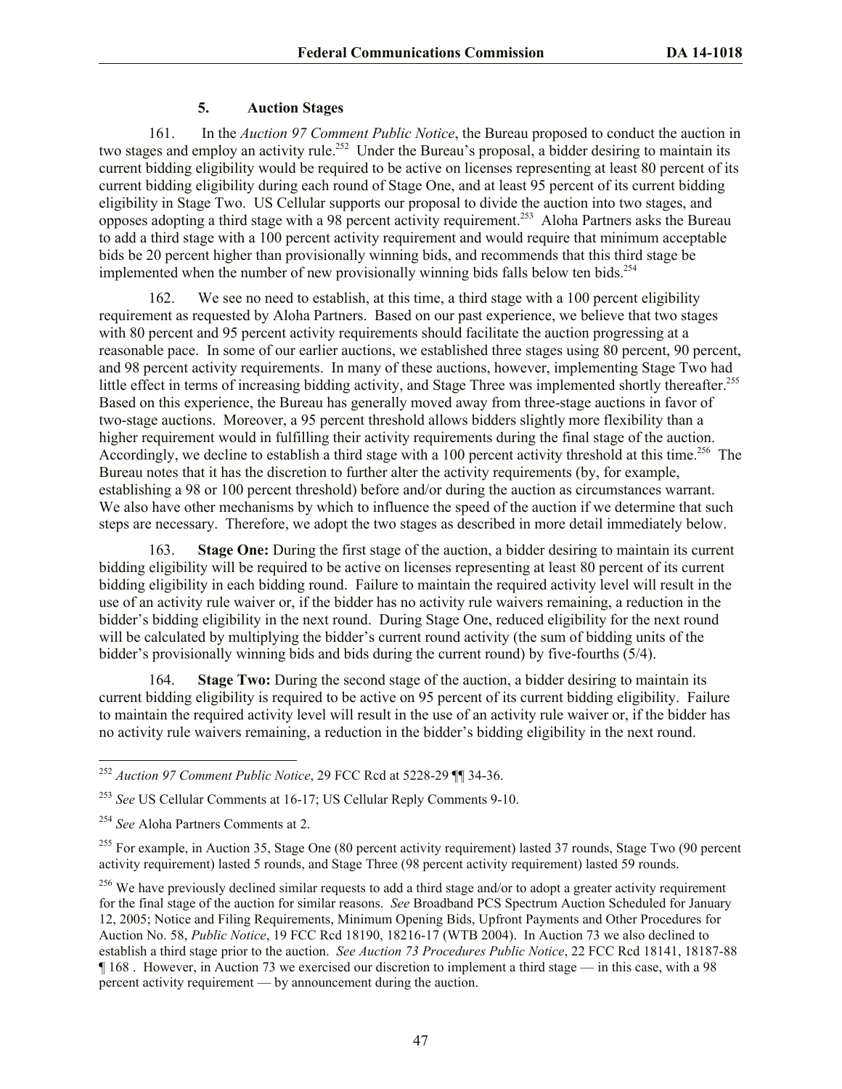# **5. Auction Stages**

161. In the *Auction 97 Comment Public Notice*, the Bureau proposed to conduct the auction in two stages and employ an activity rule.<sup>252</sup> Under the Bureau's proposal, a bidder desiring to maintain its current bidding eligibility would be required to be active on licenses representing at least 80 percent of its current bidding eligibility during each round of Stage One, and at least 95 percent of its current bidding eligibility in Stage Two. US Cellular supports our proposal to divide the auction into two stages, and opposes adopting a third stage with a 98 percent activity requirement. 253 Aloha Partners asks the Bureau to add a third stage with a 100 percent activity requirement and would require that minimum acceptable bids be 20 percent higher than provisionally winning bids, and recommends that this third stage be implemented when the number of new provisionally winning bids falls below ten bids.<sup>254</sup>

162. We see no need to establish, at this time, a third stage with a 100 percent eligibility requirement as requested by Aloha Partners. Based on our past experience, we believe that two stages with 80 percent and 95 percent activity requirements should facilitate the auction progressing at a reasonable pace. In some of our earlier auctions, we established three stages using 80 percent, 90 percent, and 98 percent activity requirements. In many of these auctions, however, implementing Stage Two had little effect in terms of increasing bidding activity, and Stage Three was implemented shortly thereafter.<sup>255</sup> Based on this experience, the Bureau has generally moved away from three-stage auctions in favor of two-stage auctions. Moreover, a 95 percent threshold allows bidders slightly more flexibility than a higher requirement would in fulfilling their activity requirements during the final stage of the auction. Accordingly, we decline to establish a third stage with a 100 percent activity threshold at this time.<sup>256</sup> The Bureau notes that it has the discretion to further alter the activity requirements (by, for example, establishing a 98 or 100 percent threshold) before and/or during the auction as circumstances warrant. We also have other mechanisms by which to influence the speed of the auction if we determine that such steps are necessary. Therefore, we adopt the two stages as described in more detail immediately below.

163. **Stage One:** During the first stage of the auction, a bidder desiring to maintain its current bidding eligibility will be required to be active on licenses representing at least 80 percent of its current bidding eligibility in each bidding round. Failure to maintain the required activity level will result in the use of an activity rule waiver or, if the bidder has no activity rule waivers remaining, a reduction in the bidder's bidding eligibility in the next round. During Stage One, reduced eligibility for the next round will be calculated by multiplying the bidder's current round activity (the sum of bidding units of the bidder's provisionally winning bids and bids during the current round) by five-fourths (5/4).

164. **Stage Two:** During the second stage of the auction, a bidder desiring to maintain its current bidding eligibility is required to be active on 95 percent of its current bidding eligibility. Failure to maintain the required activity level will result in the use of an activity rule waiver or, if the bidder has no activity rule waivers remaining, a reduction in the bidder's bidding eligibility in the next round.

<sup>252</sup> *Auction 97 Comment Public Notice*, 29 FCC Rcd at 5228-29 ¶¶ 34-36.

<sup>253</sup> *See* US Cellular Comments at 16-17; US Cellular Reply Comments 9-10.

<sup>254</sup> *See* Aloha Partners Comments at 2.

<sup>&</sup>lt;sup>255</sup> For example, in Auction 35, Stage One (80 percent activity requirement) lasted 37 rounds, Stage Two (90 percent activity requirement) lasted 5 rounds, and Stage Three (98 percent activity requirement) lasted 59 rounds.

 $^{256}$  We have previously declined similar requests to add a third stage and/or to adopt a greater activity requirement for the final stage of the auction for similar reasons. *See* Broadband PCS Spectrum Auction Scheduled for January 12, 2005; Notice and Filing Requirements, Minimum Opening Bids, Upfront Payments and Other Procedures for Auction No. 58, *Public Notice*, 19 FCC Rcd 18190, 18216-17 (WTB 2004). In Auction 73 we also declined to establish a third stage prior to the auction. *See Auction 73 Procedures Public Notice*, 22 FCC Rcd 18141, 18187-88 ¶ 168 . However, in Auction 73 we exercised our discretion to implement a third stage — in this case, with a 98 percent activity requirement — by announcement during the auction.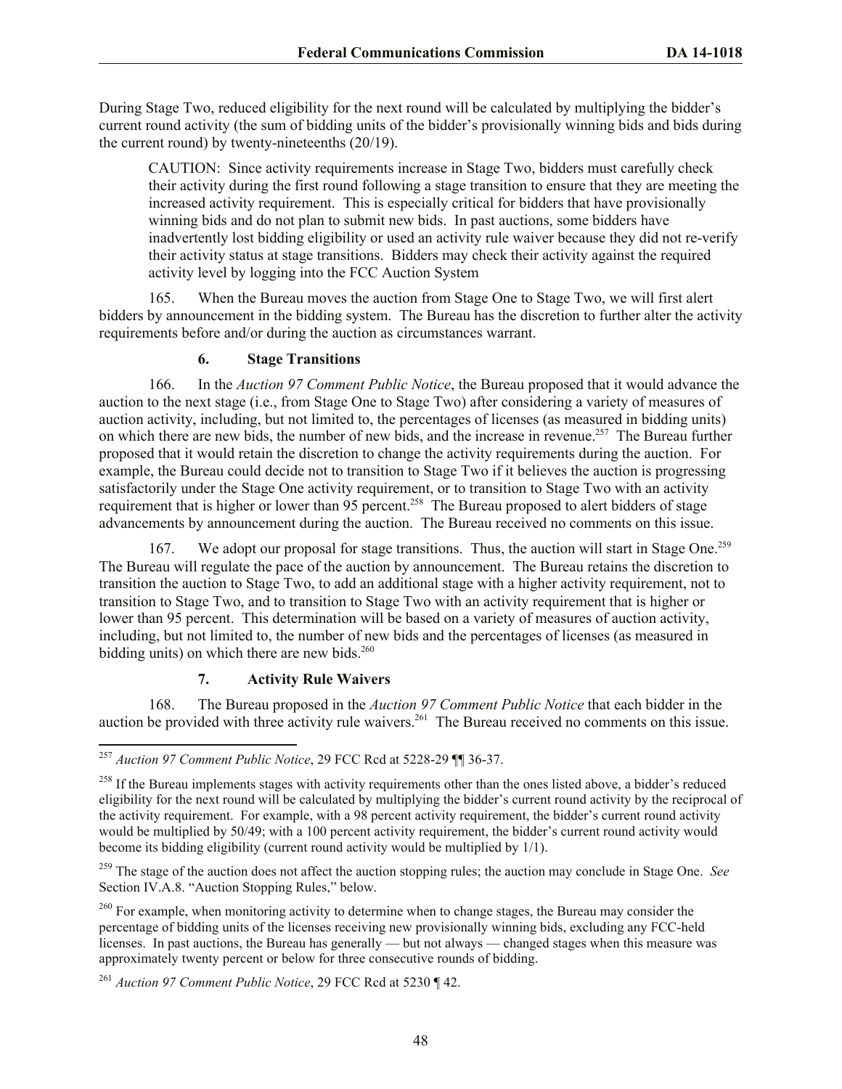During Stage Two, reduced eligibility for the next round will be calculated by multiplying the bidder's current round activity (the sum of bidding units of the bidder's provisionally winning bids and bids during the current round) by twenty-nineteenths (20/19).

CAUTION: Since activity requirements increase in Stage Two, bidders must carefully check their activity during the first round following a stage transition to ensure that they are meeting the increased activity requirement. This is especially critical for bidders that have provisionally winning bids and do not plan to submit new bids. In past auctions, some bidders have inadvertently lost bidding eligibility or used an activity rule waiver because they did not re-verify their activity status at stage transitions. Bidders may check their activity against the required activity level by logging into the FCC Auction System

165. When the Bureau moves the auction from Stage One to Stage Two, we will first alert bidders by announcement in the bidding system. The Bureau has the discretion to further alter the activity requirements before and/or during the auction as circumstances warrant.

# **6. Stage Transitions**

166. In the *Auction 97 Comment Public Notice*, the Bureau proposed that it would advance the auction to the next stage (i.e., from Stage One to Stage Two) after considering a variety of measures of auction activity, including, but not limited to, the percentages of licenses (as measured in bidding units) on which there are new bids, the number of new bids, and the increase in revenue.<sup>257</sup> The Bureau further proposed that it would retain the discretion to change the activity requirements during the auction. For example, the Bureau could decide not to transition to Stage Two if it believes the auction is progressing satisfactorily under the Stage One activity requirement, or to transition to Stage Two with an activity requirement that is higher or lower than 95 percent.<sup>258</sup> The Bureau proposed to alert bidders of stage advancements by announcement during the auction. The Bureau received no comments on this issue.

167. We adopt our proposal for stage transitions. Thus, the auction will start in Stage One.<sup>259</sup> The Bureau will regulate the pace of the auction by announcement. The Bureau retains the discretion to transition the auction to Stage Two, to add an additional stage with a higher activity requirement, not to transition to Stage Two, and to transition to Stage Two with an activity requirement that is higher or lower than 95 percent. This determination will be based on a variety of measures of auction activity, including, but not limited to, the number of new bids and the percentages of licenses (as measured in bidding units) on which there are new bids. $260$ 

# **7. Activity Rule Waivers**

168. The Bureau proposed in the *Auction 97 Comment Public Notice* that each bidder in the auction be provided with three activity rule waivers.<sup>261</sup> The Bureau received no comments on this issue.

l <sup>257</sup> *Auction 97 Comment Public Notice*, 29 FCC Rcd at 5228-29 ¶¶ 36-37.

<sup>&</sup>lt;sup>258</sup> If the Bureau implements stages with activity requirements other than the ones listed above, a bidder's reduced eligibility for the next round will be calculated by multiplying the bidder's current round activity by the reciprocal of the activity requirement. For example, with a 98 percent activity requirement, the bidder's current round activity would be multiplied by 50/49; with a 100 percent activity requirement, the bidder's current round activity would become its bidding eligibility (current round activity would be multiplied by 1/1).

<sup>259</sup> The stage of the auction does not affect the auction stopping rules; the auction may conclude in Stage One. *See*  Section IV.A.8. "Auction Stopping Rules," below.

<sup>&</sup>lt;sup>260</sup> For example, when monitoring activity to determine when to change stages, the Bureau may consider the percentage of bidding units of the licenses receiving new provisionally winning bids, excluding any FCC-held licenses. In past auctions, the Bureau has generally — but not always — changed stages when this measure was approximately twenty percent or below for three consecutive rounds of bidding.

<sup>261</sup> *Auction 97 Comment Public Notice*, 29 FCC Rcd at 5230 ¶ 42.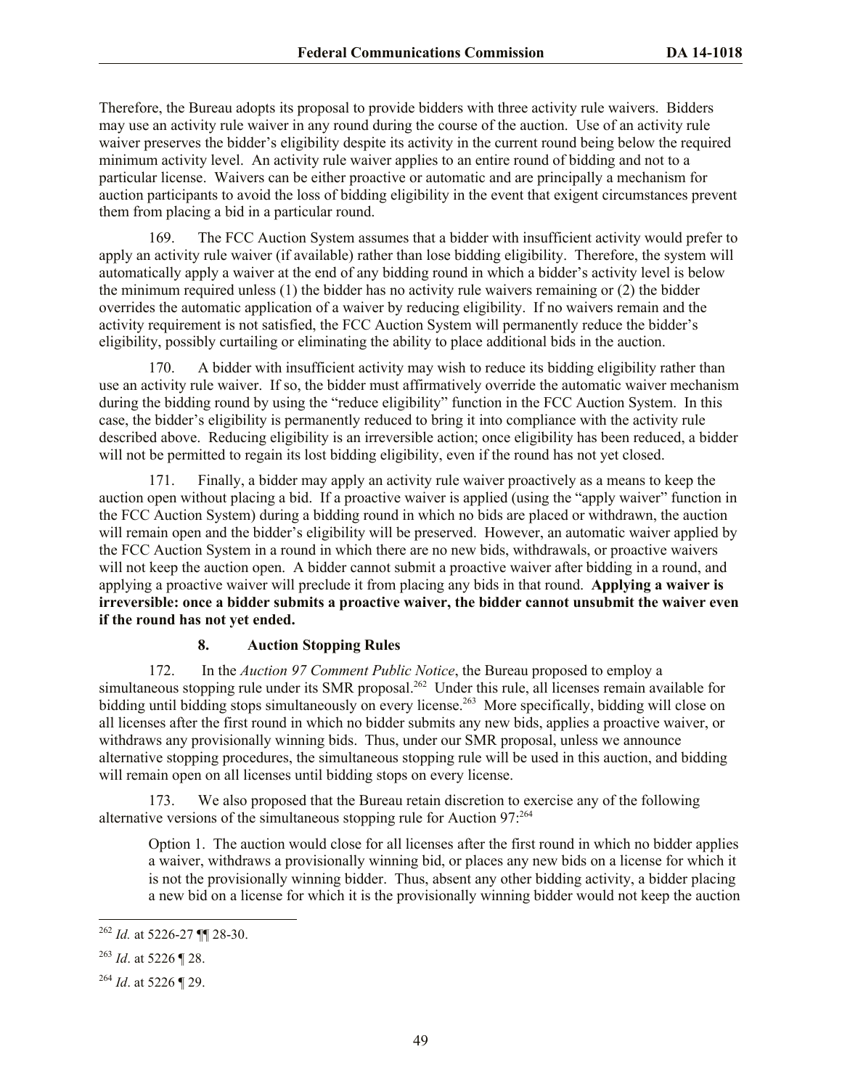Therefore, the Bureau adopts its proposal to provide bidders with three activity rule waivers. Bidders may use an activity rule waiver in any round during the course of the auction. Use of an activity rule waiver preserves the bidder's eligibility despite its activity in the current round being below the required minimum activity level. An activity rule waiver applies to an entire round of bidding and not to a particular license. Waivers can be either proactive or automatic and are principally a mechanism for auction participants to avoid the loss of bidding eligibility in the event that exigent circumstances prevent them from placing a bid in a particular round.

169. The FCC Auction System assumes that a bidder with insufficient activity would prefer to apply an activity rule waiver (if available) rather than lose bidding eligibility. Therefore, the system will automatically apply a waiver at the end of any bidding round in which a bidder's activity level is below the minimum required unless (1) the bidder has no activity rule waivers remaining or (2) the bidder overrides the automatic application of a waiver by reducing eligibility. If no waivers remain and the activity requirement is not satisfied, the FCC Auction System will permanently reduce the bidder's eligibility, possibly curtailing or eliminating the ability to place additional bids in the auction.

170. A bidder with insufficient activity may wish to reduce its bidding eligibility rather than use an activity rule waiver. If so, the bidder must affirmatively override the automatic waiver mechanism during the bidding round by using the "reduce eligibility" function in the FCC Auction System. In this case, the bidder's eligibility is permanently reduced to bring it into compliance with the activity rule described above. Reducing eligibility is an irreversible action; once eligibility has been reduced, a bidder will not be permitted to regain its lost bidding eligibility, even if the round has not yet closed.

171. Finally, a bidder may apply an activity rule waiver proactively as a means to keep the auction open without placing a bid. If a proactive waiver is applied (using the "apply waiver" function in the FCC Auction System) during a bidding round in which no bids are placed or withdrawn, the auction will remain open and the bidder's eligibility will be preserved. However, an automatic waiver applied by the FCC Auction System in a round in which there are no new bids, withdrawals, or proactive waivers will not keep the auction open. A bidder cannot submit a proactive waiver after bidding in a round, and applying a proactive waiver will preclude it from placing any bids in that round. **Applying a waiver is irreversible: once a bidder submits a proactive waiver, the bidder cannot unsubmit the waiver even if the round has not yet ended.**

# **8. Auction Stopping Rules**

172. In the *Auction 97 Comment Public Notice*, the Bureau proposed to employ a simultaneous stopping rule under its SMR proposal.<sup>262</sup> Under this rule, all licenses remain available for bidding until bidding stops simultaneously on every license.<sup>263</sup> More specifically, bidding will close on all licenses after the first round in which no bidder submits any new bids, applies a proactive waiver, or withdraws any provisionally winning bids. Thus, under our SMR proposal, unless we announce alternative stopping procedures, the simultaneous stopping rule will be used in this auction, and bidding will remain open on all licenses until bidding stops on every license.

173. We also proposed that the Bureau retain discretion to exercise any of the following alternative versions of the simultaneous stopping rule for Auction 97: 264

Option 1. The auction would close for all licenses after the first round in which no bidder applies a waiver, withdraws a provisionally winning bid, or places any new bids on a license for which it is not the provisionally winning bidder. Thus, absent any other bidding activity, a bidder placing a new bid on a license for which it is the provisionally winning bidder would not keep the auction

<sup>262</sup> *Id.* at 5226-27 ¶¶ 28-30.

<sup>263</sup> *Id*. at 5226 ¶ 28.

<sup>264</sup> *Id*. at 5226 ¶ 29.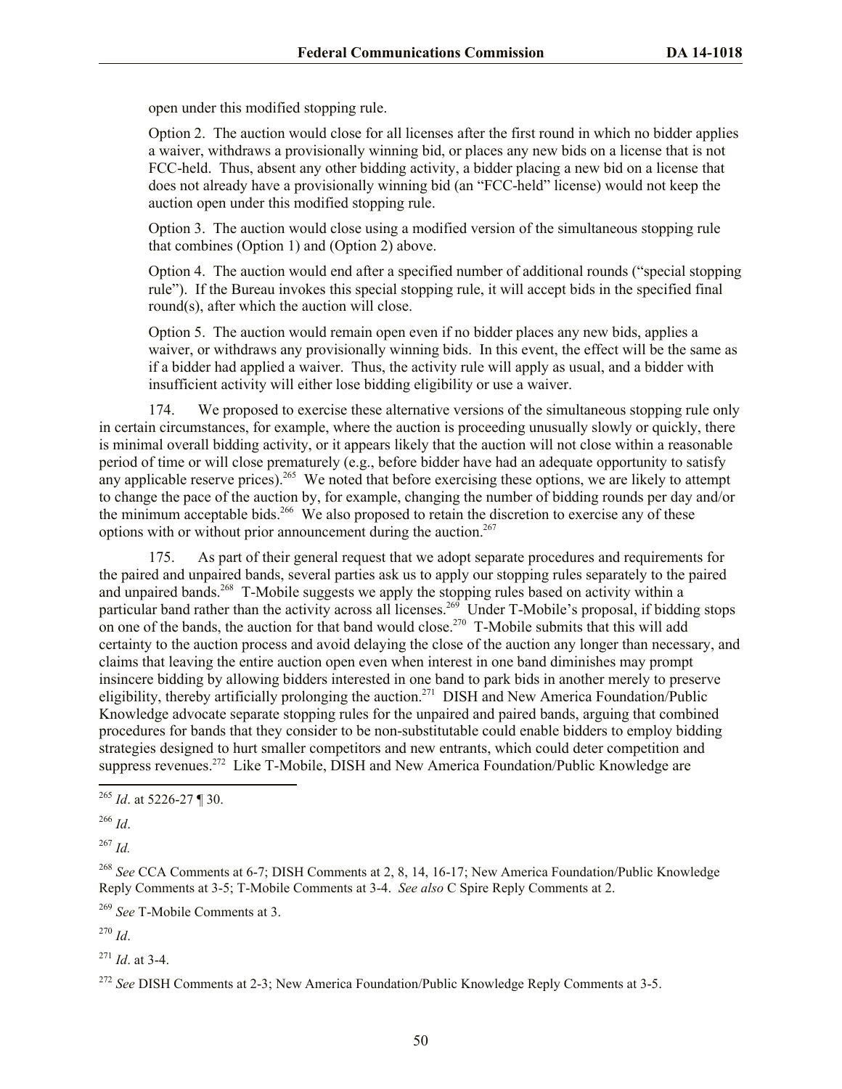open under this modified stopping rule.

Option 2. The auction would close for all licenses after the first round in which no bidder applies a waiver, withdraws a provisionally winning bid, or places any new bids on a license that is not FCC-held. Thus, absent any other bidding activity, a bidder placing a new bid on a license that does not already have a provisionally winning bid (an "FCC-held" license) would not keep the auction open under this modified stopping rule.

Option 3. The auction would close using a modified version of the simultaneous stopping rule that combines (Option 1) and (Option 2) above.

Option 4. The auction would end after a specified number of additional rounds ("special stopping rule"). If the Bureau invokes this special stopping rule, it will accept bids in the specified final round(s), after which the auction will close.

Option 5. The auction would remain open even if no bidder places any new bids, applies a waiver, or withdraws any provisionally winning bids. In this event, the effect will be the same as if a bidder had applied a waiver. Thus, the activity rule will apply as usual, and a bidder with insufficient activity will either lose bidding eligibility or use a waiver.

174. We proposed to exercise these alternative versions of the simultaneous stopping rule only in certain circumstances, for example, where the auction is proceeding unusually slowly or quickly, there is minimal overall bidding activity, or it appears likely that the auction will not close within a reasonable period of time or will close prematurely (e.g., before bidder have had an adequate opportunity to satisfy any applicable reserve prices).<sup>265</sup> We noted that before exercising these options, we are likely to attempt to change the pace of the auction by, for example, changing the number of bidding rounds per day and/or the minimum acceptable bids.<sup>266</sup> We also proposed to retain the discretion to exercise any of these options with or without prior announcement during the auction.<sup>267</sup>

175. As part of their general request that we adopt separate procedures and requirements for the paired and unpaired bands, several parties ask us to apply our stopping rules separately to the paired and unpaired bands.<sup>268</sup> T-Mobile suggests we apply the stopping rules based on activity within a particular band rather than the activity across all licenses.<sup>269</sup> Under T-Mobile's proposal, if bidding stops on one of the bands, the auction for that band would close.<sup>270</sup> T-Mobile submits that this will add certainty to the auction process and avoid delaying the close of the auction any longer than necessary, and claims that leaving the entire auction open even when interest in one band diminishes may prompt insincere bidding by allowing bidders interested in one band to park bids in another merely to preserve eligibility, thereby artificially prolonging the auction.<sup>271</sup> DISH and New America Foundation/Public Knowledge advocate separate stopping rules for the unpaired and paired bands, arguing that combined procedures for bands that they consider to be non-substitutable could enable bidders to employ bidding strategies designed to hurt smaller competitors and new entrants, which could deter competition and suppress revenues.<sup>272</sup> Like T-Mobile, DISH and New America Foundation/Public Knowledge are

l

<sup>267</sup> *Id.*

<sup>268</sup> *See* CCA Comments at 6-7; DISH Comments at 2, 8, 14, 16-17; New America Foundation/Public Knowledge Reply Comments at 3-5; T-Mobile Comments at 3-4. *See also* C Spire Reply Comments at 2.

<sup>269</sup> *See* T-Mobile Comments at 3.

<sup>270</sup> *Id*.

<sup>271</sup> *Id*. at 3-4.

<sup>272</sup> See DISH Comments at 2-3; New America Foundation/Public Knowledge Reply Comments at 3-5.

<sup>265</sup> *Id*. at 5226-27 ¶ 30.

<sup>266</sup> *Id*.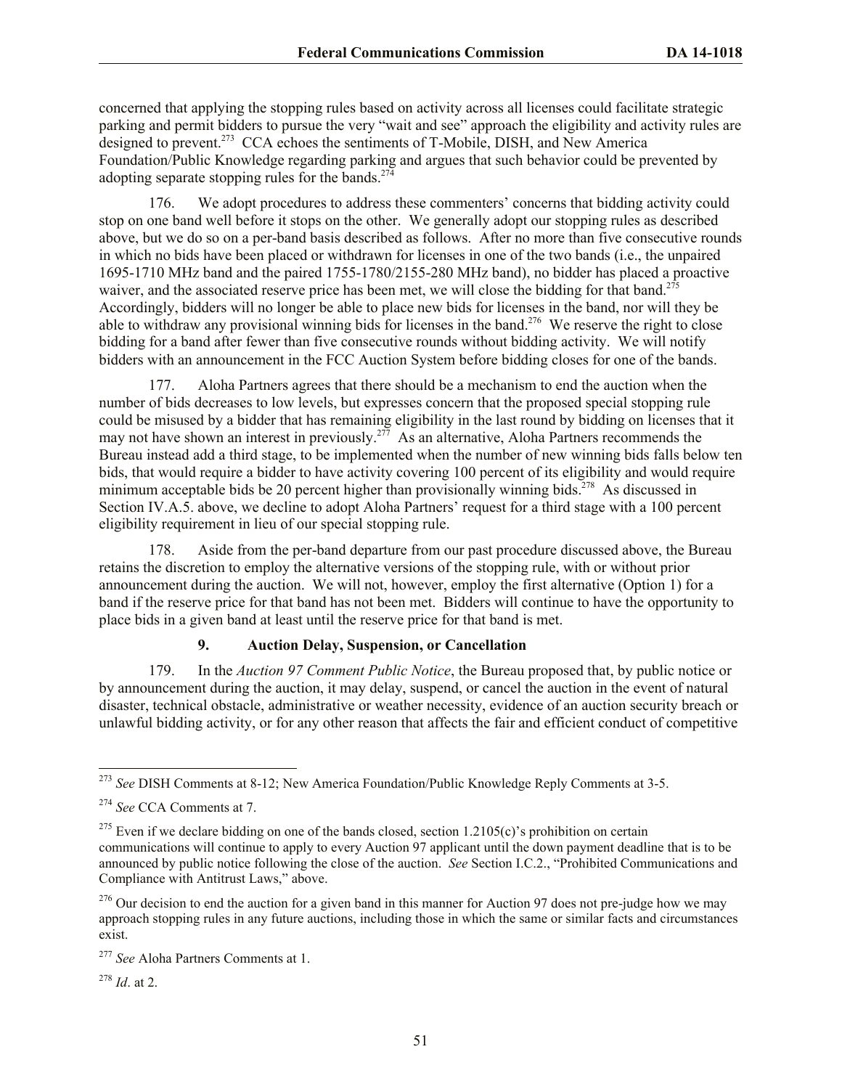concerned that applying the stopping rules based on activity across all licenses could facilitate strategic parking and permit bidders to pursue the very "wait and see" approach the eligibility and activity rules are designed to prevent.<sup>273</sup> CCA echoes the sentiments of T-Mobile, DISH, and New America Foundation/Public Knowledge regarding parking and argues that such behavior could be prevented by adopting separate stopping rules for the bands.<sup>274</sup>

176. We adopt procedures to address these commenters' concerns that bidding activity could stop on one band well before it stops on the other. We generally adopt our stopping rules as described above, but we do so on a per-band basis described as follows. After no more than five consecutive rounds in which no bids have been placed or withdrawn for licenses in one of the two bands (i.e., the unpaired 1695-1710 MHz band and the paired 1755-1780/2155-280 MHz band), no bidder has placed a proactive waiver, and the associated reserve price has been met, we will close the bidding for that band.<sup>275</sup> Accordingly, bidders will no longer be able to place new bids for licenses in the band, nor will they be able to withdraw any provisional winning bids for licenses in the band.<sup>276</sup> We reserve the right to close bidding for a band after fewer than five consecutive rounds without bidding activity. We will notify bidders with an announcement in the FCC Auction System before bidding closes for one of the bands.

177. Aloha Partners agrees that there should be a mechanism to end the auction when the number of bids decreases to low levels, but expresses concern that the proposed special stopping rule could be misused by a bidder that has remaining eligibility in the last round by bidding on licenses that it may not have shown an interest in previously.<sup>277</sup> As an alternative, Aloha Partners recommends the Bureau instead add a third stage, to be implemented when the number of new winning bids falls below ten bids, that would require a bidder to have activity covering 100 percent of its eligibility and would require minimum acceptable bids be 20 percent higher than provisionally winning bids.<sup>278</sup> As discussed in Section IV.A.5. above, we decline to adopt Aloha Partners' request for a third stage with a 100 percent eligibility requirement in lieu of our special stopping rule.

178. Aside from the per-band departure from our past procedure discussed above, the Bureau retains the discretion to employ the alternative versions of the stopping rule, with or without prior announcement during the auction. We will not, however, employ the first alternative (Option 1) for a band if the reserve price for that band has not been met. Bidders will continue to have the opportunity to place bids in a given band at least until the reserve price for that band is met.

## **9. Auction Delay, Suspension, or Cancellation**

179. In the *Auction 97 Comment Public Notice*, the Bureau proposed that, by public notice or by announcement during the auction, it may delay, suspend, or cancel the auction in the event of natural disaster, technical obstacle, administrative or weather necessity, evidence of an auction security breach or unlawful bidding activity, or for any other reason that affects the fair and efficient conduct of competitive

l <sup>273</sup> *See* DISH Comments at 8-12; New America Foundation/Public Knowledge Reply Comments at 3-5.

<sup>274</sup> *See* CCA Comments at 7.

<sup>&</sup>lt;sup>275</sup> Even if we declare bidding on one of the bands closed, section  $1.2105(c)$ 's prohibition on certain communications will continue to apply to every Auction 97 applicant until the down payment deadline that is to be announced by public notice following the close of the auction. *See* Section I.C.2., "Prohibited Communications and Compliance with Antitrust Laws," above.

 $276$  Our decision to end the auction for a given band in this manner for Auction 97 does not pre-judge how we may approach stopping rules in any future auctions, including those in which the same or similar facts and circumstances exist.

<sup>277</sup> *See* Aloha Partners Comments at 1.

<sup>278</sup> *Id*. at 2.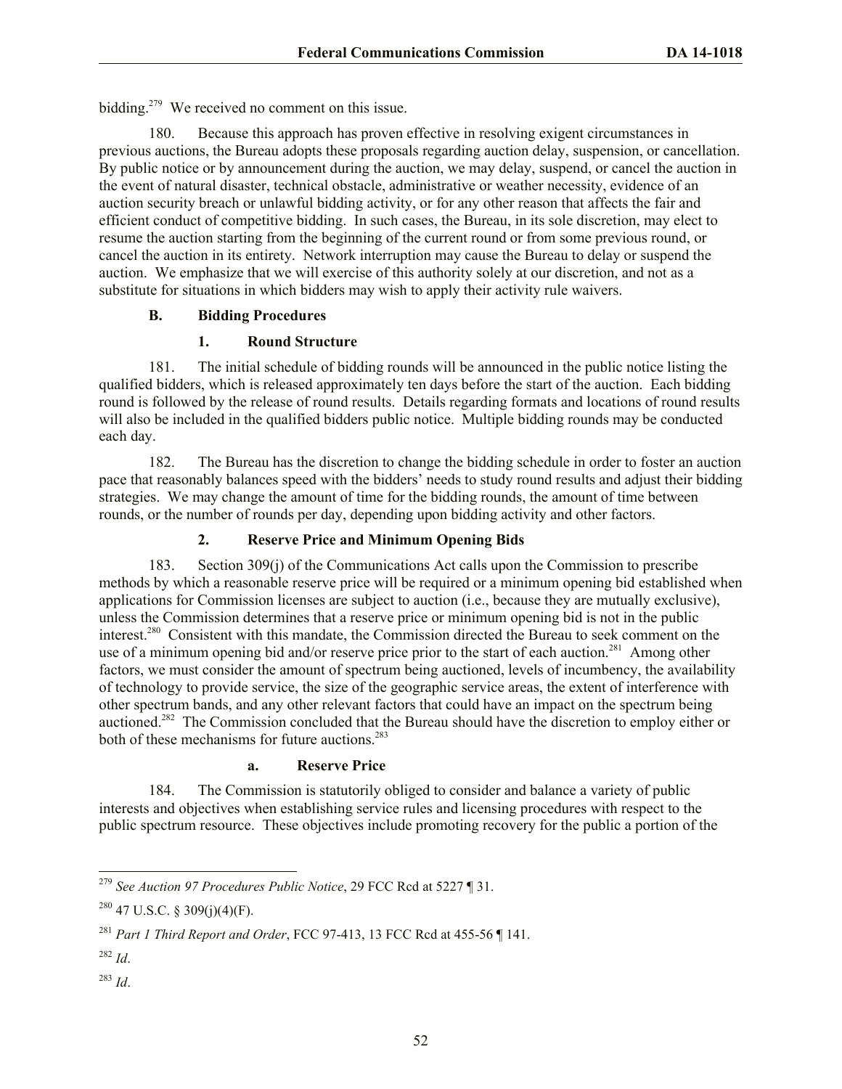bidding.<sup>279</sup> We received no comment on this issue.

180. Because this approach has proven effective in resolving exigent circumstances in previous auctions, the Bureau adopts these proposals regarding auction delay, suspension, or cancellation. By public notice or by announcement during the auction, we may delay, suspend, or cancel the auction in the event of natural disaster, technical obstacle, administrative or weather necessity, evidence of an auction security breach or unlawful bidding activity, or for any other reason that affects the fair and efficient conduct of competitive bidding. In such cases, the Bureau, in its sole discretion, may elect to resume the auction starting from the beginning of the current round or from some previous round, or cancel the auction in its entirety. Network interruption may cause the Bureau to delay or suspend the auction. We emphasize that we will exercise of this authority solely at our discretion, and not as a substitute for situations in which bidders may wish to apply their activity rule waivers.

# **B. Bidding Procedures**

# **1. Round Structure**

181. The initial schedule of bidding rounds will be announced in the public notice listing the qualified bidders, which is released approximately ten days before the start of the auction. Each bidding round is followed by the release of round results. Details regarding formats and locations of round results will also be included in the qualified bidders public notice. Multiple bidding rounds may be conducted each day.

182. The Bureau has the discretion to change the bidding schedule in order to foster an auction pace that reasonably balances speed with the bidders' needs to study round results and adjust their bidding strategies. We may change the amount of time for the bidding rounds, the amount of time between rounds, or the number of rounds per day, depending upon bidding activity and other factors.

# **2. Reserve Price and Minimum Opening Bids**

183. Section 309(j) of the Communications Act calls upon the Commission to prescribe methods by which a reasonable reserve price will be required or a minimum opening bid established when applications for Commission licenses are subject to auction (i.e., because they are mutually exclusive), unless the Commission determines that a reserve price or minimum opening bid is not in the public interest.<sup>280</sup> Consistent with this mandate, the Commission directed the Bureau to seek comment on the use of a minimum opening bid and/or reserve price prior to the start of each auction.<sup>281</sup> Among other factors, we must consider the amount of spectrum being auctioned, levels of incumbency, the availability of technology to provide service, the size of the geographic service areas, the extent of interference with other spectrum bands, and any other relevant factors that could have an impact on the spectrum being auctioned.<sup>282</sup> The Commission concluded that the Bureau should have the discretion to employ either or both of these mechanisms for future auctions.<sup>283</sup>

# **a. Reserve Price**

184. The Commission is statutorily obliged to consider and balance a variety of public interests and objectives when establishing service rules and licensing procedures with respect to the public spectrum resource. These objectives include promoting recovery for the public a portion of the

<sup>283</sup> *Id*.

l <sup>279</sup> *See Auction 97 Procedures Public Notice*, 29 FCC Rcd at 5227 ¶ 31.

 $^{280}$  47 U.S.C. § 309(j)(4)(F).

<sup>281</sup> *Part 1 Third Report and Order*, FCC 97-413, 13 FCC Rcd at 455-56 ¶ 141.

<sup>282</sup> *Id*.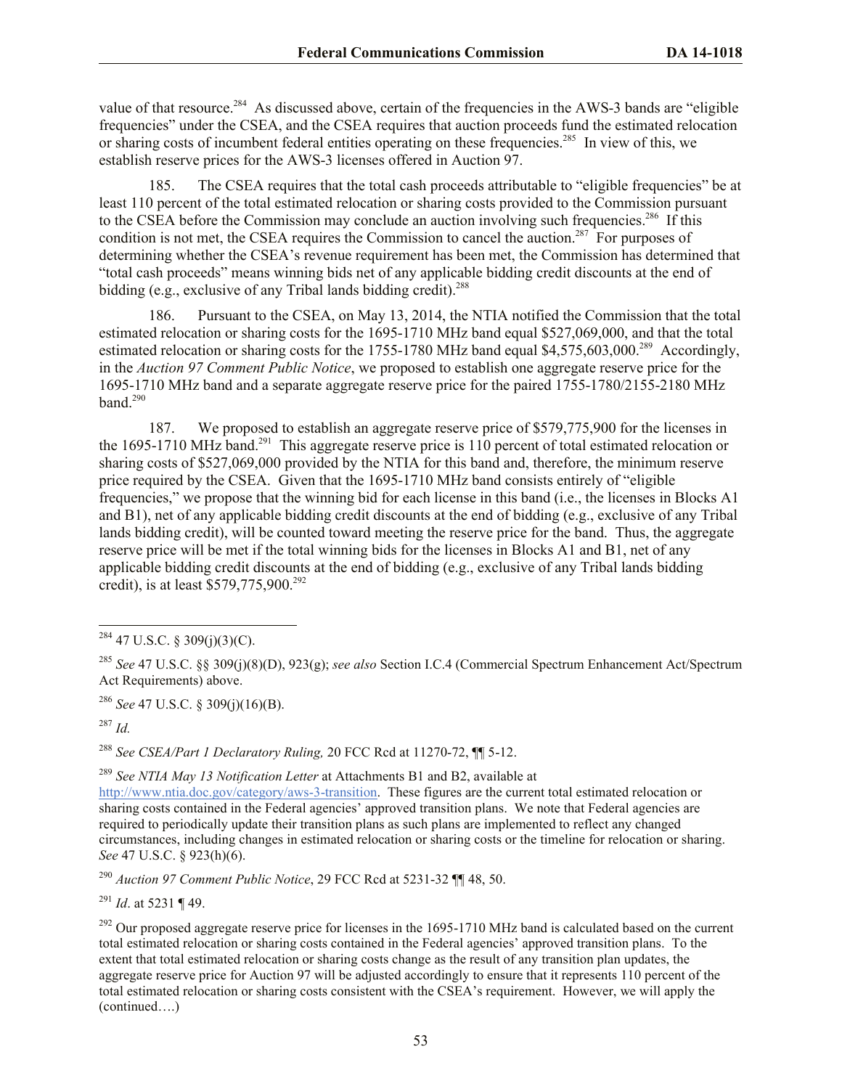value of that resource.<sup>284</sup> As discussed above, certain of the frequencies in the AWS-3 bands are "eligible" frequencies" under the CSEA, and the CSEA requires that auction proceeds fund the estimated relocation or sharing costs of incumbent federal entities operating on these frequencies.<sup>285</sup> In view of this, we establish reserve prices for the AWS-3 licenses offered in Auction 97.

185. The CSEA requires that the total cash proceeds attributable to "eligible frequencies" be at least 110 percent of the total estimated relocation or sharing costs provided to the Commission pursuant to the CSEA before the Commission may conclude an auction involving such frequencies.<sup>286</sup> If this condition is not met, the CSEA requires the Commission to cancel the auction.<sup>287</sup> For purposes of determining whether the CSEA's revenue requirement has been met, the Commission has determined that "total cash proceeds" means winning bids net of any applicable bidding credit discounts at the end of bidding (e.g., exclusive of any Tribal lands bidding credit). 288

186. Pursuant to the CSEA, on May 13, 2014, the NTIA notified the Commission that the total estimated relocation or sharing costs for the 1695-1710 MHz band equal \$527,069,000, and that the total estimated relocation or sharing costs for the 1755-1780 MHz band equal \$4,575,603,000.<sup>289</sup> Accordingly, in the *Auction 97 Comment Public Notice*, we proposed to establish one aggregate reserve price for the 1695-1710 MHz band and a separate aggregate reserve price for the paired 1755-1780/2155-2180 MHz band.<sup>290</sup>

187. We proposed to establish an aggregate reserve price of \$579,775,900 for the licenses in the 1695-1710 MHz band.<sup>291</sup> This aggregate reserve price is 110 percent of total estimated relocation or sharing costs of \$527,069,000 provided by the NTIA for this band and, therefore, the minimum reserve price required by the CSEA. Given that the 1695-1710 MHz band consists entirely of "eligible frequencies," we propose that the winning bid for each license in this band (i.e., the licenses in Blocks A1 and B1), net of any applicable bidding credit discounts at the end of bidding (e.g., exclusive of any Tribal lands bidding credit), will be counted toward meeting the reserve price for the band. Thus, the aggregate reserve price will be met if the total winning bids for the licenses in Blocks A1 and B1, net of any applicable bidding credit discounts at the end of bidding (e.g., exclusive of any Tribal lands bidding credit), is at least \$579,775,900.<sup>292</sup>

<sup>286</sup> *See* 47 U.S.C. § 309(j)(16)(B).

<sup>287</sup> *Id.*

l

<sup>288</sup> *See CSEA/Part 1 Declaratory Ruling,* 20 FCC Rcd at 11270-72, ¶¶ 5-12.

<sup>289</sup> *See NTIA May 13 Notification Letter* at Attachments B1 and B2, available at

http://www.ntia.doc.gov/category/aws-3-transition. These figures are the current total estimated relocation or sharing costs contained in the Federal agencies' approved transition plans. We note that Federal agencies are required to periodically update their transition plans as such plans are implemented to reflect any changed circumstances, including changes in estimated relocation or sharing costs or the timeline for relocation or sharing. *See* 47 U.S.C. § 923(h)(6).

<sup>290</sup> *Auction 97 Comment Public Notice*, 29 FCC Rcd at 5231-32 ¶¶ 48, 50.

<sup>291</sup> *Id*. at 5231 ¶ 49.

 $^{284}$  47 U.S.C. § 309(j)(3)(C).

<sup>285</sup> *See* 47 U.S.C. §§ 309(j)(8)(D), 923(g); *see also* Section I.C.4 (Commercial Spectrum Enhancement Act/Spectrum Act Requirements) above.

 $^{292}$  Our proposed aggregate reserve price for licenses in the 1695-1710 MHz band is calculated based on the current total estimated relocation or sharing costs contained in the Federal agencies' approved transition plans. To the extent that total estimated relocation or sharing costs change as the result of any transition plan updates, the aggregate reserve price for Auction 97 will be adjusted accordingly to ensure that it represents 110 percent of the total estimated relocation or sharing costs consistent with the CSEA's requirement. However, we will apply the (continued….)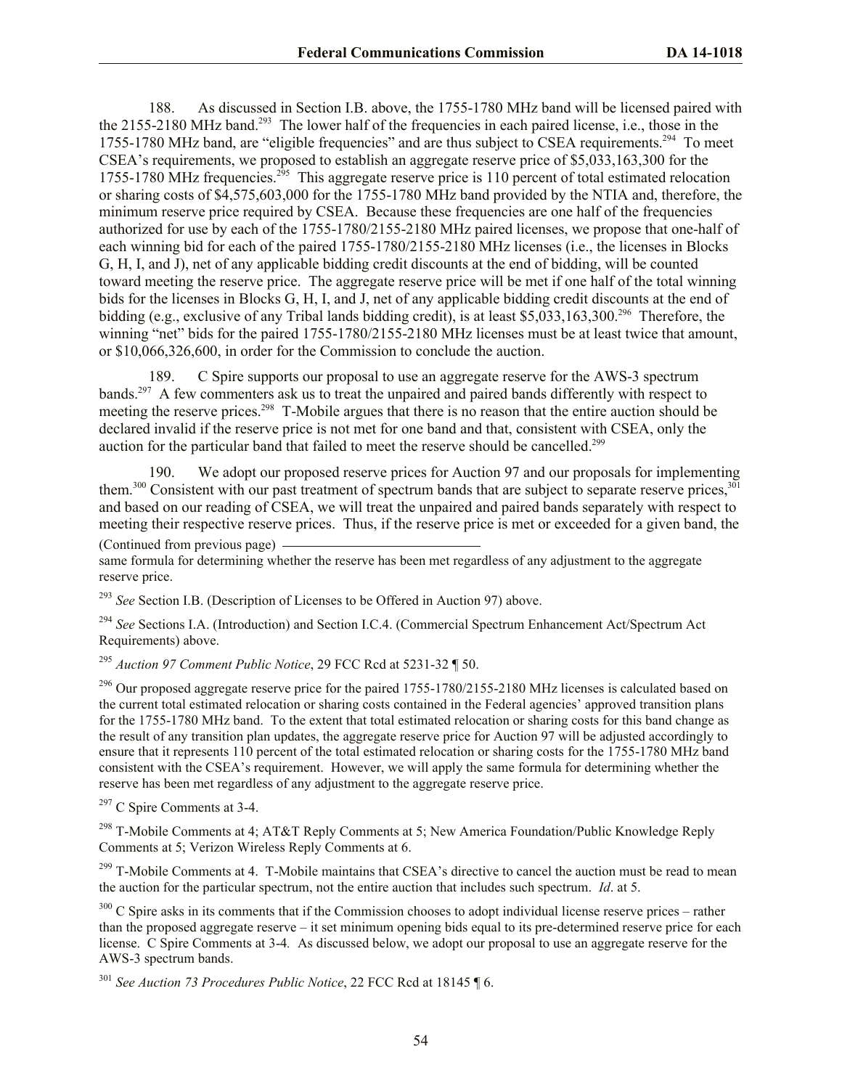188. As discussed in Section I.B. above, the 1755-1780 MHz band will be licensed paired with the 2155-2180 MHz band.<sup>293</sup> The lower half of the frequencies in each paired license, i.e., those in the 1755-1780 MHz band, are "eligible frequencies" and are thus subject to CSEA requirements.<sup>294</sup> To meet CSEA's requirements, we proposed to establish an aggregate reserve price of \$5,033,163,300 for the 1755-1780 MHz frequencies.<sup>295</sup> This aggregate reserve price is 110 percent of total estimated relocation or sharing costs of \$4,575,603,000 for the 1755-1780 MHz band provided by the NTIA and, therefore, the minimum reserve price required by CSEA. Because these frequencies are one half of the frequencies authorized for use by each of the 1755-1780/2155-2180 MHz paired licenses, we propose that one-half of each winning bid for each of the paired 1755-1780/2155-2180 MHz licenses (i.e., the licenses in Blocks G, H, I, and J), net of any applicable bidding credit discounts at the end of bidding, will be counted toward meeting the reserve price. The aggregate reserve price will be met if one half of the total winning bids for the licenses in Blocks G, H, I, and J, net of any applicable bidding credit discounts at the end of bidding (e.g., exclusive of any Tribal lands bidding credit), is at least \$5,033,163,300.<sup>296</sup> Therefore, the winning "net" bids for the paired 1755-1780/2155-2180 MHz licenses must be at least twice that amount, or \$10,066,326,600, in order for the Commission to conclude the auction.

189. C Spire supports our proposal to use an aggregate reserve for the AWS-3 spectrum bands.<sup>297</sup> A few commenters ask us to treat the unpaired and paired bands differently with respect to meeting the reserve prices.<sup>298</sup> T-Mobile argues that there is no reason that the entire auction should be declared invalid if the reserve price is not met for one band and that, consistent with CSEA, only the auction for the particular band that failed to meet the reserve should be cancelled.<sup>299</sup>

190. We adopt our proposed reserve prices for Auction 97 and our proposals for implementing them.<sup>300</sup> Consistent with our past treatment of spectrum bands that are subject to separate reserve prices,<sup>301</sup> and based on our reading of CSEA, we will treat the unpaired and paired bands separately with respect to meeting their respective reserve prices. Thus, if the reserve price is met or exceeded for a given band, the

# (Continued from previous page)

same formula for determining whether the reserve has been met regardless of any adjustment to the aggregate reserve price.

<sup>293</sup> *See* Section I.B. (Description of Licenses to be Offered in Auction 97) above.

<sup>294</sup> See Sections I.A. (Introduction) and Section I.C.4. (Commercial Spectrum Enhancement Act/Spectrum Act Requirements) above.

<sup>295</sup> *Auction 97 Comment Public Notice*, 29 FCC Rcd at 5231-32 ¶ 50.

<sup>296</sup> Our proposed aggregate reserve price for the paired 1755-1780/2155-2180 MHz licenses is calculated based on the current total estimated relocation or sharing costs contained in the Federal agencies' approved transition plans for the 1755-1780 MHz band. To the extent that total estimated relocation or sharing costs for this band change as the result of any transition plan updates, the aggregate reserve price for Auction 97 will be adjusted accordingly to ensure that it represents 110 percent of the total estimated relocation or sharing costs for the 1755-1780 MHz band consistent with the CSEA's requirement. However, we will apply the same formula for determining whether the reserve has been met regardless of any adjustment to the aggregate reserve price.

<sup>297</sup> C Spire Comments at 3-4.

<sup>298</sup> T-Mobile Comments at 4; AT&T Reply Comments at 5; New America Foundation/Public Knowledge Reply Comments at 5; Verizon Wireless Reply Comments at 6.

<sup>299</sup> T-Mobile Comments at 4. T-Mobile maintains that CSEA's directive to cancel the auction must be read to mean the auction for the particular spectrum, not the entire auction that includes such spectrum. *Id*. at 5.

 $300$  C Spire asks in its comments that if the Commission chooses to adopt individual license reserve prices – rather than the proposed aggregate reserve – it set minimum opening bids equal to its pre-determined reserve price for each license. C Spire Comments at 3-4*.* As discussed below, we adopt our proposal to use an aggregate reserve for the AWS-3 spectrum bands.

<sup>301</sup> *See Auction 73 Procedures Public Notice*, 22 FCC Rcd at 18145 ¶ 6.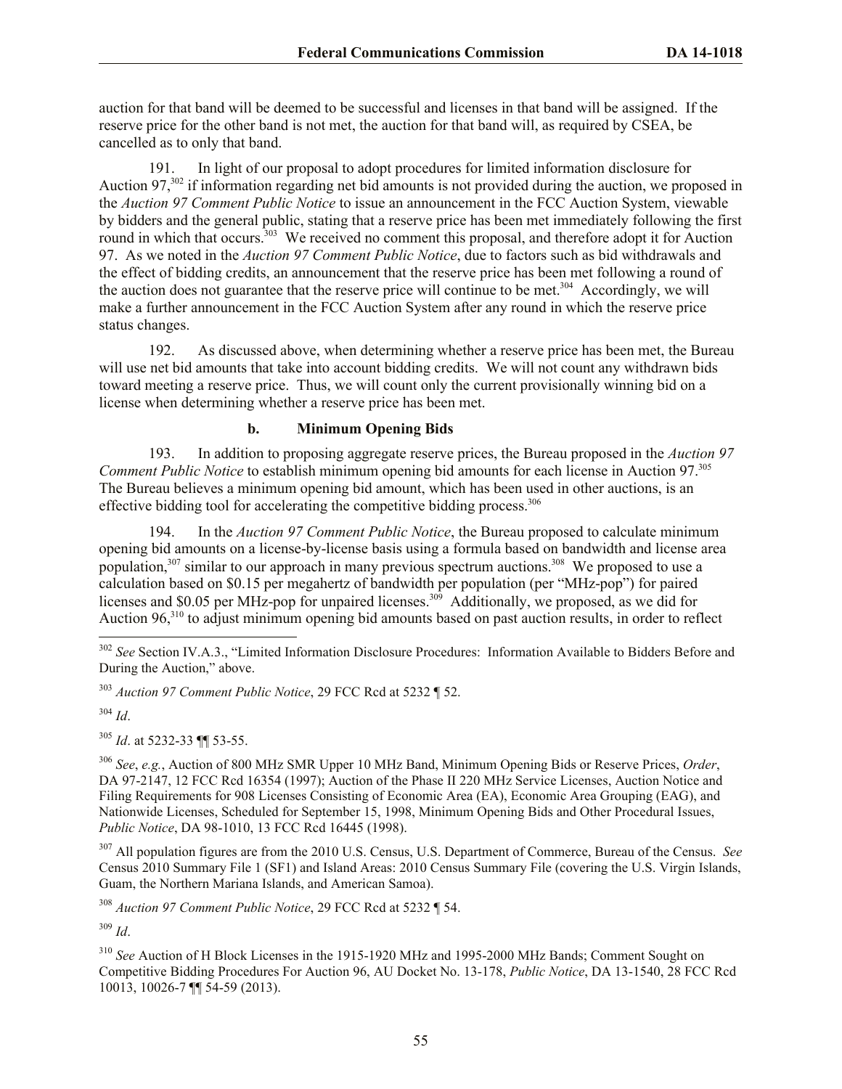auction for that band will be deemed to be successful and licenses in that band will be assigned. If the reserve price for the other band is not met, the auction for that band will, as required by CSEA, be cancelled as to only that band.

191. In light of our proposal to adopt procedures for limited information disclosure for Auction 97,<sup>302</sup> if information regarding net bid amounts is not provided during the auction, we proposed in the *Auction 97 Comment Public Notice* to issue an announcement in the FCC Auction System, viewable by bidders and the general public, stating that a reserve price has been met immediately following the first round in which that occurs.<sup>303</sup> We received no comment this proposal, and therefore adopt it for Auction 97. As we noted in the *Auction 97 Comment Public Notice*, due to factors such as bid withdrawals and the effect of bidding credits, an announcement that the reserve price has been met following a round of the auction does not guarantee that the reserve price will continue to be met.<sup>304</sup> Accordingly, we will make a further announcement in the FCC Auction System after any round in which the reserve price status changes.

192. As discussed above, when determining whether a reserve price has been met, the Bureau will use net bid amounts that take into account bidding credits. We will not count any withdrawn bids toward meeting a reserve price. Thus, we will count only the current provisionally winning bid on a license when determining whether a reserve price has been met.

# **b. Minimum Opening Bids**

193. In addition to proposing aggregate reserve prices, the Bureau proposed in the *Auction 97 Comment Public Notice* to establish minimum opening bid amounts for each license in Auction 97. 305 The Bureau believes a minimum opening bid amount, which has been used in other auctions, is an effective bidding tool for accelerating the competitive bidding process.<sup>306</sup>

194. In the *Auction 97 Comment Public Notice*, the Bureau proposed to calculate minimum opening bid amounts on a license-by-license basis using a formula based on bandwidth and license area population,  $307$  similar to our approach in many previous spectrum auctions.  $308$  We proposed to use a calculation based on \$0.15 per megahertz of bandwidth per population (per "MHz-pop") for paired licenses and \$0.05 per MHz-pop for unpaired licenses.<sup>309</sup> Additionally, we proposed, as we did for Auction 96,<sup>310</sup> to adjust minimum opening bid amounts based on past auction results, in order to reflect

<sup>303</sup> *Auction 97 Comment Public Notice*, 29 FCC Rcd at 5232 ¶ 52.

<sup>304</sup> *Id*.

l

<sup>305</sup> *Id*. at 5232-33 ¶¶ 53-55.

<sup>306</sup> *See*, *e.g.*, Auction of 800 MHz SMR Upper 10 MHz Band, Minimum Opening Bids or Reserve Prices, *Order*, DA 97-2147, 12 FCC Rcd 16354 (1997); Auction of the Phase II 220 MHz Service Licenses, Auction Notice and Filing Requirements for 908 Licenses Consisting of Economic Area (EA), Economic Area Grouping (EAG), and Nationwide Licenses, Scheduled for September 15, 1998, Minimum Opening Bids and Other Procedural Issues, *Public Notice*, DA 98-1010, 13 FCC Rcd 16445 (1998).

<sup>307</sup> All population figures are from the 2010 U.S. Census, U.S. Department of Commerce, Bureau of the Census. *See* Census 2010 Summary File 1 (SF1) and Island Areas: 2010 Census Summary File (covering the U.S. Virgin Islands, Guam, the Northern Mariana Islands, and American Samoa).

<sup>308</sup> *Auction 97 Comment Public Notice*, 29 FCC Rcd at 5232 ¶ 54.

<sup>309</sup> *Id*.

<sup>310</sup> *See* Auction of H Block Licenses in the 1915-1920 MHz and 1995-2000 MHz Bands; Comment Sought on Competitive Bidding Procedures For Auction 96, AU Docket No. 13-178, *Public Notice*, DA 13-1540, 28 FCC Rcd 10013, 10026-7 ¶¶ 54-59 (2013).

<sup>&</sup>lt;sup>302</sup> See Section IV.A.3., "Limited Information Disclosure Procedures: Information Available to Bidders Before and During the Auction," above.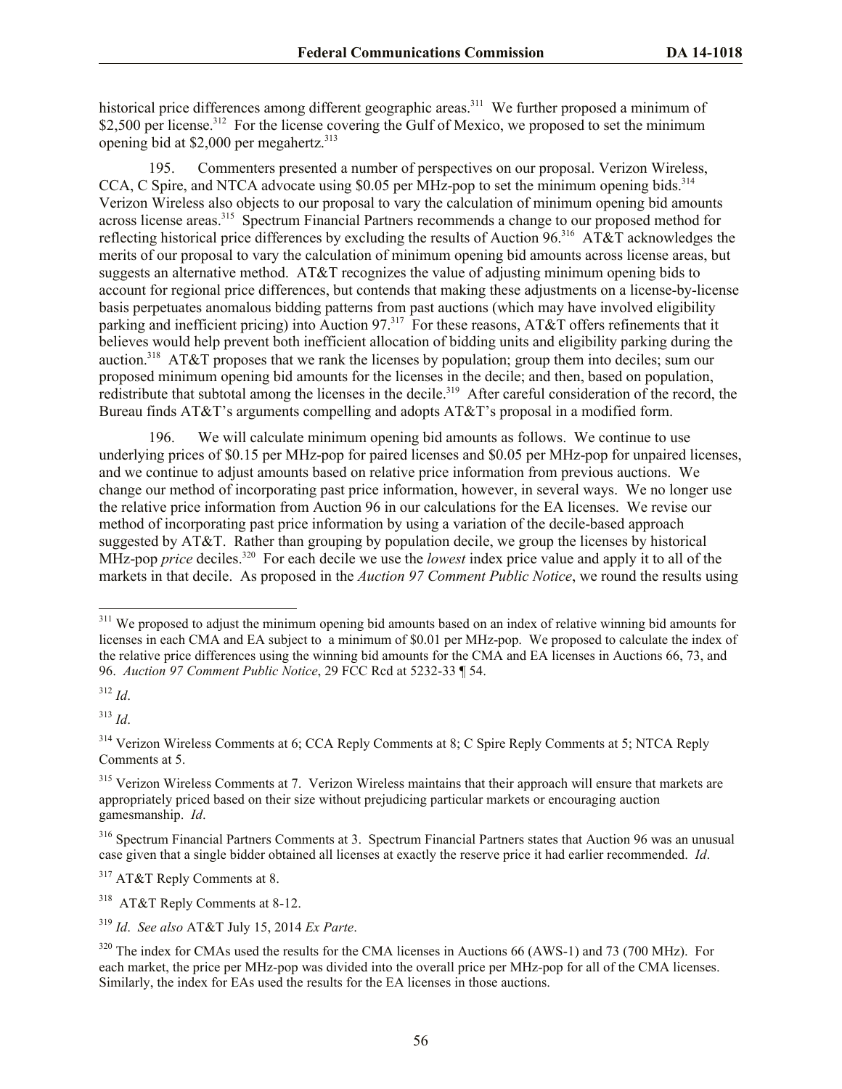historical price differences among different geographic areas.<sup>311</sup> We further proposed a minimum of \$2,500 per license.<sup>312</sup> For the license covering the Gulf of Mexico, we proposed to set the minimum opening bid at \$2,000 per megahertz. 313

195. Commenters presented a number of perspectives on our proposal. Verizon Wireless, CCA, C Spire, and NTCA advocate using \$0.05 per MHz-pop to set the minimum opening bids.<sup>314</sup> Verizon Wireless also objects to our proposal to vary the calculation of minimum opening bid amounts across license areas.<sup>315</sup> Spectrum Financial Partners recommends a change to our proposed method for reflecting historical price differences by excluding the results of Auction 96.<sup>316</sup> AT&T acknowledges the merits of our proposal to vary the calculation of minimum opening bid amounts across license areas, but suggests an alternative method. AT&T recognizes the value of adjusting minimum opening bids to account for regional price differences, but contends that making these adjustments on a license-by-license basis perpetuates anomalous bidding patterns from past auctions (which may have involved eligibility parking and inefficient pricing) into Auction 97.<sup>317</sup> For these reasons, AT&T offers refinements that it believes would help prevent both inefficient allocation of bidding units and eligibility parking during the auction.<sup>318</sup> AT&T proposes that we rank the licenses by population; group them into deciles; sum our proposed minimum opening bid amounts for the licenses in the decile; and then, based on population, redistribute that subtotal among the licenses in the decile.<sup>319</sup> After careful consideration of the record, the Bureau finds AT&T's arguments compelling and adopts AT&T's proposal in a modified form.

196. We will calculate minimum opening bid amounts as follows. We continue to use underlying prices of \$0.15 per MHz-pop for paired licenses and \$0.05 per MHz-pop for unpaired licenses, and we continue to adjust amounts based on relative price information from previous auctions. We change our method of incorporating past price information, however, in several ways. We no longer use the relative price information from Auction 96 in our calculations for the EA licenses. We revise our method of incorporating past price information by using a variation of the decile-based approach suggested by AT&T. Rather than grouping by population decile, we group the licenses by historical MHz-pop *price* deciles.<sup>320</sup> For each decile we use the *lowest* index price value and apply it to all of the markets in that decile. As proposed in the *Auction 97 Comment Public Notice*, we round the results using

<sup>312</sup> *Id*.

l

<sup>313</sup> *Id*.

<sup>&</sup>lt;sup>311</sup> We proposed to adjust the minimum opening bid amounts based on an index of relative winning bid amounts for licenses in each CMA and EA subject to a minimum of \$0.01 per MHz-pop. We proposed to calculate the index of the relative price differences using the winning bid amounts for the CMA and EA licenses in Auctions 66, 73, and 96. *Auction 97 Comment Public Notice*, 29 FCC Rcd at 5232-33 ¶ 54.

<sup>&</sup>lt;sup>314</sup> Verizon Wireless Comments at 6; CCA Reply Comments at 8; C Spire Reply Comments at 5; NTCA Reply Comments at 5.

<sup>&</sup>lt;sup>315</sup> Verizon Wireless Comments at 7. Verizon Wireless maintains that their approach will ensure that markets are appropriately priced based on their size without prejudicing particular markets or encouraging auction gamesmanship. *Id*.

<sup>316</sup> Spectrum Financial Partners Comments at 3. Spectrum Financial Partners states that Auction 96 was an unusual case given that a single bidder obtained all licenses at exactly the reserve price it had earlier recommended. *Id*.

<sup>&</sup>lt;sup>317</sup> AT&T Reply Comments at 8.

<sup>318</sup> AT&T Reply Comments at 8-12.

<sup>319</sup> *Id*. *See also* AT&T July 15, 2014 *Ex Parte*.

 $320$  The index for CMAs used the results for the CMA licenses in Auctions 66 (AWS-1) and 73 (700 MHz). For each market, the price per MHz-pop was divided into the overall price per MHz-pop for all of the CMA licenses. Similarly, the index for EAs used the results for the EA licenses in those auctions.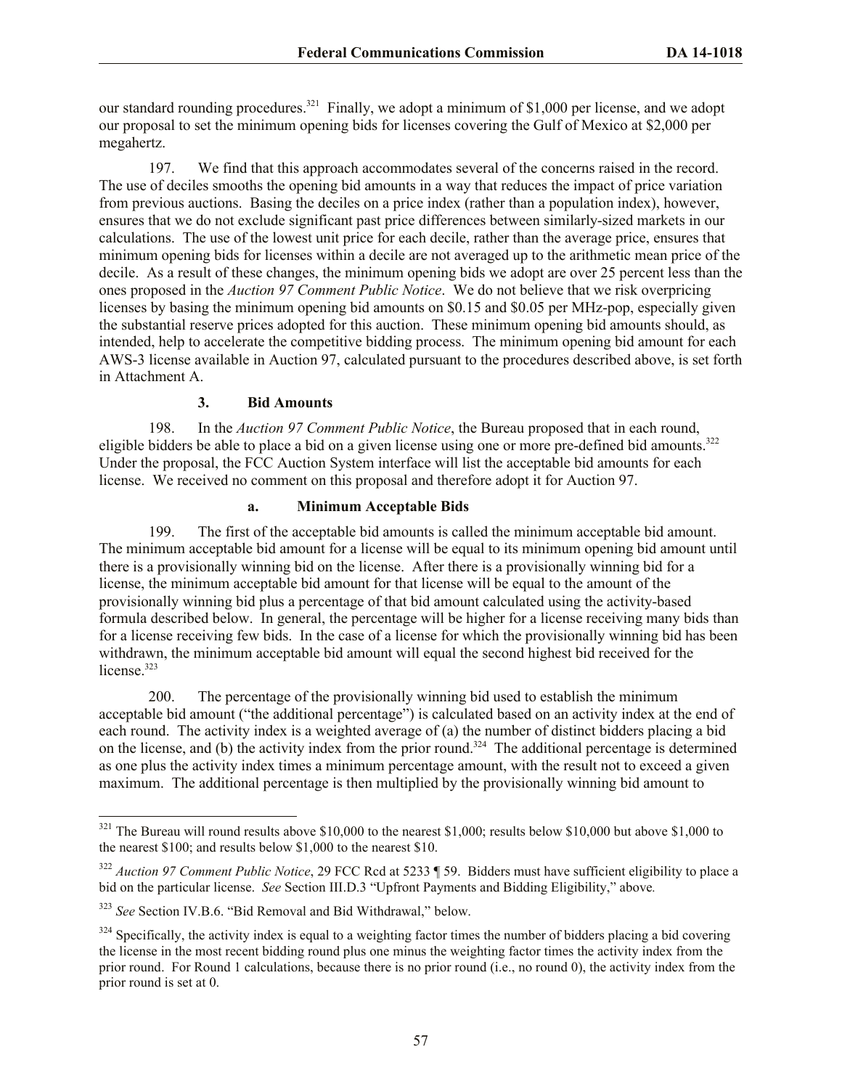our standard rounding procedures.<sup>321</sup> Finally, we adopt a minimum of \$1,000 per license, and we adopt our proposal to set the minimum opening bids for licenses covering the Gulf of Mexico at \$2,000 per megahertz.

197. We find that this approach accommodates several of the concerns raised in the record. The use of deciles smooths the opening bid amounts in a way that reduces the impact of price variation from previous auctions. Basing the deciles on a price index (rather than a population index), however, ensures that we do not exclude significant past price differences between similarly-sized markets in our calculations. The use of the lowest unit price for each decile, rather than the average price, ensures that minimum opening bids for licenses within a decile are not averaged up to the arithmetic mean price of the decile. As a result of these changes, the minimum opening bids we adopt are over 25 percent less than the ones proposed in the *Auction 97 Comment Public Notice*. We do not believe that we risk overpricing licenses by basing the minimum opening bid amounts on \$0.15 and \$0.05 per MHz-pop, especially given the substantial reserve prices adopted for this auction. These minimum opening bid amounts should, as intended, help to accelerate the competitive bidding process. The minimum opening bid amount for each AWS-3 license available in Auction 97, calculated pursuant to the procedures described above, is set forth in Attachment A.

# **3. Bid Amounts**

198. In the *Auction 97 Comment Public Notice*, the Bureau proposed that in each round, eligible bidders be able to place a bid on a given license using one or more pre-defined bid amounts.<sup>322</sup> Under the proposal, the FCC Auction System interface will list the acceptable bid amounts for each license. We received no comment on this proposal and therefore adopt it for Auction 97.

# **a. Minimum Acceptable Bids**

199. The first of the acceptable bid amounts is called the minimum acceptable bid amount. The minimum acceptable bid amount for a license will be equal to its minimum opening bid amount until there is a provisionally winning bid on the license. After there is a provisionally winning bid for a license, the minimum acceptable bid amount for that license will be equal to the amount of the provisionally winning bid plus a percentage of that bid amount calculated using the activity-based formula described below. In general, the percentage will be higher for a license receiving many bids than for a license receiving few bids. In the case of a license for which the provisionally winning bid has been withdrawn, the minimum acceptable bid amount will equal the second highest bid received for the license.<sup>323</sup>

200. The percentage of the provisionally winning bid used to establish the minimum acceptable bid amount ("the additional percentage") is calculated based on an activity index at the end of each round. The activity index is a weighted average of (a) the number of distinct bidders placing a bid on the license, and (b) the activity index from the prior round.<sup>324</sup> The additional percentage is determined as one plus the activity index times a minimum percentage amount, with the result not to exceed a given maximum. The additional percentage is then multiplied by the provisionally winning bid amount to

 $321$  The Bureau will round results above \$10,000 to the nearest \$1,000; results below \$10,000 but above \$1,000 to the nearest \$100; and results below \$1,000 to the nearest \$10.

<sup>322</sup> *Auction 97 Comment Public Notice*, 29 FCC Rcd at 5233 ¶ 59. Bidders must have sufficient eligibility to place a bid on the particular license. *See* Section III.D.3 "Upfront Payments and Bidding Eligibility," above*.*

<sup>323</sup> *See* Section IV.B.6. "Bid Removal and Bid Withdrawal," below.

 $324$  Specifically, the activity index is equal to a weighting factor times the number of bidders placing a bid covering the license in the most recent bidding round plus one minus the weighting factor times the activity index from the prior round. For Round 1 calculations, because there is no prior round (i.e., no round 0), the activity index from the prior round is set at 0.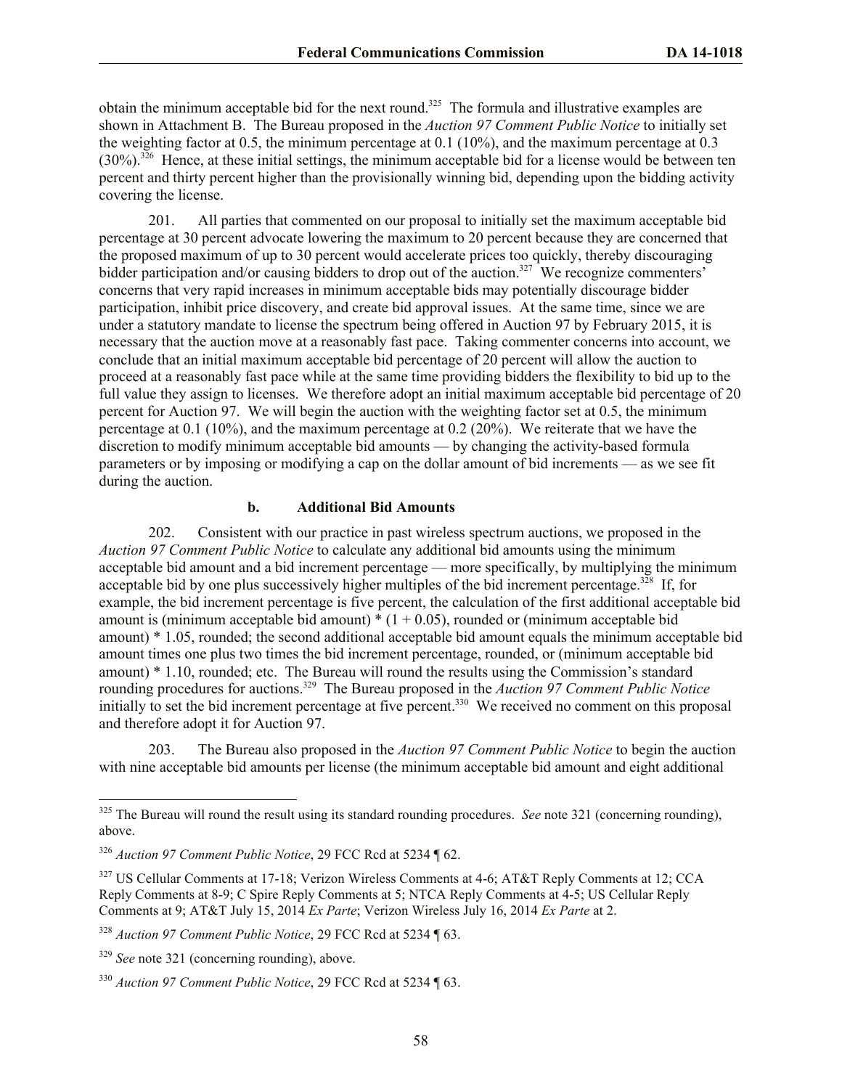obtain the minimum acceptable bid for the next round.<sup>325</sup> The formula and illustrative examples are shown in Attachment B. The Bureau proposed in the *Auction 97 Comment Public Notice* to initially set the weighting factor at 0.5, the minimum percentage at 0.1 (10%), and the maximum percentage at 0.3  $(30\%)$ .<sup>326</sup> Hence, at these initial settings, the minimum acceptable bid for a license would be between ten percent and thirty percent higher than the provisionally winning bid, depending upon the bidding activity covering the license.

201. All parties that commented on our proposal to initially set the maximum acceptable bid percentage at 30 percent advocate lowering the maximum to 20 percent because they are concerned that the proposed maximum of up to 30 percent would accelerate prices too quickly, thereby discouraging bidder participation and/or causing bidders to drop out of the auction.<sup>327</sup> We recognize commenters' concerns that very rapid increases in minimum acceptable bids may potentially discourage bidder participation, inhibit price discovery, and create bid approval issues. At the same time, since we are under a statutory mandate to license the spectrum being offered in Auction 97 by February 2015, it is necessary that the auction move at a reasonably fast pace. Taking commenter concerns into account, we conclude that an initial maximum acceptable bid percentage of 20 percent will allow the auction to proceed at a reasonably fast pace while at the same time providing bidders the flexibility to bid up to the full value they assign to licenses. We therefore adopt an initial maximum acceptable bid percentage of 20 percent for Auction 97. We will begin the auction with the weighting factor set at 0.5, the minimum percentage at 0.1 (10%), and the maximum percentage at 0.2 (20%). We reiterate that we have the discretion to modify minimum acceptable bid amounts — by changing the activity-based formula parameters or by imposing or modifying a cap on the dollar amount of bid increments — as we see fit during the auction.

# **b. Additional Bid Amounts**

202. Consistent with our practice in past wireless spectrum auctions, we proposed in the *Auction 97 Comment Public Notice* to calculate any additional bid amounts using the minimum acceptable bid amount and a bid increment percentage — more specifically, by multiplying the minimum acceptable bid by one plus successively higher multiples of the bid increment percentage.<sup>328</sup> If, for example, the bid increment percentage is five percent, the calculation of the first additional acceptable bid amount is (minimum acceptable bid amount)  $*(1 + 0.05)$ , rounded or (minimum acceptable bid amount) \* 1.05, rounded; the second additional acceptable bid amount equals the minimum acceptable bid amount times one plus two times the bid increment percentage, rounded, or (minimum acceptable bid amount) \* 1.10, rounded; etc. The Bureau will round the results using the Commission's standard rounding procedures for auctions.<sup>329</sup> The Bureau proposed in the *Auction 97 Comment Public Notice* initially to set the bid increment percentage at five percent.<sup>330</sup> We received no comment on this proposal and therefore adopt it for Auction 97.

203. The Bureau also proposed in the *Auction 97 Comment Public Notice* to begin the auction with nine acceptable bid amounts per license (the minimum acceptable bid amount and eight additional

<sup>&</sup>lt;sup>325</sup> The Bureau will round the result using its standard rounding procedures. *See* note 321 (concerning rounding), above.

<sup>326</sup> *Auction 97 Comment Public Notice*, 29 FCC Rcd at 5234 ¶ 62.

<sup>&</sup>lt;sup>327</sup> US Cellular Comments at 17-18; Verizon Wireless Comments at 4-6; AT&T Reply Comments at 12; CCA Reply Comments at 8-9; C Spire Reply Comments at 5; NTCA Reply Comments at 4-5; US Cellular Reply Comments at 9; AT&T July 15, 2014 *Ex Parte*; Verizon Wireless July 16, 2014 *Ex Parte* at 2.

<sup>328</sup> *Auction 97 Comment Public Notice*, 29 FCC Rcd at 5234 ¶ 63.

<sup>329</sup> *See* note 321 (concerning rounding), above.

<sup>330</sup> *Auction 97 Comment Public Notice*, 29 FCC Rcd at 5234 ¶ 63.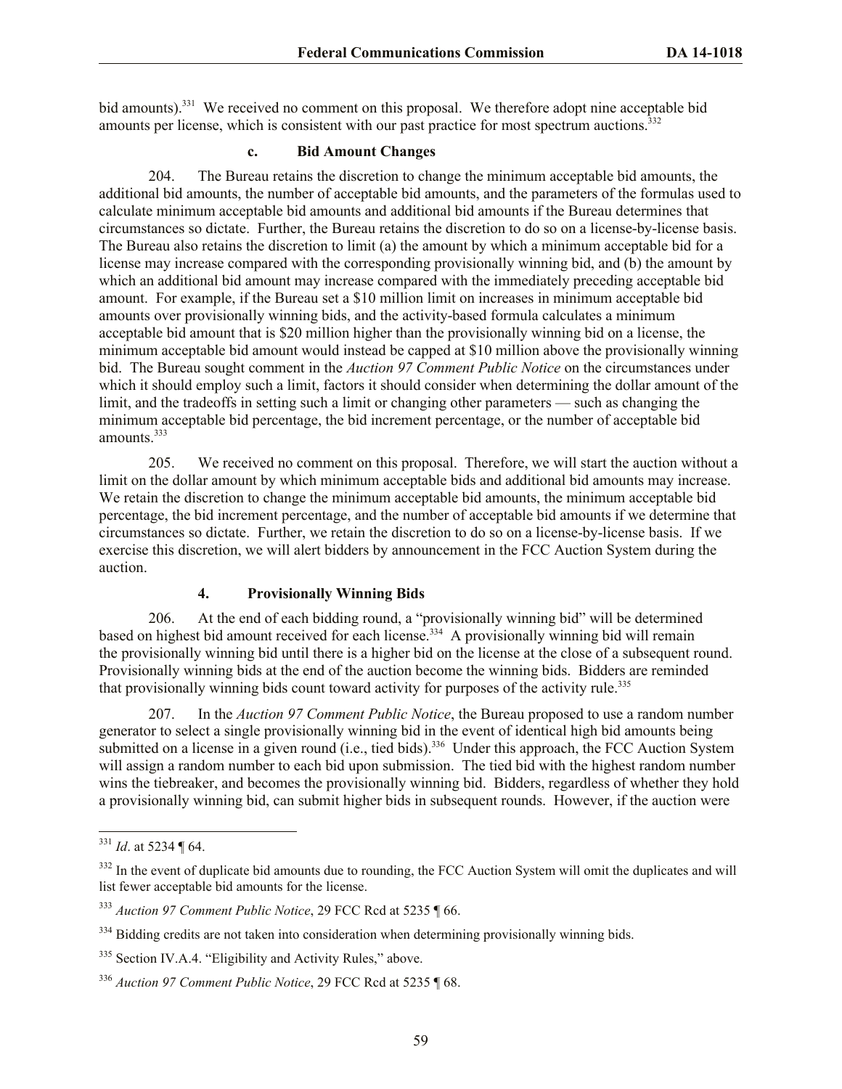bid amounts).<sup>331</sup> We received no comment on this proposal. We therefore adopt nine acceptable bid amounts per license, which is consistent with our past practice for most spectrum auctions.<sup>332</sup>

# **c. Bid Amount Changes**

204. The Bureau retains the discretion to change the minimum acceptable bid amounts, the additional bid amounts, the number of acceptable bid amounts, and the parameters of the formulas used to calculate minimum acceptable bid amounts and additional bid amounts if the Bureau determines that circumstances so dictate. Further, the Bureau retains the discretion to do so on a license-by-license basis. The Bureau also retains the discretion to limit (a) the amount by which a minimum acceptable bid for a license may increase compared with the corresponding provisionally winning bid, and (b) the amount by which an additional bid amount may increase compared with the immediately preceding acceptable bid amount. For example, if the Bureau set a \$10 million limit on increases in minimum acceptable bid amounts over provisionally winning bids, and the activity-based formula calculates a minimum acceptable bid amount that is \$20 million higher than the provisionally winning bid on a license, the minimum acceptable bid amount would instead be capped at \$10 million above the provisionally winning bid. The Bureau sought comment in the *Auction 97 Comment Public Notice* on the circumstances under which it should employ such a limit, factors it should consider when determining the dollar amount of the limit, and the tradeoffs in setting such a limit or changing other parameters — such as changing the minimum acceptable bid percentage, the bid increment percentage, or the number of acceptable bid amounts.<sup>333</sup>

205. We received no comment on this proposal. Therefore, we will start the auction without a limit on the dollar amount by which minimum acceptable bids and additional bid amounts may increase. We retain the discretion to change the minimum acceptable bid amounts, the minimum acceptable bid percentage, the bid increment percentage, and the number of acceptable bid amounts if we determine that circumstances so dictate. Further, we retain the discretion to do so on a license-by-license basis. If we exercise this discretion, we will alert bidders by announcement in the FCC Auction System during the auction.

## **4. Provisionally Winning Bids**

206. At the end of each bidding round, a "provisionally winning bid" will be determined based on highest bid amount received for each license.<sup>334</sup> A provisionally winning bid will remain the provisionally winning bid until there is a higher bid on the license at the close of a subsequent round. Provisionally winning bids at the end of the auction become the winning bids. Bidders are reminded that provisionally winning bids count toward activity for purposes of the activity rule.<sup>335</sup>

207. In the *Auction 97 Comment Public Notice*, the Bureau proposed to use a random number generator to select a single provisionally winning bid in the event of identical high bid amounts being submitted on a license in a given round (i.e., tied bids).<sup>336</sup> Under this approach, the FCC Auction System will assign a random number to each bid upon submission. The tied bid with the highest random number wins the tiebreaker, and becomes the provisionally winning bid. Bidders, regardless of whether they hold a provisionally winning bid, can submit higher bids in subsequent rounds. However, if the auction were

<sup>331</sup> *Id*. at 5234 ¶ 64.

<sup>&</sup>lt;sup>332</sup> In the event of duplicate bid amounts due to rounding, the FCC Auction System will omit the duplicates and will list fewer acceptable bid amounts for the license.

<sup>333</sup> *Auction 97 Comment Public Notice*, 29 FCC Rcd at 5235 ¶ 66.

<sup>&</sup>lt;sup>334</sup> Bidding credits are not taken into consideration when determining provisionally winning bids.

<sup>&</sup>lt;sup>335</sup> Section IV.A.4. "Eligibility and Activity Rules," above.

<sup>336</sup> *Auction 97 Comment Public Notice*, 29 FCC Rcd at 5235 ¶ 68.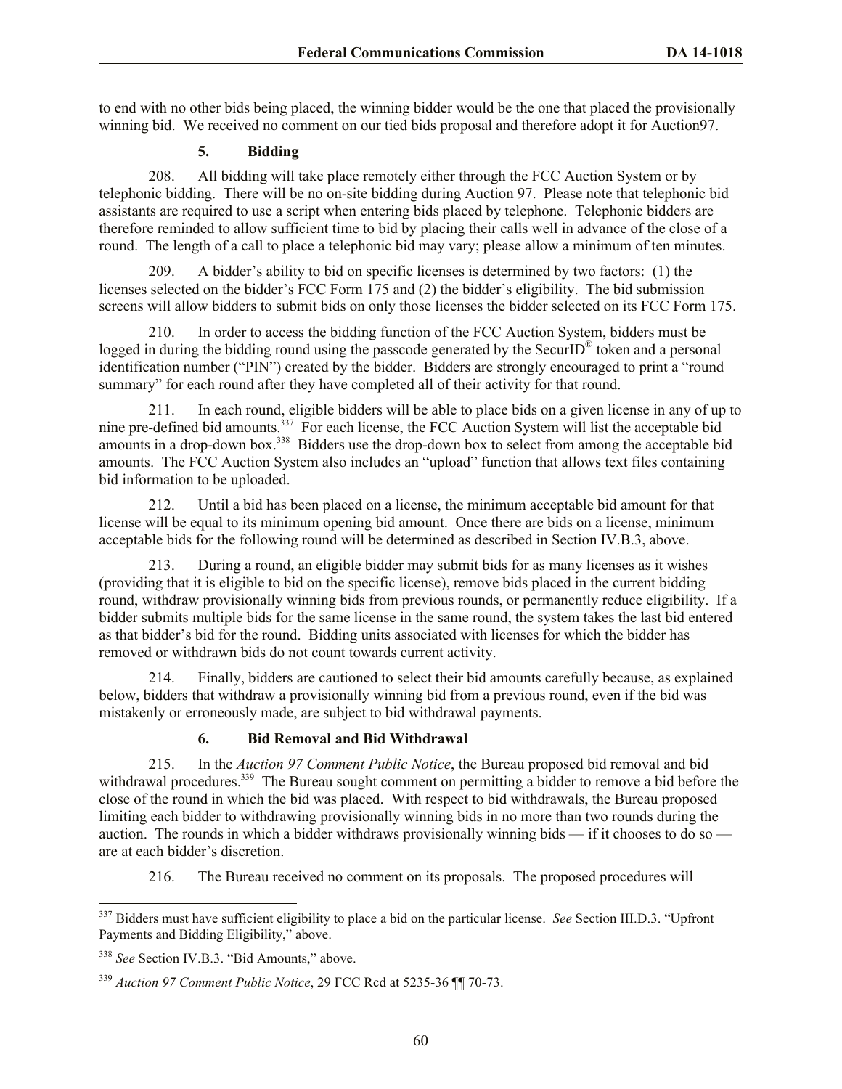to end with no other bids being placed, the winning bidder would be the one that placed the provisionally winning bid. We received no comment on our tied bids proposal and therefore adopt it for Auction97.

# **5. Bidding**

208. All bidding will take place remotely either through the FCC Auction System or by telephonic bidding. There will be no on-site bidding during Auction 97. Please note that telephonic bid assistants are required to use a script when entering bids placed by telephone. Telephonic bidders are therefore reminded to allow sufficient time to bid by placing their calls well in advance of the close of a round. The length of a call to place a telephonic bid may vary; please allow a minimum of ten minutes.

209. A bidder's ability to bid on specific licenses is determined by two factors: (1) the licenses selected on the bidder's FCC Form 175 and (2) the bidder's eligibility. The bid submission screens will allow bidders to submit bids on only those licenses the bidder selected on its FCC Form 175.

210. In order to access the bidding function of the FCC Auction System, bidders must be logged in during the bidding round using the passcode generated by the SecurID<sup>®</sup> token and a personal identification number ("PIN") created by the bidder. Bidders are strongly encouraged to print a "round summary" for each round after they have completed all of their activity for that round.

211. In each round, eligible bidders will be able to place bids on a given license in any of up to nine pre-defined bid amounts.<sup>337</sup> For each license, the FCC Auction System will list the acceptable bid amounts in a drop-down box.<sup>338</sup> Bidders use the drop-down box to select from among the acceptable bid amounts. The FCC Auction System also includes an "upload" function that allows text files containing bid information to be uploaded.

212. Until a bid has been placed on a license, the minimum acceptable bid amount for that license will be equal to its minimum opening bid amount. Once there are bids on a license, minimum acceptable bids for the following round will be determined as described in Section IV.B.3, above.

213. During a round, an eligible bidder may submit bids for as many licenses as it wishes (providing that it is eligible to bid on the specific license), remove bids placed in the current bidding round, withdraw provisionally winning bids from previous rounds, or permanently reduce eligibility. If a bidder submits multiple bids for the same license in the same round, the system takes the last bid entered as that bidder's bid for the round. Bidding units associated with licenses for which the bidder has removed or withdrawn bids do not count towards current activity.

214. Finally, bidders are cautioned to select their bid amounts carefully because, as explained below, bidders that withdraw a provisionally winning bid from a previous round, even if the bid was mistakenly or erroneously made, are subject to bid withdrawal payments.

# **6. Bid Removal and Bid Withdrawal**

215. In the *Auction 97 Comment Public Notice*, the Bureau proposed bid removal and bid withdrawal procedures.<sup>339</sup> The Bureau sought comment on permitting a bidder to remove a bid before the close of the round in which the bid was placed. With respect to bid withdrawals, the Bureau proposed limiting each bidder to withdrawing provisionally winning bids in no more than two rounds during the auction. The rounds in which a bidder withdraws provisionally winning bids — if it chooses to do so are at each bidder's discretion.

216. The Bureau received no comment on its proposals. The proposed procedures will

 $\overline{a}$ <sup>337</sup> Bidders must have sufficient eligibility to place a bid on the particular license. *See* Section III.D.3. "Upfront Payments and Bidding Eligibility," above.

<sup>338</sup> *See* Section IV.B.3. "Bid Amounts," above.

<sup>339</sup> *Auction 97 Comment Public Notice*, 29 FCC Rcd at 5235-36 ¶¶ 70-73.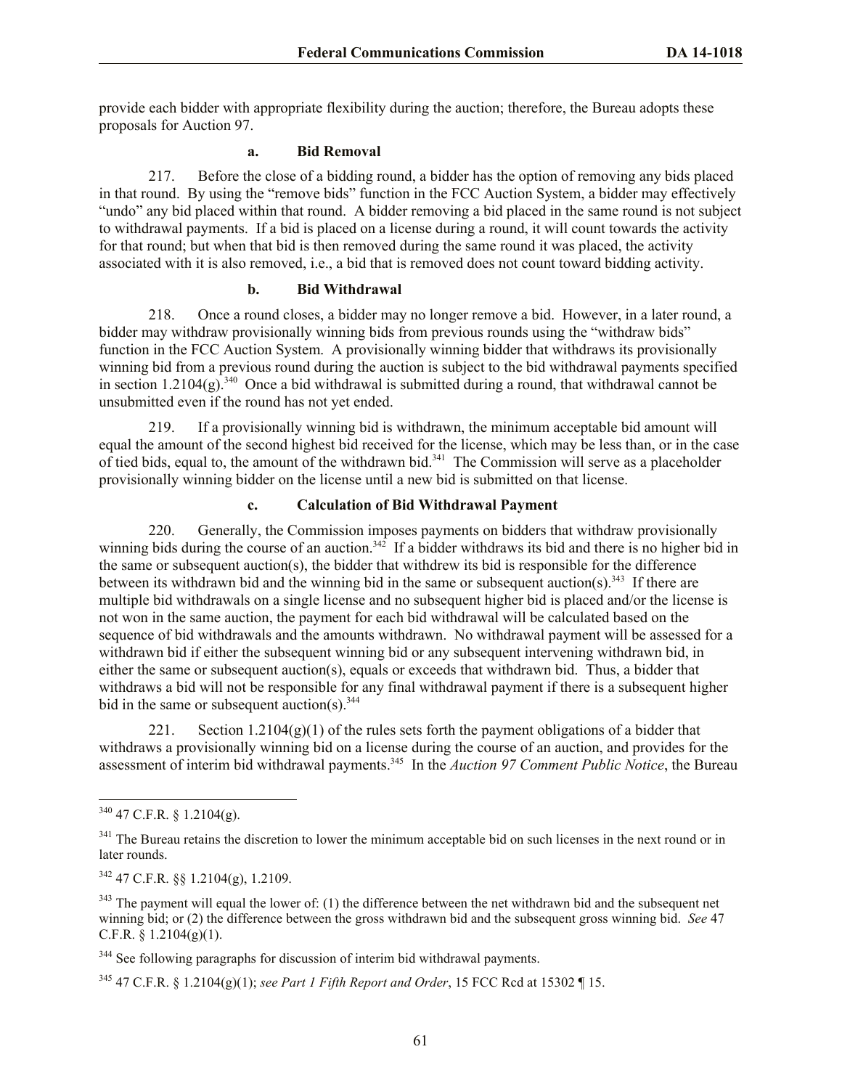provide each bidder with appropriate flexibility during the auction; therefore, the Bureau adopts these proposals for Auction 97.

# **a. Bid Removal**

217. Before the close of a bidding round, a bidder has the option of removing any bids placed in that round. By using the "remove bids" function in the FCC Auction System, a bidder may effectively "undo" any bid placed within that round. A bidder removing a bid placed in the same round is not subject to withdrawal payments. If a bid is placed on a license during a round, it will count towards the activity for that round; but when that bid is then removed during the same round it was placed, the activity associated with it is also removed, i.e., a bid that is removed does not count toward bidding activity.

## **b. Bid Withdrawal**

218. Once a round closes, a bidder may no longer remove a bid. However, in a later round, a bidder may withdraw provisionally winning bids from previous rounds using the "withdraw bids" function in the FCC Auction System. A provisionally winning bidder that withdraws its provisionally winning bid from a previous round during the auction is subject to the bid withdrawal payments specified in section  $1.2104(g)$ .<sup>340</sup> Once a bid withdrawal is submitted during a round, that withdrawal cannot be unsubmitted even if the round has not yet ended.

219. If a provisionally winning bid is withdrawn, the minimum acceptable bid amount will equal the amount of the second highest bid received for the license, which may be less than, or in the case of tied bids, equal to, the amount of the withdrawn bid.<sup>341</sup> The Commission will serve as a placeholder provisionally winning bidder on the license until a new bid is submitted on that license.

# **c. Calculation of Bid Withdrawal Payment**

220. Generally, the Commission imposes payments on bidders that withdraw provisionally winning bids during the course of an auction.<sup>342</sup> If a bidder withdraws its bid and there is no higher bid in the same or subsequent auction(s), the bidder that withdrew its bid is responsible for the difference between its withdrawn bid and the winning bid in the same or subsequent auction(s).<sup>343</sup> If there are multiple bid withdrawals on a single license and no subsequent higher bid is placed and/or the license is not won in the same auction, the payment for each bid withdrawal will be calculated based on the sequence of bid withdrawals and the amounts withdrawn. No withdrawal payment will be assessed for a withdrawn bid if either the subsequent winning bid or any subsequent intervening withdrawn bid, in either the same or subsequent auction(s), equals or exceeds that withdrawn bid. Thus, a bidder that withdraws a bid will not be responsible for any final withdrawal payment if there is a subsequent higher bid in the same or subsequent auction(s).  $344$ 

221. Section  $1.2104(g)(1)$  of the rules sets forth the payment obligations of a bidder that withdraws a provisionally winning bid on a license during the course of an auction, and provides for the assessment of interim bid withdrawal payments.<sup>345</sup> In the *Auction 97 Comment Public Notice*, the Bureau

 $340$  47 C.F.R. § 1.2104(g).

<sup>&</sup>lt;sup>341</sup> The Bureau retains the discretion to lower the minimum acceptable bid on such licenses in the next round or in later rounds.

<sup>342</sup> 47 C.F.R. §§ 1.2104(g), 1.2109.

 $343$  The payment will equal the lower of: (1) the difference between the net withdrawn bid and the subsequent net winning bid; or (2) the difference between the gross withdrawn bid and the subsequent gross winning bid. *See* 47 C.F.R. § 1.2104(g)(1).

<sup>&</sup>lt;sup>344</sup> See following paragraphs for discussion of interim bid withdrawal payments.

<sup>345</sup> 47 C.F.R. § 1.2104(g)(1); *see Part 1 Fifth Report and Order*, 15 FCC Rcd at 15302 ¶ 15.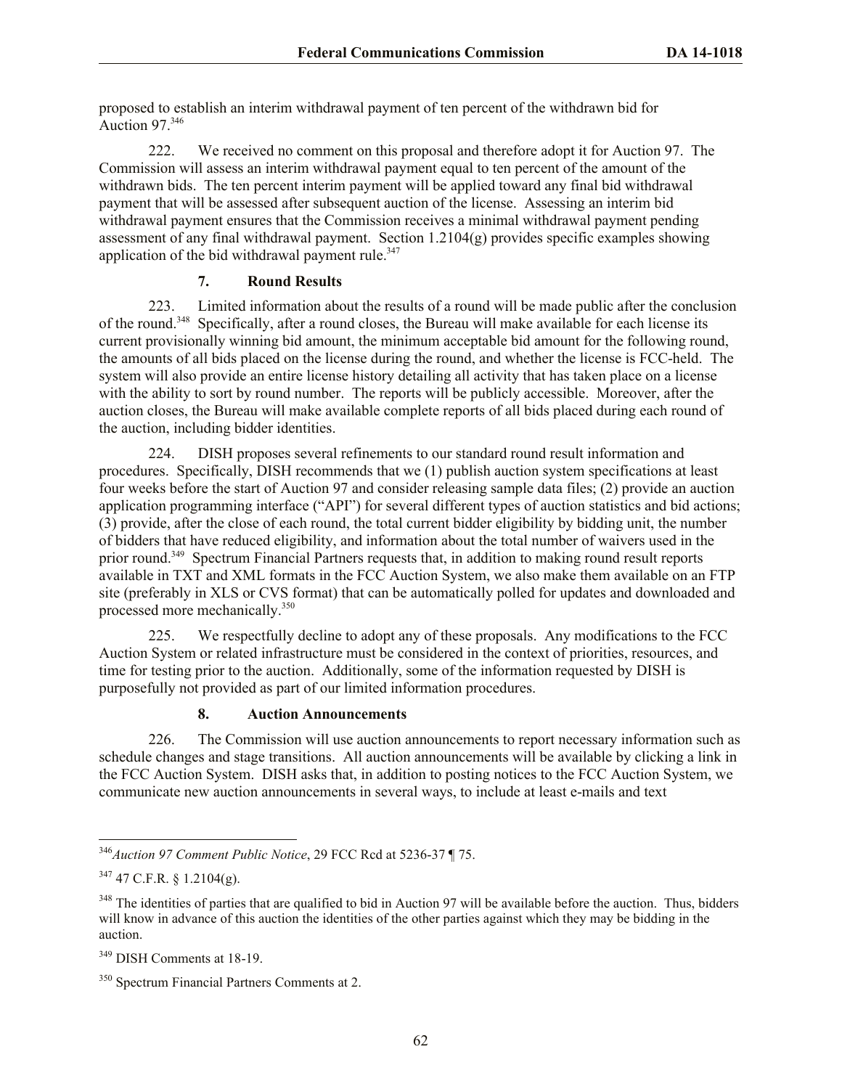proposed to establish an interim withdrawal payment of ten percent of the withdrawn bid for Auction 97. 346

222. We received no comment on this proposal and therefore adopt it for Auction 97. The Commission will assess an interim withdrawal payment equal to ten percent of the amount of the withdrawn bids. The ten percent interim payment will be applied toward any final bid withdrawal payment that will be assessed after subsequent auction of the license. Assessing an interim bid withdrawal payment ensures that the Commission receives a minimal withdrawal payment pending assessment of any final withdrawal payment. Section  $1.2104(g)$  provides specific examples showing application of the bid withdrawal payment rule. $347$ 

# **7. Round Results**

223. Limited information about the results of a round will be made public after the conclusion of the round.<sup>348</sup> Specifically, after a round closes, the Bureau will make available for each license its current provisionally winning bid amount, the minimum acceptable bid amount for the following round, the amounts of all bids placed on the license during the round, and whether the license is FCC-held. The system will also provide an entire license history detailing all activity that has taken place on a license with the ability to sort by round number. The reports will be publicly accessible. Moreover, after the auction closes, the Bureau will make available complete reports of all bids placed during each round of the auction, including bidder identities.

224. DISH proposes several refinements to our standard round result information and procedures. Specifically, DISH recommends that we (1) publish auction system specifications at least four weeks before the start of Auction 97 and consider releasing sample data files; (2) provide an auction application programming interface ("API") for several different types of auction statistics and bid actions; (3) provide, after the close of each round, the total current bidder eligibility by bidding unit, the number of bidders that have reduced eligibility, and information about the total number of waivers used in the prior round.<sup>349</sup> Spectrum Financial Partners requests that, in addition to making round result reports available in TXT and XML formats in the FCC Auction System, we also make them available on an FTP site (preferably in XLS or CVS format) that can be automatically polled for updates and downloaded and processed more mechanically.<sup>350</sup>

225. We respectfully decline to adopt any of these proposals. Any modifications to the FCC Auction System or related infrastructure must be considered in the context of priorities, resources, and time for testing prior to the auction. Additionally, some of the information requested by DISH is purposefully not provided as part of our limited information procedures.

# **8. Auction Announcements**

226. The Commission will use auction announcements to report necessary information such as schedule changes and stage transitions. All auction announcements will be available by clicking a link in the FCC Auction System. DISH asks that, in addition to posting notices to the FCC Auction System, we communicate new auction announcements in several ways, to include at least e-mails and text

l <sup>346</sup>*Auction 97 Comment Public Notice*, 29 FCC Rcd at 5236-37 ¶ 75.

 $347$  47 C.F.R. § 1.2104(g).

<sup>&</sup>lt;sup>348</sup> The identities of parties that are qualified to bid in Auction 97 will be available before the auction. Thus, bidders will know in advance of this auction the identities of the other parties against which they may be bidding in the auction.

<sup>349</sup> DISH Comments at 18-19.

<sup>&</sup>lt;sup>350</sup> Spectrum Financial Partners Comments at 2.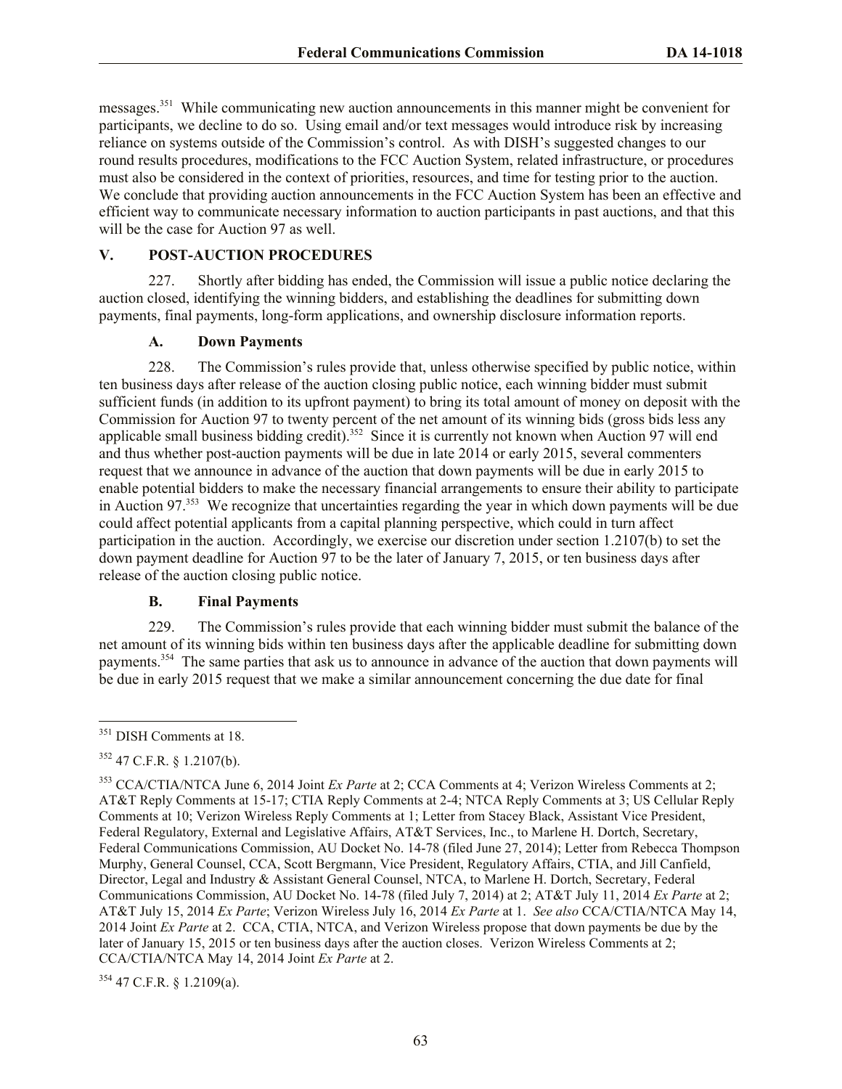messages.<sup>351</sup> While communicating new auction announcements in this manner might be convenient for participants, we decline to do so. Using email and/or text messages would introduce risk by increasing reliance on systems outside of the Commission's control. As with DISH's suggested changes to our round results procedures, modifications to the FCC Auction System, related infrastructure, or procedures must also be considered in the context of priorities, resources, and time for testing prior to the auction. We conclude that providing auction announcements in the FCC Auction System has been an effective and efficient way to communicate necessary information to auction participants in past auctions, and that this will be the case for Auction 97 as well.

## **V. POST-AUCTION PROCEDURES**

227. Shortly after bidding has ended, the Commission will issue a public notice declaring the auction closed, identifying the winning bidders, and establishing the deadlines for submitting down payments, final payments, long-form applications, and ownership disclosure information reports.

## **A. Down Payments**

228. The Commission's rules provide that, unless otherwise specified by public notice, within ten business days after release of the auction closing public notice, each winning bidder must submit sufficient funds (in addition to its upfront payment) to bring its total amount of money on deposit with the Commission for Auction 97 to twenty percent of the net amount of its winning bids (gross bids less any applicable small business bidding credit).<sup>352</sup> Since it is currently not known when Auction 97 will end and thus whether post-auction payments will be due in late 2014 or early 2015, several commenters request that we announce in advance of the auction that down payments will be due in early 2015 to enable potential bidders to make the necessary financial arrangements to ensure their ability to participate in Auction 97.<sup>353</sup> We recognize that uncertainties regarding the year in which down payments will be due could affect potential applicants from a capital planning perspective, which could in turn affect participation in the auction. Accordingly, we exercise our discretion under section 1.2107(b) to set the down payment deadline for Auction 97 to be the later of January 7, 2015, or ten business days after release of the auction closing public notice.

#### **B. Final Payments**

229. The Commission's rules provide that each winning bidder must submit the balance of the net amount of its winning bids within ten business days after the applicable deadline for submitting down payments.<sup>354</sup> The same parties that ask us to announce in advance of the auction that down payments will be due in early 2015 request that we make a similar announcement concerning the due date for final

l

 $354$  47 C.F.R. § 1.2109(a).

<sup>&</sup>lt;sup>351</sup> DISH Comments at 18.

 $352$  47 C.F.R. § 1.2107(b).

<sup>353</sup> CCA/CTIA/NTCA June 6, 2014 Joint *Ex Parte* at 2; CCA Comments at 4; Verizon Wireless Comments at 2; AT&T Reply Comments at 15-17; CTIA Reply Comments at 2-4; NTCA Reply Comments at 3; US Cellular Reply Comments at 10; Verizon Wireless Reply Comments at 1; Letter from Stacey Black, Assistant Vice President, Federal Regulatory, External and Legislative Affairs, AT&T Services, Inc., to Marlene H. Dortch, Secretary, Federal Communications Commission, AU Docket No. 14-78 (filed June 27, 2014); Letter from Rebecca Thompson Murphy, General Counsel, CCA, Scott Bergmann, Vice President, Regulatory Affairs, CTIA, and Jill Canfield, Director, Legal and Industry & Assistant General Counsel, NTCA, to Marlene H. Dortch, Secretary, Federal Communications Commission, AU Docket No. 14-78 (filed July 7, 2014) at 2; AT&T July 11, 2014 *Ex Parte* at 2; AT&T July 15, 2014 *Ex Parte*; Verizon Wireless July 16, 2014 *Ex Parte* at 1. *See also* CCA/CTIA/NTCA May 14, 2014 Joint *Ex Parte* at 2. CCA, CTIA, NTCA, and Verizon Wireless propose that down payments be due by the later of January 15, 2015 or ten business days after the auction closes. Verizon Wireless Comments at 2; CCA/CTIA/NTCA May 14, 2014 Joint *Ex Parte* at 2.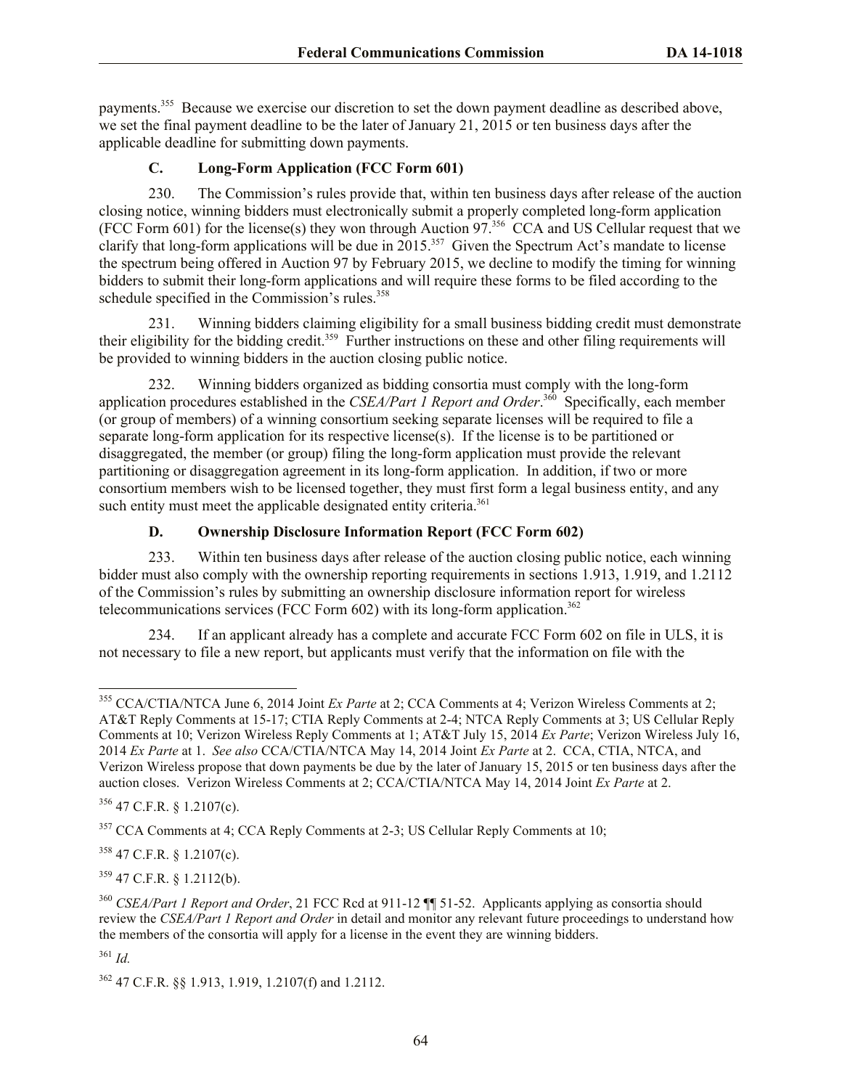payments.<sup>355</sup> Because we exercise our discretion to set the down payment deadline as described above, we set the final payment deadline to be the later of January 21, 2015 or ten business days after the applicable deadline for submitting down payments.

# **C. Long-Form Application (FCC Form 601)**

230. The Commission's rules provide that, within ten business days after release of the auction closing notice, winning bidders must electronically submit a properly completed long-form application (FCC Form 601) for the license(s) they won through Auction 97. 356 CCA and US Cellular request that we clarify that long-form applications will be due in  $2015$ <sup>357</sup> Given the Spectrum Act's mandate to license the spectrum being offered in Auction 97 by February 2015, we decline to modify the timing for winning bidders to submit their long-form applications and will require these forms to be filed according to the schedule specified in the Commission's rules.<sup>358</sup>

231. Winning bidders claiming eligibility for a small business bidding credit must demonstrate their eligibility for the bidding credit.<sup>359</sup> Further instructions on these and other filing requirements will be provided to winning bidders in the auction closing public notice.

232. Winning bidders organized as bidding consortia must comply with the long-form application procedures established in the *CSEA/Part 1 Report and Order*. 360 Specifically, each member (or group of members) of a winning consortium seeking separate licenses will be required to file a separate long-form application for its respective license(s). If the license is to be partitioned or disaggregated, the member (or group) filing the long-form application must provide the relevant partitioning or disaggregation agreement in its long-form application. In addition, if two or more consortium members wish to be licensed together, they must first form a legal business entity, and any such entity must meet the applicable designated entity criteria.<sup>361</sup>

# **D. Ownership Disclosure Information Report (FCC Form 602)**

233. Within ten business days after release of the auction closing public notice, each winning bidder must also comply with the ownership reporting requirements in sections 1.913, 1.919, and 1.2112 of the Commission's rules by submitting an ownership disclosure information report for wireless telecommunications services (FCC Form  $602$ ) with its long-form application.<sup>362</sup>

234. If an applicant already has a complete and accurate FCC Form 602 on file in ULS, it is not necessary to file a new report, but applicants must verify that the information on file with the

 $356$  47 C.F.R. § 1.2107(c).

 $358$  47 C.F.R. § 1.2107(c).

<sup>359</sup> 47 C.F.R. § 1.2112(b).

<sup>361</sup> *Id.*

<sup>355</sup> CCA/CTIA/NTCA June 6, 2014 Joint *Ex Parte* at 2; CCA Comments at 4; Verizon Wireless Comments at 2; AT&T Reply Comments at 15-17; CTIA Reply Comments at 2-4; NTCA Reply Comments at 3; US Cellular Reply Comments at 10; Verizon Wireless Reply Comments at 1; AT&T July 15, 2014 *Ex Parte*; Verizon Wireless July 16, 2014 *Ex Parte* at 1. *See also* CCA/CTIA/NTCA May 14, 2014 Joint *Ex Parte* at 2. CCA, CTIA, NTCA, and Verizon Wireless propose that down payments be due by the later of January 15, 2015 or ten business days after the auction closes. Verizon Wireless Comments at 2; CCA/CTIA/NTCA May 14, 2014 Joint *Ex Parte* at 2.

<sup>&</sup>lt;sup>357</sup> CCA Comments at 4; CCA Reply Comments at 2-3; US Cellular Reply Comments at 10;

<sup>360</sup> *CSEA/Part 1 Report and Order*, 21 FCC Rcd at 911-12 ¶¶ 51-52. Applicants applying as consortia should review the *CSEA/Part 1 Report and Order* in detail and monitor any relevant future proceedings to understand how the members of the consortia will apply for a license in the event they are winning bidders.

<sup>362</sup> 47 C.F.R. §§ 1.913, 1.919, 1.2107(f) and 1.2112.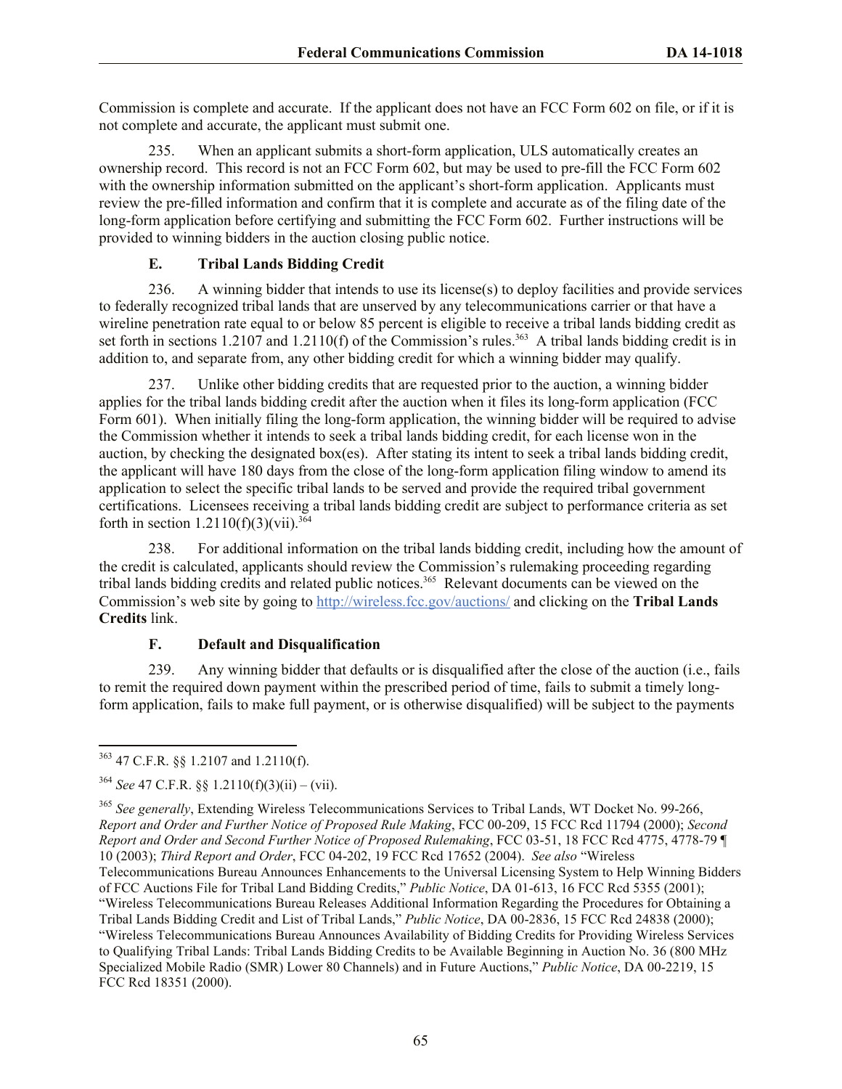Commission is complete and accurate. If the applicant does not have an FCC Form 602 on file, or if it is not complete and accurate, the applicant must submit one.

235. When an applicant submits a short-form application, ULS automatically creates an ownership record. This record is not an FCC Form 602, but may be used to pre-fill the FCC Form 602 with the ownership information submitted on the applicant's short-form application. Applicants must review the pre-filled information and confirm that it is complete and accurate as of the filing date of the long-form application before certifying and submitting the FCC Form 602. Further instructions will be provided to winning bidders in the auction closing public notice.

# **E. Tribal Lands Bidding Credit**

236. A winning bidder that intends to use its license(s) to deploy facilities and provide services to federally recognized tribal lands that are unserved by any telecommunications carrier or that have a wireline penetration rate equal to or below 85 percent is eligible to receive a tribal lands bidding credit as set forth in sections 1.2107 and 1.2110(f) of the Commission's rules.<sup>363</sup> A tribal lands bidding credit is in addition to, and separate from, any other bidding credit for which a winning bidder may qualify.

237. Unlike other bidding credits that are requested prior to the auction, a winning bidder applies for the tribal lands bidding credit after the auction when it files its long-form application (FCC Form 601). When initially filing the long-form application, the winning bidder will be required to advise the Commission whether it intends to seek a tribal lands bidding credit, for each license won in the auction, by checking the designated box(es). After stating its intent to seek a tribal lands bidding credit, the applicant will have 180 days from the close of the long-form application filing window to amend its application to select the specific tribal lands to be served and provide the required tribal government certifications. Licensees receiving a tribal lands bidding credit are subject to performance criteria as set forth in section  $1.2110(f)(3)(vii).^{364}$ 

238. For additional information on the tribal lands bidding credit, including how the amount of the credit is calculated, applicants should review the Commission's rulemaking proceeding regarding tribal lands bidding credits and related public notices.<sup>365</sup> Relevant documents can be viewed on the Commission's web site by going to http://wireless.fcc.gov/auctions/ and clicking on the **Tribal Lands Credits** link.

# **F. Default and Disqualification**

239. Any winning bidder that defaults or is disqualified after the close of the auction (i.e., fails to remit the required down payment within the prescribed period of time, fails to submit a timely longform application, fails to make full payment, or is otherwise disqualified) will be subject to the payments

l  $363$  47 C.F.R. §§ 1.2107 and 1.2110(f).

 $364$  *See* 47 C.F.R.  $88$  1.2110(f)(3)(ii) – (vii).

<sup>365</sup> *See generally*, Extending Wireless Telecommunications Services to Tribal Lands, WT Docket No. 99-266, *Report and Order and Further Notice of Proposed Rule Making*, FCC 00-209, 15 FCC Rcd 11794 (2000); *Second Report and Order and Second Further Notice of Proposed Rulemaking*, FCC 03-51, 18 FCC Rcd 4775, 4778-79 ¶ 10 (2003); *Third Report and Order*, FCC 04-202, 19 FCC Rcd 17652 (2004). *See also* "Wireless Telecommunications Bureau Announces Enhancements to the Universal Licensing System to Help Winning Bidders of FCC Auctions File for Tribal Land Bidding Credits," *Public Notice*, DA 01-613, 16 FCC Rcd 5355 (2001); "Wireless Telecommunications Bureau Releases Additional Information Regarding the Procedures for Obtaining a Tribal Lands Bidding Credit and List of Tribal Lands," *Public Notice*, DA 00-2836, 15 FCC Rcd 24838 (2000); "Wireless Telecommunications Bureau Announces Availability of Bidding Credits for Providing Wireless Services to Qualifying Tribal Lands: Tribal Lands Bidding Credits to be Available Beginning in Auction No. 36 (800 MHz Specialized Mobile Radio (SMR) Lower 80 Channels) and in Future Auctions," *Public Notice*, DA 00-2219, 15 FCC Rcd 18351 (2000).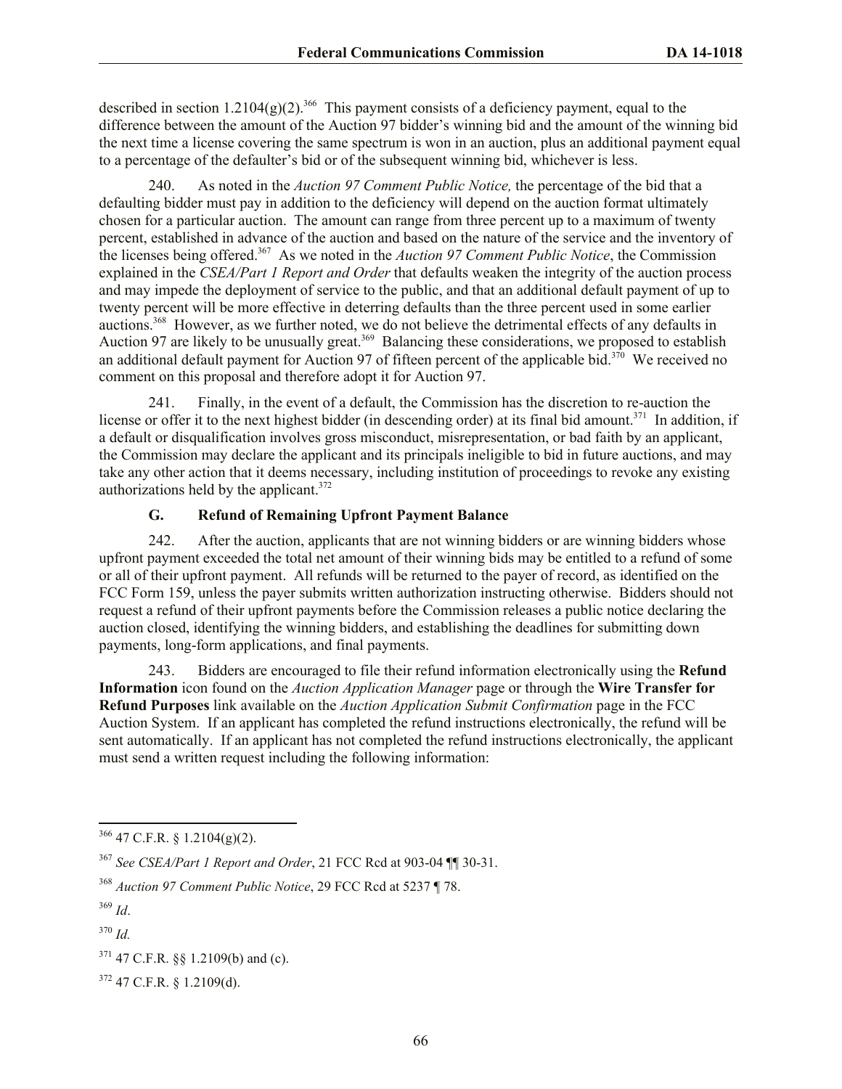described in section 1.2104(g)(2).<sup>366</sup> This payment consists of a deficiency payment, equal to the difference between the amount of the Auction 97 bidder's winning bid and the amount of the winning bid the next time a license covering the same spectrum is won in an auction, plus an additional payment equal to a percentage of the defaulter's bid or of the subsequent winning bid, whichever is less.

240. As noted in the *Auction 97 Comment Public Notice,* the percentage of the bid that a defaulting bidder must pay in addition to the deficiency will depend on the auction format ultimately chosen for a particular auction. The amount can range from three percent up to a maximum of twenty percent, established in advance of the auction and based on the nature of the service and the inventory of the licenses being offered.<sup>367</sup> As we noted in the *Auction 97 Comment Public Notice*, the Commission explained in the *CSEA/Part 1 Report and Order* that defaults weaken the integrity of the auction process and may impede the deployment of service to the public, and that an additional default payment of up to twenty percent will be more effective in deterring defaults than the three percent used in some earlier auctions.<sup>368</sup> However, as we further noted, we do not believe the detrimental effects of any defaults in Auction 97 are likely to be unusually great.<sup>369</sup> Balancing these considerations, we proposed to establish an additional default payment for Auction 97 of fifteen percent of the applicable bid.<sup>370</sup> We received no comment on this proposal and therefore adopt it for Auction 97.

241. Finally, in the event of a default, the Commission has the discretion to re-auction the license or offer it to the next highest bidder (in descending order) at its final bid amount.<sup>371</sup> In addition, if a default or disqualification involves gross misconduct, misrepresentation, or bad faith by an applicant, the Commission may declare the applicant and its principals ineligible to bid in future auctions, and may take any other action that it deems necessary, including institution of proceedings to revoke any existing authorizations held by the applicant. $372$ 

# **G. Refund of Remaining Upfront Payment Balance**

242. After the auction, applicants that are not winning bidders or are winning bidders whose upfront payment exceeded the total net amount of their winning bids may be entitled to a refund of some or all of their upfront payment. All refunds will be returned to the payer of record, as identified on the FCC Form 159, unless the payer submits written authorization instructing otherwise. Bidders should not request a refund of their upfront payments before the Commission releases a public notice declaring the auction closed, identifying the winning bidders, and establishing the deadlines for submitting down payments, long-form applications, and final payments.

243. Bidders are encouraged to file their refund information electronically using the **Refund Information** icon found on the *Auction Application Manager* page or through the **Wire Transfer for Refund Purposes** link available on the *Auction Application Submit Confirmation* page in the FCC Auction System. If an applicant has completed the refund instructions electronically, the refund will be sent automatically. If an applicant has not completed the refund instructions electronically, the applicant must send a written request including the following information:

l  $366$  47 C.F.R. § 1.2104(g)(2).

<sup>367</sup> *See CSEA/Part 1 Report and Order*, 21 FCC Rcd at 903-04 ¶¶ 30-31.

<sup>368</sup> *Auction 97 Comment Public Notice*, 29 FCC Rcd at 5237 ¶ 78.

<sup>369</sup> *Id*.

<sup>370</sup> *Id.*

 $371$  47 C.F.R. §§ 1.2109(b) and (c).

 $372$  47 C.F.R. § 1.2109(d).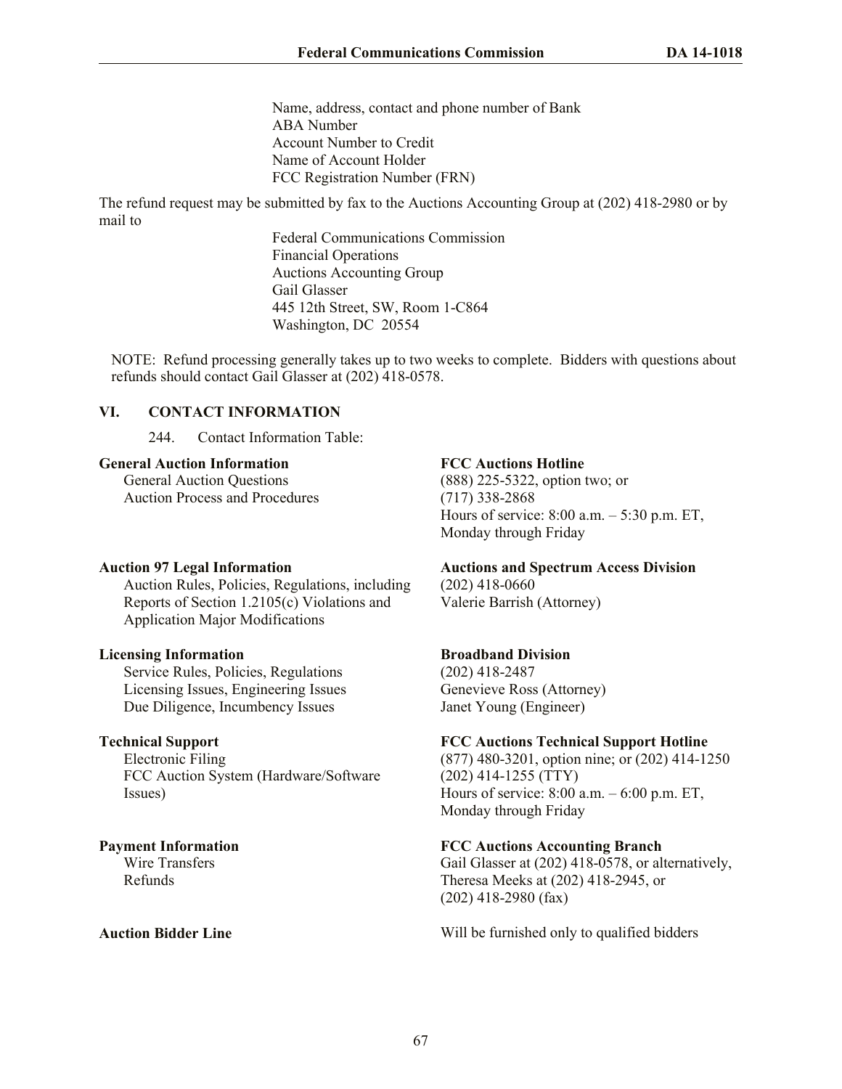Name, address, contact and phone number of Bank ABA Number Account Number to Credit Name of Account Holder FCC Registration Number (FRN)

The refund request may be submitted by fax to the Auctions Accounting Group at (202) 418-2980 or by mail to

> Federal Communications Commission Financial Operations Auctions Accounting Group Gail Glasser 445 12th Street, SW, Room 1-C864 Washington, DC 20554

NOTE: Refund processing generally takes up to two weeks to complete. Bidders with questions about refunds should contact Gail Glasser at (202) 418-0578.

# **VI. CONTACT INFORMATION**

244. Contact Information Table:

## **General Auction Information**

General Auction Questions Auction Process and Procedures

# **Auction 97 Legal Information**

Auction Rules, Policies, Regulations, including Reports of Section 1.2105(c) Violations and Application Major Modifications

#### **Licensing Information**

Service Rules, Policies, Regulations Licensing Issues, Engineering Issues Due Diligence, Incumbency Issues

# **Technical Support**

Electronic Filing FCC Auction System (Hardware/Software Issues)

**Payment Information** Wire Transfers Refunds

# **FCC Auctions Hotline**

(888) 225-5322, option two; or (717) 338-2868 Hours of service: 8:00 a.m. – 5:30 p.m. ET, Monday through Friday

# **Auctions and Spectrum Access Division**

(202) 418-0660 Valerie Barrish (Attorney)

# **Broadband Division**

(202) 418-2487 Genevieve Ross (Attorney) Janet Young (Engineer)

# **FCC Auctions Technical Support Hotline**

(877) 480-3201, option nine; or (202) 414-1250 (202) 414-1255 (TTY) Hours of service: 8:00 a.m. – 6:00 p.m. ET, Monday through Friday

# **FCC Auctions Accounting Branch**

Gail Glasser at (202) 418-0578, or alternatively, Theresa Meeks at (202) 418-2945, or (202) 418-2980 (fax)

**Auction Bidder Line Auction Bidder Line Will be furnished only to qualified bidders**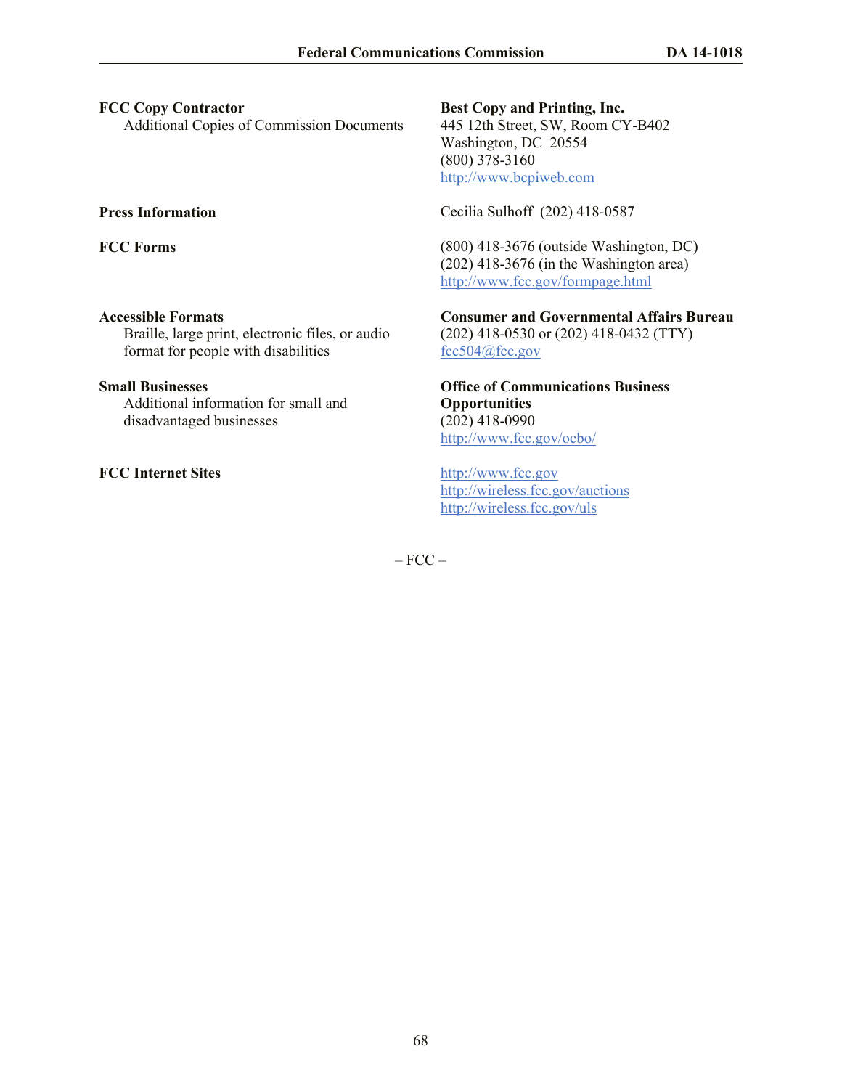# **FCC Copy Contractor**

Additional Copies of Commission Documents

### **Accessible Formats**

Braille, large print, electronic files, or audio format for people with disabilities

# **Small Businesses**

Additional information for small and disadvantaged businesses

**FCC Internet Sites** http://www.fcc.gov

**Best Copy and Printing, Inc.** 445 12th Street, SW, Room CY-B402 Washington, DC 20554 (800) 378-3160 http://www.bcpiweb.com

**Press Information** Cecilia Sulhoff (202) 418-0587

**FCC Forms** (800) 418-3676 (outside Washington, DC) (202) 418-3676 (in the Washington area) http://www.fcc.gov/formpage.html

> **Consumer and Governmental Affairs Bureau** (202) 418-0530 or (202) 418-0432 (TTY) fcc504@fcc.gov

**Office of Communications Business Opportunities** (202) 418-0990 http://www.fcc.gov/ocbo/

http://wireless.fcc.gov/auctions http://wireless.fcc.gov/uls

 $-$  FCC  $-$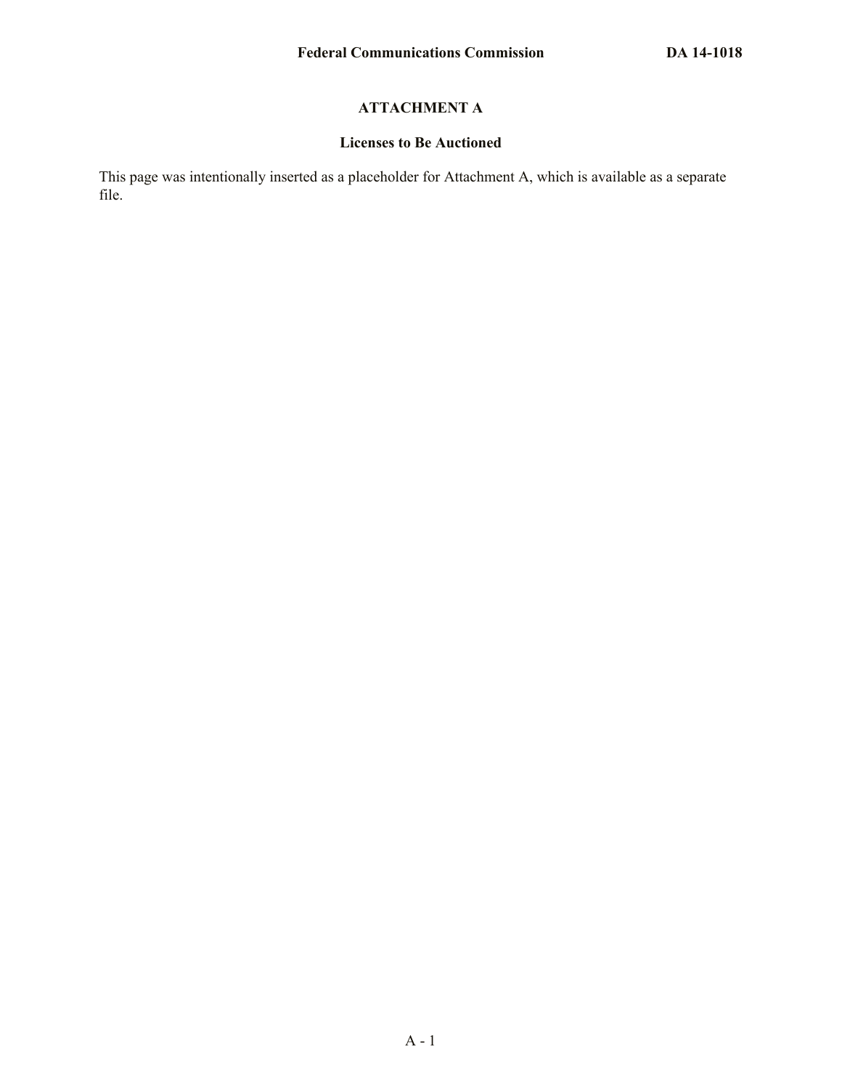# **ATTACHMENT A**

## **Licenses to Be Auctioned**

This page was intentionally inserted as a placeholder for Attachment A, which is available as a separate file.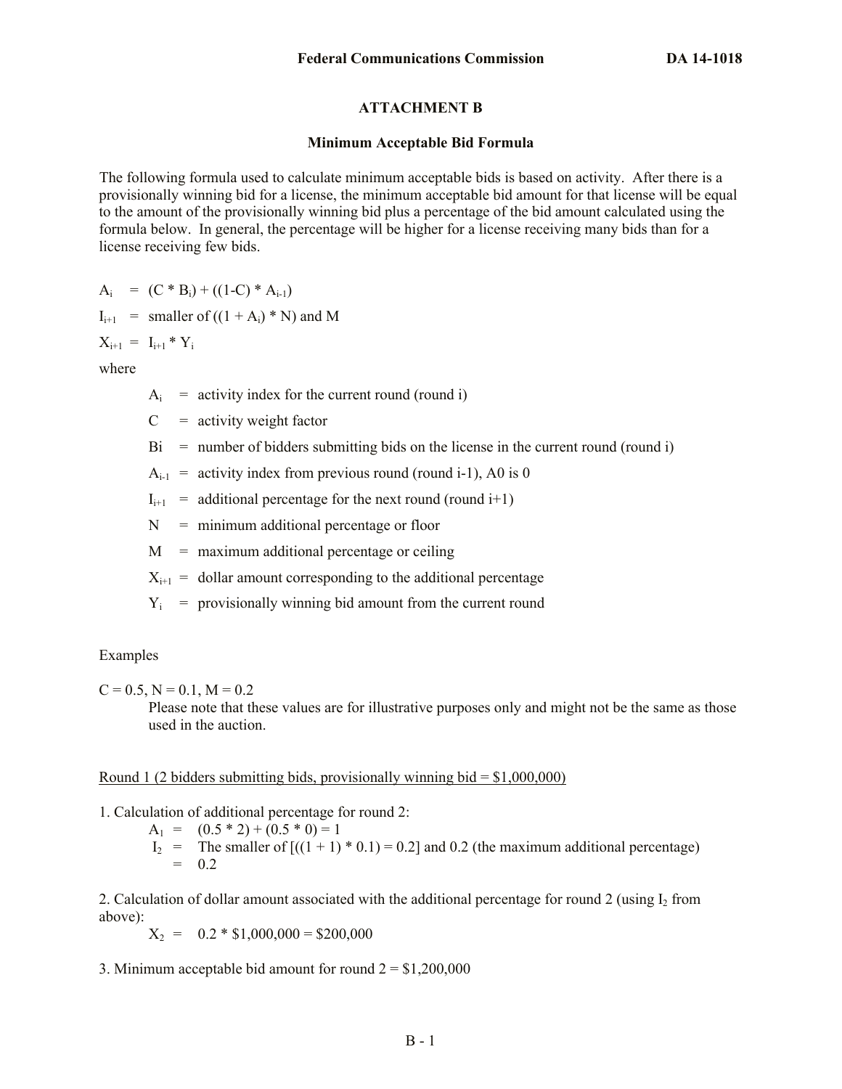# **ATTACHMENT B**

#### **Minimum Acceptable Bid Formula**

The following formula used to calculate minimum acceptable bids is based on activity. After there is a provisionally winning bid for a license, the minimum acceptable bid amount for that license will be equal to the amount of the provisionally winning bid plus a percentage of the bid amount calculated using the formula below. In general, the percentage will be higher for a license receiving many bids than for a license receiving few bids.

 $A_i = (C * B_i) + ((1-C) * A_{i-1})$ 

$$
I_{i+1} = smaller of ((1 + A_i) * N) and M
$$

 $X_{i+1} = I_{i+1} * Y_i$ 

where

 $A_i$  = activity index for the current round (round i)

- $C =$  activity weight factor
- $Bi =$  number of bidders submitting bids on the license in the current round (round i)

 $A_{i-1}$  = activity index from previous round (round i-1), A0 is 0

 $I_{i+1}$  = additional percentage for the next round (round i+1)

 $N =$  minimum additional percentage or floor

 $M =$  maximum additional percentage or ceiling

 $X_{i+1}$  = dollar amount corresponding to the additional percentage

 $Y_i$  = provisionally winning bid amount from the current round

#### Examples

 $C = 0.5$ ,  $N = 0.1$ ,  $M = 0.2$ 

Please note that these values are for illustrative purposes only and might not be the same as those used in the auction.

#### <u>Round 1 (2 bidders submitting bids, provisionally winning bid =  $$1,000,000$ )</u>

1. Calculation of additional percentage for round 2:

 $A_1 = (0.5 * 2) + (0.5 * 0) = 1$  $I_2$  = The smaller of  $[(1 + 1) * 0.1] = 0.2]$  and 0.2 (the maximum additional percentage)  $= 0.2$ 

2. Calculation of dollar amount associated with the additional percentage for round 2 (using  $I_2$  from above):

 $X_2 = 0.2 * $1,000,000 = $200,000$ 

3. Minimum acceptable bid amount for round  $2 = $1,200,000$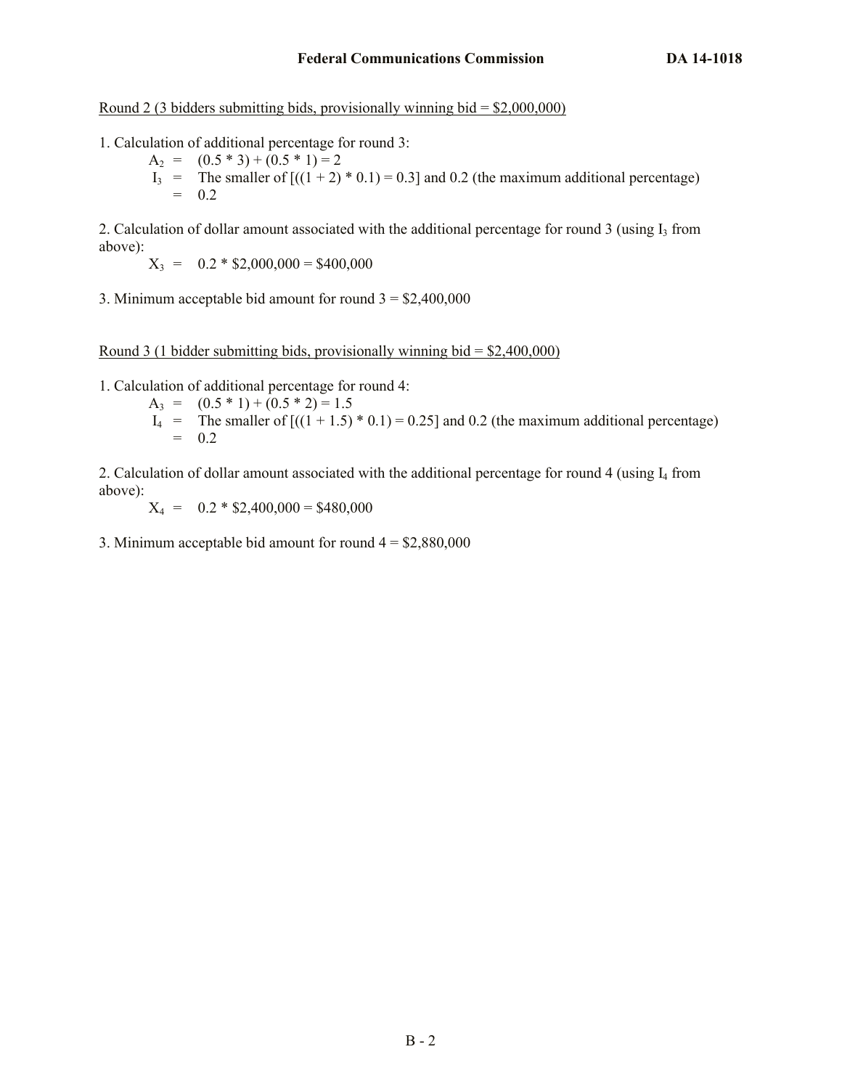Round 2 (3 bidders submitting bids, provisionally winning bid =  $$2,000,000$ )

- 1. Calculation of additional percentage for round 3:
	- $A_2 = (0.5 * 3) + (0.5 * 1) = 2$  $I_3$  = The smaller of  $[(1 + 2) * 0.1) = 0.3]$  and 0.2 (the maximum additional percentage)  $= 0.2$

2. Calculation of dollar amount associated with the additional percentage for round 3 (using  $I_3$  from above):

 $X_3 = 0.2 * $2,000,000 = $400,000$ 

3. Minimum acceptable bid amount for round  $3 = $2,400,000$ 

Round 3 (1 bidder submitting bids, provisionally winning bid  $=$  \$2,400,000)

1. Calculation of additional percentage for round 4:

- $A_3 = (0.5 * 1) + (0.5 * 2) = 1.5$
- $I_4$  = The smaller of  $[(1 + 1.5) * 0.1] = 0.25$  and 0.2 (the maximum additional percentage)  $= 0.2$

2. Calculation of dollar amount associated with the additional percentage for round 4 (using I<sup>4</sup> from above):

 $X_4 = 0.2 * $2,400,000 = $480,000$ 

3. Minimum acceptable bid amount for round  $4 = $2,880,000$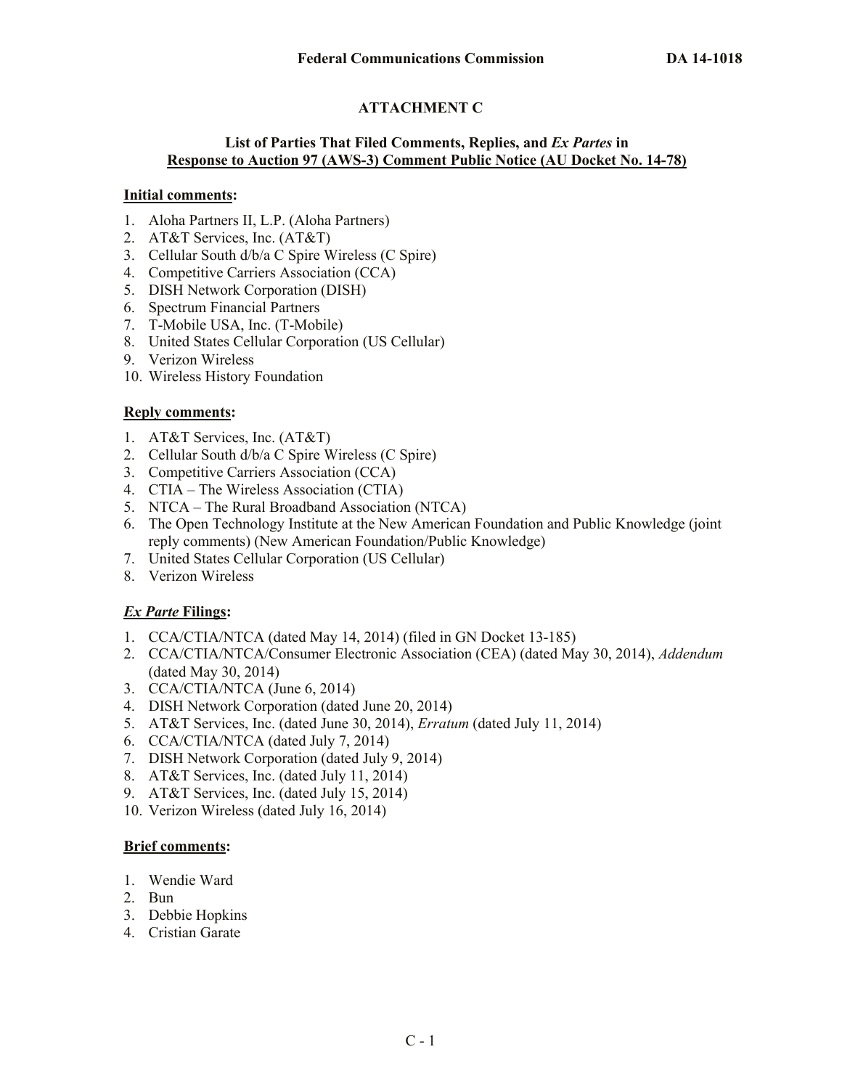# **ATTACHMENT C**

## **List of Parties That Filed Comments, Replies, and** *Ex Partes* **in Response to Auction 97 (AWS-3) Comment Public Notice (AU Docket No. 14-78)**

## **Initial comments:**

- 1. Aloha Partners II, L.P. (Aloha Partners)
- 2. AT&T Services, Inc. (AT&T)
- 3. Cellular South d/b/a C Spire Wireless (C Spire)
- 4. Competitive Carriers Association (CCA)
- 5. DISH Network Corporation (DISH)
- 6. Spectrum Financial Partners
- 7. T-Mobile USA, Inc. (T-Mobile)
- 8. United States Cellular Corporation (US Cellular)
- 9. Verizon Wireless
- 10. Wireless History Foundation

# **Reply comments:**

- 1. AT&T Services, Inc. (AT&T)
- 2. Cellular South d/b/a C Spire Wireless (C Spire)
- 3. Competitive Carriers Association (CCA)
- 4. CTIA The Wireless Association (CTIA)
- 5. NTCA The Rural Broadband Association (NTCA)
- 6. The Open Technology Institute at the New American Foundation and Public Knowledge (joint reply comments) (New American Foundation/Public Knowledge)
- 7. United States Cellular Corporation (US Cellular)
- 8. Verizon Wireless

# *Ex Parte* **Filings:**

- 1. CCA/CTIA/NTCA (dated May 14, 2014) (filed in GN Docket 13-185)
- 2. CCA/CTIA/NTCA/Consumer Electronic Association (CEA) (dated May 30, 2014), *Addendum* (dated May 30, 2014)
- 3. CCA/CTIA/NTCA (June 6, 2014)
- 4. DISH Network Corporation (dated June 20, 2014)
- 5. AT&T Services, Inc. (dated June 30, 2014), *Erratum* (dated July 11, 2014)
- 6. CCA/CTIA/NTCA (dated July 7, 2014)
- 7. DISH Network Corporation (dated July 9, 2014)
- 8. AT&T Services, Inc. (dated July 11, 2014)
- 9. AT&T Services, Inc. (dated July 15, 2014)
- 10. Verizon Wireless (dated July 16, 2014)

# **Brief comments:**

- 1. Wendie Ward
- 2. Bun
- 3. Debbie Hopkins
- 4. Cristian Garate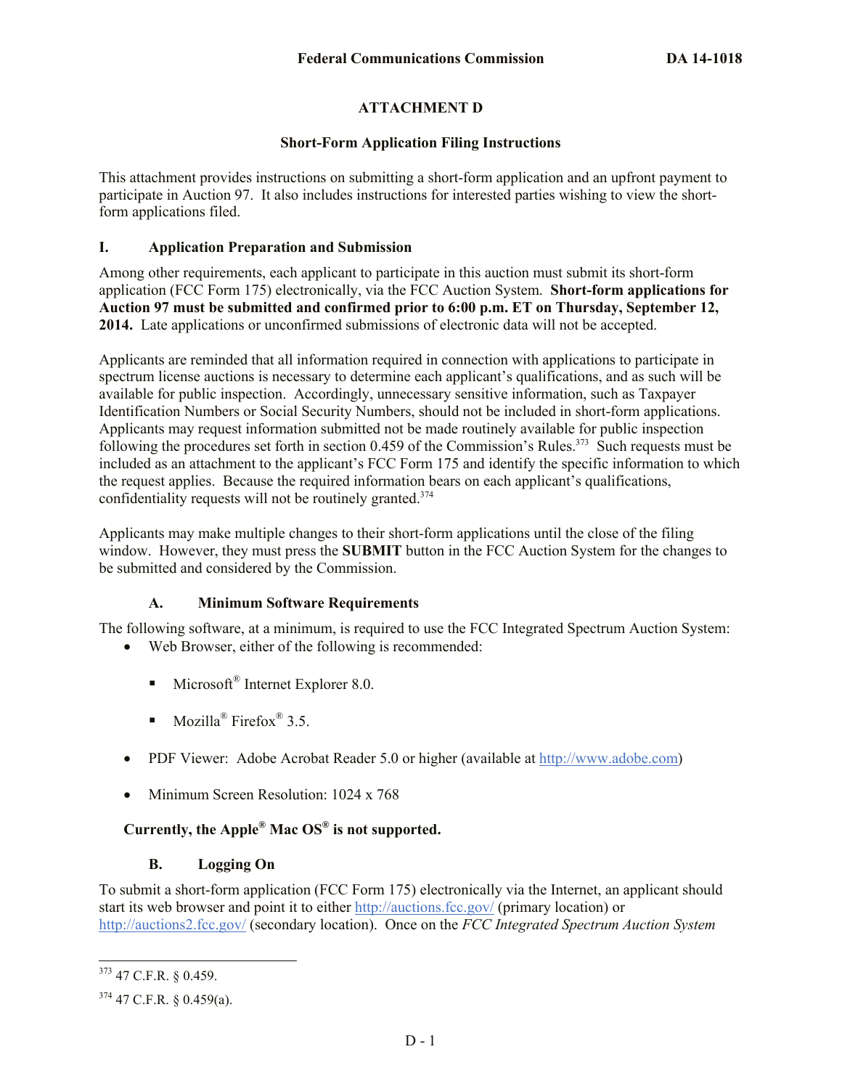# **ATTACHMENT D**

### **Short-Form Application Filing Instructions**

This attachment provides instructions on submitting a short-form application and an upfront payment to participate in Auction 97. It also includes instructions for interested parties wishing to view the shortform applications filed.

## **I. Application Preparation and Submission**

Among other requirements, each applicant to participate in this auction must submit its short-form application (FCC Form 175) electronically, via the FCC Auction System. **Short-form applications for Auction 97 must be submitted and confirmed prior to 6:00 p.m. ET on Thursday, September 12, 2014.** Late applications or unconfirmed submissions of electronic data will not be accepted.

Applicants are reminded that all information required in connection with applications to participate in spectrum license auctions is necessary to determine each applicant's qualifications, and as such will be available for public inspection. Accordingly, unnecessary sensitive information, such as Taxpayer Identification Numbers or Social Security Numbers, should not be included in short-form applications. Applicants may request information submitted not be made routinely available for public inspection following the procedures set forth in section 0.459 of the Commission's Rules.<sup>373</sup> Such requests must be included as an attachment to the applicant's FCC Form 175 and identify the specific information to which the request applies. Because the required information bears on each applicant's qualifications, confidentiality requests will not be routinely granted. $374$ 

Applicants may make multiple changes to their short-form applications until the close of the filing window. However, they must press the **SUBMIT** button in the FCC Auction System for the changes to be submitted and considered by the Commission.

# **A. Minimum Software Requirements**

The following software, at a minimum, is required to use the FCC Integrated Spectrum Auction System:

- Web Browser, either of the following is recommended:
	- **Microsoft<sup>®</sup>** Internet Explorer 8.0.
	- Mozilla<sup>®</sup> Firefox<sup>®</sup> 3.5.
- PDF Viewer: Adobe Acrobat Reader 5.0 or higher (available at http://www.adobe.com)
- Minimum Screen Resolution: 1024 x 768

# **Currently, the Apple® Mac OS® is not supported.**

### **B. Logging On**

To submit a short-form application (FCC Form 175) electronically via the Internet, an applicant should start its web browser and point it to either http://auctions.fcc.gov/ (primary location) or http://auctions2.fcc.gov/ (secondary location). Once on the *FCC Integrated Spectrum Auction System*

 $\overline{\phantom{a}}$ <sup>373</sup> 47 C.F.R. § 0.459.

 $374$  47 C.F.R. § 0.459(a).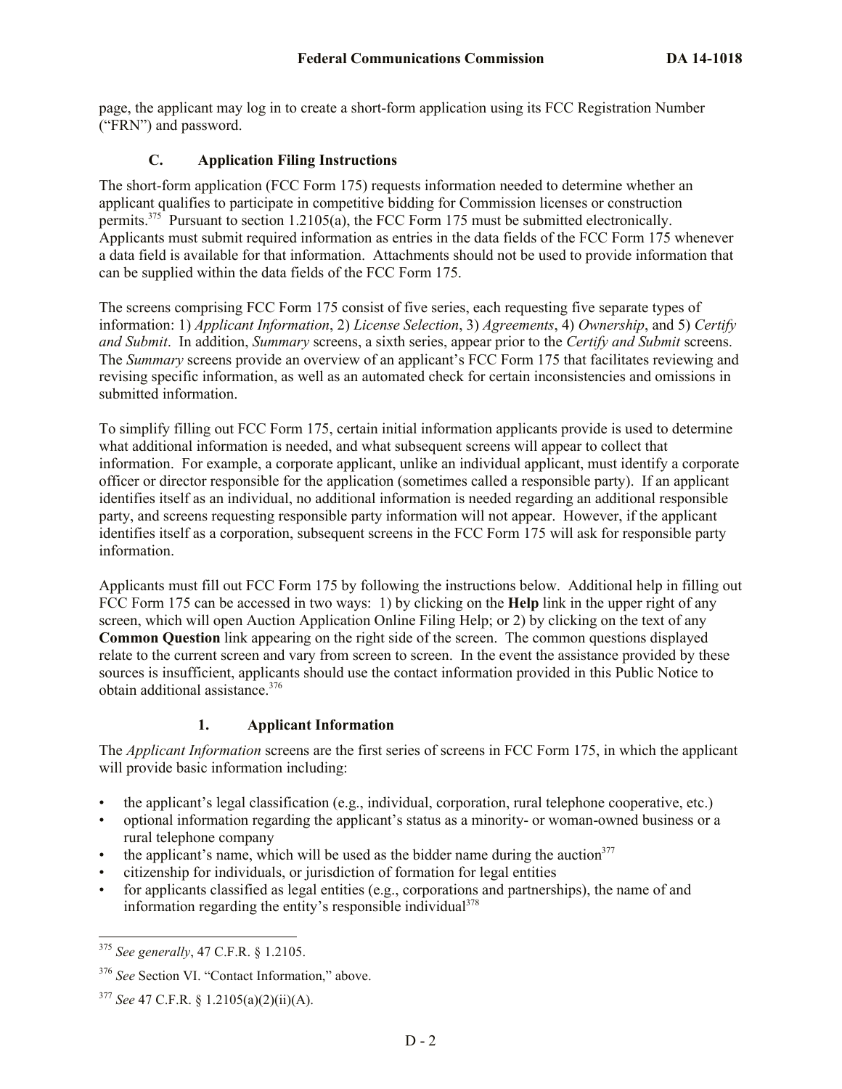page, the applicant may log in to create a short-form application using its FCC Registration Number ("FRN") and password.

## **C. Application Filing Instructions**

The short-form application (FCC Form 175) requests information needed to determine whether an applicant qualifies to participate in competitive bidding for Commission licenses or construction permits.<sup>375</sup> Pursuant to section 1.2105(a), the FCC Form 175 must be submitted electronically. Applicants must submit required information as entries in the data fields of the FCC Form 175 whenever a data field is available for that information. Attachments should not be used to provide information that can be supplied within the data fields of the FCC Form 175.

The screens comprising FCC Form 175 consist of five series, each requesting five separate types of information: 1) *Applicant Information*, 2) *License Selection*, 3) *Agreements*, 4) *Ownership*, and 5) *Certify and Submit*. In addition, *Summary* screens, a sixth series, appear prior to the *Certify and Submit* screens. The *Summary* screens provide an overview of an applicant's FCC Form 175 that facilitates reviewing and revising specific information, as well as an automated check for certain inconsistencies and omissions in submitted information.

To simplify filling out FCC Form 175, certain initial information applicants provide is used to determine what additional information is needed, and what subsequent screens will appear to collect that information. For example, a corporate applicant, unlike an individual applicant, must identify a corporate officer or director responsible for the application (sometimes called a responsible party). If an applicant identifies itself as an individual, no additional information is needed regarding an additional responsible party, and screens requesting responsible party information will not appear. However, if the applicant identifies itself as a corporation, subsequent screens in the FCC Form 175 will ask for responsible party information.

Applicants must fill out FCC Form 175 by following the instructions below. Additional help in filling out FCC Form 175 can be accessed in two ways: 1) by clicking on the **Help** link in the upper right of any screen, which will open Auction Application Online Filing Help; or 2) by clicking on the text of any **Common Question** link appearing on the right side of the screen. The common questions displayed relate to the current screen and vary from screen to screen. In the event the assistance provided by these sources is insufficient, applicants should use the contact information provided in this Public Notice to obtain additional assistance.<sup>376</sup>

# **1. Applicant Information**

The *Applicant Information* screens are the first series of screens in FCC Form 175, in which the applicant will provide basic information including:

- the applicant's legal classification (e.g., individual, corporation, rural telephone cooperative, etc.)
- optional information regarding the applicant's status as a minority- or woman-owned business or a rural telephone company
- the applicant's name, which will be used as the bidder name during the auction<sup>377</sup>
- citizenship for individuals, or jurisdiction of formation for legal entities
- for applicants classified as legal entities (e.g., corporations and partnerships), the name of and information regarding the entity's responsible individual $378$

 $\overline{\phantom{a}}$ <sup>375</sup> *See generally*, 47 C.F.R. § 1.2105.

<sup>376</sup> *See* Section VI. "Contact Information," above.

<sup>377</sup> *See* 47 C.F.R. § 1.2105(a)(2)(ii)(A).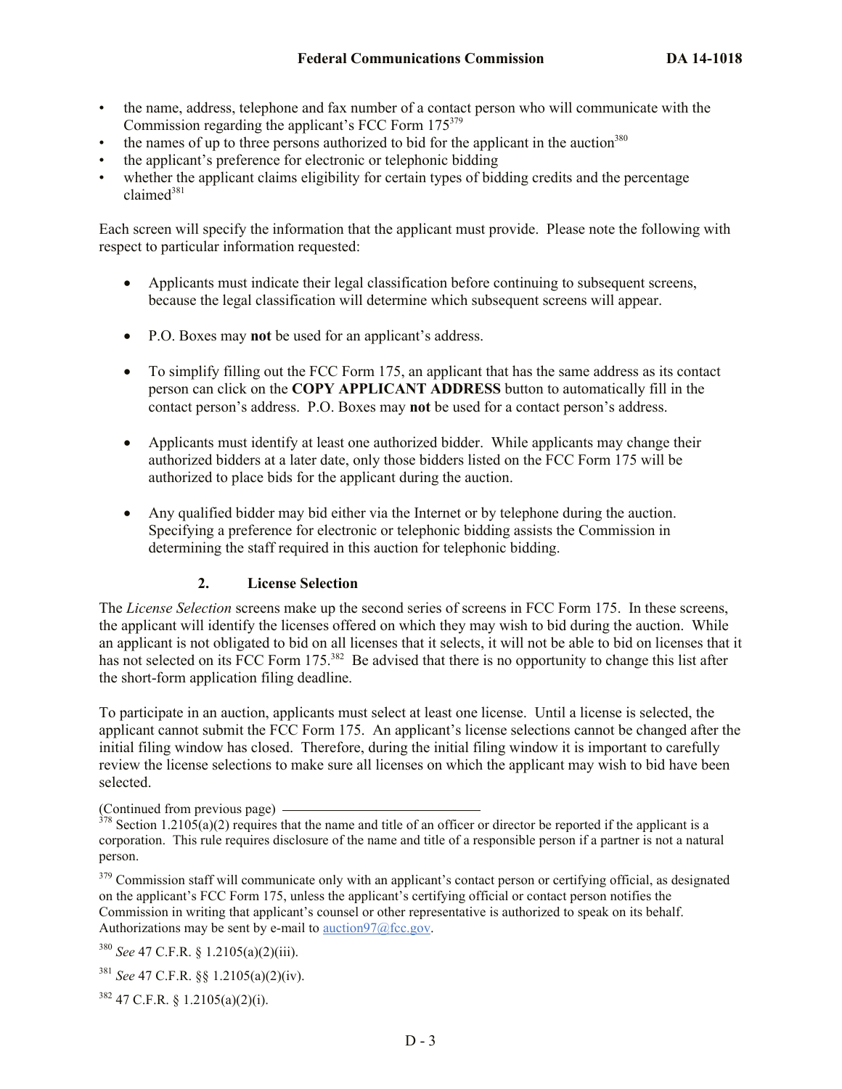- the name, address, telephone and fax number of a contact person who will communicate with the Commission regarding the applicant's FCC Form 175<sup>379</sup>
- the names of up to three persons authorized to bid for the applicant in the auction<sup>380</sup>
- the applicant's preference for electronic or telephonic bidding
- whether the applicant claims eligibility for certain types of bidding credits and the percentage  $claimed<sup>381</sup>$

Each screen will specify the information that the applicant must provide. Please note the following with respect to particular information requested:

- Applicants must indicate their legal classification before continuing to subsequent screens, because the legal classification will determine which subsequent screens will appear.
- P.O. Boxes may **not** be used for an applicant's address.
- To simplify filling out the FCC Form 175, an applicant that has the same address as its contact person can click on the **COPY APPLICANT ADDRESS** button to automatically fill in the contact person's address. P.O. Boxes may **not** be used for a contact person's address.
- Applicants must identify at least one authorized bidder. While applicants may change their authorized bidders at a later date, only those bidders listed on the FCC Form 175 will be authorized to place bids for the applicant during the auction.
- Any qualified bidder may bid either via the Internet or by telephone during the auction. Specifying a preference for electronic or telephonic bidding assists the Commission in determining the staff required in this auction for telephonic bidding.

## **2. License Selection**

The *License Selection* screens make up the second series of screens in FCC Form 175. In these screens, the applicant will identify the licenses offered on which they may wish to bid during the auction. While an applicant is not obligated to bid on all licenses that it selects, it will not be able to bid on licenses that it has not selected on its FCC Form 175.<sup>382</sup> Be advised that there is no opportunity to change this list after the short-form application filing deadline.

To participate in an auction, applicants must select at least one license. Until a license is selected, the applicant cannot submit the FCC Form 175. An applicant's license selections cannot be changed after the initial filing window has closed. Therefore, during the initial filing window it is important to carefully review the license selections to make sure all licenses on which the applicant may wish to bid have been selected.

(Continued from previous page)

<sup>379</sup> Commission staff will communicate only with an applicant's contact person or certifying official, as designated on the applicant's FCC Form 175, unless the applicant's certifying official or contact person notifies the Commission in writing that applicant's counsel or other representative is authorized to speak on its behalf. Authorizations may be sent by e-mail to auction97 $@$ fcc.gov.

<sup>380</sup> *See* 47 C.F.R. § 1.2105(a)(2)(iii).

<sup>381</sup> *See* 47 C.F.R. §§ 1.2105(a)(2)(iv).

<sup>382</sup> 47 C.F.R. § 1.2105(a)(2)(i).

 $378$  Section 1.2105(a)(2) requires that the name and title of an officer or director be reported if the applicant is a corporation. This rule requires disclosure of the name and title of a responsible person if a partner is not a natural person.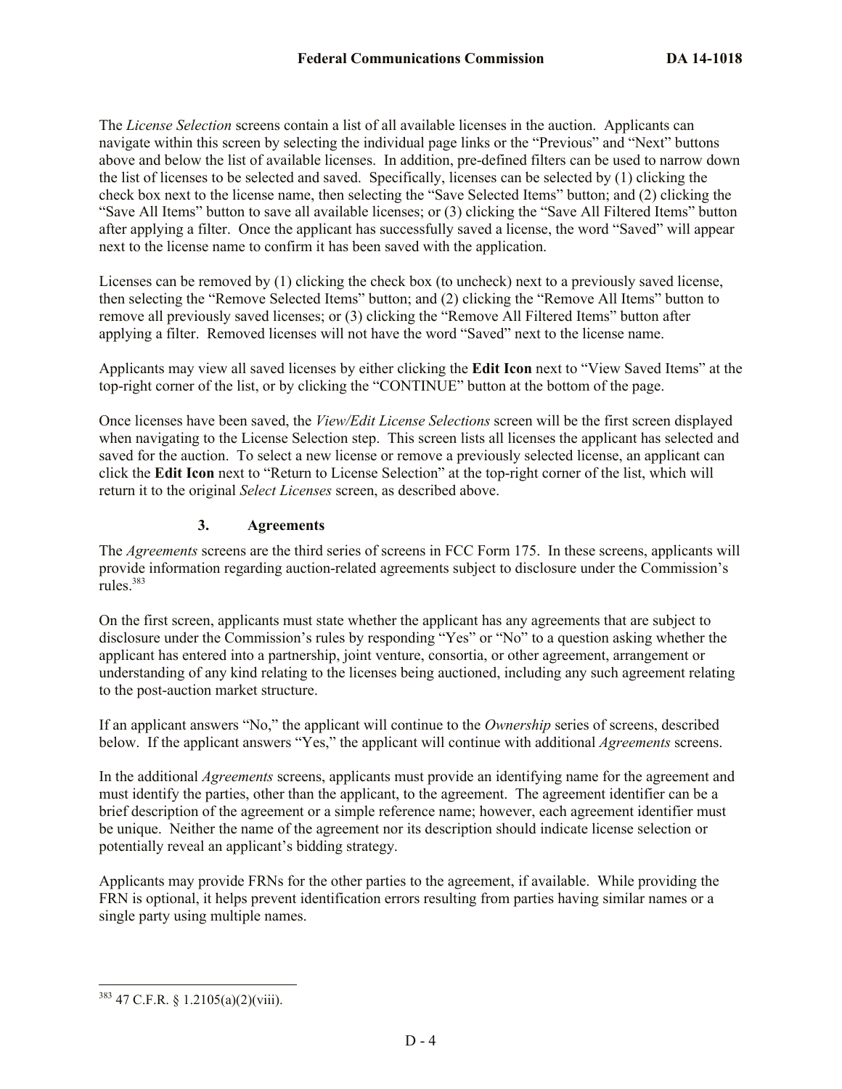The *License Selection* screens contain a list of all available licenses in the auction. Applicants can navigate within this screen by selecting the individual page links or the "Previous" and "Next" buttons above and below the list of available licenses. In addition, pre-defined filters can be used to narrow down the list of licenses to be selected and saved. Specifically, licenses can be selected by (1) clicking the check box next to the license name, then selecting the "Save Selected Items" button; and (2) clicking the "Save All Items" button to save all available licenses; or (3) clicking the "Save All Filtered Items" button after applying a filter. Once the applicant has successfully saved a license, the word "Saved" will appear next to the license name to confirm it has been saved with the application.

Licenses can be removed by (1) clicking the check box (to uncheck) next to a previously saved license, then selecting the "Remove Selected Items" button; and (2) clicking the "Remove All Items" button to remove all previously saved licenses; or (3) clicking the "Remove All Filtered Items" button after applying a filter. Removed licenses will not have the word "Saved" next to the license name.

Applicants may view all saved licenses by either clicking the **Edit Icon** next to "View Saved Items" at the top-right corner of the list, or by clicking the "CONTINUE" button at the bottom of the page.

Once licenses have been saved, the *View/Edit License Selections* screen will be the first screen displayed when navigating to the License Selection step. This screen lists all licenses the applicant has selected and saved for the auction. To select a new license or remove a previously selected license, an applicant can click the **Edit Icon** next to "Return to License Selection" at the top-right corner of the list, which will return it to the original *Select Licenses* screen, as described above.

### **3. Agreements**

The *Agreements* screens are the third series of screens in FCC Form 175. In these screens, applicants will provide information regarding auction-related agreements subject to disclosure under the Commission's rules. $383$ 

On the first screen, applicants must state whether the applicant has any agreements that are subject to disclosure under the Commission's rules by responding "Yes" or "No" to a question asking whether the applicant has entered into a partnership, joint venture, consortia, or other agreement, arrangement or understanding of any kind relating to the licenses being auctioned, including any such agreement relating to the post-auction market structure.

If an applicant answers "No," the applicant will continue to the *Ownership* series of screens, described below. If the applicant answers "Yes," the applicant will continue with additional *Agreements* screens.

In the additional *Agreements* screens, applicants must provide an identifying name for the agreement and must identify the parties, other than the applicant, to the agreement. The agreement identifier can be a brief description of the agreement or a simple reference name; however, each agreement identifier must be unique. Neither the name of the agreement nor its description should indicate license selection or potentially reveal an applicant's bidding strategy.

Applicants may provide FRNs for the other parties to the agreement, if available. While providing the FRN is optional, it helps prevent identification errors resulting from parties having similar names or a single party using multiple names.

 $\overline{a}$ 

 $383$  47 C.F.R. § 1.2105(a)(2)(viii).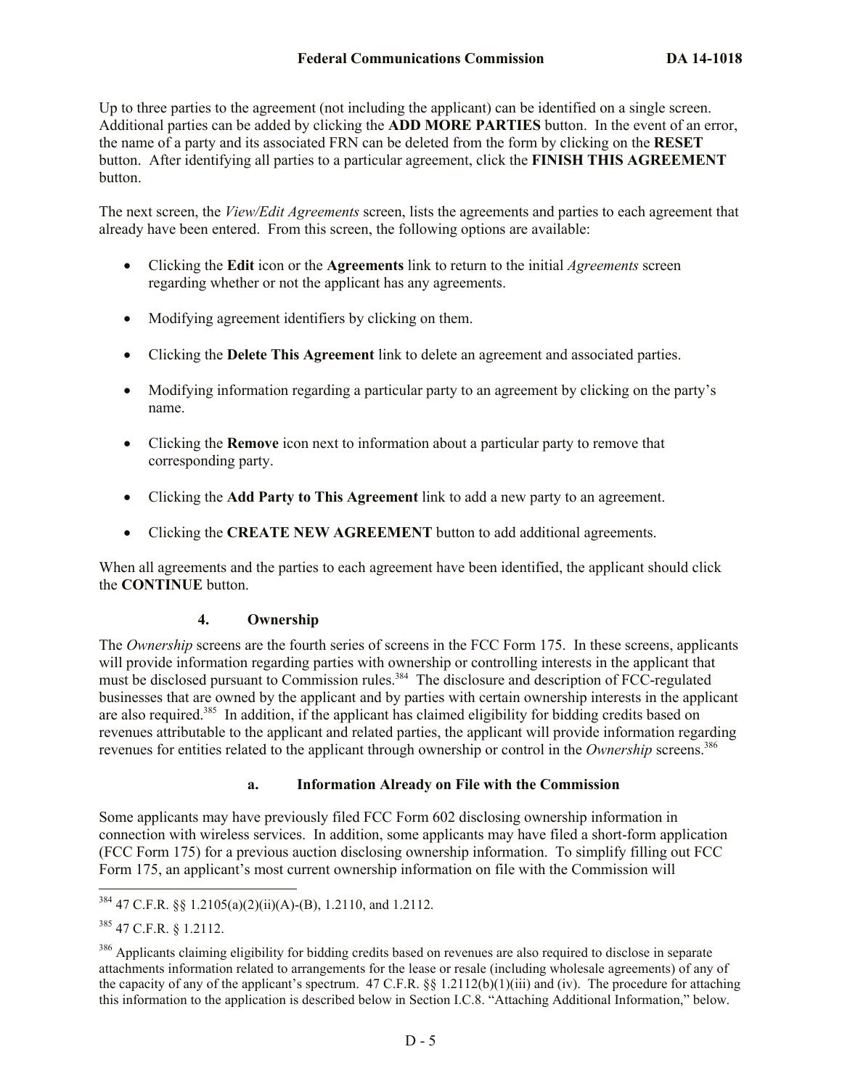Up to three parties to the agreement (not including the applicant) can be identified on a single screen. Additional parties can be added by clicking the **ADD MORE PARTIES** button. In the event of an error, the name of a party and its associated FRN can be deleted from the form by clicking on the **RESET** button. After identifying all parties to a particular agreement, click the **FINISH THIS AGREEMENT** button.

The next screen, the *View/Edit Agreements* screen, lists the agreements and parties to each agreement that already have been entered. From this screen, the following options are available:

- Clicking the **Edit** icon or the **Agreements** link to return to the initial *Agreements* screen regarding whether or not the applicant has any agreements.
- Modifying agreement identifiers by clicking on them.
- Clicking the **Delete This Agreement** link to delete an agreement and associated parties.
- Modifying information regarding a particular party to an agreement by clicking on the party's name.
- Clicking the **Remove** icon next to information about a particular party to remove that corresponding party.
- Clicking the **Add Party to This Agreement** link to add a new party to an agreement.
- Clicking the **CREATE NEW AGREEMENT** button to add additional agreements.

When all agreements and the parties to each agreement have been identified, the applicant should click the **CONTINUE** button.

### **4. Ownership**

The *Ownership* screens are the fourth series of screens in the FCC Form 175. In these screens, applicants will provide information regarding parties with ownership or controlling interests in the applicant that must be disclosed pursuant to Commission rules.<sup>384</sup> The disclosure and description of FCC-regulated businesses that are owned by the applicant and by parties with certain ownership interests in the applicant are also required.<sup>385</sup> In addition, if the applicant has claimed eligibility for bidding credits based on revenues attributable to the applicant and related parties, the applicant will provide information regarding revenues for entities related to the applicant through ownership or control in the *Ownership* screens.<sup>386</sup>

### **a. Information Already on File with the Commission**

Some applicants may have previously filed FCC Form 602 disclosing ownership information in connection with wireless services. In addition, some applicants may have filed a short-form application (FCC Form 175) for a previous auction disclosing ownership information. To simplify filling out FCC Form 175, an applicant's most current ownership information on file with the Commission will

 $\overline{\phantom{a}}$ 

 $384$  47 C.F.R. §§ 1.2105(a)(2)(ii)(A)-(B), 1.2110, and 1.2112.

<sup>385</sup> 47 C.F.R. § 1.2112.

<sup>&</sup>lt;sup>386</sup> Applicants claiming eligibility for bidding credits based on revenues are also required to disclose in separate attachments information related to arrangements for the lease or resale (including wholesale agreements) of any of the capacity of any of the applicant's spectrum. 47 C.F.R.  $\S$  1.2112(b)(1)(iii) and (iv). The procedure for attaching this information to the application is described below in Section I.C.8. "Attaching Additional Information," below.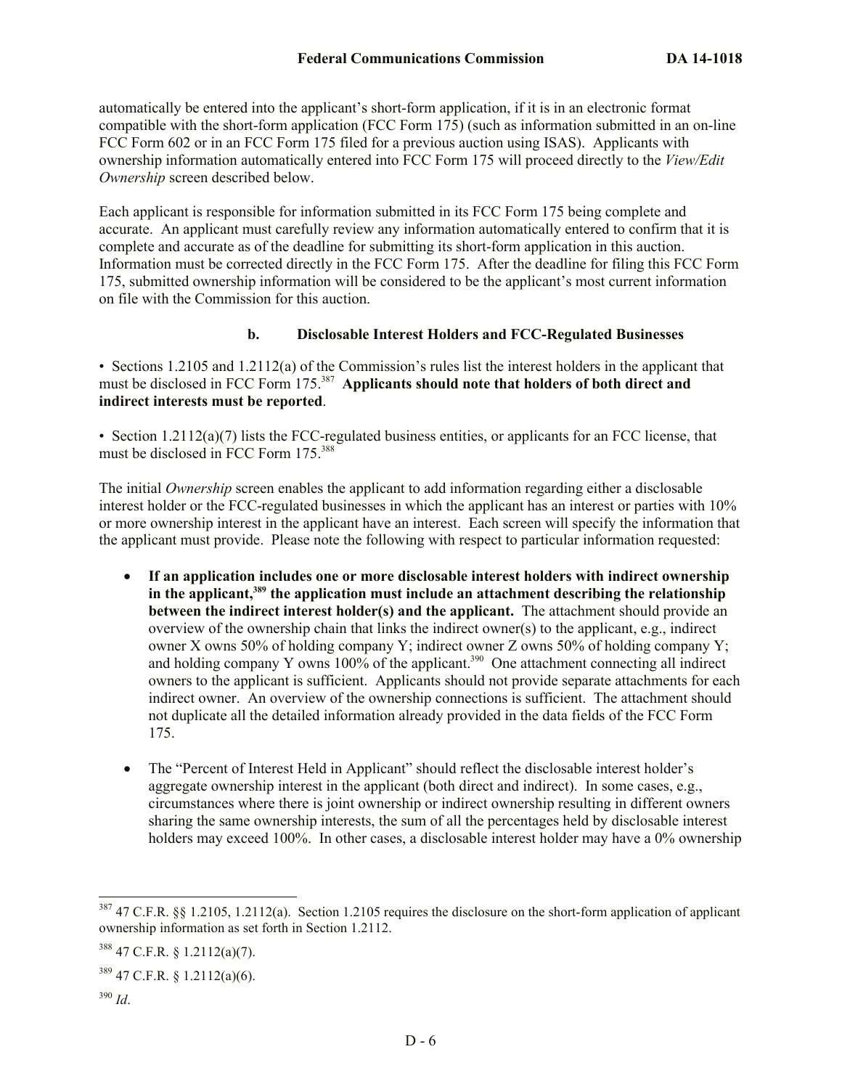automatically be entered into the applicant's short-form application, if it is in an electronic format compatible with the short-form application (FCC Form 175) (such as information submitted in an on-line FCC Form 602 or in an FCC Form 175 filed for a previous auction using ISAS). Applicants with ownership information automatically entered into FCC Form 175 will proceed directly to the *View/Edit Ownership* screen described below.

Each applicant is responsible for information submitted in its FCC Form 175 being complete and accurate. An applicant must carefully review any information automatically entered to confirm that it is complete and accurate as of the deadline for submitting its short-form application in this auction. Information must be corrected directly in the FCC Form 175. After the deadline for filing this FCC Form 175, submitted ownership information will be considered to be the applicant's most current information on file with the Commission for this auction.

#### **b. Disclosable Interest Holders and FCC-Regulated Businesses**

• Sections 1.2105 and 1.2112(a) of the Commission's rules list the interest holders in the applicant that must be disclosed in FCC Form 175.<sup>387</sup> Applicants should note that holders of both direct and **indirect interests must be reported**.

• Section 1.2112(a)(7) lists the FCC-regulated business entities, or applicants for an FCC license, that must be disclosed in FCC Form 175.<sup>388</sup>

The initial *Ownership* screen enables the applicant to add information regarding either a disclosable interest holder or the FCC-regulated businesses in which the applicant has an interest or parties with 10% or more ownership interest in the applicant have an interest. Each screen will specify the information that the applicant must provide. Please note the following with respect to particular information requested:

- **If an application includes one or more disclosable interest holders with indirect ownership in the applicant,<sup>389</sup> the application must include an attachment describing the relationship between the indirect interest holder(s) and the applicant.** The attachment should provide an overview of the ownership chain that links the indirect owner(s) to the applicant, e.g., indirect owner X owns 50% of holding company Y; indirect owner Z owns 50% of holding company Y; and holding company Y owns  $100\%$  of the applicant.<sup>390</sup> One attachment connecting all indirect owners to the applicant is sufficient. Applicants should not provide separate attachments for each indirect owner. An overview of the ownership connections is sufficient. The attachment should not duplicate all the detailed information already provided in the data fields of the FCC Form 175.
- The "Percent of Interest Held in Applicant" should reflect the disclosable interest holder's aggregate ownership interest in the applicant (both direct and indirect). In some cases, e.g., circumstances where there is joint ownership or indirect ownership resulting in different owners sharing the same ownership interests, the sum of all the percentages held by disclosable interest holders may exceed 100%. In other cases, a disclosable interest holder may have a 0% ownership

 $\overline{a}$ 

 $387$  47 C.F.R. §§ 1.2105, 1.2112(a). Section 1.2105 requires the disclosure on the short-form application of applicant ownership information as set forth in Section 1.2112.

<sup>388</sup> 47 C.F.R. § 1.2112(a)(7).

 $389$  47 C.F.R. § 1.2112(a)(6).

<sup>390</sup> *Id*.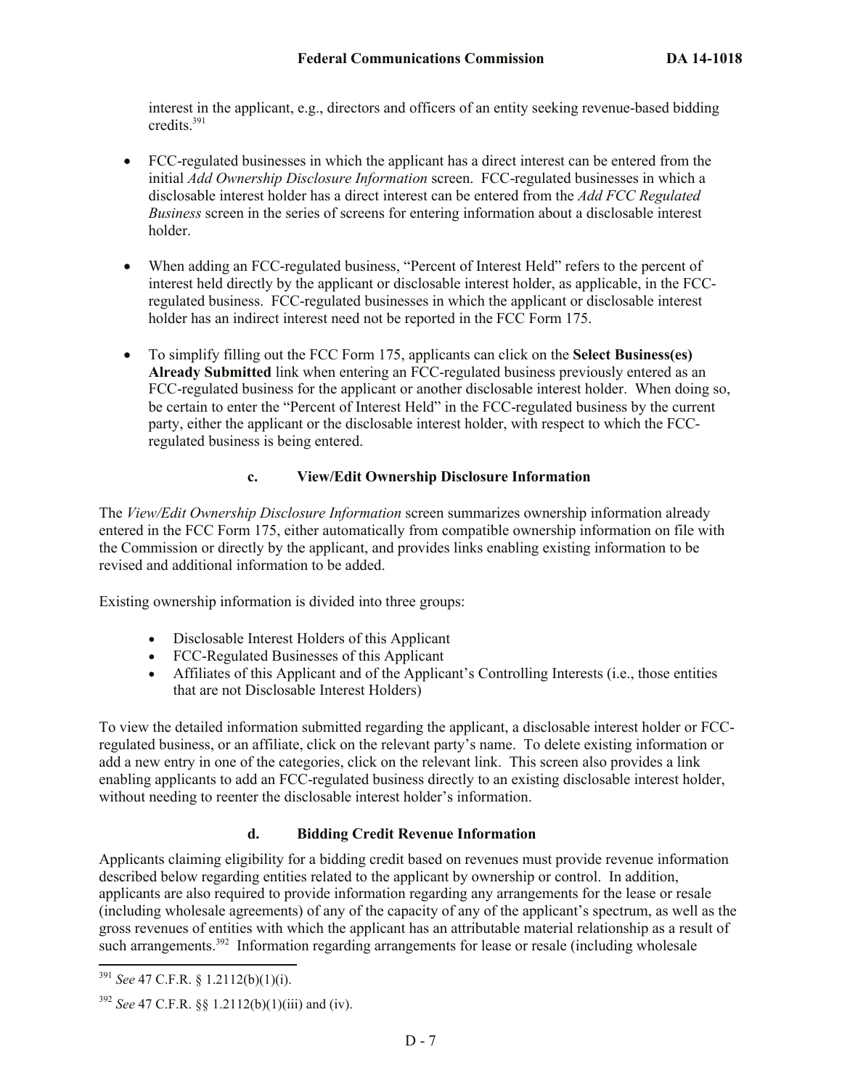interest in the applicant, e.g., directors and officers of an entity seeking revenue-based bidding credits. 391

- FCC-regulated businesses in which the applicant has a direct interest can be entered from the initial *Add Ownership Disclosure Information* screen. FCC-regulated businesses in which a disclosable interest holder has a direct interest can be entered from the *Add FCC Regulated Business* screen in the series of screens for entering information about a disclosable interest holder.
- When adding an FCC-regulated business, "Percent of Interest Held" refers to the percent of interest held directly by the applicant or disclosable interest holder, as applicable, in the FCCregulated business. FCC-regulated businesses in which the applicant or disclosable interest holder has an indirect interest need not be reported in the FCC Form 175.
- To simplify filling out the FCC Form 175, applicants can click on the **Select Business(es) Already Submitted** link when entering an FCC-regulated business previously entered as an FCC-regulated business for the applicant or another disclosable interest holder. When doing so, be certain to enter the "Percent of Interest Held" in the FCC-regulated business by the current party, either the applicant or the disclosable interest holder, with respect to which the FCCregulated business is being entered.

## **c. View/Edit Ownership Disclosure Information**

The *View/Edit Ownership Disclosure Information* screen summarizes ownership information already entered in the FCC Form 175, either automatically from compatible ownership information on file with the Commission or directly by the applicant, and provides links enabling existing information to be revised and additional information to be added.

Existing ownership information is divided into three groups:

- Disclosable Interest Holders of this Applicant
- FCC-Regulated Businesses of this Applicant
- Affiliates of this Applicant and of the Applicant's Controlling Interests (i.e., those entities that are not Disclosable Interest Holders)

To view the detailed information submitted regarding the applicant, a disclosable interest holder or FCCregulated business, or an affiliate, click on the relevant party's name. To delete existing information or add a new entry in one of the categories, click on the relevant link. This screen also provides a link enabling applicants to add an FCC-regulated business directly to an existing disclosable interest holder, without needing to reenter the disclosable interest holder's information.

### **d. Bidding Credit Revenue Information**

Applicants claiming eligibility for a bidding credit based on revenues must provide revenue information described below regarding entities related to the applicant by ownership or control. In addition, applicants are also required to provide information regarding any arrangements for the lease or resale (including wholesale agreements) of any of the capacity of any of the applicant's spectrum, as well as the gross revenues of entities with which the applicant has an attributable material relationship as a result of such arrangements.<sup>392</sup> Information regarding arrangements for lease or resale (including wholesale

 $\overline{a}$ 

<sup>391</sup> *See* 47 C.F.R. § 1.2112(b)(1)(i).

<sup>392</sup> *See* 47 C.F.R. §§ 1.2112(b)(1)(iii) and (iv).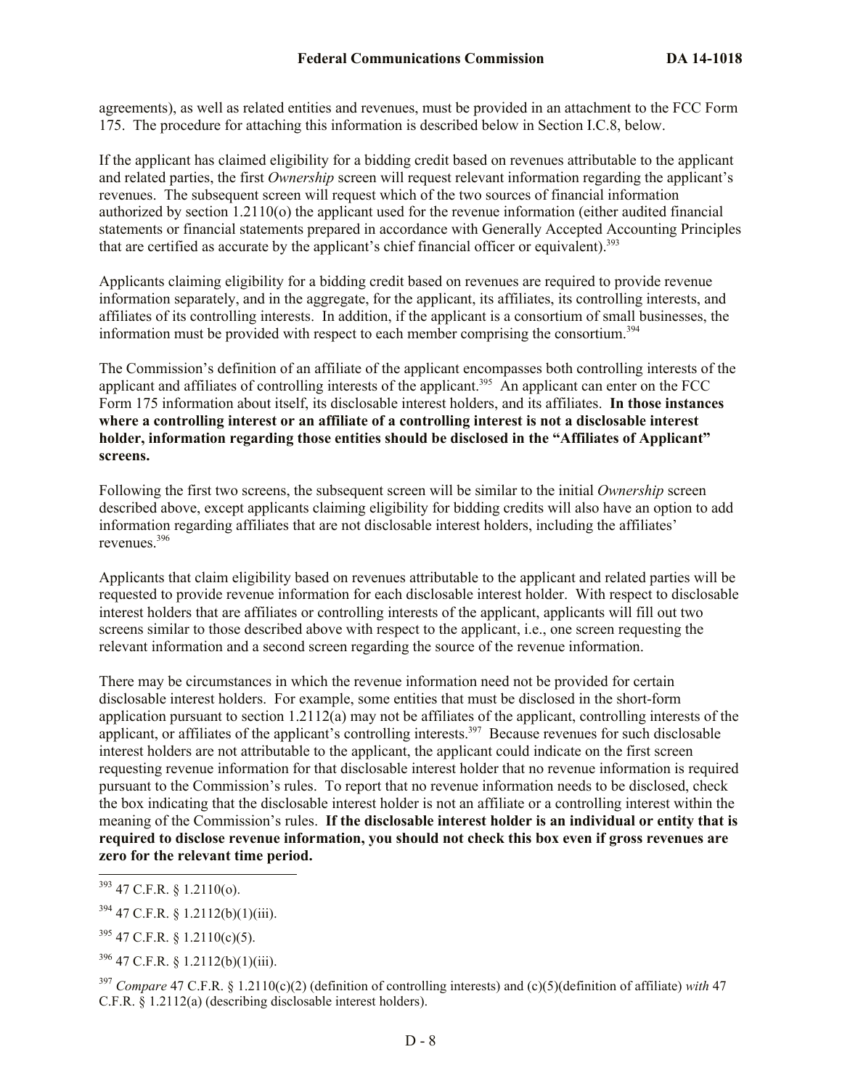agreements), as well as related entities and revenues, must be provided in an attachment to the FCC Form 175. The procedure for attaching this information is described below in Section I.C.8, below.

If the applicant has claimed eligibility for a bidding credit based on revenues attributable to the applicant and related parties, the first *Ownership* screen will request relevant information regarding the applicant's revenues. The subsequent screen will request which of the two sources of financial information authorized by section 1.2110(o) the applicant used for the revenue information (either audited financial statements or financial statements prepared in accordance with Generally Accepted Accounting Principles that are certified as accurate by the applicant's chief financial officer or equivalent).<sup>393</sup>

Applicants claiming eligibility for a bidding credit based on revenues are required to provide revenue information separately, and in the aggregate, for the applicant, its affiliates, its controlling interests, and affiliates of its controlling interests. In addition, if the applicant is a consortium of small businesses, the information must be provided with respect to each member comprising the consortium.<sup>394</sup>

The Commission's definition of an affiliate of the applicant encompasses both controlling interests of the applicant and affiliates of controlling interests of the applicant.<sup>395</sup> An applicant can enter on the FCC Form 175 information about itself, its disclosable interest holders, and its affiliates. **In those instances where a controlling interest or an affiliate of a controlling interest is not a disclosable interest holder, information regarding those entities should be disclosed in the "Affiliates of Applicant" screens.**

Following the first two screens, the subsequent screen will be similar to the initial *Ownership* screen described above, except applicants claiming eligibility for bidding credits will also have an option to add information regarding affiliates that are not disclosable interest holders, including the affiliates' revenues.<sup>396</sup>

Applicants that claim eligibility based on revenues attributable to the applicant and related parties will be requested to provide revenue information for each disclosable interest holder. With respect to disclosable interest holders that are affiliates or controlling interests of the applicant, applicants will fill out two screens similar to those described above with respect to the applicant, i.e., one screen requesting the relevant information and a second screen regarding the source of the revenue information.

There may be circumstances in which the revenue information need not be provided for certain disclosable interest holders. For example, some entities that must be disclosed in the short-form application pursuant to section  $1.2112(a)$  may not be affiliates of the applicant, controlling interests of the applicant, or affiliates of the applicant's controlling interests.<sup>397</sup> Because revenues for such disclosable interest holders are not attributable to the applicant, the applicant could indicate on the first screen requesting revenue information for that disclosable interest holder that no revenue information is required pursuant to the Commission's rules. To report that no revenue information needs to be disclosed, check the box indicating that the disclosable interest holder is not an affiliate or a controlling interest within the meaning of the Commission's rules. **If the disclosable interest holder is an individual or entity that is required to disclose revenue information, you should not check this box even if gross revenues are zero for the relevant time period.**

 $\overline{a}$ 

 $395$  47 C.F.R. § 1.2110(c)(5).

 $396$  47 C.F.R. § 1.2112(b)(1)(iii).

<sup>397</sup> *Compare* 47 C.F.R. § 1.2110(c)(2) (definition of controlling interests) and (c)(5)(definition of affiliate) *with* 47 C.F.R. § 1.2112(a) (describing disclosable interest holders).

 $393$  47 C.F.R. § 1.2110(o).

 $394$  47 C.F.R. § 1.2112(b)(1)(iii).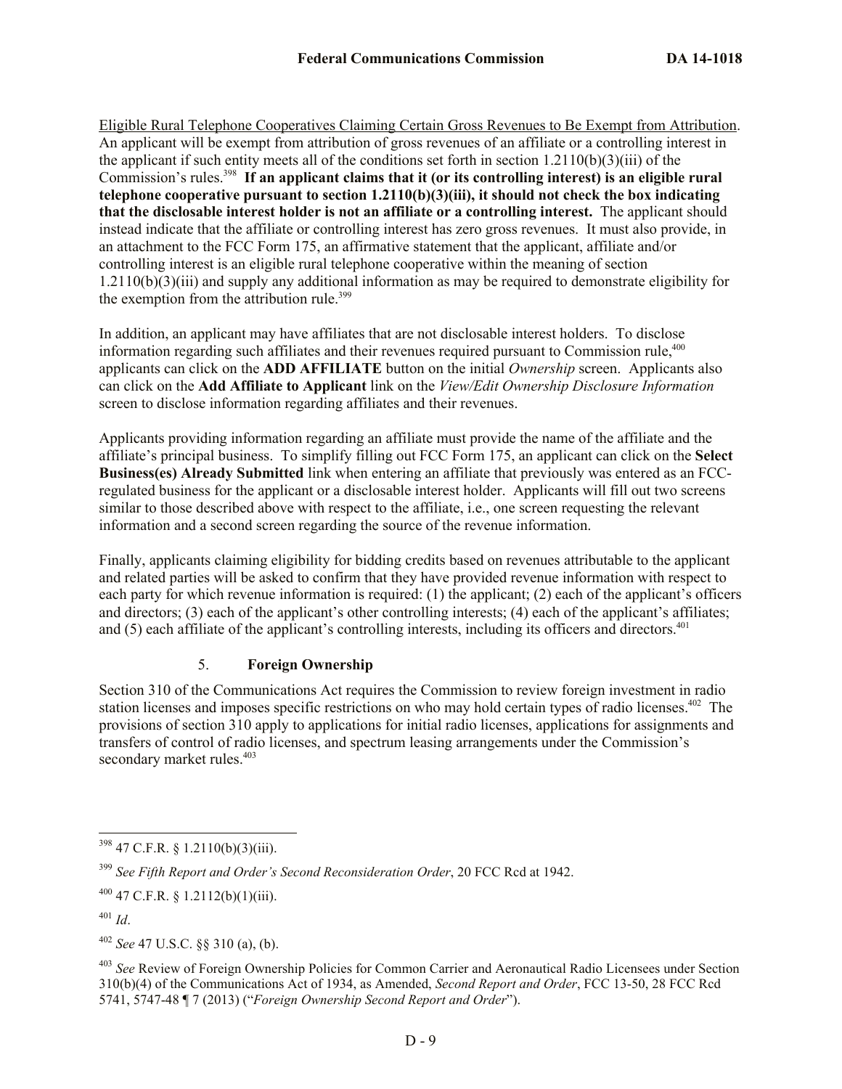Eligible Rural Telephone Cooperatives Claiming Certain Gross Revenues to Be Exempt from Attribution. An applicant will be exempt from attribution of gross revenues of an affiliate or a controlling interest in the applicant if such entity meets all of the conditions set forth in section 1.2110(b)(3)(iii) of the Commission's rules.<sup>398</sup> If an applicant claims that it (or its controlling interest) is an eligible rural **telephone cooperative pursuant to section 1.2110(b)(3)(iii), it should not check the box indicating that the disclosable interest holder is not an affiliate or a controlling interest.** The applicant should instead indicate that the affiliate or controlling interest has zero gross revenues. It must also provide, in an attachment to the FCC Form 175, an affirmative statement that the applicant, affiliate and/or controlling interest is an eligible rural telephone cooperative within the meaning of section 1.2110(b)(3)(iii) and supply any additional information as may be required to demonstrate eligibility for the exemption from the attribution rule. $399$ 

In addition, an applicant may have affiliates that are not disclosable interest holders. To disclose information regarding such affiliates and their revenues required pursuant to Commission rule,<sup>400</sup> applicants can click on the **ADD AFFILIATE** button on the initial *Ownership* screen. Applicants also can click on the **Add Affiliate to Applicant** link on the *View/Edit Ownership Disclosure Information* screen to disclose information regarding affiliates and their revenues.

Applicants providing information regarding an affiliate must provide the name of the affiliate and the affiliate's principal business. To simplify filling out FCC Form 175, an applicant can click on the **Select Business(es) Already Submitted** link when entering an affiliate that previously was entered as an FCCregulated business for the applicant or a disclosable interest holder. Applicants will fill out two screens similar to those described above with respect to the affiliate, i.e., one screen requesting the relevant information and a second screen regarding the source of the revenue information.

Finally, applicants claiming eligibility for bidding credits based on revenues attributable to the applicant and related parties will be asked to confirm that they have provided revenue information with respect to each party for which revenue information is required: (1) the applicant; (2) each of the applicant's officers and directors; (3) each of the applicant's other controlling interests; (4) each of the applicant's affiliates; and  $(5)$  each affiliate of the applicant's controlling interests, including its officers and directors.<sup>401</sup>

### 5. **Foreign Ownership**

Section 310 of the Communications Act requires the Commission to review foreign investment in radio station licenses and imposes specific restrictions on who may hold certain types of radio licenses.<sup>402</sup> The provisions of section 310 apply to applications for initial radio licenses, applications for assignments and transfers of control of radio licenses, and spectrum leasing arrangements under the Commission's secondary market rules.<sup>403</sup>

 $\overline{\phantom{a}}$  $398$  47 C.F.R. § 1.2110(b)(3)(iii).

<sup>399</sup> *See Fifth Report and Order's Second Reconsideration Order*, 20 FCC Rcd at 1942.

 $^{400}$  47 C.F.R. § 1.2112(b)(1)(iii).

<sup>401</sup> *Id*.

<sup>402</sup> *See* 47 U.S.C. §§ 310 (a), (b).

<sup>403</sup> *See* Review of Foreign Ownership Policies for Common Carrier and Aeronautical Radio Licensees under Section 310(b)(4) of the Communications Act of 1934, as Amended, *Second Report and Order*, FCC 13-50, 28 FCC Rcd 5741, 5747-48 ¶ 7 (2013) ("*Foreign Ownership Second Report and Order*").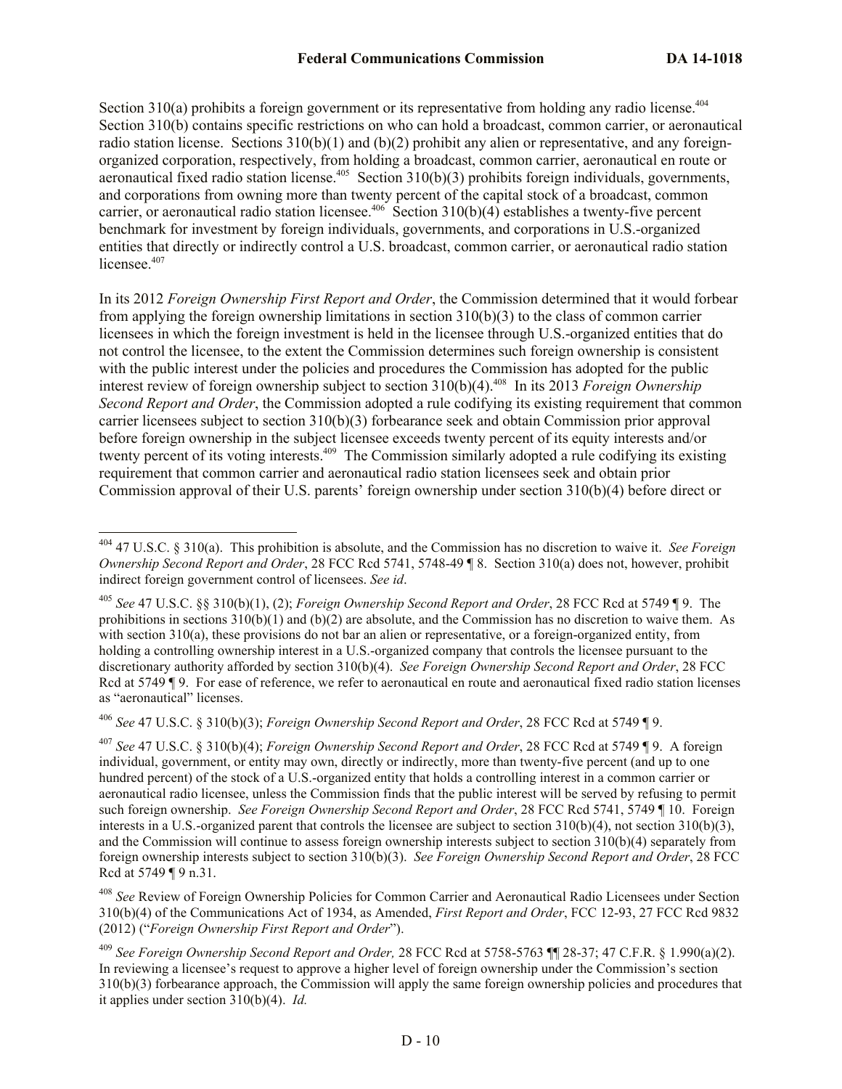Section  $310(a)$  prohibits a foreign government or its representative from holding any radio license.<sup>404</sup> Section 310(b) contains specific restrictions on who can hold a broadcast, common carrier, or aeronautical radio station license. Sections  $310(b)(1)$  and  $(b)(2)$  prohibit any alien or representative, and any foreignorganized corporation, respectively, from holding a broadcast, common carrier, aeronautical en route or aeronautical fixed radio station license.<sup>405</sup> Section  $310(b)(3)$  prohibits foreign individuals, governments, and corporations from owning more than twenty percent of the capital stock of a broadcast, common carrier, or aeronautical radio station licensee.<sup>406</sup> Section  $310(b)(4)$  establishes a twenty-five percent benchmark for investment by foreign individuals, governments, and corporations in U.S.-organized entities that directly or indirectly control a U.S. broadcast, common carrier, or aeronautical radio station licensee.<sup>407</sup>

In its 2012 *Foreign Ownership First Report and Order*, the Commission determined that it would forbear from applying the foreign ownership limitations in section  $310(b)(3)$  to the class of common carrier licensees in which the foreign investment is held in the licensee through U.S.-organized entities that do not control the licensee, to the extent the Commission determines such foreign ownership is consistent with the public interest under the policies and procedures the Commission has adopted for the public interest review of foreign ownership subject to section 310(b)(4).<sup>408</sup> In its 2013 *Foreign Ownership Second Report and Order*, the Commission adopted a rule codifying its existing requirement that common carrier licensees subject to section 310(b)(3) forbearance seek and obtain Commission prior approval before foreign ownership in the subject licensee exceeds twenty percent of its equity interests and/or twenty percent of its voting interests.<sup>409</sup> The Commission similarly adopted a rule codifying its existing requirement that common carrier and aeronautical radio station licensees seek and obtain prior Commission approval of their U.S. parents' foreign ownership under section 310(b)(4) before direct or

<sup>406</sup> *See* 47 U.S.C. § 310(b)(3); *Foreign Ownership Second Report and Order*, 28 FCC Rcd at 5749 ¶ 9.

 $\overline{\phantom{a}}$ 

<sup>407</sup> *See* 47 U.S.C. § 310(b)(4); *Foreign Ownership Second Report and Order*, 28 FCC Rcd at 5749 ¶ 9. A foreign individual, government, or entity may own, directly or indirectly, more than twenty-five percent (and up to one hundred percent) of the stock of a U.S.-organized entity that holds a controlling interest in a common carrier or aeronautical radio licensee, unless the Commission finds that the public interest will be served by refusing to permit such foreign ownership. *See Foreign Ownership Second Report and Order*, 28 FCC Rcd 5741, 5749 ¶ 10. Foreign interests in a U.S.-organized parent that controls the licensee are subject to section 310(b)(4), not section 310(b)(3), and the Commission will continue to assess foreign ownership interests subject to section 310(b)(4) separately from foreign ownership interests subject to section 310(b)(3). *See Foreign Ownership Second Report and Order*, 28 FCC Rcd at 5749 ¶ 9 n.31.

<sup>408</sup> *See* Review of Foreign Ownership Policies for Common Carrier and Aeronautical Radio Licensees under Section 310(b)(4) of the Communications Act of 1934, as Amended, *First Report and Order*, FCC 12-93, 27 FCC Rcd 9832 (2012) ("*Foreign Ownership First Report and Order*").

<sup>404</sup> 47 U.S.C. § 310(a). This prohibition is absolute, and the Commission has no discretion to waive it. *See Foreign Ownership Second Report and Order*, 28 FCC Rcd 5741, 5748-49 ¶ 8. Section 310(a) does not, however, prohibit indirect foreign government control of licensees. *See id*.

<sup>405</sup> *See* 47 U.S.C. §§ 310(b)(1), (2); *Foreign Ownership Second Report and Order*, 28 FCC Rcd at 5749 ¶ 9. The prohibitions in sections  $310(b)(1)$  and  $(b)(2)$  are absolute, and the Commission has no discretion to waive them. As with section 310(a), these provisions do not bar an alien or representative, or a foreign-organized entity, from holding a controlling ownership interest in a U.S.-organized company that controls the licensee pursuant to the discretionary authority afforded by section 310(b)(4). *See Foreign Ownership Second Report and Order*, 28 FCC Rcd at 5749 ¶ 9. For ease of reference, we refer to aeronautical en route and aeronautical fixed radio station licenses as "aeronautical" licenses.

<sup>409</sup> *See Foreign Ownership Second Report and Order,* 28 FCC Rcd at 5758-5763 ¶¶ 28-37; 47 C.F.R. § 1.990(a)(2). In reviewing a licensee's request to approve a higher level of foreign ownership under the Commission's section 310(b)(3) forbearance approach, the Commission will apply the same foreign ownership policies and procedures that it applies under section 310(b)(4). *Id.*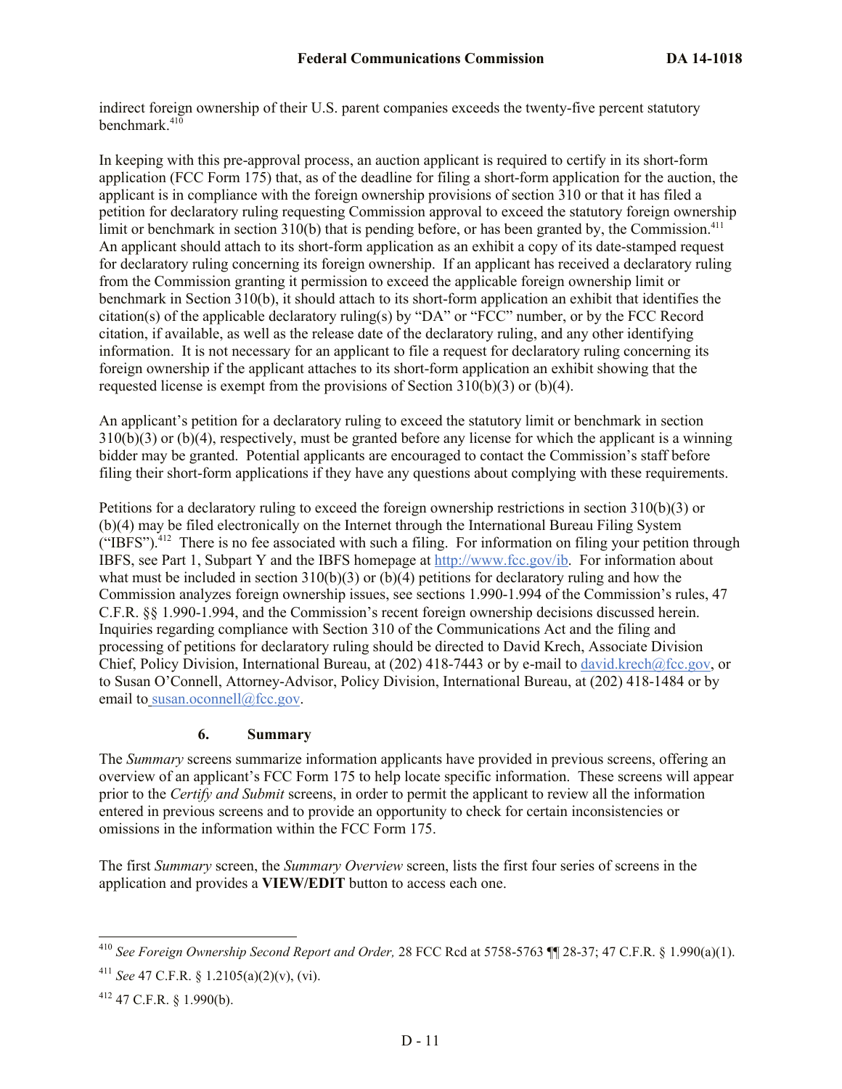indirect foreign ownership of their U.S. parent companies exceeds the twenty-five percent statutory benchmark.<sup>410</sup>

In keeping with this pre-approval process, an auction applicant is required to certify in its short-form application (FCC Form 175) that, as of the deadline for filing a short-form application for the auction, the applicant is in compliance with the foreign ownership provisions of section 310 or that it has filed a petition for declaratory ruling requesting Commission approval to exceed the statutory foreign ownership limit or benchmark in section 310(b) that is pending before, or has been granted by, the Commission.<sup>411</sup> An applicant should attach to its short-form application as an exhibit a copy of its date-stamped request for declaratory ruling concerning its foreign ownership. If an applicant has received a declaratory ruling from the Commission granting it permission to exceed the applicable foreign ownership limit or benchmark in Section 310(b), it should attach to its short-form application an exhibit that identifies the citation(s) of the applicable declaratory ruling(s) by "DA" or "FCC" number, or by the FCC Record citation, if available, as well as the release date of the declaratory ruling, and any other identifying information. It is not necessary for an applicant to file a request for declaratory ruling concerning its foreign ownership if the applicant attaches to its short-form application an exhibit showing that the requested license is exempt from the provisions of Section 310(b)(3) or (b)(4).

An applicant's petition for a declaratory ruling to exceed the statutory limit or benchmark in section  $310(b)(3)$  or  $(b)(4)$ , respectively, must be granted before any license for which the applicant is a winning bidder may be granted. Potential applicants are encouraged to contact the Commission's staff before filing their short-form applications if they have any questions about complying with these requirements.

Petitions for a declaratory ruling to exceed the foreign ownership restrictions in section 310(b)(3) or (b)(4) may be filed electronically on the Internet through the International Bureau Filing System ("IBFS").<sup>412</sup> There is no fee associated with such a filing. For information on filing your petition through IBFS, see Part 1, Subpart Y and the IBFS homepage at http://www.fcc.gov/ib. For information about what must be included in section  $310(b)(3)$  or  $(b)(4)$  petitions for declaratory ruling and how the Commission analyzes foreign ownership issues, see sections 1.990-1.994 of the Commission's rules, 47 C.F.R. §§ 1.990-1.994, and the Commission's recent foreign ownership decisions discussed herein. Inquiries regarding compliance with Section 310 of the Communications Act and the filing and processing of petitions for declaratory ruling should be directed to David Krech, Associate Division Chief, Policy Division, International Bureau, at (202) 418-7443 or by e-mail to david.krech@fcc.gov, or to Susan O'Connell, Attorney-Advisor, Policy Division, International Bureau, at (202) 418-1484 or by email to susan.oconnell@fcc.gov.

### **6. Summary**

The *Summary* screens summarize information applicants have provided in previous screens, offering an overview of an applicant's FCC Form 175 to help locate specific information. These screens will appear prior to the *Certify and Submit* screens, in order to permit the applicant to review all the information entered in previous screens and to provide an opportunity to check for certain inconsistencies or omissions in the information within the FCC Form 175.

The first *Summary* screen, the *Summary Overview* screen, lists the first four series of screens in the application and provides a **VIEW/EDIT** button to access each one.

 $\overline{\phantom{a}}$ 

<sup>410</sup> *See Foreign Ownership Second Report and Order,* 28 FCC Rcd at 5758-5763 ¶¶ 28-37; 47 C.F.R. § 1.990(a)(1).

<sup>411</sup> *See* 47 C.F.R. § 1.2105(a)(2)(v), (vi).

<sup>412</sup> 47 C.F.R. § 1.990(b).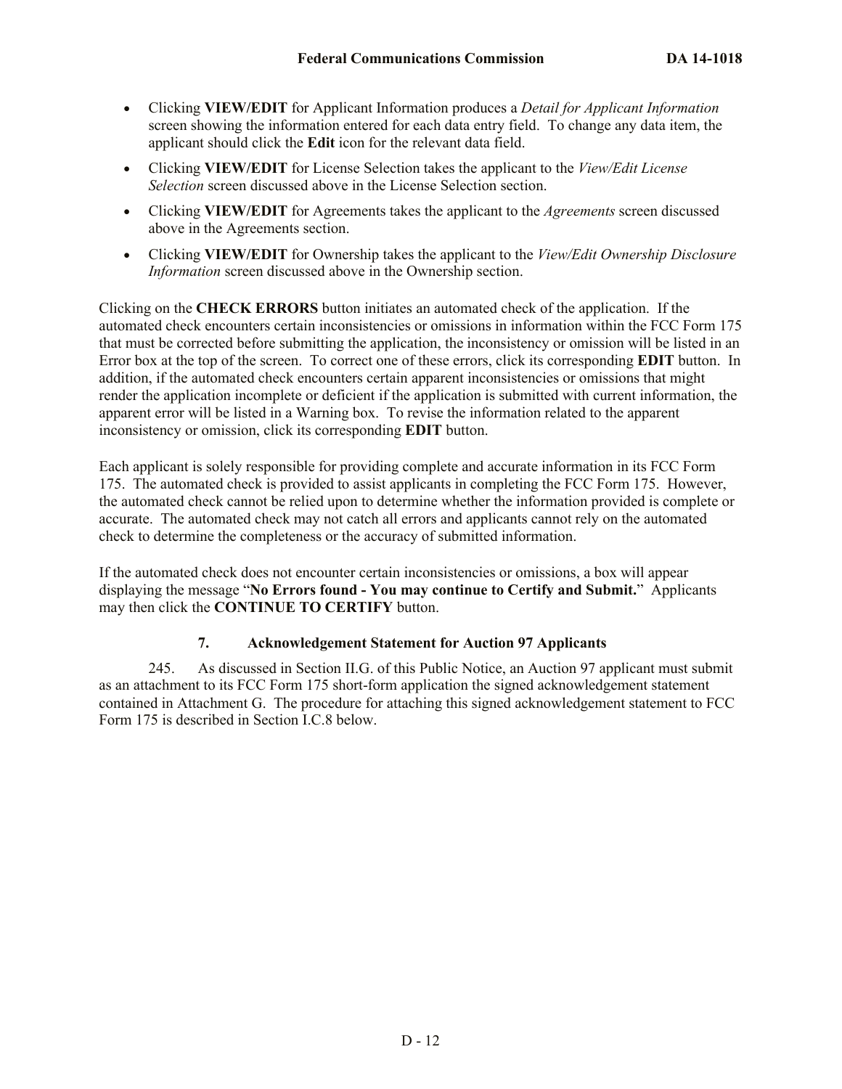- Clicking **VIEW/EDIT** for Applicant Information produces a *Detail for Applicant Information* screen showing the information entered for each data entry field. To change any data item, the applicant should click the **Edit** icon for the relevant data field.
- Clicking **VIEW/EDIT** for License Selection takes the applicant to the *View/Edit License Selection* screen discussed above in the License Selection section.
- Clicking **VIEW/EDIT** for Agreements takes the applicant to the *Agreements* screen discussed above in the Agreements section.
- Clicking **VIEW/EDIT** for Ownership takes the applicant to the *View/Edit Ownership Disclosure Information* screen discussed above in the Ownership section.

Clicking on the **CHECK ERRORS** button initiates an automated check of the application. If the automated check encounters certain inconsistencies or omissions in information within the FCC Form 175 that must be corrected before submitting the application, the inconsistency or omission will be listed in an Error box at the top of the screen. To correct one of these errors, click its corresponding **EDIT** button. In addition, if the automated check encounters certain apparent inconsistencies or omissions that might render the application incomplete or deficient if the application is submitted with current information, the apparent error will be listed in a Warning box. To revise the information related to the apparent inconsistency or omission, click its corresponding **EDIT** button.

Each applicant is solely responsible for providing complete and accurate information in its FCC Form 175. The automated check is provided to assist applicants in completing the FCC Form 175. However, the automated check cannot be relied upon to determine whether the information provided is complete or accurate. The automated check may not catch all errors and applicants cannot rely on the automated check to determine the completeness or the accuracy of submitted information.

If the automated check does not encounter certain inconsistencies or omissions, a box will appear displaying the message "**No Errors found - You may continue to Certify and Submit.**" Applicants may then click the **CONTINUE TO CERTIFY** button.

# **7. Acknowledgement Statement for Auction 97 Applicants**

245. As discussed in Section II.G. of this Public Notice, an Auction 97 applicant must submit as an attachment to its FCC Form 175 short-form application the signed acknowledgement statement contained in Attachment G. The procedure for attaching this signed acknowledgement statement to FCC Form 175 is described in Section I.C.8 below.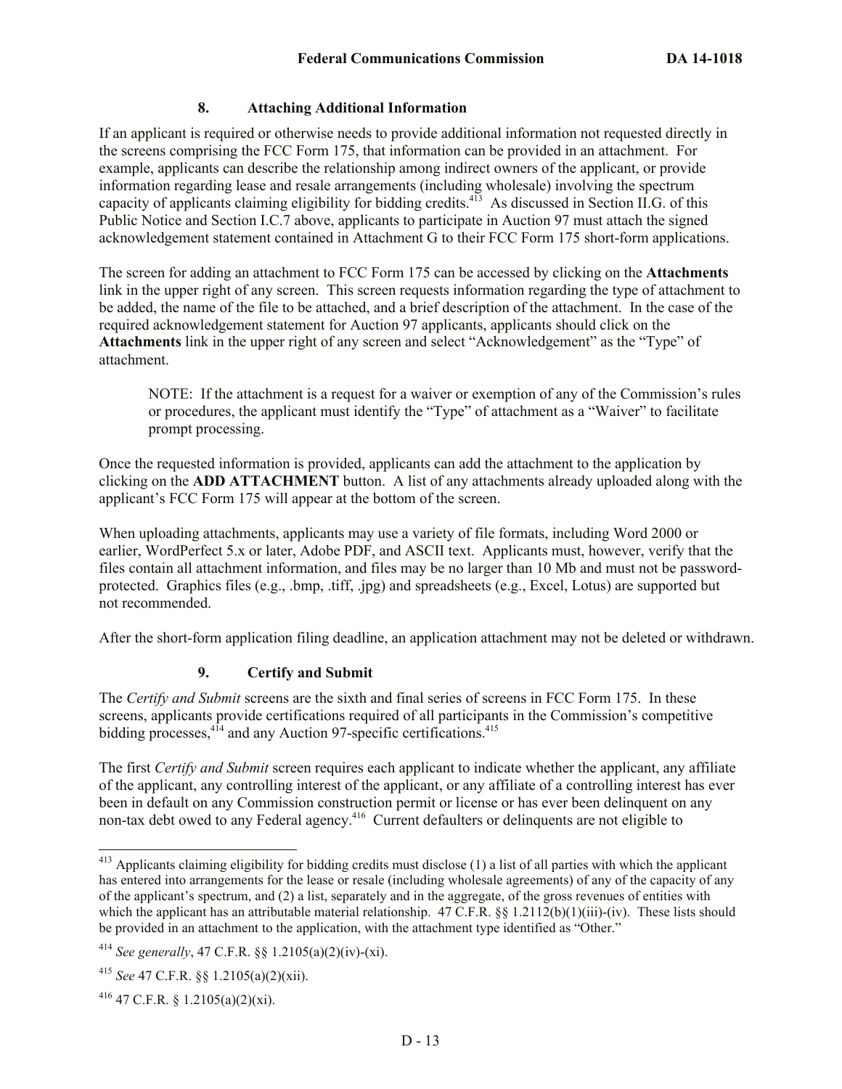### **8. Attaching Additional Information**

If an applicant is required or otherwise needs to provide additional information not requested directly in the screens comprising the FCC Form 175, that information can be provided in an attachment. For example, applicants can describe the relationship among indirect owners of the applicant, or provide information regarding lease and resale arrangements (including wholesale) involving the spectrum capacity of applicants claiming eligibility for bidding credits.<sup>413</sup> As discussed in Section II.G. of this Public Notice and Section I.C.7 above, applicants to participate in Auction 97 must attach the signed acknowledgement statement contained in Attachment G to their FCC Form 175 short-form applications.

The screen for adding an attachment to FCC Form 175 can be accessed by clicking on the **Attachments**  link in the upper right of any screen. This screen requests information regarding the type of attachment to be added, the name of the file to be attached, and a brief description of the attachment. In the case of the required acknowledgement statement for Auction 97 applicants, applicants should click on the **Attachments** link in the upper right of any screen and select "Acknowledgement" as the "Type" of attachment.

NOTE: If the attachment is a request for a waiver or exemption of any of the Commission's rules or procedures, the applicant must identify the "Type" of attachment as a "Waiver" to facilitate prompt processing.

Once the requested information is provided, applicants can add the attachment to the application by clicking on the **ADD ATTACHMENT** button. A list of any attachments already uploaded along with the applicant's FCC Form 175 will appear at the bottom of the screen.

When uploading attachments, applicants may use a variety of file formats, including Word 2000 or earlier, WordPerfect 5.x or later, Adobe PDF, and ASCII text. Applicants must, however, verify that the files contain all attachment information, and files may be no larger than 10 Mb and must not be passwordprotected. Graphics files (e.g., .bmp, .tiff, .jpg) and spreadsheets (e.g., Excel, Lotus) are supported but not recommended.

After the short-form application filing deadline, an application attachment may not be deleted or withdrawn.

# **9. Certify and Submit**

The *Certify and Submit* screens are the sixth and final series of screens in FCC Form 175. In these screens, applicants provide certifications required of all participants in the Commission's competitive bidding processes,<sup>414</sup> and any Auction 97-specific certifications.<sup>415</sup>

The first *Certify and Submit* screen requires each applicant to indicate whether the applicant, any affiliate of the applicant, any controlling interest of the applicant, or any affiliate of a controlling interest has ever been in default on any Commission construction permit or license or has ever been delinquent on any non-tax debt owed to any Federal agency.<sup>416</sup> Current defaulters or delinquents are not eligible to

 $\overline{\phantom{a}}$ 

 $413$  Applicants claiming eligibility for bidding credits must disclose (1) a list of all parties with which the applicant has entered into arrangements for the lease or resale (including wholesale agreements) of any of the capacity of any of the applicant's spectrum, and (2) a list, separately and in the aggregate, of the gross revenues of entities with which the applicant has an attributable material relationship. 47 C.F.R.  $\S$  1.2112(b)(1)(iii)-(iv). These lists should be provided in an attachment to the application, with the attachment type identified as "Other."

<sup>414</sup> *See generally*, 47 C.F.R. §§ 1.2105(a)(2)(iv)-(xi).

<sup>415</sup> *See* 47 C.F.R. §§ 1.2105(a)(2)(xii).

 $^{416}$  47 C.F.R. § 1.2105(a)(2)(xi).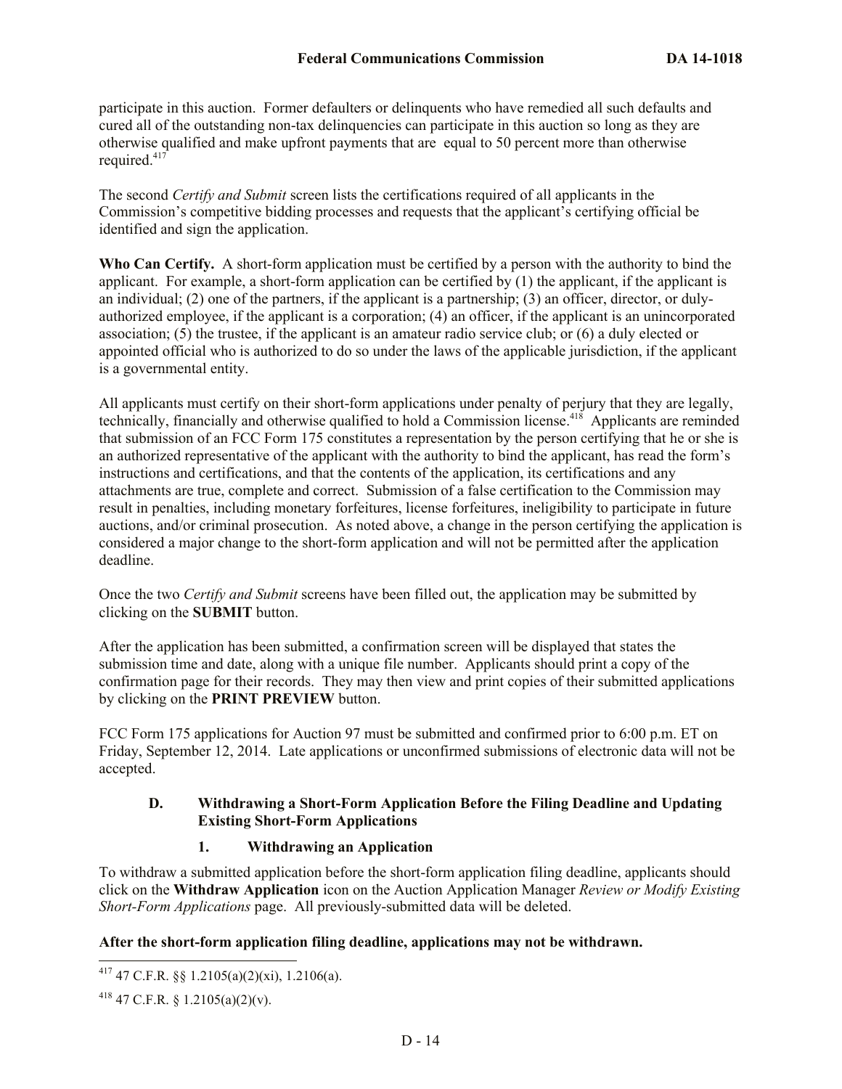participate in this auction. Former defaulters or delinquents who have remedied all such defaults and cured all of the outstanding non-tax delinquencies can participate in this auction so long as they are otherwise qualified and make upfront payments that are equal to 50 percent more than otherwise required.<sup>417</sup>

The second *Certify and Submit* screen lists the certifications required of all applicants in the Commission's competitive bidding processes and requests that the applicant's certifying official be identified and sign the application.

**Who Can Certify.** A short-form application must be certified by a person with the authority to bind the applicant. For example, a short-form application can be certified by  $(1)$  the applicant, if the applicant is an individual; (2) one of the partners, if the applicant is a partnership; (3) an officer, director, or dulyauthorized employee, if the applicant is a corporation; (4) an officer, if the applicant is an unincorporated association; (5) the trustee, if the applicant is an amateur radio service club; or (6) a duly elected or appointed official who is authorized to do so under the laws of the applicable jurisdiction, if the applicant is a governmental entity.

All applicants must certify on their short-form applications under penalty of perjury that they are legally, technically, financially and otherwise qualified to hold a Commission license.<sup>418</sup> Applicants are reminded that submission of an FCC Form 175 constitutes a representation by the person certifying that he or she is an authorized representative of the applicant with the authority to bind the applicant, has read the form's instructions and certifications, and that the contents of the application, its certifications and any attachments are true, complete and correct. Submission of a false certification to the Commission may result in penalties, including monetary forfeitures, license forfeitures, ineligibility to participate in future auctions, and/or criminal prosecution. As noted above, a change in the person certifying the application is considered a major change to the short-form application and will not be permitted after the application deadline.

Once the two *Certify and Submit* screens have been filled out, the application may be submitted by clicking on the **SUBMIT** button.

After the application has been submitted, a confirmation screen will be displayed that states the submission time and date, along with a unique file number. Applicants should print a copy of the confirmation page for their records. They may then view and print copies of their submitted applications by clicking on the **PRINT PREVIEW** button.

FCC Form 175 applications for Auction 97 must be submitted and confirmed prior to 6:00 p.m. ET on Friday, September 12, 2014. Late applications or unconfirmed submissions of electronic data will not be accepted.

### **D. Withdrawing a Short-Form Application Before the Filing Deadline and Updating Existing Short-Form Applications**

# **1. Withdrawing an Application**

To withdraw a submitted application before the short-form application filing deadline, applicants should click on the **Withdraw Application** icon on the Auction Application Manager *Review or Modify Existing Short-Form Applications* page. All previously-submitted data will be deleted.

# **After the short-form application filing deadline, applications may not be withdrawn.**

 $\overline{\phantom{a}}$ 

 $^{417}$  47 C.F.R. §§ 1.2105(a)(2)(xi), 1.2106(a).

<sup>&</sup>lt;sup>418</sup> 47 C.F.R. § 1.2105(a)(2)(v).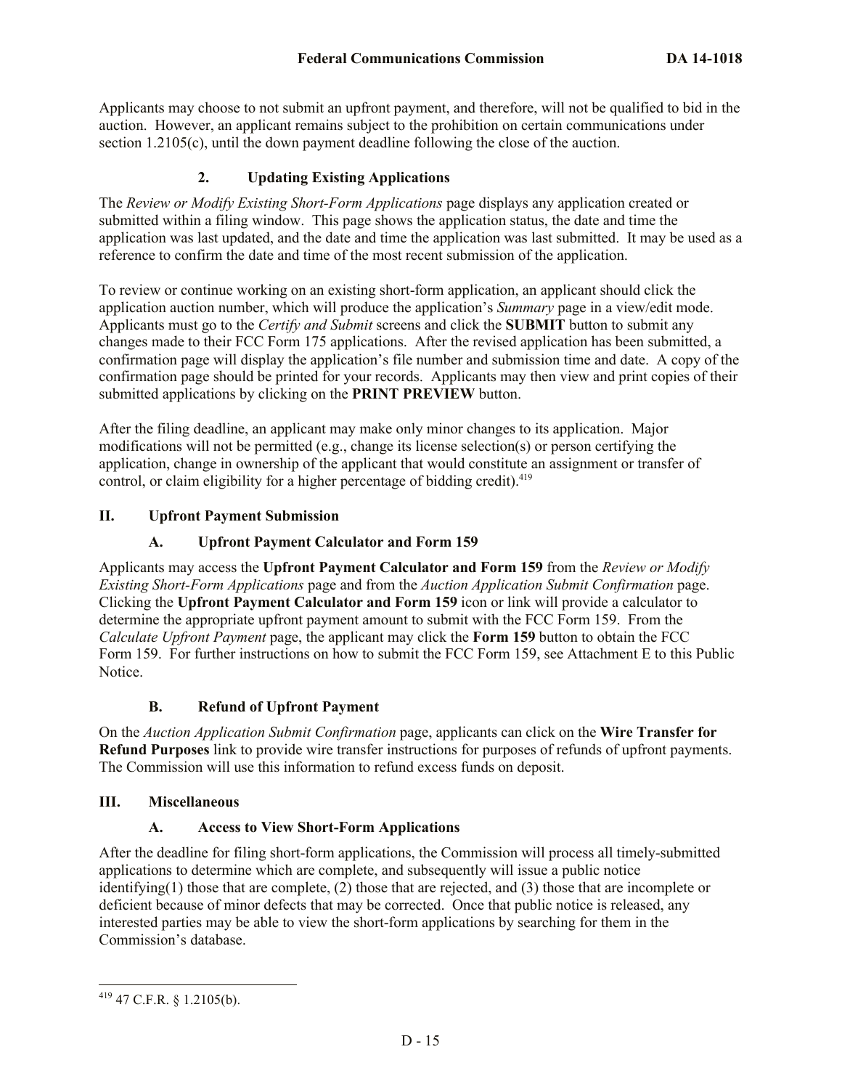Applicants may choose to not submit an upfront payment, and therefore, will not be qualified to bid in the auction. However, an applicant remains subject to the prohibition on certain communications under section 1.2105(c), until the down payment deadline following the close of the auction.

## **2. Updating Existing Applications**

The *Review or Modify Existing Short-Form Applications* page displays any application created or submitted within a filing window. This page shows the application status, the date and time the application was last updated, and the date and time the application was last submitted. It may be used as a reference to confirm the date and time of the most recent submission of the application.

To review or continue working on an existing short-form application, an applicant should click the application auction number, which will produce the application's *Summary* page in a view/edit mode. Applicants must go to the *Certify and Submit* screens and click the **SUBMIT** button to submit any changes made to their FCC Form 175 applications. After the revised application has been submitted, a confirmation page will display the application's file number and submission time and date. A copy of the confirmation page should be printed for your records. Applicants may then view and print copies of their submitted applications by clicking on the **PRINT PREVIEW** button.

After the filing deadline, an applicant may make only minor changes to its application. Major modifications will not be permitted (e.g., change its license selection(s) or person certifying the application, change in ownership of the applicant that would constitute an assignment or transfer of control, or claim eligibility for a higher percentage of bidding credit).<sup>419</sup>

### **II. Upfront Payment Submission**

## **A. Upfront Payment Calculator and Form 159**

Applicants may access the **Upfront Payment Calculator and Form 159** from the *Review or Modify Existing Short-Form Applications* page and from the *Auction Application Submit Confirmation* page. Clicking the **Upfront Payment Calculator and Form 159** icon or link will provide a calculator to determine the appropriate upfront payment amount to submit with the FCC Form 159. From the *Calculate Upfront Payment* page, the applicant may click the **Form 159** button to obtain the FCC Form 159. For further instructions on how to submit the FCC Form 159, see Attachment E to this Public Notice.

### **B. Refund of Upfront Payment**

On the *Auction Application Submit Confirmation* page, applicants can click on the **Wire Transfer for Refund Purposes** link to provide wire transfer instructions for purposes of refunds of upfront payments. The Commission will use this information to refund excess funds on deposit.

### **III. Miscellaneous**

### **A. Access to View Short-Form Applications**

After the deadline for filing short-form applications, the Commission will process all timely-submitted applications to determine which are complete, and subsequently will issue a public notice identifying(1) those that are complete, (2) those that are rejected, and (3) those that are incomplete or deficient because of minor defects that may be corrected. Once that public notice is released, any interested parties may be able to view the short-form applications by searching for them in the Commission's database.

l  $419$  47 C.F.R. § 1.2105(b).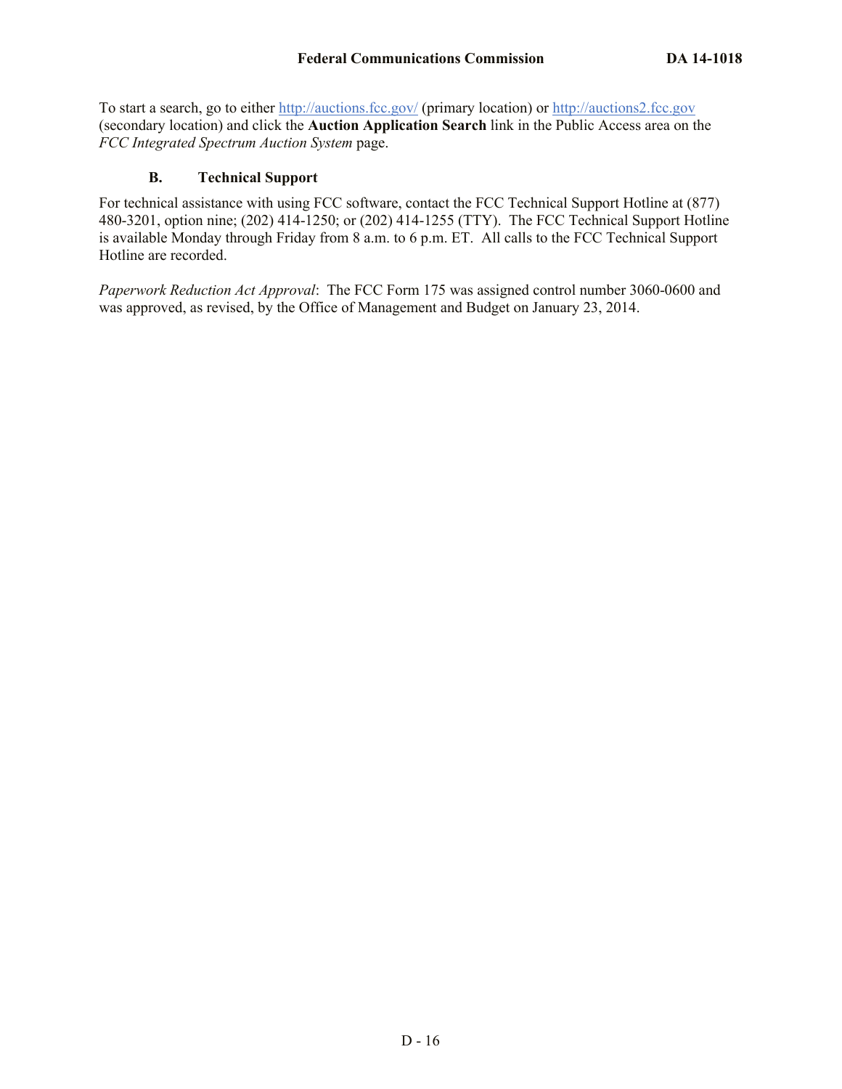To start a search, go to either http://auctions.fcc.gov/ (primary location) or http://auctions2.fcc.gov (secondary location) and click the **Auction Application Search** link in the Public Access area on the *FCC Integrated Spectrum Auction System* page.

### **B. Technical Support**

For technical assistance with using FCC software, contact the FCC Technical Support Hotline at (877) 480-3201, option nine; (202) 414-1250; or (202) 414-1255 (TTY). The FCC Technical Support Hotline is available Monday through Friday from 8 a.m. to 6 p.m. ET. All calls to the FCC Technical Support Hotline are recorded.

*Paperwork Reduction Act Approval*: The FCC Form 175 was assigned control number 3060-0600 and was approved, as revised, by the Office of Management and Budget on January 23, 2014.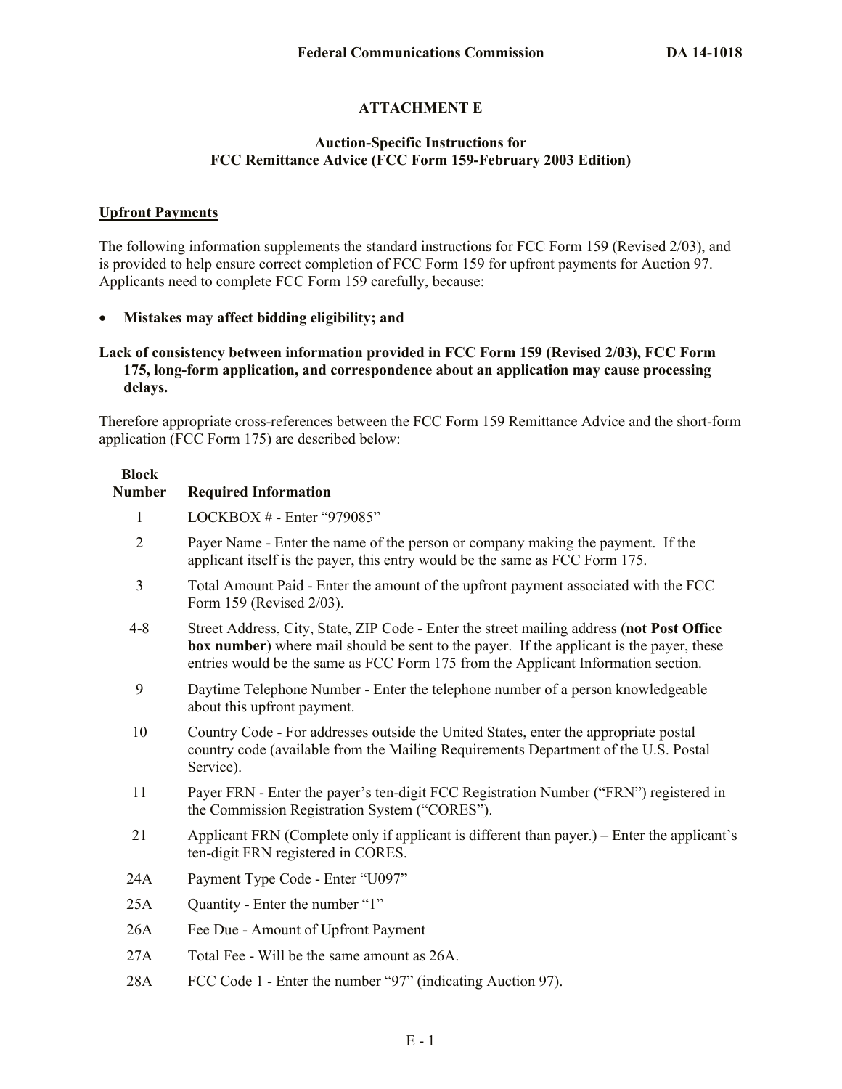## **ATTACHMENT E**

### **Auction-Specific Instructions for FCC Remittance Advice (FCC Form 159-February 2003 Edition)**

#### **Upfront Payments**

The following information supplements the standard instructions for FCC Form 159 (Revised 2/03), and is provided to help ensure correct completion of FCC Form 159 for upfront payments for Auction 97. Applicants need to complete FCC Form 159 carefully, because:

**Mistakes may affect bidding eligibility; and**

#### **Lack of consistency between information provided in FCC Form 159 (Revised 2/03), FCC Form 175, long-form application, and correspondence about an application may cause processing delays.**

Therefore appropriate cross-references between the FCC Form 159 Remittance Advice and the short-form application (FCC Form 175) are described below:

| <b>Block</b><br><b>Number</b> | <b>Required Information</b>                                                                                                                                                                                                                                                        |
|-------------------------------|------------------------------------------------------------------------------------------------------------------------------------------------------------------------------------------------------------------------------------------------------------------------------------|
| 1                             | LOCKBOX # - Enter "979085"                                                                                                                                                                                                                                                         |
| $\overline{2}$                | Payer Name - Enter the name of the person or company making the payment. If the<br>applicant itself is the payer, this entry would be the same as FCC Form 175.                                                                                                                    |
| $\overline{3}$                | Total Amount Paid - Enter the amount of the upfront payment associated with the FCC<br>Form 159 (Revised 2/03).                                                                                                                                                                    |
| $4 - 8$                       | Street Address, City, State, ZIP Code - Enter the street mailing address (not Post Office<br><b>box number</b> ) where mail should be sent to the payer. If the applicant is the payer, these<br>entries would be the same as FCC Form 175 from the Applicant Information section. |
| 9                             | Daytime Telephone Number - Enter the telephone number of a person knowledgeable<br>about this upfront payment.                                                                                                                                                                     |
| 10                            | Country Code - For addresses outside the United States, enter the appropriate postal<br>country code (available from the Mailing Requirements Department of the U.S. Postal<br>Service).                                                                                           |
| 11                            | Payer FRN - Enter the payer's ten-digit FCC Registration Number ("FRN") registered in<br>the Commission Registration System ("CORES").                                                                                                                                             |
| 21                            | Applicant FRN (Complete only if applicant is different than payer.) – Enter the applicant's<br>ten-digit FRN registered in CORES.                                                                                                                                                  |
| 24A                           | Payment Type Code - Enter "U097"                                                                                                                                                                                                                                                   |
| 25A                           | Quantity - Enter the number "1"                                                                                                                                                                                                                                                    |
| 26A                           | Fee Due - Amount of Upfront Payment                                                                                                                                                                                                                                                |
| 27A                           | Total Fee - Will be the same amount as 26A.                                                                                                                                                                                                                                        |
| 28A                           | FCC Code 1 - Enter the number "97" (indicating Auction 97).                                                                                                                                                                                                                        |
|                               |                                                                                                                                                                                                                                                                                    |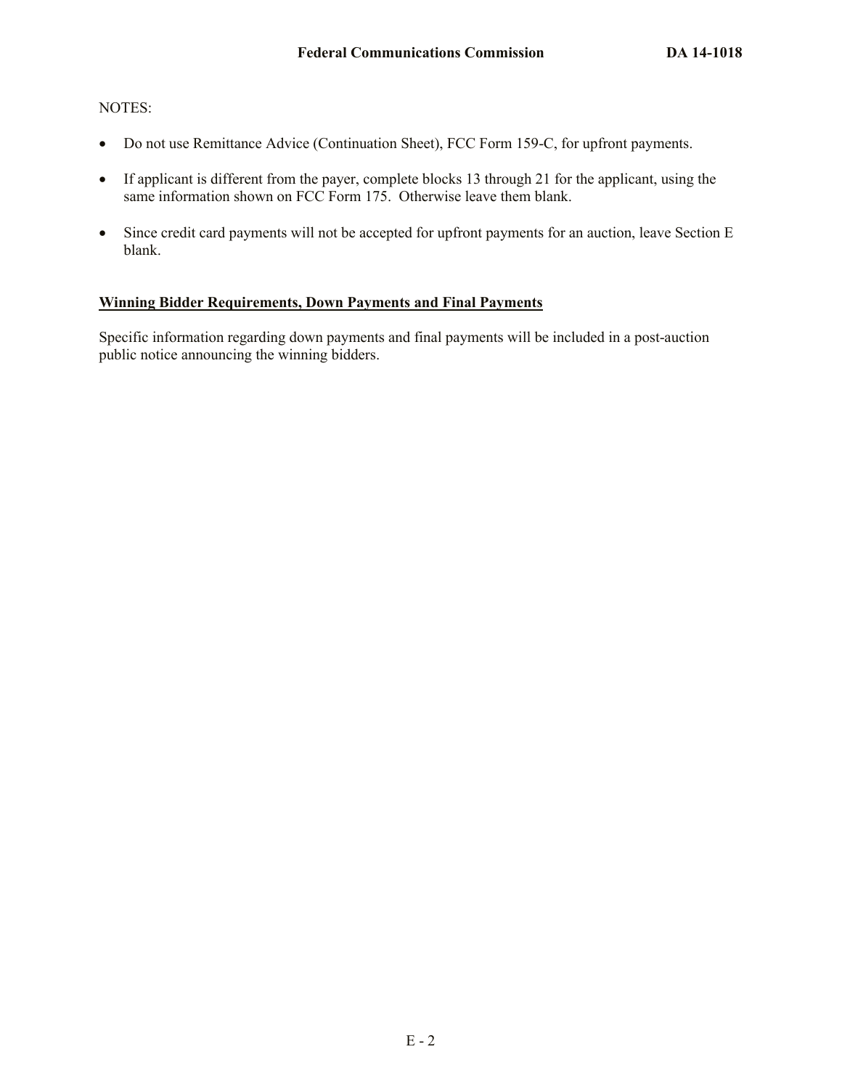#### NOTES:

- Do not use Remittance Advice (Continuation Sheet), FCC Form 159-C, for upfront payments.
- If applicant is different from the payer, complete blocks 13 through 21 for the applicant, using the same information shown on FCC Form 175. Otherwise leave them blank.
- Since credit card payments will not be accepted for upfront payments for an auction, leave Section E blank.

## **Winning Bidder Requirements, Down Payments and Final Payments**

Specific information regarding down payments and final payments will be included in a post-auction public notice announcing the winning bidders.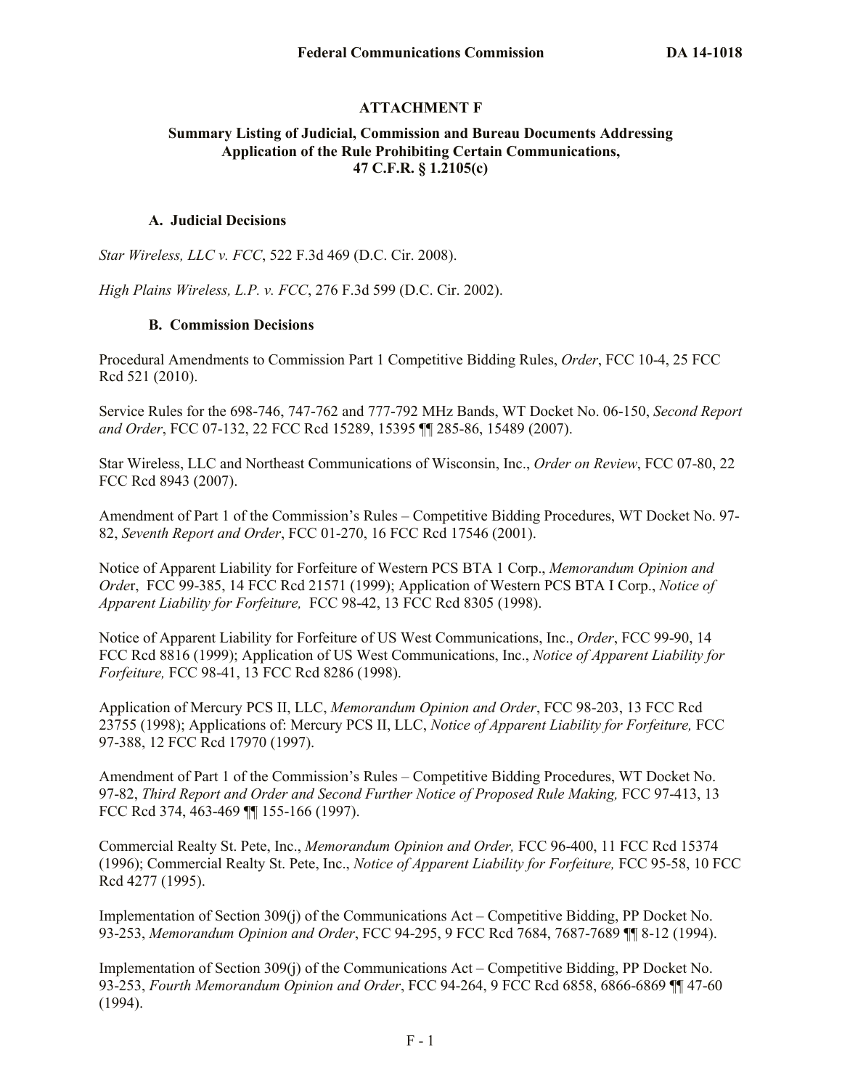## **ATTACHMENT F**

### **Summary Listing of Judicial, Commission and Bureau Documents Addressing Application of the Rule Prohibiting Certain Communications, 47 C.F.R. § 1.2105(c)**

#### **A. Judicial Decisions**

*Star Wireless, LLC v. FCC*, 522 F.3d 469 (D.C. Cir. 2008).

*High Plains Wireless, L.P. v. FCC*, 276 F.3d 599 (D.C. Cir. 2002).

#### **B. Commission Decisions**

Procedural Amendments to Commission Part 1 Competitive Bidding Rules, *Order*, FCC 10-4, 25 FCC Rcd 521 (2010).

Service Rules for the 698-746, 747-762 and 777-792 MHz Bands, WT Docket No. 06-150, *Second Report and Order*, FCC 07-132, 22 FCC Rcd 15289, 15395 ¶¶ 285-86, 15489 (2007).

Star Wireless, LLC and Northeast Communications of Wisconsin, Inc., *Order on Review*, FCC 07-80, 22 FCC Rcd 8943 (2007).

Amendment of Part 1 of the Commission's Rules – Competitive Bidding Procedures, WT Docket No. 97- 82, *Seventh Report and Order*, FCC 01-270, 16 FCC Rcd 17546 (2001).

Notice of Apparent Liability for Forfeiture of Western PCS BTA 1 Corp., *Memorandum Opinion and Orde*r, FCC 99-385, 14 FCC Rcd 21571 (1999); Application of Western PCS BTA I Corp., *Notice of Apparent Liability for Forfeiture,* FCC 98-42, 13 FCC Rcd 8305 (1998).

Notice of Apparent Liability for Forfeiture of US West Communications, Inc., *Order*, FCC 99-90, 14 FCC Rcd 8816 (1999); Application of US West Communications, Inc., *Notice of Apparent Liability for Forfeiture,* FCC 98-41, 13 FCC Rcd 8286 (1998).

Application of Mercury PCS II, LLC, *Memorandum Opinion and Order*, FCC 98-203, 13 FCC Rcd 23755 (1998); Applications of: Mercury PCS II, LLC, *Notice of Apparent Liability for Forfeiture,* FCC 97-388, 12 FCC Rcd 17970 (1997).

Amendment of Part 1 of the Commission's Rules – Competitive Bidding Procedures, WT Docket No. 97-82, *Third Report and Order and Second Further Notice of Proposed Rule Making,* FCC 97-413, 13 FCC Rcd 374, 463-469 ¶¶ 155-166 (1997).

Commercial Realty St. Pete, Inc., *Memorandum Opinion and Order,* FCC 96-400, 11 FCC Rcd 15374 (1996); Commercial Realty St. Pete, Inc., *Notice of Apparent Liability for Forfeiture,* FCC 95-58, 10 FCC Rcd 4277 (1995).

Implementation of Section 309(j) of the Communications Act – Competitive Bidding, PP Docket No. 93-253, *Memorandum Opinion and Order*, FCC 94-295, 9 FCC Rcd 7684, 7687-7689 ¶¶ 8-12 (1994).

Implementation of Section 309(j) of the Communications Act – Competitive Bidding, PP Docket No. 93-253, *Fourth Memorandum Opinion and Order*, FCC 94-264, 9 FCC Rcd 6858, 6866-6869 ¶¶ 47-60 (1994).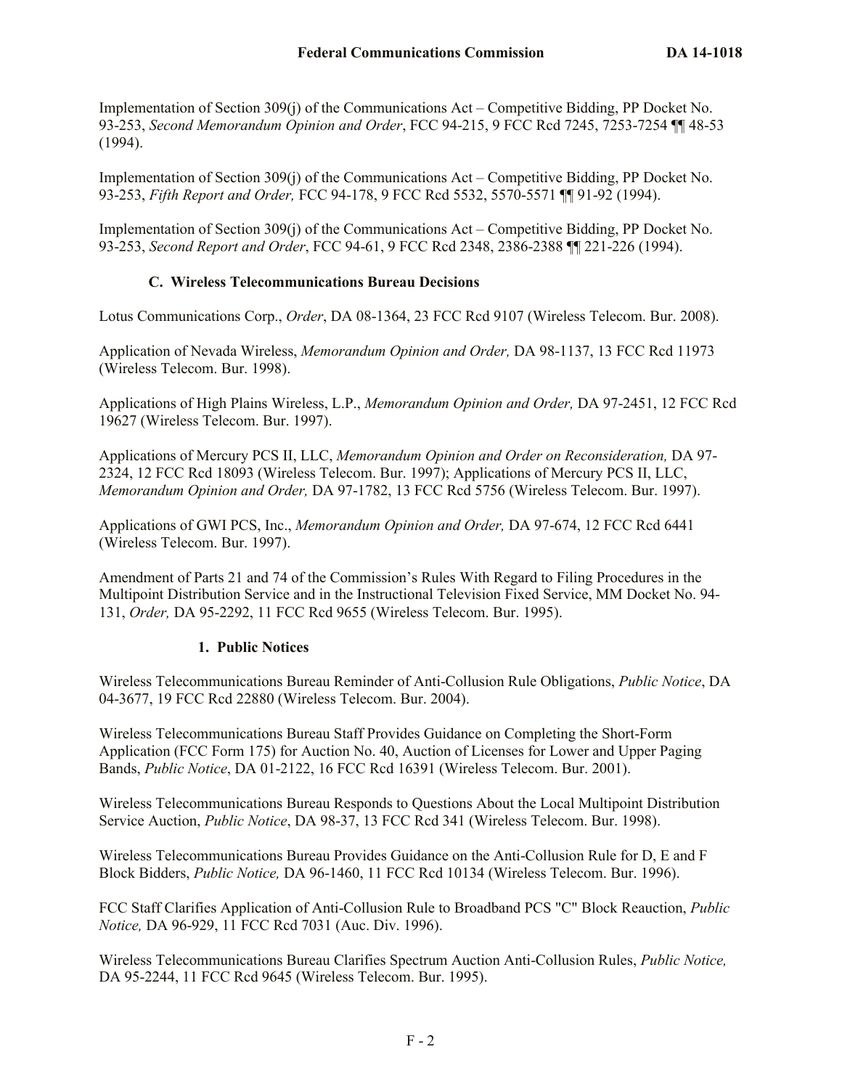Implementation of Section 309(j) of the Communications Act – Competitive Bidding, PP Docket No. 93-253, *Second Memorandum Opinion and Order*, FCC 94-215, 9 FCC Rcd 7245, 7253-7254 ¶¶ 48-53 (1994).

Implementation of Section 309(j) of the Communications Act – Competitive Bidding, PP Docket No. 93-253, *Fifth Report and Order,* FCC 94-178, 9 FCC Rcd 5532, 5570-5571 ¶¶ 91-92 (1994).

Implementation of Section 309(j) of the Communications Act – Competitive Bidding, PP Docket No. 93-253, *Second Report and Order*, FCC 94-61, 9 FCC Rcd 2348, 2386-2388 ¶¶ 221-226 (1994).

## **C. Wireless Telecommunications Bureau Decisions**

Lotus Communications Corp., *Order*, DA 08-1364, 23 FCC Rcd 9107 (Wireless Telecom. Bur. 2008).

Application of Nevada Wireless, *Memorandum Opinion and Order,* DA 98-1137, 13 FCC Rcd 11973 (Wireless Telecom. Bur. 1998).

Applications of High Plains Wireless, L.P., *Memorandum Opinion and Order,* DA 97-2451, 12 FCC Rcd 19627 (Wireless Telecom. Bur. 1997).

Applications of Mercury PCS II, LLC, *Memorandum Opinion and Order on Reconsideration,* DA 97- 2324, 12 FCC Rcd 18093 (Wireless Telecom. Bur. 1997); Applications of Mercury PCS II, LLC, *Memorandum Opinion and Order,* DA 97-1782, 13 FCC Rcd 5756 (Wireless Telecom. Bur. 1997).

Applications of GWI PCS, Inc., *Memorandum Opinion and Order,* DA 97-674, 12 FCC Rcd 6441 (Wireless Telecom. Bur. 1997).

Amendment of Parts 21 and 74 of the Commission's Rules With Regard to Filing Procedures in the Multipoint Distribution Service and in the Instructional Television Fixed Service, MM Docket No. 94- 131, *Order,* DA 95-2292, 11 FCC Rcd 9655 (Wireless Telecom. Bur. 1995).

# **1. Public Notices**

Wireless Telecommunications Bureau Reminder of Anti-Collusion Rule Obligations, *Public Notice*, DA 04-3677, 19 FCC Rcd 22880 (Wireless Telecom. Bur. 2004).

Wireless Telecommunications Bureau Staff Provides Guidance on Completing the Short-Form Application (FCC Form 175) for Auction No. 40, Auction of Licenses for Lower and Upper Paging Bands, *Public Notice*, DA 01-2122, 16 FCC Rcd 16391 (Wireless Telecom. Bur. 2001).

Wireless Telecommunications Bureau Responds to Questions About the Local Multipoint Distribution Service Auction, *Public Notice*, DA 98-37, 13 FCC Rcd 341 (Wireless Telecom. Bur. 1998).

Wireless Telecommunications Bureau Provides Guidance on the Anti-Collusion Rule for D, E and F Block Bidders, *Public Notice,* DA 96-1460, 11 FCC Rcd 10134 (Wireless Telecom. Bur. 1996).

FCC Staff Clarifies Application of Anti-Collusion Rule to Broadband PCS "C" Block Reauction, *Public Notice,* DA 96-929, 11 FCC Rcd 7031 (Auc. Div. 1996).

Wireless Telecommunications Bureau Clarifies Spectrum Auction Anti-Collusion Rules, *Public Notice,*  DA 95-2244, 11 FCC Rcd 9645 (Wireless Telecom. Bur. 1995).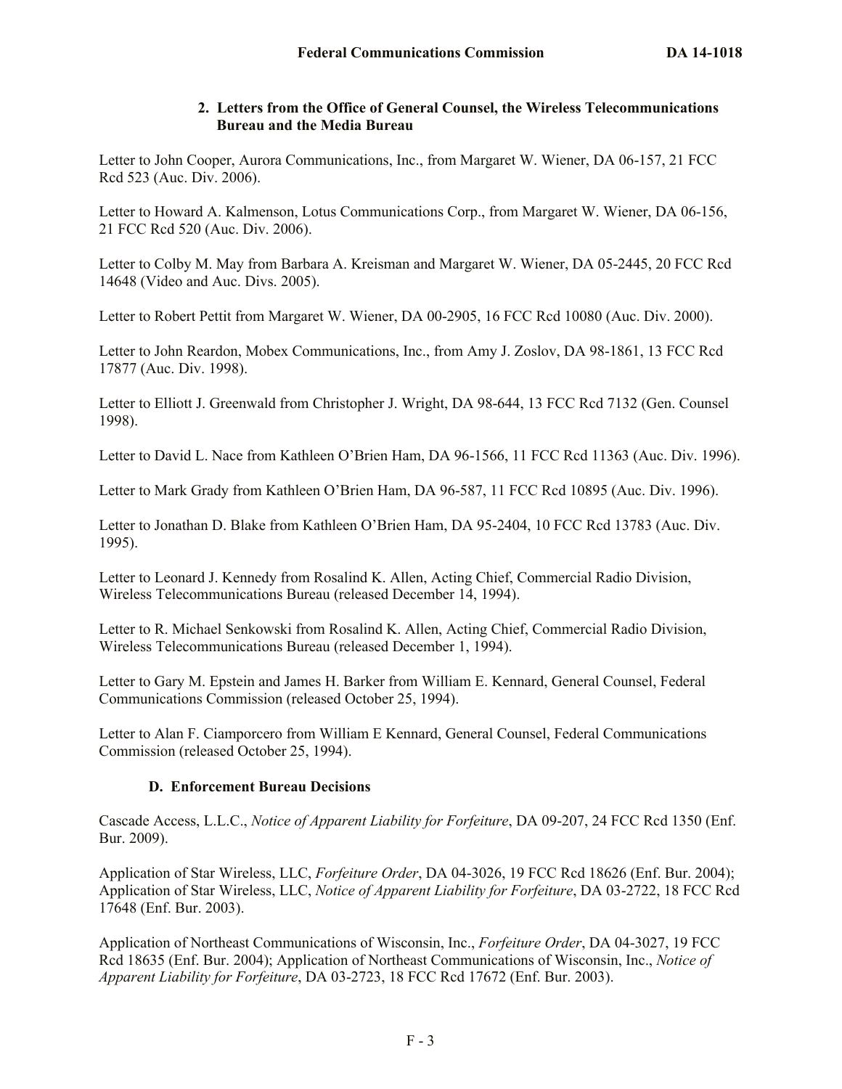## **2. Letters from the Office of General Counsel, the Wireless Telecommunications Bureau and the Media Bureau**

Letter to John Cooper, Aurora Communications, Inc., from Margaret W. Wiener, DA 06-157, 21 FCC Rcd 523 (Auc. Div. 2006).

Letter to Howard A. Kalmenson, Lotus Communications Corp., from Margaret W. Wiener, DA 06-156, 21 FCC Rcd 520 (Auc. Div. 2006).

Letter to Colby M. May from Barbara A. Kreisman and Margaret W. Wiener, DA 05-2445, 20 FCC Rcd 14648 (Video and Auc. Divs. 2005).

Letter to Robert Pettit from Margaret W. Wiener, DA 00-2905, 16 FCC Rcd 10080 (Auc. Div. 2000).

Letter to John Reardon, Mobex Communications, Inc., from Amy J. Zoslov, DA 98-1861, 13 FCC Rcd 17877 (Auc. Div. 1998).

Letter to Elliott J. Greenwald from Christopher J. Wright, DA 98-644, 13 FCC Rcd 7132 (Gen. Counsel 1998).

Letter to David L. Nace from Kathleen O'Brien Ham, DA 96-1566, 11 FCC Rcd 11363 (Auc. Div. 1996).

Letter to Mark Grady from Kathleen O'Brien Ham, DA 96-587, 11 FCC Rcd 10895 (Auc. Div. 1996).

Letter to Jonathan D. Blake from Kathleen O'Brien Ham, DA 95-2404, 10 FCC Rcd 13783 (Auc. Div. 1995).

Letter to Leonard J. Kennedy from Rosalind K. Allen, Acting Chief, Commercial Radio Division, Wireless Telecommunications Bureau (released December 14, 1994).

Letter to R. Michael Senkowski from Rosalind K. Allen, Acting Chief, Commercial Radio Division, Wireless Telecommunications Bureau (released December 1, 1994).

Letter to Gary M. Epstein and James H. Barker from William E. Kennard, General Counsel, Federal Communications Commission (released October 25, 1994).

Letter to Alan F. Ciamporcero from William E Kennard, General Counsel, Federal Communications Commission (released October 25, 1994).

# **D. Enforcement Bureau Decisions**

Cascade Access, L.L.C., *Notice of Apparent Liability for Forfeiture*, DA 09-207, 24 FCC Rcd 1350 (Enf. Bur. 2009).

Application of Star Wireless, LLC, *Forfeiture Order*, DA 04-3026, 19 FCC Rcd 18626 (Enf. Bur. 2004); Application of Star Wireless, LLC, *Notice of Apparent Liability for Forfeiture*, DA 03-2722, 18 FCC Rcd 17648 (Enf. Bur. 2003).

Application of Northeast Communications of Wisconsin, Inc., *Forfeiture Order*, DA 04-3027, 19 FCC Rcd 18635 (Enf. Bur. 2004); Application of Northeast Communications of Wisconsin, Inc., *Notice of Apparent Liability for Forfeiture*, DA 03-2723, 18 FCC Rcd 17672 (Enf. Bur. 2003).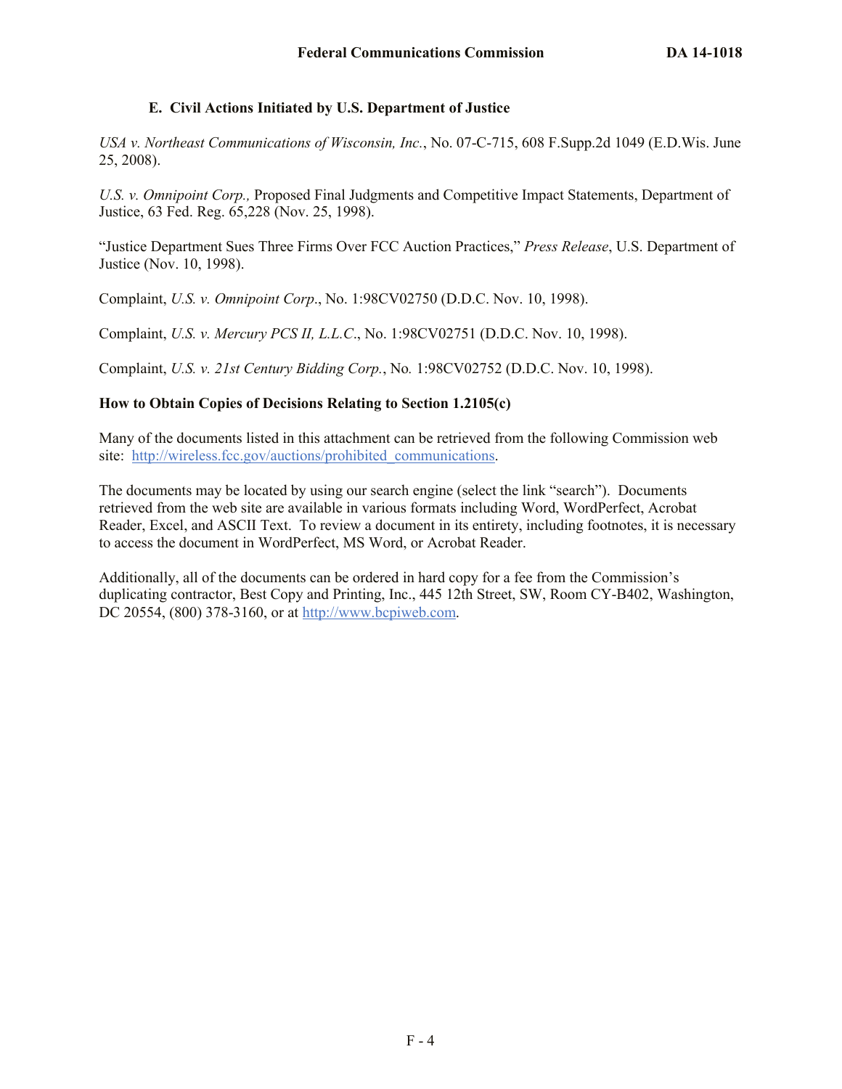### **E. Civil Actions Initiated by U.S. Department of Justice**

*USA v. Northeast Communications of Wisconsin, Inc.*, No. 07-C-715, 608 F.Supp.2d 1049 (E.D.Wis. June 25, 2008).

*U.S. v. Omnipoint Corp.,* Proposed Final Judgments and Competitive Impact Statements, Department of Justice, 63 Fed. Reg. 65,228 (Nov. 25, 1998).

"Justice Department Sues Three Firms Over FCC Auction Practices," *Press Release*, U.S. Department of Justice (Nov. 10, 1998).

Complaint, *U.S. v. Omnipoint Corp*., No. 1:98CV02750 (D.D.C. Nov. 10, 1998).

Complaint, *U.S. v. Mercury PCS II, L.L.C*., No. 1:98CV02751 (D.D.C. Nov. 10, 1998).

Complaint, *U.S. v. 21st Century Bidding Corp.*, No*.* 1:98CV02752 (D.D.C. Nov. 10, 1998).

## **How to Obtain Copies of Decisions Relating to Section 1.2105(c)**

Many of the documents listed in this attachment can be retrieved from the following Commission web site: http://wireless.fcc.gov/auctions/prohibited communications.

The documents may be located by using our search engine (select the link "search"). Documents retrieved from the web site are available in various formats including Word, WordPerfect, Acrobat Reader, Excel, and ASCII Text. To review a document in its entirety, including footnotes, it is necessary to access the document in WordPerfect, MS Word, or Acrobat Reader.

Additionally, all of the documents can be ordered in hard copy for a fee from the Commission's duplicating contractor, Best Copy and Printing, Inc., 445 12th Street, SW, Room CY-B402, Washington, DC 20554, (800) 378-3160, or at http://www.bcpiweb.com.